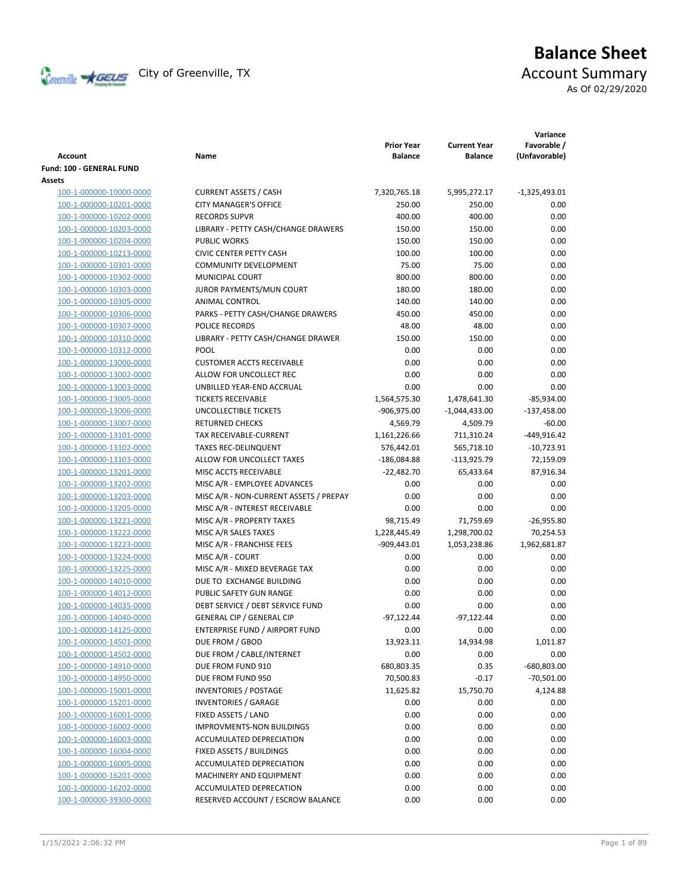

# **Balance Sheet** Creenville Strategy City of Greenville, TX Account Summary

As Of 02/29/2020

|                                                    |                                                   | <b>Prior Year</b> | <b>Current Year</b> | Variance<br>Favorable /     |
|----------------------------------------------------|---------------------------------------------------|-------------------|---------------------|-----------------------------|
| Account                                            | Name                                              | <b>Balance</b>    | <b>Balance</b>      | (Unfavorable)               |
| Fund: 100 - GENERAL FUND                           |                                                   |                   |                     |                             |
| Assets                                             |                                                   |                   |                     |                             |
| 100-1-000000-10000-0000                            | <b>CURRENT ASSETS / CASH</b>                      | 7,320,765.18      | 5,995,272.17        | $-1,325,493.01$             |
| 100-1-000000-10201-0000                            | <b>CITY MANAGER'S OFFICE</b>                      | 250.00            | 250.00              | 0.00                        |
| 100-1-000000-10202-0000                            | <b>RECORDS SUPVR</b>                              | 400.00            | 400.00              | 0.00                        |
| 100-1-000000-10203-0000                            | LIBRARY - PETTY CASH/CHANGE DRAWERS               | 150.00            | 150.00              | 0.00                        |
| 100-1-000000-10204-0000                            | <b>PUBLIC WORKS</b>                               | 150.00            | 150.00              | 0.00                        |
| 100-1-000000-10213-0000                            | <b>CIVIC CENTER PETTY CASH</b>                    | 100.00            | 100.00              | 0.00                        |
| 100-1-000000-10301-0000                            | <b>COMMUNITY DEVELOPMENT</b>                      | 75.00             | 75.00               | 0.00                        |
| 100-1-000000-10302-0000                            | MUNICIPAL COURT                                   | 800.00            | 800.00              | 0.00                        |
| 100-1-000000-10303-0000                            | JUROR PAYMENTS/MUN COURT                          | 180.00            | 180.00              | 0.00                        |
| 100-1-000000-10305-0000                            | ANIMAL CONTROL                                    | 140.00            | 140.00              | 0.00                        |
| 100-1-000000-10306-0000                            | PARKS - PETTY CASH/CHANGE DRAWERS                 | 450.00            | 450.00              | 0.00                        |
| 100-1-000000-10307-0000                            | <b>POLICE RECORDS</b>                             | 48.00             | 48.00               | 0.00                        |
| 100-1-000000-10310-0000                            | LIBRARY - PETTY CASH/CHANGE DRAWER                | 150.00            | 150.00              | 0.00                        |
| 100-1-000000-10312-0000                            | <b>POOL</b>                                       | 0.00              | 0.00                | 0.00                        |
| 100-1-000000-13000-0000                            | <b>CUSTOMER ACCTS RECEIVABLE</b>                  | 0.00              | 0.00                | 0.00                        |
| 100-1-000000-13002-0000                            | ALLOW FOR UNCOLLECT REC                           | 0.00              | 0.00                | 0.00                        |
| 100-1-000000-13003-0000                            | UNBILLED YEAR-END ACCRUAL                         | 0.00              | 0.00                | 0.00                        |
| 100-1-000000-13005-0000                            | <b>TICKETS RECEIVABLE</b>                         | 1,564,575.30      | 1,478,641.30        | $-85,934.00$                |
| 100-1-000000-13006-0000                            | UNCOLLECTIBLE TICKETS                             | -906,975.00       | -1,044,433.00       | $-137,458.00$               |
| 100-1-000000-13007-0000                            | <b>RETURNED CHECKS</b>                            | 4,569.79          | 4,509.79            | $-60.00$                    |
| 100-1-000000-13101-0000                            | TAX RECEIVABLE-CURRENT                            | 1,161,226.66      | 711,310.24          | -449,916.42                 |
| 100-1-000000-13102-0000                            | <b>TAXES REC-DELINQUENT</b>                       | 576,442.01        | 565,718.10          | $-10,723.91$                |
| 100-1-000000-13103-0000                            | ALLOW FOR UNCOLLECT TAXES                         | $-186,084.88$     | $-113,925.79$       | 72,159.09                   |
| 100-1-000000-13201-0000                            | MISC ACCTS RECEIVABLE                             | $-22,482.70$      | 65,433.64           | 87,916.34                   |
| 100-1-000000-13202-0000                            | MISC A/R - EMPLOYEE ADVANCES                      | 0.00              | 0.00                | 0.00                        |
| 100-1-000000-13203-0000                            | MISC A/R - NON-CURRENT ASSETS / PREPAY            | 0.00              | 0.00                | 0.00                        |
| 100-1-000000-13205-0000                            | MISC A/R - INTEREST RECEIVABLE                    | 0.00              | 0.00                | 0.00                        |
| 100-1-000000-13221-0000                            | MISC A/R - PROPERTY TAXES                         | 98,715.49         | 71,759.69           | $-26,955.80$                |
| 100-1-000000-13222-0000                            | MISC A/R SALES TAXES                              | 1,228,445.49      | 1,298,700.02        | 70,254.53                   |
| 100-1-000000-13223-0000                            | MISC A/R - FRANCHISE FEES                         | $-909,443.01$     | 1,053,238.86        | 1,962,681.87                |
| 100-1-000000-13224-0000                            | MISC A/R - COURT                                  | 0.00              | 0.00                | 0.00                        |
| 100-1-000000-13225-0000                            | MISC A/R - MIXED BEVERAGE TAX                     | 0.00              | 0.00                | 0.00                        |
| 100-1-000000-14010-0000                            | DUE TO EXCHANGE BUILDING                          | 0.00              | 0.00                | 0.00                        |
| 100-1-000000-14012-0000                            | PUBLIC SAFETY GUN RANGE                           | 0.00              | 0.00                | 0.00                        |
| 100-1-000000-14035-0000                            | DEBT SERVICE / DEBT SERVICE FUND                  | 0.00              | 0.00                | 0.00                        |
| 100-1-000000-14040-0000                            | <b>GENERAL CIP / GENERAL CIP</b>                  | $-97,122.44$      | $-97,122.44$        | 0.00                        |
| 100-1-000000-14125-0000                            | ENTERPRISE FUND / AIRPORT FUND                    | 0.00              | 0.00                | 0.00                        |
| 100-1-000000-14501-0000                            | DUE FROM / GBOD<br>DUE FROM / CABLE/INTERNET      | 13,923.11<br>0.00 | 14,934.98           | 1,011.87<br>0.00            |
| 100-1-000000-14502-0000                            | DUE FROM FUND 910                                 |                   | 0.00                |                             |
| 100-1-000000-14910-0000<br>100-1-000000-14950-0000 |                                                   | 680,803.35        | 0.35                | -680,803.00<br>$-70,501.00$ |
| 100-1-000000-15001-0000                            | DUE FROM FUND 950<br><b>INVENTORIES / POSTAGE</b> | 70,500.83         | $-0.17$             |                             |
| 100-1-000000-15201-0000                            | <b>INVENTORIES / GARAGE</b>                       | 11,625.82<br>0.00 | 15,750.70           | 4,124.88                    |
| 100-1-000000-16001-0000                            | FIXED ASSETS / LAND                               | 0.00              | 0.00<br>0.00        | 0.00<br>0.00                |
| 100-1-000000-16002-0000                            | <b>IMPROVMENTS-NON BUILDINGS</b>                  | 0.00              | 0.00                | 0.00                        |
| 100-1-000000-16003-0000                            | ACCUMULATED DEPRECIATION                          | 0.00              | 0.00                | 0.00                        |
| 100-1-000000-16004-0000                            | FIXED ASSETS / BUILDINGS                          | 0.00              | 0.00                | 0.00                        |
| 100-1-000000-16005-0000                            | ACCUMULATED DEPRECIATION                          | 0.00              | 0.00                | 0.00                        |
| 100-1-000000-16201-0000                            | MACHINERY AND EQUIPMENT                           | 0.00              | 0.00                | 0.00                        |
| 100-1-000000-16202-0000                            | ACCUMULATED DEPRECATION                           | 0.00              | 0.00                | 0.00                        |
| 100-1-000000-39300-0000                            | RESERVED ACCOUNT / ESCROW BALANCE                 | 0.00              | 0.00                | 0.00                        |
|                                                    |                                                   |                   |                     |                             |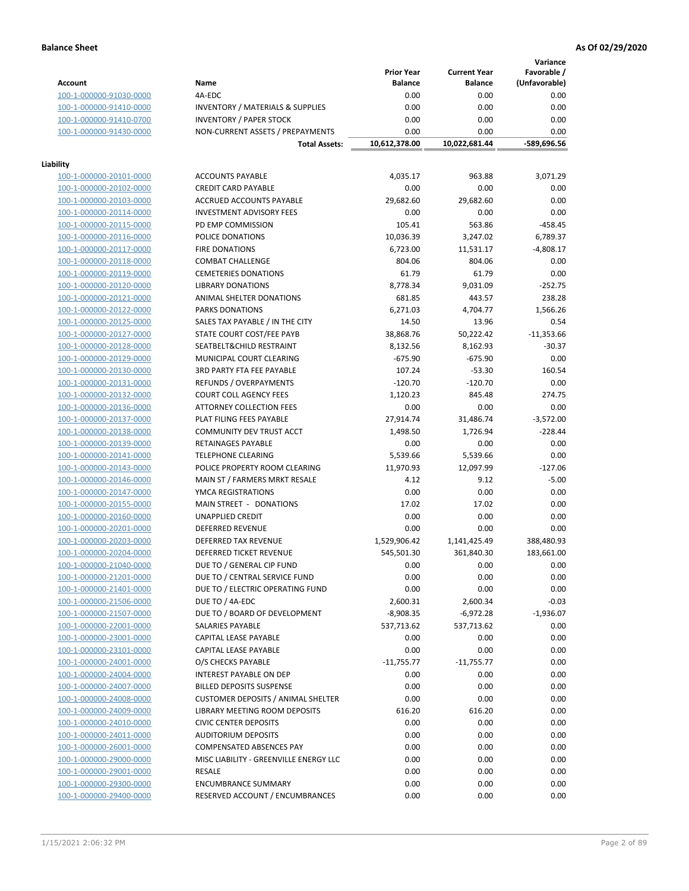**Variance**

|                         |                                             | <b>Prior Year</b> | <b>Current Year</b> | Favorable /   |
|-------------------------|---------------------------------------------|-------------------|---------------------|---------------|
| Account                 | Name                                        | <b>Balance</b>    | <b>Balance</b>      | (Unfavorable) |
| 100-1-000000-91030-0000 | 4A-EDC                                      | 0.00              | 0.00                | 0.00          |
| 100-1-000000-91410-0000 | <b>INVENTORY / MATERIALS &amp; SUPPLIES</b> | 0.00              | 0.00                | 0.00          |
| 100-1-000000-91410-0700 | <b>INVENTORY / PAPER STOCK</b>              | 0.00              | 0.00                | 0.00          |
| 100-1-000000-91430-0000 | NON-CURRENT ASSETS / PREPAYMENTS            | 0.00              | 0.00                | 0.00          |
|                         |                                             |                   |                     |               |
|                         | <b>Total Assets:</b>                        | 10,612,378.00     | 10,022,681.44       | -589,696.56   |
| Liability               |                                             |                   |                     |               |
| 100-1-000000-20101-0000 | <b>ACCOUNTS PAYABLE</b>                     | 4,035.17          | 963.88              | 3,071.29      |
|                         |                                             |                   |                     |               |
| 100-1-000000-20102-0000 | <b>CREDIT CARD PAYABLE</b>                  | 0.00              | 0.00                | 0.00          |
| 100-1-000000-20103-0000 | ACCRUED ACCOUNTS PAYABLE                    | 29,682.60         | 29,682.60           | 0.00          |
| 100-1-000000-20114-0000 | <b>INVESTMENT ADVISORY FEES</b>             | 0.00              | 0.00                | 0.00          |
| 100-1-000000-20115-0000 | PD EMP COMMISSION                           | 105.41            | 563.86              | $-458.45$     |
| 100-1-000000-20116-0000 | POLICE DONATIONS                            | 10,036.39         | 3,247.02            | 6,789.37      |
| 100-1-000000-20117-0000 | <b>FIRE DONATIONS</b>                       | 6,723.00          | 11,531.17           | $-4,808.17$   |
| 100-1-000000-20118-0000 | <b>COMBAT CHALLENGE</b>                     | 804.06            | 804.06              | 0.00          |
| 100-1-000000-20119-0000 | <b>CEMETERIES DONATIONS</b>                 | 61.79             | 61.79               | 0.00          |
| 100-1-000000-20120-0000 | <b>LIBRARY DONATIONS</b>                    | 8,778.34          | 9,031.09            | $-252.75$     |
| 100-1-000000-20121-0000 | ANIMAL SHELTER DONATIONS                    | 681.85            | 443.57              | 238.28        |
| 100-1-000000-20122-0000 | <b>PARKS DONATIONS</b>                      | 6,271.03          | 4,704.77            | 1,566.26      |
|                         |                                             |                   |                     |               |
| 100-1-000000-20125-0000 | SALES TAX PAYABLE / IN THE CITY             | 14.50             | 13.96               | 0.54          |
| 100-1-000000-20127-0000 | STATE COURT COST/FEE PAYB                   | 38,868.76         | 50,222.42           | $-11,353.66$  |
| 100-1-000000-20128-0000 | SEATBELT&CHILD RESTRAINT                    | 8,132.56          | 8,162.93            | $-30.37$      |
| 100-1-000000-20129-0000 | MUNICIPAL COURT CLEARING                    | $-675.90$         | $-675.90$           | 0.00          |
| 100-1-000000-20130-0000 | <b>3RD PARTY FTA FEE PAYABLE</b>            | 107.24            | $-53.30$            | 160.54        |
| 100-1-000000-20131-0000 | REFUNDS / OVERPAYMENTS                      | $-120.70$         | $-120.70$           | 0.00          |
| 100-1-000000-20132-0000 | <b>COURT COLL AGENCY FEES</b>               | 1,120.23          | 845.48              | 274.75        |
| 100-1-000000-20136-0000 | <b>ATTORNEY COLLECTION FEES</b>             | 0.00              | 0.00                | 0.00          |
| 100-1-000000-20137-0000 | PLAT FILING FEES PAYABLE                    | 27,914.74         | 31,486.74           | $-3,572.00$   |
| 100-1-000000-20138-0000 | COMMUNITY DEV TRUST ACCT                    | 1,498.50          | 1,726.94            | $-228.44$     |
| 100-1-000000-20139-0000 | RETAINAGES PAYABLE                          | 0.00              | 0.00                | 0.00          |
| 100-1-000000-20141-0000 | <b>TELEPHONE CLEARING</b>                   | 5,539.66          | 5,539.66            | 0.00          |
|                         |                                             |                   |                     |               |
| 100-1-000000-20143-0000 | POLICE PROPERTY ROOM CLEARING               | 11,970.93         | 12,097.99           | $-127.06$     |
| 100-1-000000-20146-0000 | MAIN ST / FARMERS MRKT RESALE               | 4.12              | 9.12                | $-5.00$       |
| 100-1-000000-20147-0000 | YMCA REGISTRATIONS                          | 0.00              | 0.00                | 0.00          |
| 100-1-000000-20155-0000 | MAIN STREET - DONATIONS                     | 17.02             | 17.02               | 0.00          |
| 100-1-000000-20160-0000 | <b>UNAPPLIED CREDIT</b>                     | 0.00              | 0.00                | 0.00          |
| 100-1-000000-20201-0000 | <b>DEFERRED REVENUE</b>                     | 0.00              | 0.00                | 0.00          |
| 100-1-000000-20203-0000 | DEFERRED TAX REVENUE                        | 1,529,906.42      | 1,141,425.49        | 388,480.93    |
| 100-1-000000-20204-0000 | DEFERRED TICKET REVENUE                     | 545,501.30        | 361,840.30          | 183,661.00    |
| 100-1-000000-21040-0000 | DUE TO / GENERAL CIP FUND                   | 0.00              | 0.00                | 0.00          |
| 100-1-000000-21201-0000 | DUE TO / CENTRAL SERVICE FUND               | 0.00              | 0.00                | 0.00          |
| 100-1-000000-21401-0000 | DUE TO / ELECTRIC OPERATING FUND            | 0.00              | 0.00                | 0.00          |
| 100-1-000000-21506-0000 | DUE TO / 4A-EDC                             | 2,600.31          | 2,600.34            | $-0.03$       |
|                         | DUE TO / BOARD OF DEVELOPMENT               | $-8,908.35$       |                     | $-1,936.07$   |
| 100-1-000000-21507-0000 |                                             |                   | -6,972.28           |               |
| 100-1-000000-22001-0000 | SALARIES PAYABLE                            | 537,713.62        | 537,713.62          | 0.00          |
| 100-1-000000-23001-0000 | <b>CAPITAL LEASE PAYABLE</b>                | 0.00              | 0.00                | 0.00          |
| 100-1-000000-23101-0000 | CAPITAL LEASE PAYABLE                       | 0.00              | 0.00                | 0.00          |
| 100-1-000000-24001-0000 | O/S CHECKS PAYABLE                          | $-11,755.77$      | $-11,755.77$        | 0.00          |
| 100-1-000000-24004-0000 | INTEREST PAYABLE ON DEP                     | 0.00              | 0.00                | 0.00          |
| 100-1-000000-24007-0000 | <b>BILLED DEPOSITS SUSPENSE</b>             | 0.00              | 0.00                | 0.00          |
| 100-1-000000-24008-0000 | <b>CUSTOMER DEPOSITS / ANIMAL SHELTER</b>   | 0.00              | 0.00                | 0.00          |
| 100-1-000000-24009-0000 | LIBRARY MEETING ROOM DEPOSITS               | 616.20            | 616.20              | 0.00          |
| 100-1-000000-24010-0000 | <b>CIVIC CENTER DEPOSITS</b>                | 0.00              | 0.00                | 0.00          |
| 100-1-000000-24011-0000 | <b>AUDITORIUM DEPOSITS</b>                  | 0.00              | 0.00                | 0.00          |
| 100-1-000000-26001-0000 | COMPENSATED ABSENCES PAY                    | 0.00              | 0.00                | 0.00          |
| 100-1-000000-29000-0000 | MISC LIABILITY - GREENVILLE ENERGY LLC      | 0.00              | 0.00                | 0.00          |
|                         |                                             |                   |                     |               |
| 100-1-000000-29001-0000 | RESALE                                      | 0.00              | 0.00                | 0.00          |
| 100-1-000000-29300-0000 | <b>ENCUMBRANCE SUMMARY</b>                  | 0.00              | 0.00                | 0.00          |
| 100-1-000000-29400-0000 | RESERVED ACCOUNT / ENCUMBRANCES             | 0.00              | 0.00                | 0.00          |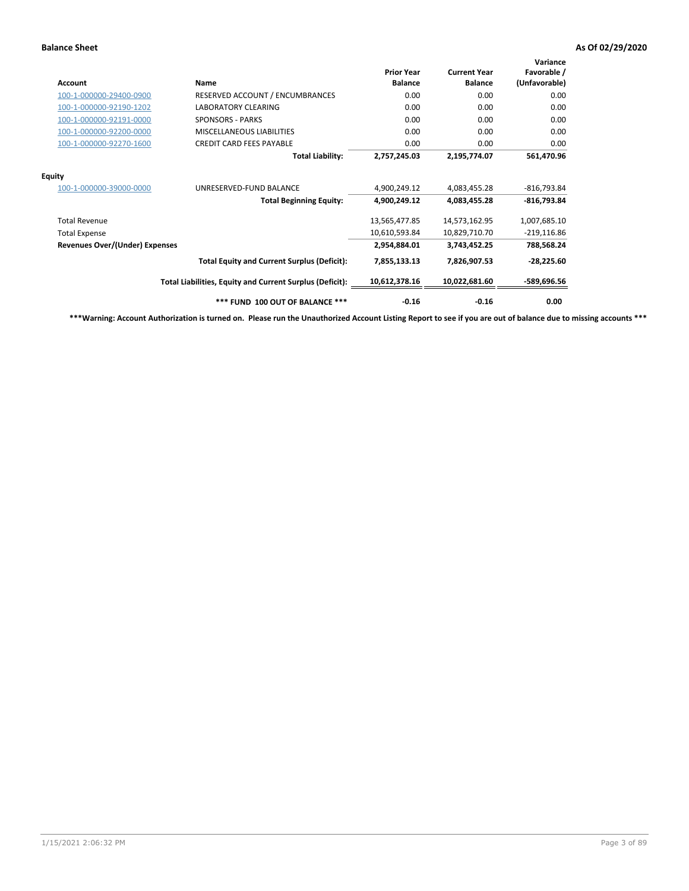| <b>Account</b>                        | <b>Name</b>                                              | <b>Prior Year</b><br><b>Balance</b> | <b>Current Year</b><br><b>Balance</b> | Variance<br>Favorable /<br>(Unfavorable) |
|---------------------------------------|----------------------------------------------------------|-------------------------------------|---------------------------------------|------------------------------------------|
| 100-1-000000-29400-0900               | RESERVED ACCOUNT / ENCUMBRANCES                          | 0.00                                | 0.00                                  | 0.00                                     |
| 100-1-000000-92190-1202               | LABORATORY CLEARING                                      | 0.00                                | 0.00                                  | 0.00                                     |
| 100-1-000000-92191-0000               | <b>SPONSORS - PARKS</b>                                  | 0.00                                | 0.00                                  | 0.00                                     |
| 100-1-000000-92200-0000               | MISCELLANEOUS LIABILITIES                                | 0.00                                | 0.00                                  | 0.00                                     |
| 100-1-000000-92270-1600               | <b>CREDIT CARD FEES PAYABLE</b>                          | 0.00                                | 0.00                                  | 0.00                                     |
|                                       | <b>Total Liability:</b>                                  | 2,757,245.03                        | 2,195,774.07                          | 561,470.96                               |
| <b>Equity</b>                         |                                                          |                                     |                                       |                                          |
| 100-1-000000-39000-0000               | UNRESERVED-FUND BALANCE                                  | 4,900,249.12                        | 4,083,455.28                          | $-816,793.84$                            |
|                                       | <b>Total Beginning Equity:</b>                           | 4,900,249.12                        | 4,083,455.28                          | -816,793.84                              |
| <b>Total Revenue</b>                  |                                                          | 13,565,477.85                       | 14,573,162.95                         | 1,007,685.10                             |
| <b>Total Expense</b>                  |                                                          | 10,610,593.84                       | 10,829,710.70                         | $-219,116.86$                            |
| <b>Revenues Over/(Under) Expenses</b> |                                                          | 2,954,884.01                        | 3,743,452.25                          | 788,568.24                               |
|                                       | <b>Total Equity and Current Surplus (Deficit):</b>       | 7,855,133.13                        | 7,826,907.53                          | $-28,225.60$                             |
|                                       | Total Liabilities, Equity and Current Surplus (Deficit): | 10,612,378.16                       | 10,022,681.60                         | -589,696.56                              |
|                                       | *** FUND 100 OUT OF BALANCE ***                          | $-0.16$                             | $-0.16$                               | 0.00                                     |

**\*\*\*Warning: Account Authorization is turned on. Please run the Unauthorized Account Listing Report to see if you are out of balance due to missing accounts \*\*\***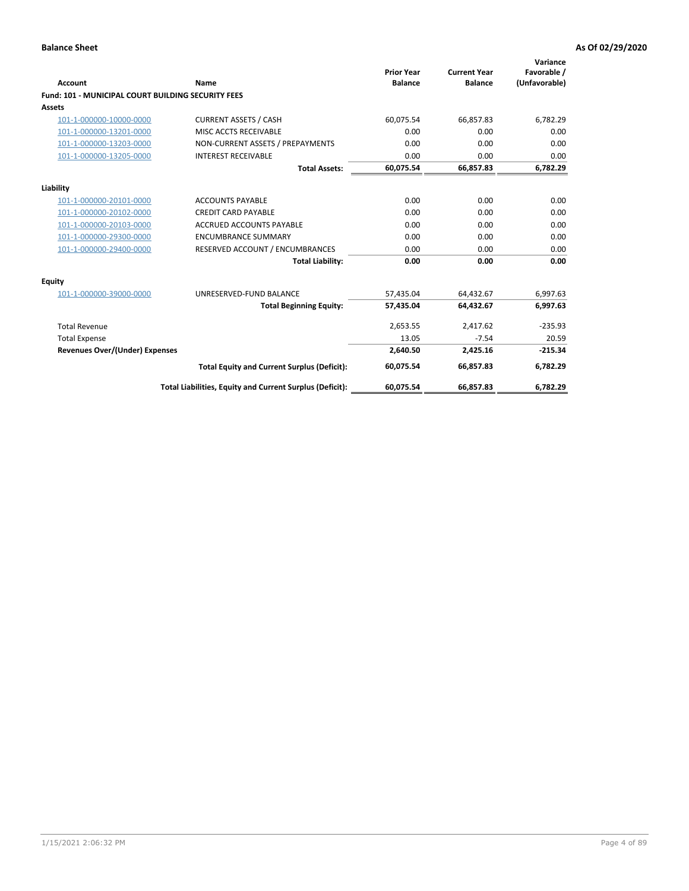| Account                                                   | <b>Name</b>                                              | <b>Prior Year</b><br><b>Balance</b> | <b>Current Year</b><br><b>Balance</b> | Variance<br>Favorable /<br>(Unfavorable) |
|-----------------------------------------------------------|----------------------------------------------------------|-------------------------------------|---------------------------------------|------------------------------------------|
| <b>Fund: 101 - MUNICIPAL COURT BUILDING SECURITY FEES</b> |                                                          |                                     |                                       |                                          |
| <b>Assets</b>                                             |                                                          |                                     |                                       |                                          |
| 101-1-000000-10000-0000                                   | <b>CURRENT ASSETS / CASH</b>                             | 60,075.54                           | 66,857.83                             | 6,782.29                                 |
| 101-1-000000-13201-0000                                   | MISC ACCTS RECEIVABLE                                    | 0.00                                | 0.00                                  | 0.00                                     |
| 101-1-000000-13203-0000                                   | NON-CURRENT ASSETS / PREPAYMENTS                         | 0.00                                | 0.00                                  | 0.00                                     |
| 101-1-000000-13205-0000                                   | <b>INTEREST RECEIVABLE</b>                               | 0.00                                | 0.00                                  | 0.00                                     |
|                                                           | <b>Total Assets:</b>                                     | 60,075.54                           | 66,857.83                             | 6,782.29                                 |
| Liability                                                 |                                                          |                                     |                                       |                                          |
| 101-1-000000-20101-0000                                   | <b>ACCOUNTS PAYABLE</b>                                  | 0.00                                | 0.00                                  | 0.00                                     |
| 101-1-000000-20102-0000                                   | <b>CREDIT CARD PAYABLE</b>                               | 0.00                                | 0.00                                  | 0.00                                     |
| 101-1-000000-20103-0000                                   | <b>ACCRUED ACCOUNTS PAYABLE</b>                          | 0.00                                | 0.00                                  | 0.00                                     |
| 101-1-000000-29300-0000                                   | <b>ENCUMBRANCE SUMMARY</b>                               | 0.00                                | 0.00                                  | 0.00                                     |
| 101-1-000000-29400-0000                                   | RESERVED ACCOUNT / ENCUMBRANCES                          | 0.00                                | 0.00                                  | 0.00                                     |
|                                                           | <b>Total Liability:</b>                                  | 0.00                                | 0.00                                  | 0.00                                     |
| <b>Equity</b>                                             |                                                          |                                     |                                       |                                          |
| 101-1-000000-39000-0000                                   | UNRESERVED-FUND BALANCE                                  | 57,435.04                           | 64,432.67                             | 6,997.63                                 |
|                                                           | <b>Total Beginning Equity:</b>                           | 57,435.04                           | 64,432.67                             | 6,997.63                                 |
| <b>Total Revenue</b>                                      |                                                          | 2,653.55                            | 2,417.62                              | $-235.93$                                |
| <b>Total Expense</b>                                      |                                                          | 13.05                               | $-7.54$                               | 20.59                                    |
| <b>Revenues Over/(Under) Expenses</b>                     |                                                          | 2,640.50                            | 2,425.16                              | $-215.34$                                |
|                                                           | <b>Total Equity and Current Surplus (Deficit):</b>       | 60,075.54                           | 66,857.83                             | 6,782.29                                 |
|                                                           | Total Liabilities, Equity and Current Surplus (Deficit): | 60,075.54                           | 66,857.83                             | 6,782.29                                 |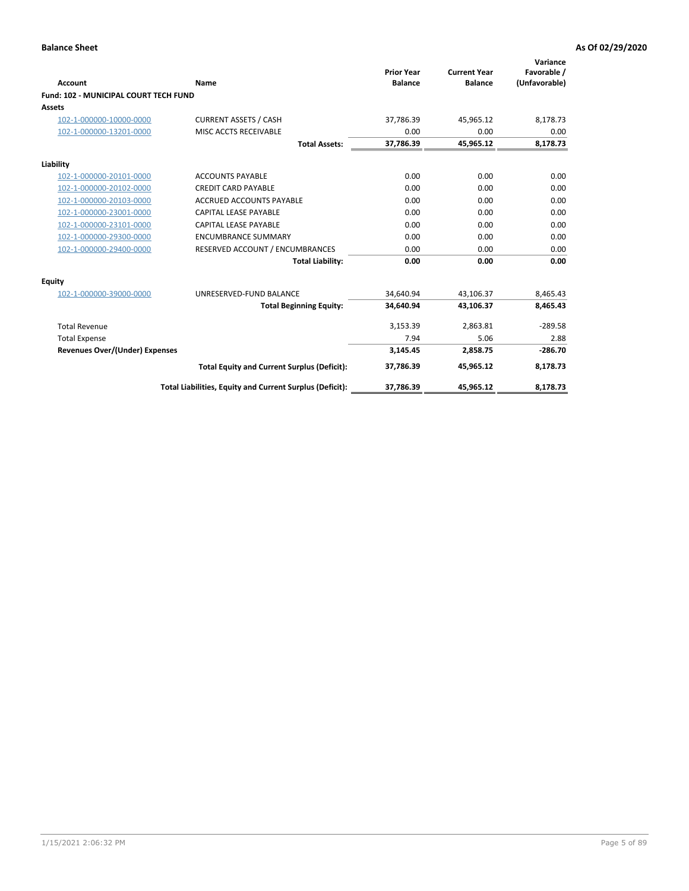| Account                                      | Name                                                     | <b>Prior Year</b><br><b>Balance</b> | <b>Current Year</b><br><b>Balance</b> | Variance<br>Favorable /<br>(Unfavorable) |
|----------------------------------------------|----------------------------------------------------------|-------------------------------------|---------------------------------------|------------------------------------------|
| <b>Fund: 102 - MUNICIPAL COURT TECH FUND</b> |                                                          |                                     |                                       |                                          |
| <b>Assets</b>                                |                                                          |                                     |                                       |                                          |
| 102-1-000000-10000-0000                      | <b>CURRENT ASSETS / CASH</b>                             | 37,786.39                           | 45,965.12                             | 8,178.73                                 |
| 102-1-000000-13201-0000                      | MISC ACCTS RECEIVABLE                                    | 0.00                                | 0.00                                  | 0.00                                     |
|                                              | <b>Total Assets:</b>                                     | 37,786.39                           | 45,965.12                             | 8,178.73                                 |
| Liability                                    |                                                          |                                     |                                       |                                          |
| 102-1-000000-20101-0000                      | <b>ACCOUNTS PAYABLE</b>                                  | 0.00                                | 0.00                                  | 0.00                                     |
| 102-1-000000-20102-0000                      | <b>CREDIT CARD PAYABLE</b>                               | 0.00                                | 0.00                                  | 0.00                                     |
| 102-1-000000-20103-0000                      | <b>ACCRUED ACCOUNTS PAYABLE</b>                          | 0.00                                | 0.00                                  | 0.00                                     |
| 102-1-000000-23001-0000                      | CAPITAL LEASE PAYABLE                                    | 0.00                                | 0.00                                  | 0.00                                     |
| 102-1-000000-23101-0000                      | <b>CAPITAL LEASE PAYABLE</b>                             | 0.00                                | 0.00                                  | 0.00                                     |
| 102-1-000000-29300-0000                      | <b>ENCUMBRANCE SUMMARY</b>                               | 0.00                                | 0.00                                  | 0.00                                     |
| 102-1-000000-29400-0000                      | RESERVED ACCOUNT / ENCUMBRANCES                          | 0.00                                | 0.00                                  | 0.00                                     |
|                                              | <b>Total Liability:</b>                                  | 0.00                                | 0.00                                  | 0.00                                     |
| <b>Equity</b>                                |                                                          |                                     |                                       |                                          |
| 102-1-000000-39000-0000                      | UNRESERVED-FUND BALANCE                                  | 34,640.94                           | 43,106.37                             | 8,465.43                                 |
|                                              | <b>Total Beginning Equity:</b>                           | 34,640.94                           | 43,106.37                             | 8,465.43                                 |
| <b>Total Revenue</b>                         |                                                          | 3,153.39                            | 2,863.81                              | $-289.58$                                |
| <b>Total Expense</b>                         |                                                          | 7.94                                | 5.06                                  | 2.88                                     |
| <b>Revenues Over/(Under) Expenses</b>        |                                                          | 3,145.45                            | 2,858.75                              | $-286.70$                                |
|                                              | <b>Total Equity and Current Surplus (Deficit):</b>       | 37,786.39                           | 45,965.12                             | 8,178.73                                 |
|                                              | Total Liabilities, Equity and Current Surplus (Deficit): | 37,786.39                           | 45,965.12                             | 8,178.73                                 |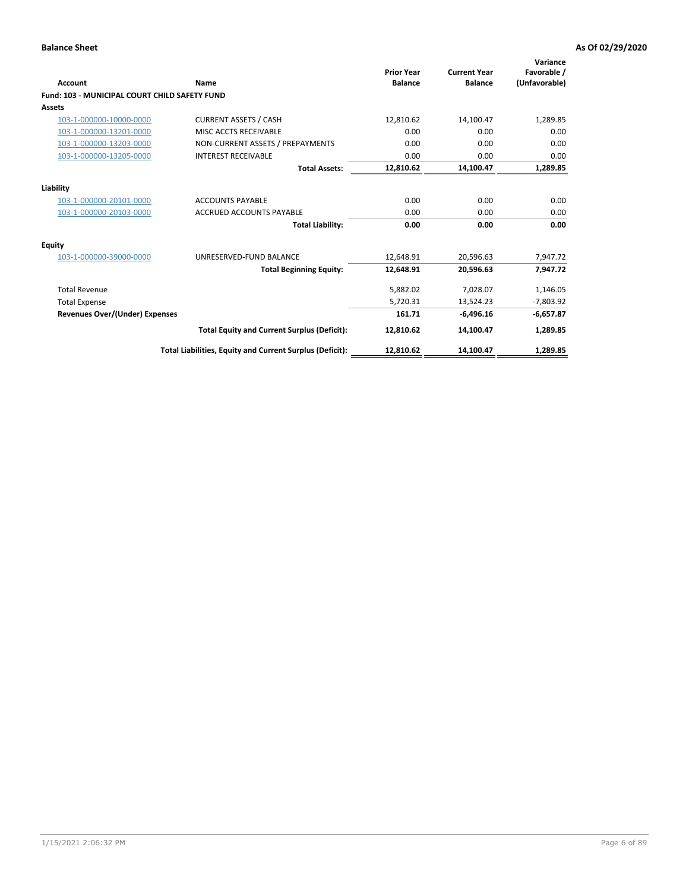| <b>Account</b>                                       | Name                                                     | <b>Prior Year</b><br><b>Balance</b> | <b>Current Year</b><br><b>Balance</b> | Variance<br>Favorable /<br>(Unfavorable) |
|------------------------------------------------------|----------------------------------------------------------|-------------------------------------|---------------------------------------|------------------------------------------|
| <b>Fund: 103 - MUNICIPAL COURT CHILD SAFETY FUND</b> |                                                          |                                     |                                       |                                          |
| <b>Assets</b>                                        |                                                          |                                     |                                       |                                          |
| 103-1-000000-10000-0000                              | <b>CURRENT ASSETS / CASH</b>                             | 12,810.62                           | 14,100.47                             | 1,289.85                                 |
| 103-1-000000-13201-0000                              | MISC ACCTS RECEIVABLE                                    | 0.00                                | 0.00                                  | 0.00                                     |
| 103-1-000000-13203-0000                              | NON-CURRENT ASSETS / PREPAYMENTS                         | 0.00                                | 0.00                                  | 0.00                                     |
| 103-1-000000-13205-0000                              | <b>INTEREST RECEIVABLE</b>                               | 0.00                                | 0.00                                  | 0.00                                     |
|                                                      | <b>Total Assets:</b>                                     | 12,810.62                           | 14,100.47                             | 1,289.85                                 |
| Liability                                            |                                                          |                                     |                                       |                                          |
| 103-1-000000-20101-0000                              | <b>ACCOUNTS PAYABLE</b>                                  | 0.00                                | 0.00                                  | 0.00                                     |
| 103-1-000000-20103-0000                              | <b>ACCRUED ACCOUNTS PAYABLE</b>                          | 0.00                                | 0.00                                  | 0.00                                     |
|                                                      | <b>Total Liability:</b>                                  | 0.00                                | 0.00                                  | 0.00                                     |
| Equity                                               |                                                          |                                     |                                       |                                          |
| 103-1-000000-39000-0000                              | UNRESERVED-FUND BALANCE                                  | 12,648.91                           | 20,596.63                             | 7,947.72                                 |
|                                                      | <b>Total Beginning Equity:</b>                           | 12,648.91                           | 20,596.63                             | 7,947.72                                 |
| <b>Total Revenue</b>                                 |                                                          | 5,882.02                            | 7,028.07                              | 1,146.05                                 |
| <b>Total Expense</b>                                 |                                                          | 5,720.31                            | 13,524.23                             | $-7,803.92$                              |
| <b>Revenues Over/(Under) Expenses</b>                |                                                          | 161.71                              | $-6,496.16$                           | $-6,657.87$                              |
|                                                      | <b>Total Equity and Current Surplus (Deficit):</b>       | 12,810.62                           | 14,100.47                             | 1,289.85                                 |
|                                                      | Total Liabilities, Equity and Current Surplus (Deficit): | 12,810.62                           | 14,100.47                             | 1,289.85                                 |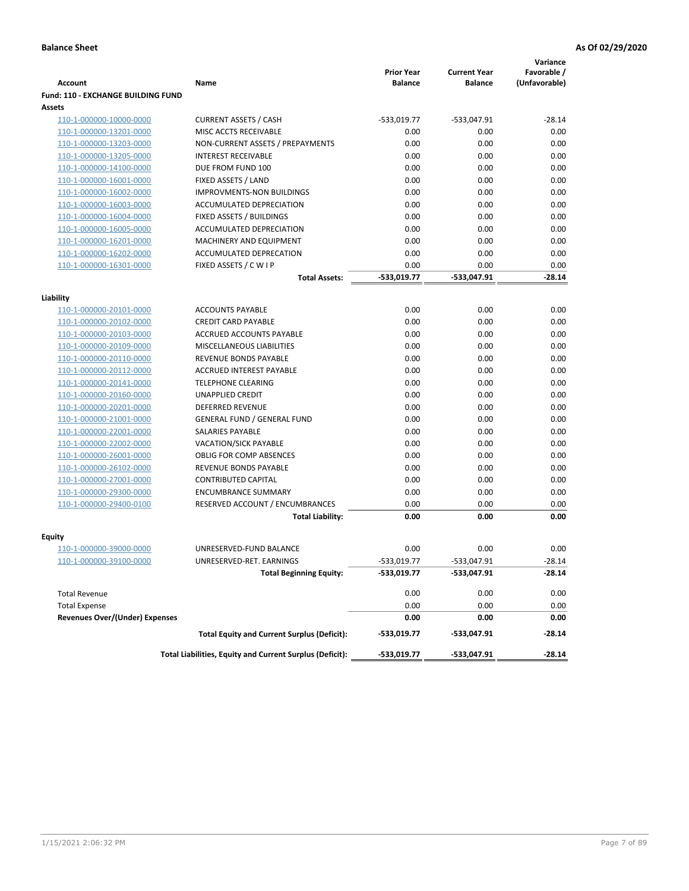|                                           |                                                          |                                     |                                       | Variance                     |
|-------------------------------------------|----------------------------------------------------------|-------------------------------------|---------------------------------------|------------------------------|
| <b>Account</b>                            | Name                                                     | <b>Prior Year</b><br><b>Balance</b> | <b>Current Year</b><br><b>Balance</b> | Favorable /<br>(Unfavorable) |
| <b>Fund: 110 - EXCHANGE BUILDING FUND</b> |                                                          |                                     |                                       |                              |
| <b>Assets</b>                             |                                                          |                                     |                                       |                              |
| 110-1-000000-10000-0000                   | <b>CURRENT ASSETS / CASH</b>                             | -533,019.77                         | -533,047.91                           | $-28.14$                     |
| 110-1-000000-13201-0000                   | MISC ACCTS RECEIVABLE                                    | 0.00                                | 0.00                                  | 0.00                         |
| 110-1-000000-13203-0000                   | NON-CURRENT ASSETS / PREPAYMENTS                         | 0.00                                | 0.00                                  | 0.00                         |
| 110-1-000000-13205-0000                   | <b>INTEREST RECEIVABLE</b>                               | 0.00                                | 0.00                                  | 0.00                         |
| 110-1-000000-14100-0000                   | DUE FROM FUND 100                                        | 0.00                                | 0.00                                  | 0.00                         |
| 110-1-000000-16001-0000                   | FIXED ASSETS / LAND                                      | 0.00                                | 0.00                                  | 0.00                         |
| 110-1-000000-16002-0000                   | <b>IMPROVMENTS-NON BUILDINGS</b>                         | 0.00                                | 0.00                                  | 0.00                         |
| 110-1-000000-16003-0000                   | ACCUMULATED DEPRECIATION                                 | 0.00                                | 0.00                                  | 0.00                         |
| 110-1-000000-16004-0000                   | FIXED ASSETS / BUILDINGS                                 | 0.00                                | 0.00                                  | 0.00                         |
| 110-1-000000-16005-0000                   | ACCUMULATED DEPRECIATION                                 | 0.00                                | 0.00                                  | 0.00                         |
| 110-1-000000-16201-0000                   | <b>MACHINERY AND EQUIPMENT</b>                           | 0.00                                | 0.00                                  | 0.00                         |
| 110-1-000000-16202-0000                   | ACCUMULATED DEPRECATION                                  | 0.00                                | 0.00                                  | 0.00                         |
| 110-1-000000-16301-0000                   | FIXED ASSETS / C W I P                                   | 0.00                                | 0.00                                  | 0.00                         |
|                                           | <b>Total Assets:</b>                                     | $-533,019.77$                       | -533,047.91                           | $-28.14$                     |
|                                           |                                                          |                                     |                                       |                              |
| Liability<br>110-1-000000-20101-0000      | <b>ACCOUNTS PAYABLE</b>                                  | 0.00                                | 0.00                                  | 0.00                         |
| 110-1-000000-20102-0000                   | <b>CREDIT CARD PAYABLE</b>                               | 0.00                                | 0.00                                  | 0.00                         |
| 110-1-000000-20103-0000                   | ACCRUED ACCOUNTS PAYABLE                                 | 0.00                                | 0.00                                  | 0.00                         |
| 110-1-000000-20109-0000                   | MISCELLANEOUS LIABILITIES                                | 0.00                                | 0.00                                  | 0.00                         |
| 110-1-000000-20110-0000                   | REVENUE BONDS PAYABLE                                    | 0.00                                | 0.00                                  | 0.00                         |
| 110-1-000000-20112-0000                   | <b>ACCRUED INTEREST PAYABLE</b>                          | 0.00                                | 0.00                                  | 0.00                         |
| 110-1-000000-20141-0000                   | <b>TELEPHONE CLEARING</b>                                | 0.00                                | 0.00                                  | 0.00                         |
| 110-1-000000-20160-0000                   | <b>UNAPPLIED CREDIT</b>                                  | 0.00                                | 0.00                                  | 0.00                         |
| 110-1-000000-20201-0000                   | <b>DEFERRED REVENUE</b>                                  | 0.00                                | 0.00                                  | 0.00                         |
| 110-1-000000-21001-0000                   | <b>GENERAL FUND / GENERAL FUND</b>                       | 0.00                                | 0.00                                  | 0.00                         |
| 110-1-000000-22001-0000                   | SALARIES PAYABLE                                         | 0.00                                | 0.00                                  | 0.00                         |
| 110-1-000000-22002-0000                   | <b>VACATION/SICK PAYABLE</b>                             | 0.00                                | 0.00                                  | 0.00                         |
| 110-1-000000-26001-0000                   | <b>OBLIG FOR COMP ABSENCES</b>                           | 0.00                                | 0.00                                  | 0.00                         |
| 110-1-000000-26102-0000                   | REVENUE BONDS PAYABLE                                    | 0.00                                | 0.00                                  | 0.00                         |
| 110-1-000000-27001-0000                   | <b>CONTRIBUTED CAPITAL</b>                               | 0.00                                | 0.00                                  | 0.00                         |
| 110-1-000000-29300-0000                   | <b>ENCUMBRANCE SUMMARY</b>                               | 0.00                                | 0.00                                  | 0.00                         |
| 110-1-000000-29400-0100                   | RESERVED ACCOUNT / ENCUMBRANCES                          | 0.00                                | 0.00                                  | 0.00                         |
|                                           | <b>Total Liability:</b>                                  | 0.00                                | 0.00                                  | 0.00                         |
|                                           |                                                          |                                     |                                       |                              |
| <b>Equity</b>                             |                                                          |                                     |                                       |                              |
| 110-1-000000-39000-0000                   | UNRESERVED-FUND BALANCE                                  | 0.00                                | 0.00                                  | 0.00                         |
| <u>110-1-000000-39100-0000</u>            | UNRESERVED-RET. EARNINGS                                 | -533,019.77                         | $-533,047.91$                         | $-28.14$                     |
|                                           | <b>Total Beginning Equity:</b>                           | -533,019.77                         | -533,047.91                           | $-28.14$                     |
| <b>Total Revenue</b>                      |                                                          | 0.00                                | 0.00                                  | 0.00                         |
| <b>Total Expense</b>                      |                                                          | 0.00                                | 0.00                                  | 0.00                         |
| <b>Revenues Over/(Under) Expenses</b>     |                                                          | 0.00                                | 0.00                                  | 0.00                         |
|                                           | <b>Total Equity and Current Surplus (Deficit):</b>       | -533,019.77                         | -533,047.91                           | -28.14                       |
|                                           | Total Liabilities, Equity and Current Surplus (Deficit): | -533,019.77                         | -533,047.91                           | $-28.14$                     |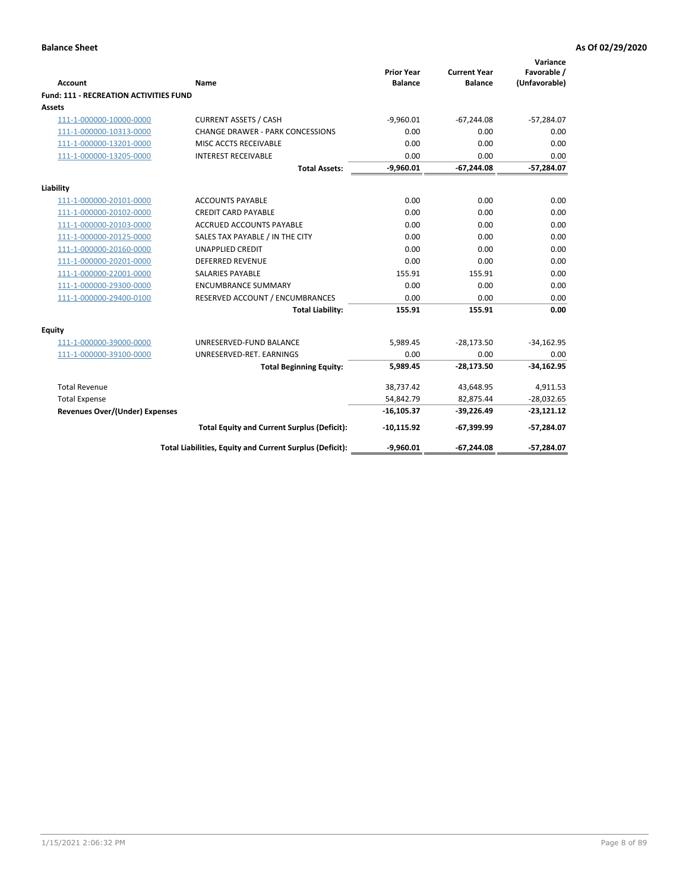| <b>Account</b>                                | Name                                                     | <b>Prior Year</b><br><b>Balance</b> | <b>Current Year</b><br><b>Balance</b> | Variance<br>Favorable /<br>(Unfavorable) |
|-----------------------------------------------|----------------------------------------------------------|-------------------------------------|---------------------------------------|------------------------------------------|
| <b>Fund: 111 - RECREATION ACTIVITIES FUND</b> |                                                          |                                     |                                       |                                          |
| <b>Assets</b>                                 |                                                          |                                     |                                       |                                          |
| 111-1-000000-10000-0000                       | <b>CURRENT ASSETS / CASH</b>                             | $-9,960.01$                         | $-67,244.08$                          | $-57,284.07$                             |
| 111-1-000000-10313-0000                       | <b>CHANGE DRAWER - PARK CONCESSIONS</b>                  | 0.00                                | 0.00                                  | 0.00                                     |
| 111-1-000000-13201-0000                       | MISC ACCTS RECEIVABLE                                    | 0.00                                | 0.00                                  | 0.00                                     |
| 111-1-000000-13205-0000                       | <b>INTEREST RECEIVABLE</b>                               | 0.00                                | 0.00                                  | 0.00                                     |
|                                               | <b>Total Assets:</b>                                     | $-9,960.01$                         | $-67,244.08$                          | $-57,284.07$                             |
| Liability                                     |                                                          |                                     |                                       |                                          |
| 111-1-000000-20101-0000                       | <b>ACCOUNTS PAYABLE</b>                                  | 0.00                                | 0.00                                  | 0.00                                     |
| 111-1-000000-20102-0000                       | <b>CREDIT CARD PAYABLE</b>                               | 0.00                                | 0.00                                  | 0.00                                     |
| 111-1-000000-20103-0000                       | ACCRUED ACCOUNTS PAYABLE                                 | 0.00                                | 0.00                                  | 0.00                                     |
| 111-1-000000-20125-0000                       | SALES TAX PAYABLE / IN THE CITY                          | 0.00                                | 0.00                                  | 0.00                                     |
| 111-1-000000-20160-0000                       | <b>UNAPPLIED CREDIT</b>                                  | 0.00                                | 0.00                                  | 0.00                                     |
| 111-1-000000-20201-0000                       | <b>DEFERRED REVENUE</b>                                  | 0.00                                | 0.00                                  | 0.00                                     |
| 111-1-000000-22001-0000                       | <b>SALARIES PAYABLE</b>                                  | 155.91                              | 155.91                                | 0.00                                     |
| 111-1-000000-29300-0000                       | <b>ENCUMBRANCE SUMMARY</b>                               | 0.00                                | 0.00                                  | 0.00                                     |
| 111-1-000000-29400-0100                       | RESERVED ACCOUNT / ENCUMBRANCES                          | 0.00                                | 0.00                                  | 0.00                                     |
|                                               | <b>Total Liability:</b>                                  | 155.91                              | 155.91                                | 0.00                                     |
| Equity                                        |                                                          |                                     |                                       |                                          |
| 111-1-000000-39000-0000                       | UNRESERVED-FUND BALANCE                                  | 5,989.45                            | $-28,173.50$                          | $-34,162.95$                             |
| 111-1-000000-39100-0000                       | UNRESERVED-RET. EARNINGS                                 | 0.00                                | 0.00                                  | 0.00                                     |
|                                               | <b>Total Beginning Equity:</b>                           | 5,989.45                            | $-28,173.50$                          | $-34,162.95$                             |
| <b>Total Revenue</b>                          |                                                          | 38,737.42                           | 43,648.95                             | 4,911.53                                 |
| <b>Total Expense</b>                          |                                                          | 54,842.79                           | 82,875.44                             | $-28,032.65$                             |
| <b>Revenues Over/(Under) Expenses</b>         |                                                          | $-16, 105.37$                       | $-39,226.49$                          | $-23,121.12$                             |
|                                               | <b>Total Equity and Current Surplus (Deficit):</b>       | $-10,115.92$                        | $-67,399.99$                          | $-57,284.07$                             |
|                                               | Total Liabilities, Equity and Current Surplus (Deficit): | $-9,960.01$                         | $-67,244.08$                          | $-57,284.07$                             |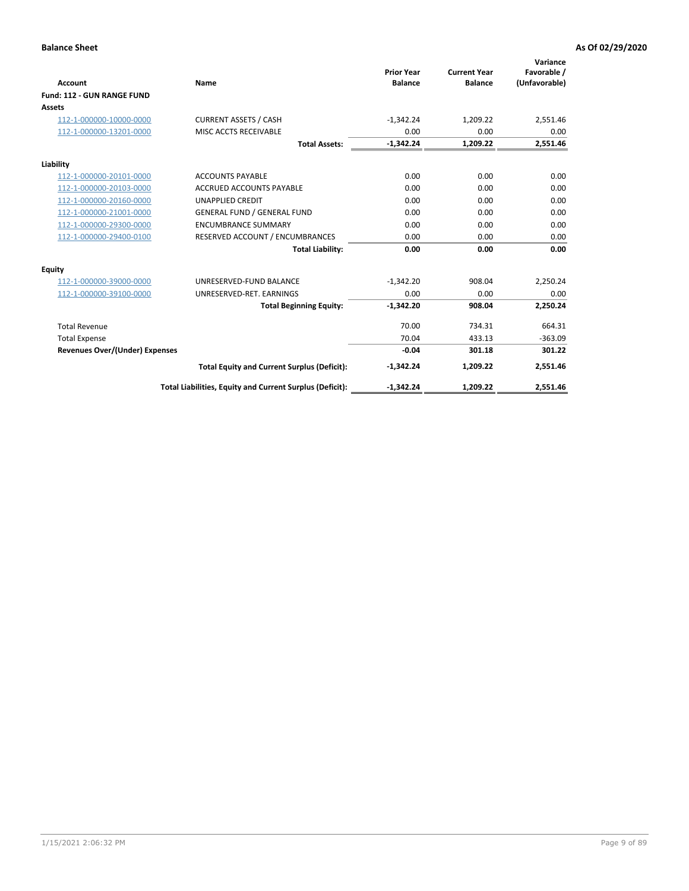|                                       |                                                          |                                     |                                       | Variance                     |
|---------------------------------------|----------------------------------------------------------|-------------------------------------|---------------------------------------|------------------------------|
| <b>Account</b>                        | Name                                                     | <b>Prior Year</b><br><b>Balance</b> | <b>Current Year</b><br><b>Balance</b> | Favorable /<br>(Unfavorable) |
| Fund: 112 - GUN RANGE FUND            |                                                          |                                     |                                       |                              |
| <b>Assets</b>                         |                                                          |                                     |                                       |                              |
| 112-1-000000-10000-0000               | <b>CURRENT ASSETS / CASH</b>                             | $-1,342.24$                         | 1,209.22                              | 2,551.46                     |
| 112-1-000000-13201-0000               | MISC ACCTS RECEIVABLE                                    | 0.00                                | 0.00                                  | 0.00                         |
|                                       | <b>Total Assets:</b>                                     | $-1,342.24$                         | 1,209.22                              | 2,551.46                     |
| Liability                             |                                                          |                                     |                                       |                              |
| 112-1-000000-20101-0000               | <b>ACCOUNTS PAYABLE</b>                                  | 0.00                                | 0.00                                  | 0.00                         |
| 112-1-000000-20103-0000               | <b>ACCRUED ACCOUNTS PAYABLE</b>                          | 0.00                                | 0.00                                  | 0.00                         |
| 112-1-000000-20160-0000               | <b>UNAPPLIED CREDIT</b>                                  | 0.00                                | 0.00                                  | 0.00                         |
| 112-1-000000-21001-0000               | <b>GENERAL FUND / GENERAL FUND</b>                       | 0.00                                | 0.00                                  | 0.00                         |
| 112-1-000000-29300-0000               | <b>ENCUMBRANCE SUMMARY</b>                               | 0.00                                | 0.00                                  | 0.00                         |
| 112-1-000000-29400-0100               | RESERVED ACCOUNT / ENCUMBRANCES                          | 0.00                                | 0.00                                  | 0.00                         |
|                                       | <b>Total Liability:</b>                                  | 0.00                                | 0.00                                  | 0.00                         |
| Equity                                |                                                          |                                     |                                       |                              |
| 112-1-000000-39000-0000               | UNRESERVED-FUND BALANCE                                  | $-1,342.20$                         | 908.04                                | 2,250.24                     |
| 112-1-000000-39100-0000               | UNRESERVED-RET. EARNINGS                                 | 0.00                                | 0.00                                  | 0.00                         |
|                                       | <b>Total Beginning Equity:</b>                           | $-1,342.20$                         | 908.04                                | 2,250.24                     |
| <b>Total Revenue</b>                  |                                                          | 70.00                               | 734.31                                | 664.31                       |
| <b>Total Expense</b>                  |                                                          | 70.04                               | 433.13                                | $-363.09$                    |
| <b>Revenues Over/(Under) Expenses</b> |                                                          | $-0.04$                             | 301.18                                | 301.22                       |
|                                       | <b>Total Equity and Current Surplus (Deficit):</b>       | $-1,342.24$                         | 1,209.22                              | 2,551.46                     |
|                                       | Total Liabilities, Equity and Current Surplus (Deficit): | $-1,342.24$                         | 1,209.22                              | 2,551.46                     |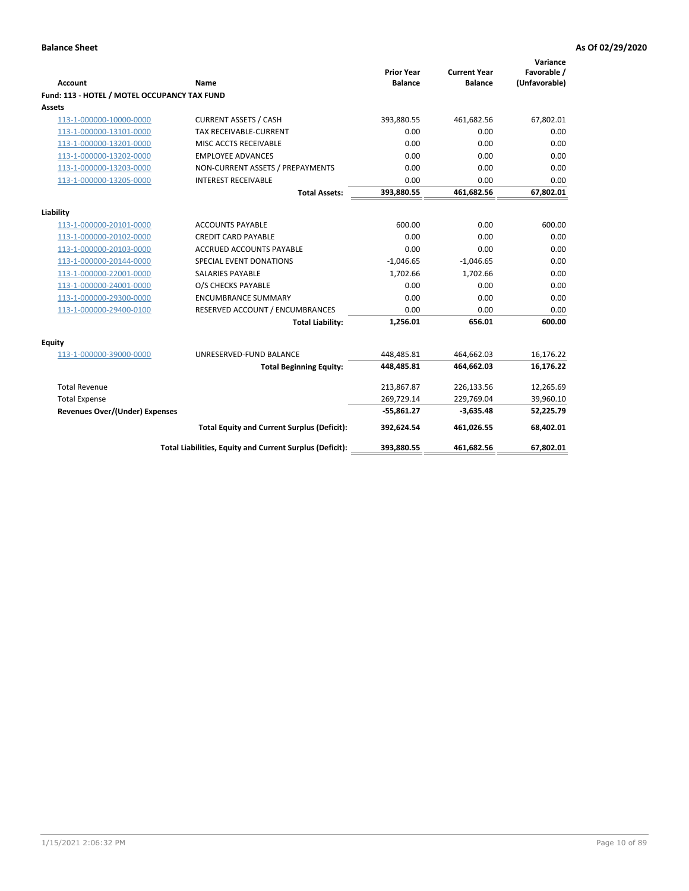| <b>Account</b>                               | <b>Name</b>                                              | <b>Prior Year</b><br><b>Balance</b> | <b>Current Year</b><br><b>Balance</b> | Variance<br>Favorable /<br>(Unfavorable) |
|----------------------------------------------|----------------------------------------------------------|-------------------------------------|---------------------------------------|------------------------------------------|
| Fund: 113 - HOTEL / MOTEL OCCUPANCY TAX FUND |                                                          |                                     |                                       |                                          |
| Assets                                       |                                                          |                                     |                                       |                                          |
| 113-1-000000-10000-0000                      | <b>CURRENT ASSETS / CASH</b>                             | 393,880.55                          | 461,682.56                            | 67,802.01                                |
| 113-1-000000-13101-0000                      | TAX RECEIVABLE-CURRENT                                   | 0.00                                | 0.00                                  | 0.00                                     |
| 113-1-000000-13201-0000                      | MISC ACCTS RECEIVABLE                                    | 0.00                                | 0.00                                  | 0.00                                     |
| 113-1-000000-13202-0000                      | <b>EMPLOYEE ADVANCES</b>                                 | 0.00                                | 0.00                                  | 0.00                                     |
| 113-1-000000-13203-0000                      | NON-CURRENT ASSETS / PREPAYMENTS                         | 0.00                                | 0.00                                  | 0.00                                     |
| 113-1-000000-13205-0000                      | <b>INTEREST RECEIVABLE</b>                               | 0.00                                | 0.00                                  | 0.00                                     |
|                                              | <b>Total Assets:</b>                                     | 393,880.55                          | 461,682.56                            | 67,802.01                                |
|                                              |                                                          |                                     |                                       |                                          |
| Liability                                    |                                                          |                                     |                                       |                                          |
| 113-1-000000-20101-0000                      | <b>ACCOUNTS PAYABLE</b>                                  | 600.00                              | 0.00                                  | 600.00                                   |
| 113-1-000000-20102-0000                      | <b>CREDIT CARD PAYABLE</b>                               | 0.00<br>0.00                        | 0.00                                  | 0.00<br>0.00                             |
| 113-1-000000-20103-0000                      | ACCRUED ACCOUNTS PAYABLE                                 |                                     | 0.00                                  |                                          |
| 113-1-000000-20144-0000                      | SPECIAL EVENT DONATIONS                                  | $-1,046.65$                         | $-1,046.65$                           | 0.00                                     |
| 113-1-000000-22001-0000                      | <b>SALARIES PAYABLE</b>                                  | 1,702.66                            | 1,702.66                              | 0.00                                     |
| 113-1-000000-24001-0000                      | O/S CHECKS PAYABLE                                       | 0.00                                | 0.00                                  | 0.00                                     |
| 113-1-000000-29300-0000                      | <b>ENCUMBRANCE SUMMARY</b>                               | 0.00                                | 0.00                                  | 0.00                                     |
| 113-1-000000-29400-0100                      | RESERVED ACCOUNT / ENCUMBRANCES                          | 0.00                                | 0.00                                  | 0.00                                     |
|                                              | <b>Total Liability:</b>                                  | 1,256.01                            | 656.01                                | 600.00                                   |
| Equity                                       |                                                          |                                     |                                       |                                          |
| 113-1-000000-39000-0000                      | UNRESERVED-FUND BALANCE                                  | 448,485.81                          | 464,662.03                            | 16,176.22                                |
|                                              | <b>Total Beginning Equity:</b>                           | 448,485.81                          | 464,662.03                            | 16,176.22                                |
| <b>Total Revenue</b>                         |                                                          | 213,867.87                          | 226,133.56                            | 12,265.69                                |
| <b>Total Expense</b>                         |                                                          | 269,729.14                          | 229,769.04                            | 39,960.10                                |
| <b>Revenues Over/(Under) Expenses</b>        |                                                          | $-55,861.27$                        | $-3,635.48$                           | 52,225.79                                |
|                                              | <b>Total Equity and Current Surplus (Deficit):</b>       | 392,624.54                          | 461,026.55                            | 68,402.01                                |
|                                              | Total Liabilities, Equity and Current Surplus (Deficit): | 393,880.55                          | 461,682.56                            | 67,802.01                                |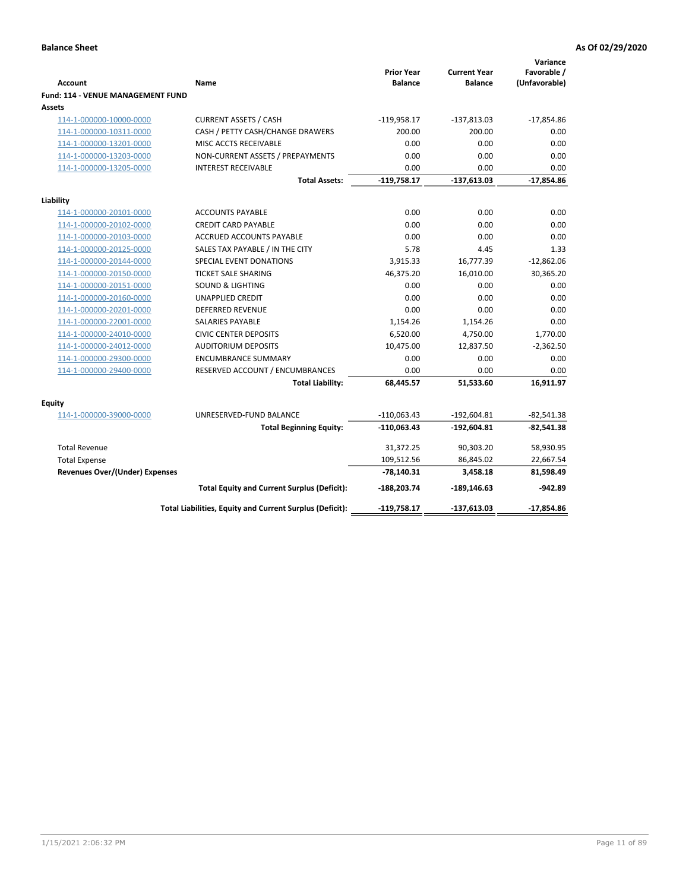| <b>Account</b>                        | Name                                                     | <b>Prior Year</b><br><b>Balance</b> | <b>Current Year</b><br><b>Balance</b> | Variance<br>Favorable /<br>(Unfavorable) |
|---------------------------------------|----------------------------------------------------------|-------------------------------------|---------------------------------------|------------------------------------------|
| Fund: 114 - VENUE MANAGEMENT FUND     |                                                          |                                     |                                       |                                          |
| Assets                                |                                                          |                                     |                                       |                                          |
| 114-1-000000-10000-0000               | <b>CURRENT ASSETS / CASH</b>                             | $-119,958.17$                       | $-137,813.03$                         | $-17,854.86$                             |
| 114-1-000000-10311-0000               | CASH / PETTY CASH/CHANGE DRAWERS                         | 200.00                              | 200.00                                | 0.00                                     |
| 114-1-000000-13201-0000               | MISC ACCTS RECEIVABLE                                    | 0.00                                | 0.00                                  | 0.00                                     |
| 114-1-000000-13203-0000               | NON-CURRENT ASSETS / PREPAYMENTS                         | 0.00                                | 0.00                                  | 0.00                                     |
| 114-1-000000-13205-0000               | <b>INTEREST RECEIVABLE</b>                               | 0.00                                | 0.00                                  | 0.00                                     |
|                                       | <b>Total Assets:</b>                                     | $-119,758.17$                       | $-137,613.03$                         | $-17,854.86$                             |
| Liability                             |                                                          |                                     |                                       |                                          |
| 114-1-000000-20101-0000               | <b>ACCOUNTS PAYABLE</b>                                  | 0.00                                | 0.00                                  | 0.00                                     |
| 114-1-000000-20102-0000               | <b>CREDIT CARD PAYABLE</b>                               | 0.00                                | 0.00                                  | 0.00                                     |
| 114-1-000000-20103-0000               | <b>ACCRUED ACCOUNTS PAYABLE</b>                          | 0.00                                | 0.00                                  | 0.00                                     |
| 114-1-000000-20125-0000               | SALES TAX PAYABLE / IN THE CITY                          | 5.78                                | 4.45                                  | 1.33                                     |
| 114-1-000000-20144-0000               | SPECIAL EVENT DONATIONS                                  | 3,915.33                            | 16,777.39                             | $-12,862.06$                             |
| 114-1-000000-20150-0000               | TICKET SALE SHARING                                      | 46,375.20                           | 16,010.00                             | 30,365.20                                |
| 114-1-000000-20151-0000               | <b>SOUND &amp; LIGHTING</b>                              | 0.00                                | 0.00                                  | 0.00                                     |
| 114-1-000000-20160-0000               | <b>UNAPPLIED CREDIT</b>                                  | 0.00                                | 0.00                                  | 0.00                                     |
| 114-1-000000-20201-0000               | <b>DEFERRED REVENUE</b>                                  | 0.00                                | 0.00                                  | 0.00                                     |
| 114-1-000000-22001-0000               | SALARIES PAYABLE                                         | 1,154.26                            | 1,154.26                              | 0.00                                     |
| 114-1-000000-24010-0000               | <b>CIVIC CENTER DEPOSITS</b>                             | 6,520.00                            | 4,750.00                              | 1,770.00                                 |
| 114-1-000000-24012-0000               | <b>AUDITORIUM DEPOSITS</b>                               | 10,475.00                           | 12,837.50                             | $-2,362.50$                              |
| 114-1-000000-29300-0000               | <b>ENCUMBRANCE SUMMARY</b>                               | 0.00                                | 0.00                                  | 0.00                                     |
| 114-1-000000-29400-0000               | RESERVED ACCOUNT / ENCUMBRANCES                          | 0.00                                | 0.00                                  | 0.00                                     |
|                                       | <b>Total Liability:</b>                                  | 68,445.57                           | 51,533.60                             | 16,911.97                                |
| Equity                                |                                                          |                                     |                                       |                                          |
| 114-1-000000-39000-0000               | UNRESERVED-FUND BALANCE                                  | $-110,063.43$                       | $-192,604.81$                         | $-82,541.38$                             |
|                                       | <b>Total Beginning Equity:</b>                           | $-110,063.43$                       | -192,604.81                           | $-82,541.38$                             |
| <b>Total Revenue</b>                  |                                                          | 31,372.25                           | 90,303.20                             | 58,930.95                                |
| <b>Total Expense</b>                  |                                                          | 109,512.56                          | 86,845.02                             | 22,667.54                                |
| <b>Revenues Over/(Under) Expenses</b> |                                                          | $-78,140.31$                        | 3,458.18                              | 81,598.49                                |
|                                       | <b>Total Equity and Current Surplus (Deficit):</b>       | $-188,203.74$                       | $-189, 146.63$                        | -942.89                                  |
|                                       | Total Liabilities, Equity and Current Surplus (Deficit): | -119,758.17                         | $-137,613.03$                         | $-17,854.86$                             |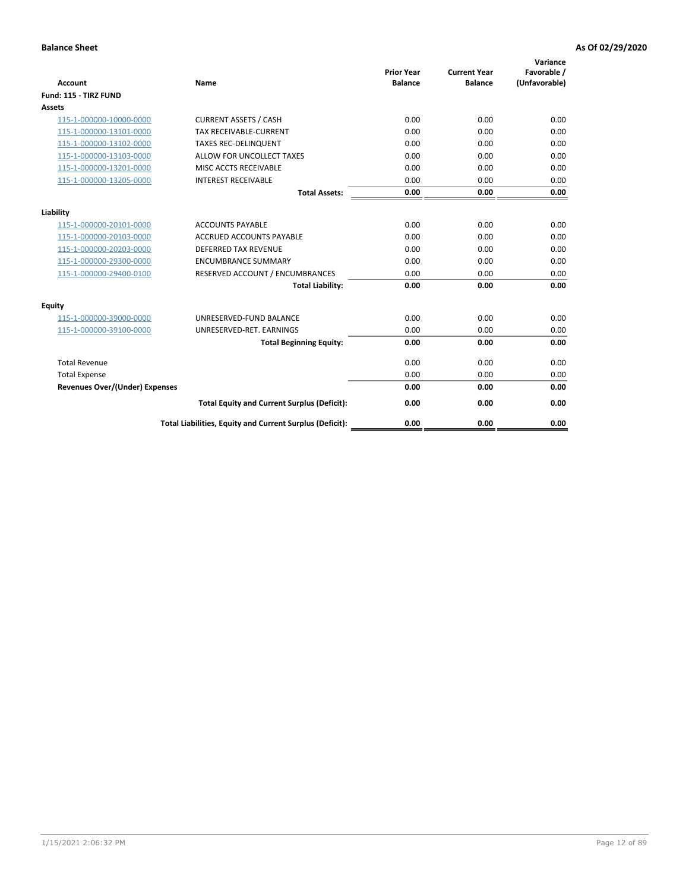| <b>Account</b>                        | <b>Name</b>                                              | <b>Prior Year</b><br><b>Balance</b> | <b>Current Year</b><br><b>Balance</b> | Variance<br>Favorable /<br>(Unfavorable) |
|---------------------------------------|----------------------------------------------------------|-------------------------------------|---------------------------------------|------------------------------------------|
| Fund: 115 - TIRZ FUND                 |                                                          |                                     |                                       |                                          |
| <b>Assets</b>                         |                                                          |                                     |                                       |                                          |
| 115-1-000000-10000-0000               | <b>CURRENT ASSETS / CASH</b>                             | 0.00                                | 0.00                                  | 0.00                                     |
| 115-1-000000-13101-0000               | <b>TAX RECEIVABLE-CURRENT</b>                            | 0.00                                | 0.00                                  | 0.00                                     |
| 115-1-000000-13102-0000               | <b>TAXES REC-DELINQUENT</b>                              | 0.00                                | 0.00                                  | 0.00                                     |
| 115-1-000000-13103-0000               | ALLOW FOR UNCOLLECT TAXES                                | 0.00                                | 0.00                                  | 0.00                                     |
| 115-1-000000-13201-0000               | MISC ACCTS RECEIVABLE                                    | 0.00                                | 0.00                                  | 0.00                                     |
| 115-1-000000-13205-0000               | <b>INTEREST RECEIVABLE</b>                               | 0.00                                | 0.00                                  | 0.00                                     |
|                                       | <b>Total Assets:</b>                                     | 0.00                                | 0.00                                  | 0.00                                     |
| Liability                             |                                                          |                                     |                                       |                                          |
| 115-1-000000-20101-0000               | <b>ACCOUNTS PAYABLE</b>                                  | 0.00                                | 0.00                                  | 0.00                                     |
| 115-1-000000-20103-0000               | <b>ACCRUED ACCOUNTS PAYABLE</b>                          | 0.00                                | 0.00                                  | 0.00                                     |
| 115-1-000000-20203-0000               | <b>DEFERRED TAX REVENUE</b>                              | 0.00                                | 0.00                                  | 0.00                                     |
| 115-1-000000-29300-0000               | <b>ENCUMBRANCE SUMMARY</b>                               | 0.00                                | 0.00                                  | 0.00                                     |
| 115-1-000000-29400-0100               | RESERVED ACCOUNT / ENCUMBRANCES                          | 0.00                                | 0.00                                  | 0.00                                     |
|                                       | <b>Total Liability:</b>                                  | 0.00                                | 0.00                                  | 0.00                                     |
| Equity                                |                                                          |                                     |                                       |                                          |
| 115-1-000000-39000-0000               | UNRESERVED-FUND BALANCE                                  | 0.00                                | 0.00                                  | 0.00                                     |
| 115-1-000000-39100-0000               | UNRESERVED-RET. EARNINGS                                 | 0.00                                | 0.00                                  | 0.00                                     |
|                                       | <b>Total Beginning Equity:</b>                           | 0.00                                | 0.00                                  | 0.00                                     |
| <b>Total Revenue</b>                  |                                                          | 0.00                                | 0.00                                  | 0.00                                     |
| <b>Total Expense</b>                  |                                                          | 0.00                                | 0.00                                  | 0.00                                     |
| <b>Revenues Over/(Under) Expenses</b> |                                                          | 0.00                                | 0.00                                  | 0.00                                     |
|                                       | <b>Total Equity and Current Surplus (Deficit):</b>       | 0.00                                | 0.00                                  | 0.00                                     |
|                                       | Total Liabilities, Equity and Current Surplus (Deficit): | 0.00                                | 0.00                                  | 0.00                                     |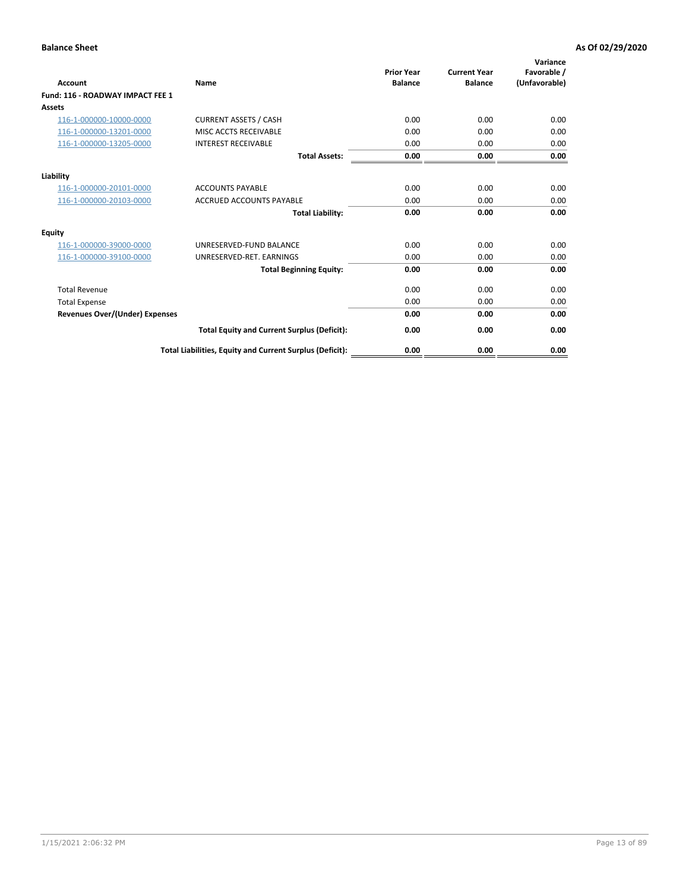| <b>Account</b>                        | <b>Name</b>                                              | <b>Prior Year</b><br><b>Balance</b> | <b>Current Year</b><br><b>Balance</b> | Variance<br>Favorable /<br>(Unfavorable) |
|---------------------------------------|----------------------------------------------------------|-------------------------------------|---------------------------------------|------------------------------------------|
| Fund: 116 - ROADWAY IMPACT FEE 1      |                                                          |                                     |                                       |                                          |
| Assets                                |                                                          |                                     |                                       |                                          |
| 116-1-000000-10000-0000               | <b>CURRENT ASSETS / CASH</b>                             | 0.00                                | 0.00                                  | 0.00                                     |
| 116-1-000000-13201-0000               | <b>MISC ACCTS RECEIVABLE</b>                             | 0.00                                | 0.00                                  | 0.00                                     |
| 116-1-000000-13205-0000               | <b>INTEREST RECEIVABLE</b>                               | 0.00                                | 0.00                                  | 0.00                                     |
|                                       | <b>Total Assets:</b>                                     | 0.00                                | 0.00                                  | 0.00                                     |
| Liability                             |                                                          |                                     |                                       |                                          |
| 116-1-000000-20101-0000               | <b>ACCOUNTS PAYABLE</b>                                  | 0.00                                | 0.00                                  | 0.00                                     |
| 116-1-000000-20103-0000               | <b>ACCRUED ACCOUNTS PAYABLE</b>                          | 0.00                                | 0.00                                  | 0.00                                     |
|                                       | <b>Total Liability:</b>                                  | 0.00                                | 0.00                                  | 0.00                                     |
| Equity                                |                                                          |                                     |                                       |                                          |
| 116-1-000000-39000-0000               | UNRESERVED-FUND BALANCE                                  | 0.00                                | 0.00                                  | 0.00                                     |
| 116-1-000000-39100-0000               | UNRESERVED-RET, EARNINGS                                 | 0.00                                | 0.00                                  | 0.00                                     |
|                                       | <b>Total Beginning Equity:</b>                           | 0.00                                | 0.00                                  | 0.00                                     |
| <b>Total Revenue</b>                  |                                                          | 0.00                                | 0.00                                  | 0.00                                     |
| <b>Total Expense</b>                  |                                                          | 0.00                                | 0.00                                  | 0.00                                     |
| <b>Revenues Over/(Under) Expenses</b> |                                                          | 0.00                                | 0.00                                  | 0.00                                     |
|                                       | <b>Total Equity and Current Surplus (Deficit):</b>       | 0.00                                | 0.00                                  | 0.00                                     |
|                                       | Total Liabilities, Equity and Current Surplus (Deficit): | 0.00                                | 0.00                                  | 0.00                                     |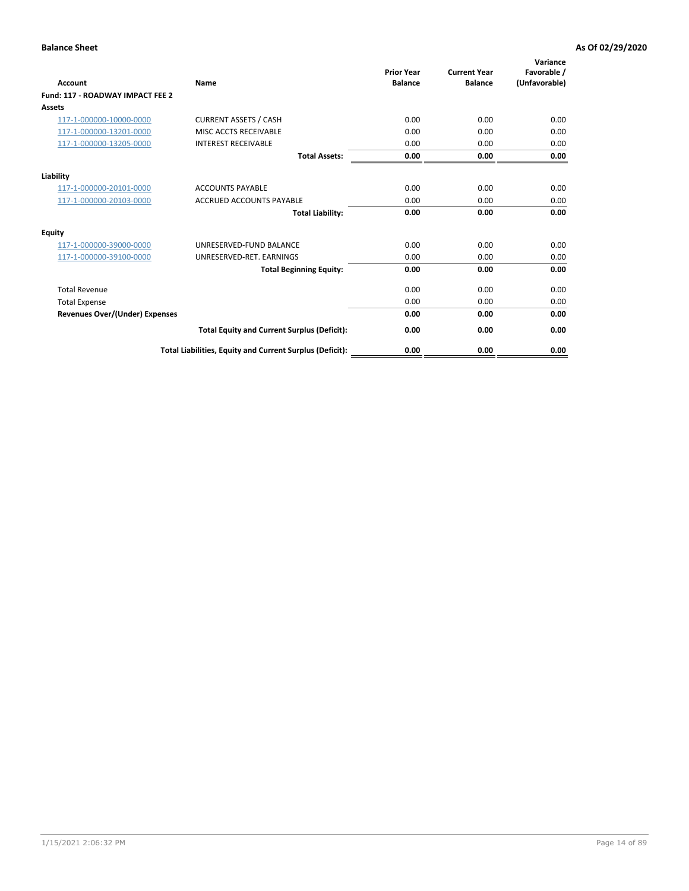| <b>Account</b>                        | <b>Name</b>                                              | <b>Prior Year</b><br><b>Balance</b> | <b>Current Year</b><br><b>Balance</b> | Variance<br>Favorable /<br>(Unfavorable) |
|---------------------------------------|----------------------------------------------------------|-------------------------------------|---------------------------------------|------------------------------------------|
| Fund: 117 - ROADWAY IMPACT FEE 2      |                                                          |                                     |                                       |                                          |
| Assets                                |                                                          |                                     |                                       |                                          |
| 117-1-000000-10000-0000               | <b>CURRENT ASSETS / CASH</b>                             | 0.00                                | 0.00                                  | 0.00                                     |
| 117-1-000000-13201-0000               | <b>MISC ACCTS RECEIVABLE</b>                             | 0.00                                | 0.00                                  | 0.00                                     |
| 117-1-000000-13205-0000               | <b>INTEREST RECEIVABLE</b>                               | 0.00                                | 0.00                                  | 0.00                                     |
|                                       | <b>Total Assets:</b>                                     | 0.00                                | 0.00                                  | 0.00                                     |
| Liability                             |                                                          |                                     |                                       |                                          |
| 117-1-000000-20101-0000               | <b>ACCOUNTS PAYABLE</b>                                  | 0.00                                | 0.00                                  | 0.00                                     |
| 117-1-000000-20103-0000               | <b>ACCRUED ACCOUNTS PAYABLE</b>                          | 0.00                                | 0.00                                  | 0.00                                     |
|                                       | <b>Total Liability:</b>                                  | 0.00                                | 0.00                                  | 0.00                                     |
| Equity                                |                                                          |                                     |                                       |                                          |
| 117-1-000000-39000-0000               | UNRESERVED-FUND BALANCE                                  | 0.00                                | 0.00                                  | 0.00                                     |
| 117-1-000000-39100-0000               | UNRESERVED-RET, EARNINGS                                 | 0.00                                | 0.00                                  | 0.00                                     |
|                                       | <b>Total Beginning Equity:</b>                           | 0.00                                | 0.00                                  | 0.00                                     |
| <b>Total Revenue</b>                  |                                                          | 0.00                                | 0.00                                  | 0.00                                     |
| <b>Total Expense</b>                  |                                                          | 0.00                                | 0.00                                  | 0.00                                     |
| <b>Revenues Over/(Under) Expenses</b> |                                                          | 0.00                                | 0.00                                  | 0.00                                     |
|                                       | <b>Total Equity and Current Surplus (Deficit):</b>       | 0.00                                | 0.00                                  | 0.00                                     |
|                                       | Total Liabilities, Equity and Current Surplus (Deficit): | 0.00                                | 0.00                                  | 0.00                                     |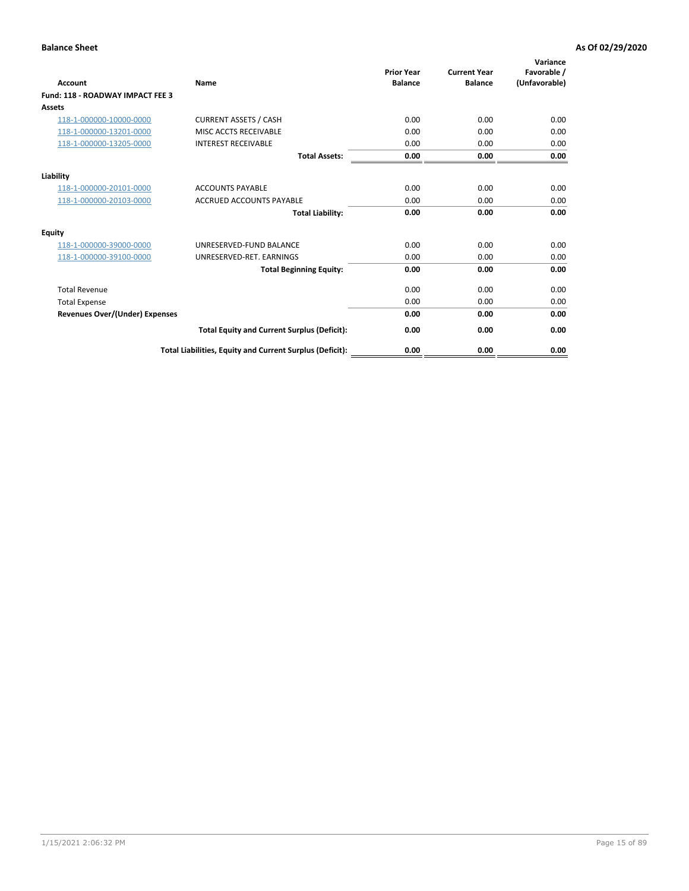| Account                                 | <b>Name</b>                                              | <b>Prior Year</b><br><b>Balance</b> | <b>Current Year</b><br><b>Balance</b> | Variance<br>Favorable /<br>(Unfavorable) |
|-----------------------------------------|----------------------------------------------------------|-------------------------------------|---------------------------------------|------------------------------------------|
| <b>Fund: 118 - ROADWAY IMPACT FEE 3</b> |                                                          |                                     |                                       |                                          |
| Assets                                  |                                                          |                                     |                                       |                                          |
| 118-1-000000-10000-0000                 | <b>CURRENT ASSETS / CASH</b>                             | 0.00                                | 0.00                                  | 0.00                                     |
| 118-1-000000-13201-0000                 | <b>MISC ACCTS RECEIVABLE</b>                             | 0.00                                | 0.00                                  | 0.00                                     |
| 118-1-000000-13205-0000                 | <b>INTEREST RECEIVABLE</b>                               | 0.00                                | 0.00                                  | 0.00                                     |
|                                         | <b>Total Assets:</b>                                     | 0.00                                | 0.00                                  | 0.00                                     |
| Liability                               |                                                          |                                     |                                       |                                          |
| 118-1-000000-20101-0000                 | <b>ACCOUNTS PAYABLE</b>                                  | 0.00                                | 0.00                                  | 0.00                                     |
| 118-1-000000-20103-0000                 | <b>ACCRUED ACCOUNTS PAYABLE</b>                          | 0.00                                | 0.00                                  | 0.00                                     |
|                                         | <b>Total Liability:</b>                                  | 0.00                                | 0.00                                  | 0.00                                     |
| Equity                                  |                                                          |                                     |                                       |                                          |
| 118-1-000000-39000-0000                 | UNRESERVED-FUND BALANCE                                  | 0.00                                | 0.00                                  | 0.00                                     |
| 118-1-000000-39100-0000                 | UNRESERVED-RET. EARNINGS                                 | 0.00                                | 0.00                                  | 0.00                                     |
|                                         | <b>Total Beginning Equity:</b>                           | 0.00                                | 0.00                                  | 0.00                                     |
| <b>Total Revenue</b>                    |                                                          | 0.00                                | 0.00                                  | 0.00                                     |
| <b>Total Expense</b>                    |                                                          | 0.00                                | 0.00                                  | 0.00                                     |
| <b>Revenues Over/(Under) Expenses</b>   |                                                          | 0.00                                | 0.00                                  | 0.00                                     |
|                                         | <b>Total Equity and Current Surplus (Deficit):</b>       | 0.00                                | 0.00                                  | 0.00                                     |
|                                         | Total Liabilities, Equity and Current Surplus (Deficit): | 0.00                                | 0.00                                  | 0.00                                     |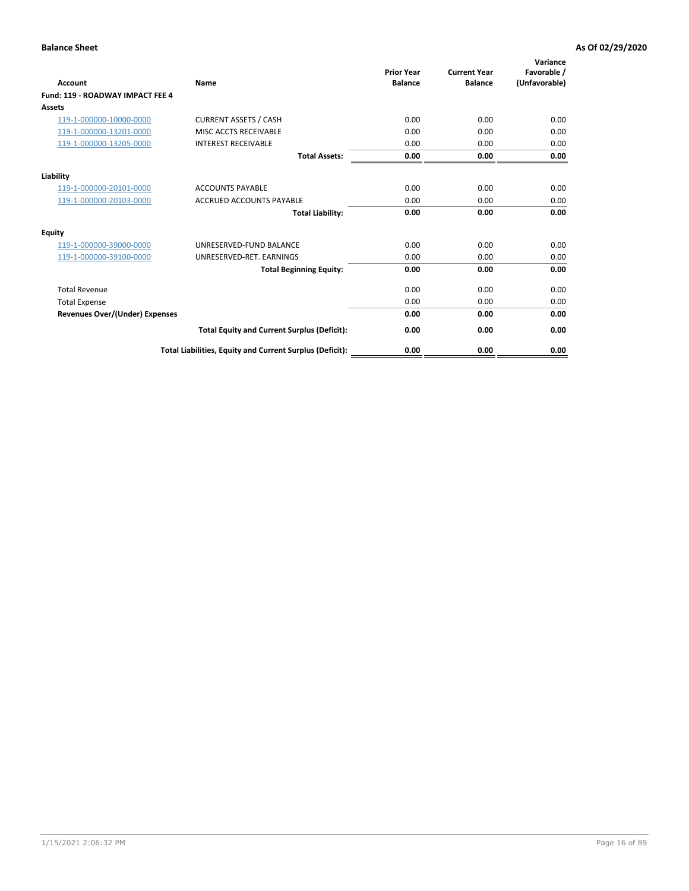| Account                                 | <b>Name</b>                                              | <b>Prior Year</b><br><b>Balance</b> | <b>Current Year</b><br><b>Balance</b> | Variance<br>Favorable /<br>(Unfavorable) |
|-----------------------------------------|----------------------------------------------------------|-------------------------------------|---------------------------------------|------------------------------------------|
| <b>Fund: 119 - ROADWAY IMPACT FEE 4</b> |                                                          |                                     |                                       |                                          |
| Assets                                  |                                                          |                                     |                                       |                                          |
| 119-1-000000-10000-0000                 | <b>CURRENT ASSETS / CASH</b>                             | 0.00                                | 0.00                                  | 0.00                                     |
| 119-1-000000-13201-0000                 | <b>MISC ACCTS RECEIVABLE</b>                             | 0.00                                | 0.00                                  | 0.00                                     |
| 119-1-000000-13205-0000                 | <b>INTEREST RECEIVABLE</b>                               | 0.00                                | 0.00                                  | 0.00                                     |
|                                         | <b>Total Assets:</b>                                     | 0.00                                | 0.00                                  | 0.00                                     |
| Liability                               |                                                          |                                     |                                       |                                          |
| 119-1-000000-20101-0000                 | <b>ACCOUNTS PAYABLE</b>                                  | 0.00                                | 0.00                                  | 0.00                                     |
| 119-1-000000-20103-0000                 | <b>ACCRUED ACCOUNTS PAYABLE</b>                          | 0.00                                | 0.00                                  | 0.00                                     |
|                                         | <b>Total Liability:</b>                                  | 0.00                                | 0.00                                  | 0.00                                     |
| Equity                                  |                                                          |                                     |                                       |                                          |
| 119-1-000000-39000-0000                 | UNRESERVED-FUND BALANCE                                  | 0.00                                | 0.00                                  | 0.00                                     |
| 119-1-000000-39100-0000                 | UNRESERVED-RET. EARNINGS                                 | 0.00                                | 0.00                                  | 0.00                                     |
|                                         | <b>Total Beginning Equity:</b>                           | 0.00                                | 0.00                                  | 0.00                                     |
| <b>Total Revenue</b>                    |                                                          | 0.00                                | 0.00                                  | 0.00                                     |
| <b>Total Expense</b>                    |                                                          | 0.00                                | 0.00                                  | 0.00                                     |
| <b>Revenues Over/(Under) Expenses</b>   |                                                          | 0.00                                | 0.00                                  | 0.00                                     |
|                                         | <b>Total Equity and Current Surplus (Deficit):</b>       | 0.00                                | 0.00                                  | 0.00                                     |
|                                         | Total Liabilities, Equity and Current Surplus (Deficit): | 0.00                                | 0.00                                  | 0.00                                     |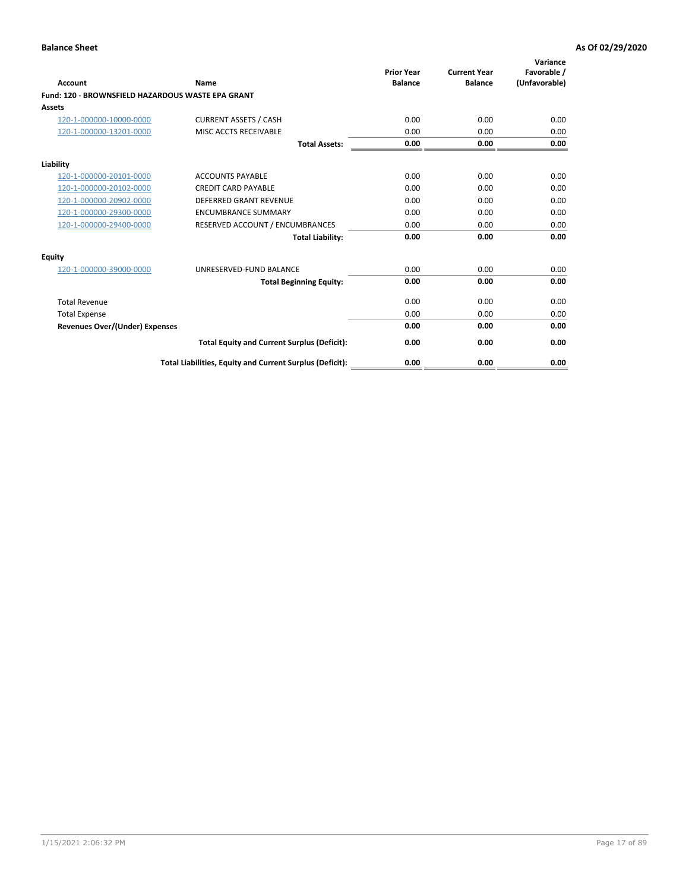| <b>Account</b>                                    | Name                                                     | <b>Prior Year</b><br><b>Balance</b> | <b>Current Year</b><br><b>Balance</b> | Variance<br>Favorable /<br>(Unfavorable) |
|---------------------------------------------------|----------------------------------------------------------|-------------------------------------|---------------------------------------|------------------------------------------|
| Fund: 120 - BROWNSFIELD HAZARDOUS WASTE EPA GRANT |                                                          |                                     |                                       |                                          |
| <b>Assets</b>                                     |                                                          |                                     |                                       |                                          |
| 120-1-000000-10000-0000                           | <b>CURRENT ASSETS / CASH</b>                             | 0.00                                | 0.00                                  | 0.00                                     |
| 120-1-000000-13201-0000                           | MISC ACCTS RECEIVABLE                                    | 0.00                                | 0.00                                  | 0.00                                     |
|                                                   | <b>Total Assets:</b>                                     | 0.00                                | 0.00                                  | 0.00                                     |
| Liability                                         |                                                          |                                     |                                       |                                          |
| 120-1-000000-20101-0000                           | <b>ACCOUNTS PAYABLE</b>                                  | 0.00                                | 0.00                                  | 0.00                                     |
| 120-1-000000-20102-0000                           | <b>CREDIT CARD PAYABLE</b>                               | 0.00                                | 0.00                                  | 0.00                                     |
| 120-1-000000-20902-0000                           | <b>DEFERRED GRANT REVENUE</b>                            | 0.00                                | 0.00                                  | 0.00                                     |
| 120-1-000000-29300-0000                           | <b>ENCUMBRANCE SUMMARY</b>                               | 0.00                                | 0.00                                  | 0.00                                     |
| 120-1-000000-29400-0000                           | RESERVED ACCOUNT / ENCUMBRANCES                          | 0.00                                | 0.00                                  | 0.00                                     |
|                                                   | <b>Total Liability:</b>                                  | 0.00                                | 0.00                                  | 0.00                                     |
| Equity                                            |                                                          |                                     |                                       |                                          |
| 120-1-000000-39000-0000                           | UNRESERVED-FUND BALANCE                                  | 0.00                                | 0.00                                  | 0.00                                     |
|                                                   | <b>Total Beginning Equity:</b>                           | 0.00                                | 0.00                                  | 0.00                                     |
| <b>Total Revenue</b>                              |                                                          | 0.00                                | 0.00                                  | 0.00                                     |
| <b>Total Expense</b>                              |                                                          | 0.00                                | 0.00                                  | 0.00                                     |
| <b>Revenues Over/(Under) Expenses</b>             |                                                          | 0.00                                | 0.00                                  | 0.00                                     |
|                                                   | <b>Total Equity and Current Surplus (Deficit):</b>       | 0.00                                | 0.00                                  | 0.00                                     |
|                                                   | Total Liabilities, Equity and Current Surplus (Deficit): | 0.00                                | 0.00                                  | 0.00                                     |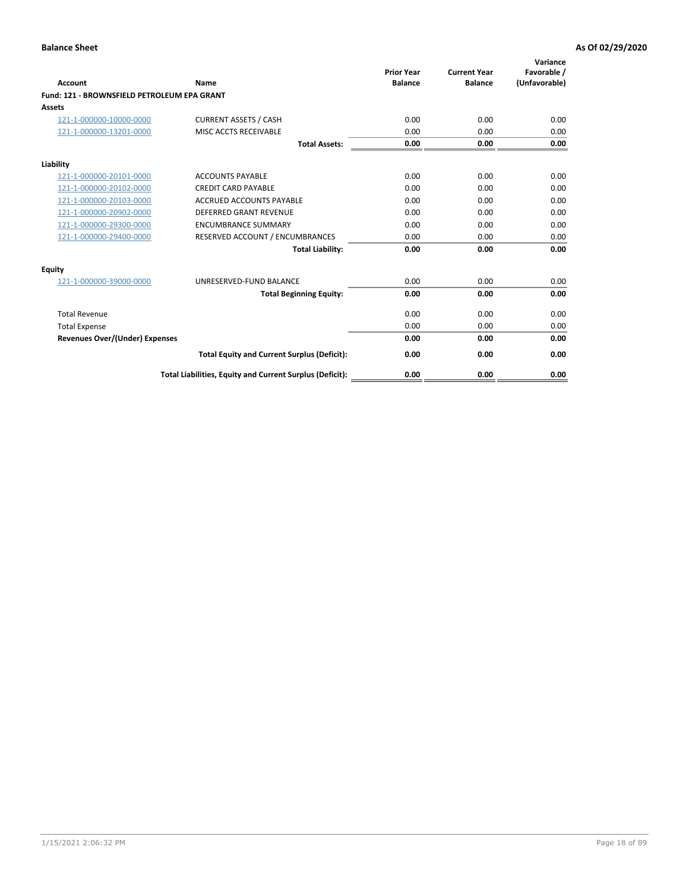| Account                                     | Name                                                     | <b>Prior Year</b><br><b>Balance</b> | <b>Current Year</b><br><b>Balance</b> | Variance<br>Favorable /<br>(Unfavorable) |
|---------------------------------------------|----------------------------------------------------------|-------------------------------------|---------------------------------------|------------------------------------------|
| Fund: 121 - BROWNSFIELD PETROLEUM EPA GRANT |                                                          |                                     |                                       |                                          |
| <b>Assets</b>                               |                                                          |                                     |                                       |                                          |
| 121-1-000000-10000-0000                     | <b>CURRENT ASSETS / CASH</b>                             | 0.00                                | 0.00                                  | 0.00                                     |
| 121-1-000000-13201-0000                     | <b>MISC ACCTS RECEIVABLE</b>                             | 0.00                                | 0.00                                  | 0.00                                     |
|                                             | <b>Total Assets:</b>                                     | 0.00                                | 0.00                                  | 0.00                                     |
| Liability                                   |                                                          |                                     |                                       |                                          |
| 121-1-000000-20101-0000                     | <b>ACCOUNTS PAYABLE</b>                                  | 0.00                                | 0.00                                  | 0.00                                     |
| 121-1-000000-20102-0000                     | <b>CREDIT CARD PAYABLE</b>                               | 0.00                                | 0.00                                  | 0.00                                     |
| 121-1-000000-20103-0000                     | <b>ACCRUED ACCOUNTS PAYABLE</b>                          | 0.00                                | 0.00                                  | 0.00                                     |
| 121-1-000000-20902-0000                     | <b>DEFERRED GRANT REVENUE</b>                            | 0.00                                | 0.00                                  | 0.00                                     |
| 121-1-000000-29300-0000                     | <b>ENCUMBRANCE SUMMARY</b>                               | 0.00                                | 0.00                                  | 0.00                                     |
| 121-1-000000-29400-0000                     | RESERVED ACCOUNT / ENCUMBRANCES                          | 0.00                                | 0.00                                  | 0.00                                     |
|                                             | <b>Total Liability:</b>                                  | 0.00                                | 0.00                                  | 0.00                                     |
| <b>Equity</b>                               |                                                          |                                     |                                       |                                          |
| 121-1-000000-39000-0000                     | UNRESERVED-FUND BALANCE                                  | 0.00                                | 0.00                                  | 0.00                                     |
|                                             | <b>Total Beginning Equity:</b>                           | 0.00                                | 0.00                                  | 0.00                                     |
| <b>Total Revenue</b>                        |                                                          | 0.00                                | 0.00                                  | 0.00                                     |
| <b>Total Expense</b>                        |                                                          | 0.00                                | 0.00                                  | 0.00                                     |
| <b>Revenues Over/(Under) Expenses</b>       |                                                          | 0.00                                | 0.00                                  | 0.00                                     |
|                                             | <b>Total Equity and Current Surplus (Deficit):</b>       | 0.00                                | 0.00                                  | 0.00                                     |
|                                             | Total Liabilities, Equity and Current Surplus (Deficit): | 0.00                                | 0.00                                  | 0.00                                     |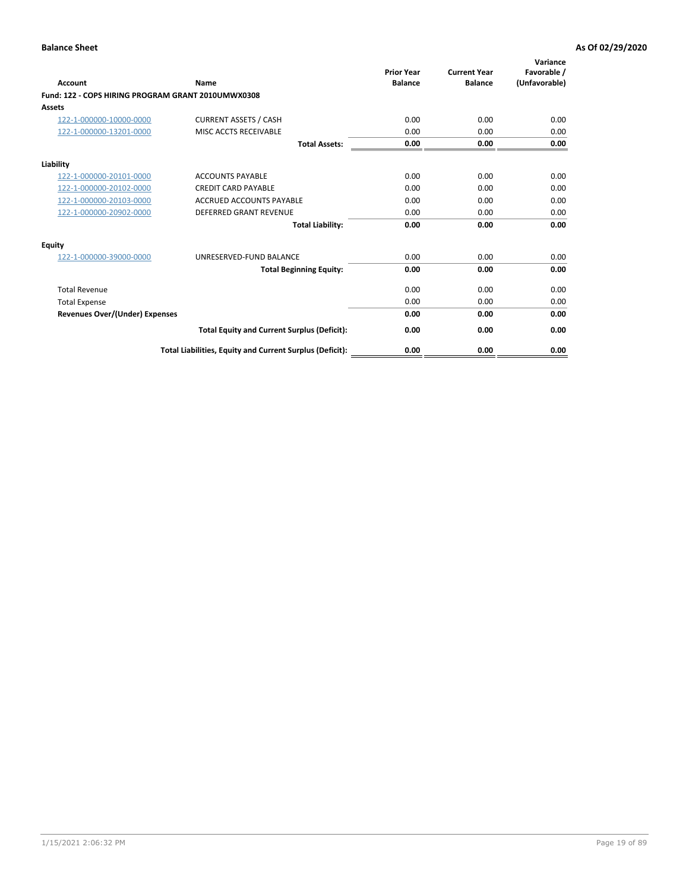| <b>Account</b>                                     | Name                                                     | <b>Prior Year</b><br><b>Balance</b> | <b>Current Year</b><br><b>Balance</b> | Variance<br>Favorable /<br>(Unfavorable) |
|----------------------------------------------------|----------------------------------------------------------|-------------------------------------|---------------------------------------|------------------------------------------|
| Fund: 122 - COPS HIRING PROGRAM GRANT 2010UMWX0308 |                                                          |                                     |                                       |                                          |
| Assets                                             |                                                          |                                     |                                       |                                          |
| 122-1-000000-10000-0000                            | <b>CURRENT ASSETS / CASH</b>                             | 0.00                                | 0.00                                  | 0.00                                     |
| 122-1-000000-13201-0000                            | MISC ACCTS RECEIVABLE                                    | 0.00                                | 0.00                                  | 0.00                                     |
|                                                    | <b>Total Assets:</b>                                     | 0.00                                | 0.00                                  | 0.00                                     |
| Liability                                          |                                                          |                                     |                                       |                                          |
| 122-1-000000-20101-0000                            | <b>ACCOUNTS PAYABLE</b>                                  | 0.00                                | 0.00                                  | 0.00                                     |
| 122-1-000000-20102-0000                            | <b>CREDIT CARD PAYABLE</b>                               | 0.00                                | 0.00                                  | 0.00                                     |
| 122-1-000000-20103-0000                            | <b>ACCRUED ACCOUNTS PAYABLE</b>                          | 0.00                                | 0.00                                  | 0.00                                     |
| 122-1-000000-20902-0000                            | <b>DEFERRED GRANT REVENUE</b>                            | 0.00                                | 0.00                                  | 0.00                                     |
|                                                    | <b>Total Liability:</b>                                  | 0.00                                | 0.00                                  | 0.00                                     |
| Equity                                             |                                                          |                                     |                                       |                                          |
| 122-1-000000-39000-0000                            | UNRESERVED-FUND BALANCE                                  | 0.00                                | 0.00                                  | 0.00                                     |
|                                                    | <b>Total Beginning Equity:</b>                           | 0.00                                | 0.00                                  | 0.00                                     |
| <b>Total Revenue</b>                               |                                                          | 0.00                                | 0.00                                  | 0.00                                     |
| <b>Total Expense</b>                               |                                                          | 0.00                                | 0.00                                  | 0.00                                     |
| <b>Revenues Over/(Under) Expenses</b>              |                                                          | 0.00                                | 0.00                                  | 0.00                                     |
|                                                    | <b>Total Equity and Current Surplus (Deficit):</b>       | 0.00                                | 0.00                                  | 0.00                                     |
|                                                    | Total Liabilities, Equity and Current Surplus (Deficit): | 0.00                                | 0.00                                  | 0.00                                     |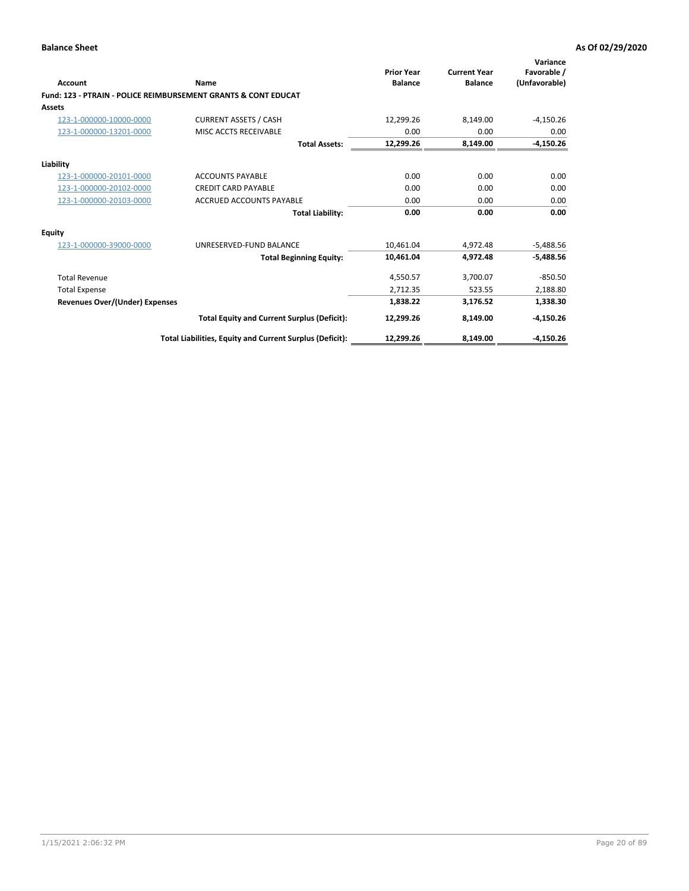| Account                        | Name                                                           | <b>Prior Year</b><br><b>Balance</b> | <b>Current Year</b><br><b>Balance</b> | Variance<br>Favorable /<br>(Unfavorable) |
|--------------------------------|----------------------------------------------------------------|-------------------------------------|---------------------------------------|------------------------------------------|
|                                | Fund: 123 - PTRAIN - POLICE REIMBURSEMENT GRANTS & CONT EDUCAT |                                     |                                       |                                          |
| Assets                         |                                                                |                                     |                                       |                                          |
| 123-1-000000-10000-0000        | <b>CURRENT ASSETS / CASH</b>                                   | 12,299.26                           | 8,149.00                              | $-4,150.26$                              |
| 123-1-000000-13201-0000        | MISC ACCTS RECEIVABLE                                          | 0.00                                | 0.00                                  | 0.00                                     |
|                                | <b>Total Assets:</b>                                           | 12,299.26                           | 8,149.00                              | $-4,150.26$                              |
| Liability                      |                                                                |                                     |                                       |                                          |
| 123-1-000000-20101-0000        | <b>ACCOUNTS PAYABLE</b>                                        | 0.00                                | 0.00                                  | 0.00                                     |
| 123-1-000000-20102-0000        | <b>CREDIT CARD PAYABLE</b>                                     | 0.00                                | 0.00                                  | 0.00                                     |
| 123-1-000000-20103-0000        | <b>ACCRUED ACCOUNTS PAYABLE</b>                                | 0.00                                | 0.00                                  | 0.00                                     |
|                                | <b>Total Liability:</b>                                        | 0.00                                | 0.00                                  | 0.00                                     |
| Equity                         |                                                                |                                     |                                       |                                          |
| 123-1-000000-39000-0000        | UNRESERVED-FUND BALANCE                                        | 10.461.04                           | 4,972.48                              | $-5,488.56$                              |
|                                | <b>Total Beginning Equity:</b>                                 | 10,461.04                           | 4,972.48                              | $-5,488.56$                              |
| <b>Total Revenue</b>           |                                                                | 4,550.57                            | 3,700.07                              | $-850.50$                                |
| <b>Total Expense</b>           |                                                                | 2,712.35                            | 523.55                                | 2,188.80                                 |
| Revenues Over/(Under) Expenses |                                                                | 1,838.22                            | 3,176.52                              | 1,338.30                                 |
|                                | <b>Total Equity and Current Surplus (Deficit):</b>             | 12,299.26                           | 8,149.00                              | $-4,150.26$                              |
|                                | Total Liabilities, Equity and Current Surplus (Deficit):       | 12,299.26                           | 8,149.00                              | $-4,150.26$                              |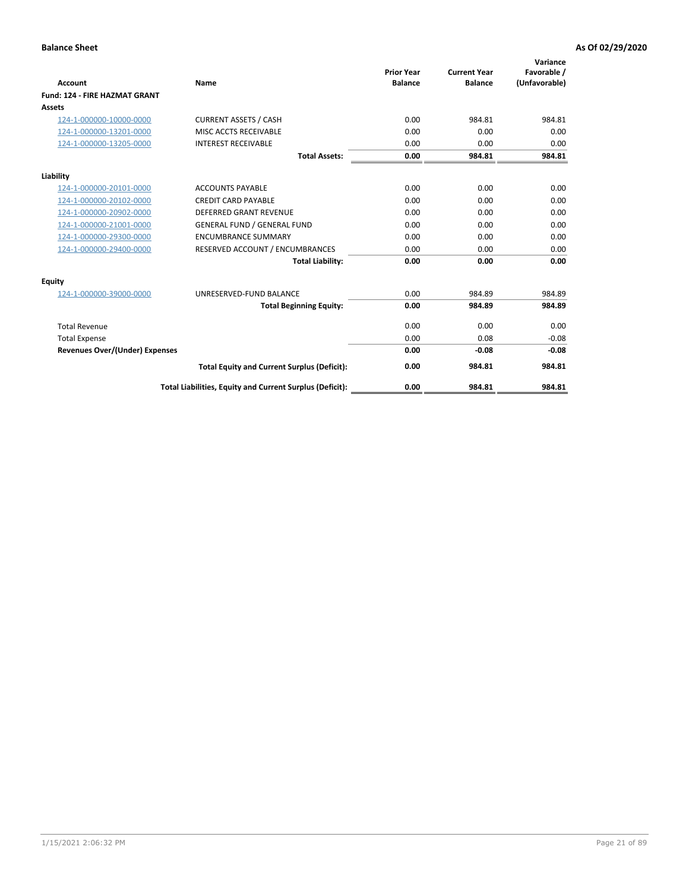|                                      |                                                          |                                     |                                       | Variance                     |
|--------------------------------------|----------------------------------------------------------|-------------------------------------|---------------------------------------|------------------------------|
| <b>Account</b>                       | <b>Name</b>                                              | <b>Prior Year</b><br><b>Balance</b> | <b>Current Year</b><br><b>Balance</b> | Favorable /<br>(Unfavorable) |
| <b>Fund: 124 - FIRE HAZMAT GRANT</b> |                                                          |                                     |                                       |                              |
| <b>Assets</b>                        |                                                          |                                     |                                       |                              |
| 124-1-000000-10000-0000              | <b>CURRENT ASSETS / CASH</b>                             | 0.00                                | 984.81                                | 984.81                       |
| 124-1-000000-13201-0000              | MISC ACCTS RECEIVABLE                                    | 0.00                                | 0.00                                  | 0.00                         |
| 124-1-000000-13205-0000              | <b>INTEREST RECEIVABLE</b>                               | 0.00                                | 0.00                                  | 0.00                         |
|                                      | <b>Total Assets:</b>                                     | 0.00                                | 984.81                                | 984.81                       |
|                                      |                                                          |                                     |                                       |                              |
| Liability                            |                                                          |                                     |                                       |                              |
| 124-1-000000-20101-0000              | <b>ACCOUNTS PAYABLE</b>                                  | 0.00                                | 0.00                                  | 0.00                         |
| 124-1-000000-20102-0000              | <b>CREDIT CARD PAYABLE</b>                               | 0.00                                | 0.00                                  | 0.00                         |
| 124-1-000000-20902-0000              | <b>DEFERRED GRANT REVENUE</b>                            | 0.00                                | 0.00                                  | 0.00                         |
| 124-1-000000-21001-0000              | <b>GENERAL FUND / GENERAL FUND</b>                       | 0.00                                | 0.00                                  | 0.00                         |
| 124-1-000000-29300-0000              | <b>ENCUMBRANCE SUMMARY</b>                               | 0.00                                | 0.00                                  | 0.00                         |
| 124-1-000000-29400-0000              | RESERVED ACCOUNT / ENCUMBRANCES                          | 0.00                                | 0.00                                  | 0.00                         |
|                                      | <b>Total Liability:</b>                                  | 0.00                                | 0.00                                  | 0.00                         |
| Equity                               |                                                          |                                     |                                       |                              |
| 124-1-000000-39000-0000              | UNRESERVED-FUND BALANCE                                  | 0.00                                | 984.89                                | 984.89                       |
|                                      | <b>Total Beginning Equity:</b>                           | 0.00                                | 984.89                                | 984.89                       |
| <b>Total Revenue</b>                 |                                                          | 0.00                                | 0.00                                  | 0.00                         |
| <b>Total Expense</b>                 |                                                          | 0.00                                | 0.08                                  | $-0.08$                      |
| Revenues Over/(Under) Expenses       |                                                          | 0.00                                | $-0.08$                               | $-0.08$                      |
|                                      | <b>Total Equity and Current Surplus (Deficit):</b>       | 0.00                                | 984.81                                | 984.81                       |
|                                      | Total Liabilities, Equity and Current Surplus (Deficit): | 0.00                                | 984.81                                | 984.81                       |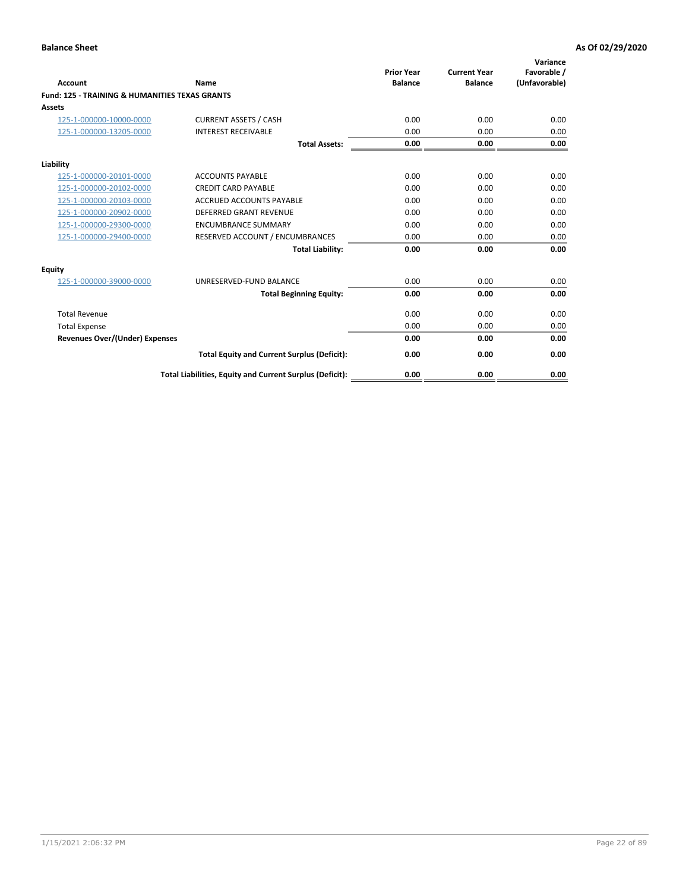| Account                                                   | Name                                                     | <b>Prior Year</b><br><b>Balance</b> | <b>Current Year</b><br><b>Balance</b> | Variance<br>Favorable /<br>(Unfavorable) |
|-----------------------------------------------------------|----------------------------------------------------------|-------------------------------------|---------------------------------------|------------------------------------------|
| <b>Fund: 125 - TRAINING &amp; HUMANITIES TEXAS GRANTS</b> |                                                          |                                     |                                       |                                          |
| <b>Assets</b>                                             |                                                          |                                     |                                       |                                          |
| 125-1-000000-10000-0000                                   | <b>CURRENT ASSETS / CASH</b>                             | 0.00                                | 0.00                                  | 0.00                                     |
| 125-1-000000-13205-0000                                   | <b>INTEREST RECEIVABLE</b>                               | 0.00                                | 0.00                                  | 0.00                                     |
|                                                           | <b>Total Assets:</b>                                     | 0.00                                | 0.00                                  | 0.00                                     |
| Liability                                                 |                                                          |                                     |                                       |                                          |
| 125-1-000000-20101-0000                                   | <b>ACCOUNTS PAYABLE</b>                                  | 0.00                                | 0.00                                  | 0.00                                     |
| 125-1-000000-20102-0000                                   | <b>CREDIT CARD PAYABLE</b>                               | 0.00                                | 0.00                                  | 0.00                                     |
| 125-1-000000-20103-0000                                   | <b>ACCRUED ACCOUNTS PAYABLE</b>                          | 0.00                                | 0.00                                  | 0.00                                     |
| 125-1-000000-20902-0000                                   | <b>DEFERRED GRANT REVENUE</b>                            | 0.00                                | 0.00                                  | 0.00                                     |
| 125-1-000000-29300-0000                                   | <b>ENCUMBRANCE SUMMARY</b>                               | 0.00                                | 0.00                                  | 0.00                                     |
| 125-1-000000-29400-0000                                   | RESERVED ACCOUNT / ENCUMBRANCES                          | 0.00                                | 0.00                                  | 0.00                                     |
|                                                           | <b>Total Liability:</b>                                  | 0.00                                | 0.00                                  | 0.00                                     |
| <b>Equity</b>                                             |                                                          |                                     |                                       |                                          |
| 125-1-000000-39000-0000                                   | UNRESERVED-FUND BALANCE                                  | 0.00                                | 0.00                                  | 0.00                                     |
|                                                           | <b>Total Beginning Equity:</b>                           | 0.00                                | 0.00                                  | 0.00                                     |
| <b>Total Revenue</b>                                      |                                                          | 0.00                                | 0.00                                  | 0.00                                     |
| <b>Total Expense</b>                                      |                                                          | 0.00                                | 0.00                                  | 0.00                                     |
| <b>Revenues Over/(Under) Expenses</b>                     |                                                          | 0.00                                | 0.00                                  | 0.00                                     |
|                                                           | <b>Total Equity and Current Surplus (Deficit):</b>       | 0.00                                | 0.00                                  | 0.00                                     |
|                                                           | Total Liabilities, Equity and Current Surplus (Deficit): | 0.00                                | 0.00                                  | 0.00                                     |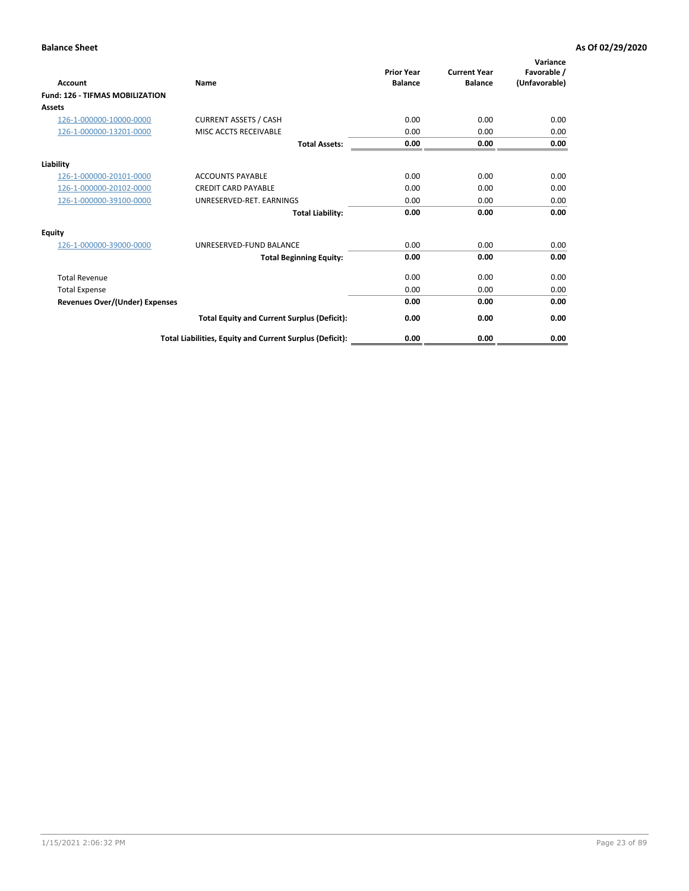| <b>Account</b>                         | Name                                                     | <b>Prior Year</b><br><b>Balance</b> | <b>Current Year</b><br><b>Balance</b> | Variance<br>Favorable /<br>(Unfavorable) |
|----------------------------------------|----------------------------------------------------------|-------------------------------------|---------------------------------------|------------------------------------------|
| <b>Fund: 126 - TIFMAS MOBILIZATION</b> |                                                          |                                     |                                       |                                          |
| Assets                                 |                                                          |                                     |                                       |                                          |
| 126-1-000000-10000-0000                | <b>CURRENT ASSETS / CASH</b>                             | 0.00                                | 0.00                                  | 0.00                                     |
| 126-1-000000-13201-0000                | MISC ACCTS RECEIVABLE                                    | 0.00                                | 0.00                                  | 0.00                                     |
|                                        | <b>Total Assets:</b>                                     | 0.00                                | 0.00                                  | 0.00                                     |
| Liability                              |                                                          |                                     |                                       |                                          |
| 126-1-000000-20101-0000                | <b>ACCOUNTS PAYABLE</b>                                  | 0.00                                | 0.00                                  | 0.00                                     |
| 126-1-000000-20102-0000                | <b>CREDIT CARD PAYABLE</b>                               | 0.00                                | 0.00                                  | 0.00                                     |
| 126-1-000000-39100-0000                | UNRESERVED-RET. EARNINGS                                 | 0.00                                | 0.00                                  | 0.00                                     |
|                                        | <b>Total Liability:</b>                                  | 0.00                                | 0.00                                  | 0.00                                     |
| Equity                                 |                                                          |                                     |                                       |                                          |
| 126-1-000000-39000-0000                | UNRESERVED-FUND BALANCE                                  | 0.00                                | 0.00                                  | 0.00                                     |
|                                        | <b>Total Beginning Equity:</b>                           | 0.00                                | 0.00                                  | 0.00                                     |
| <b>Total Revenue</b>                   |                                                          | 0.00                                | 0.00                                  | 0.00                                     |
| <b>Total Expense</b>                   |                                                          | 0.00                                | 0.00                                  | 0.00                                     |
| Revenues Over/(Under) Expenses         |                                                          | 0.00                                | 0.00                                  | 0.00                                     |
|                                        | <b>Total Equity and Current Surplus (Deficit):</b>       | 0.00                                | 0.00                                  | 0.00                                     |
|                                        | Total Liabilities, Equity and Current Surplus (Deficit): | 0.00                                | 0.00                                  | 0.00                                     |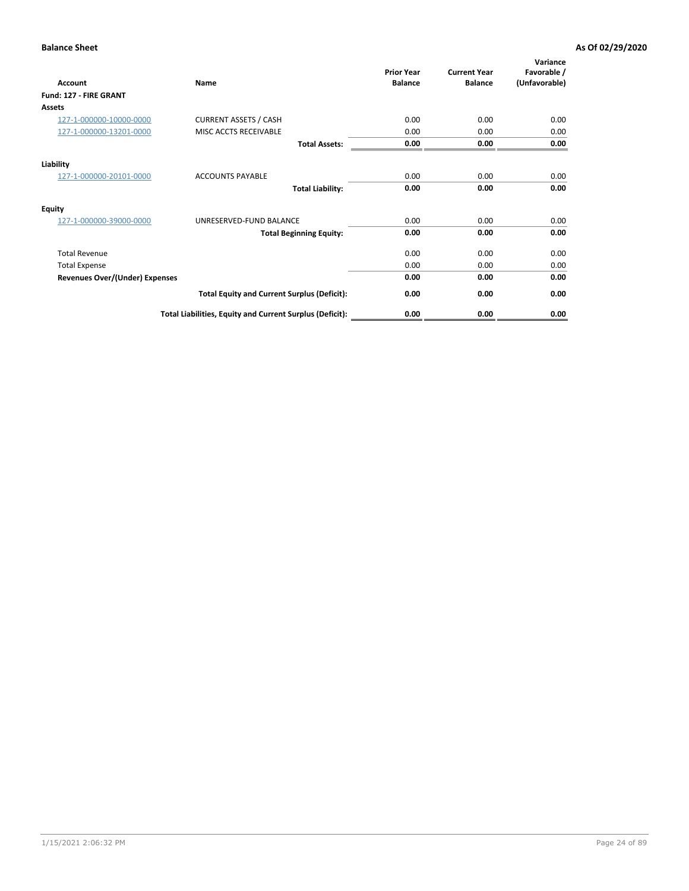| <b>Account</b>                        | Name                                                     | <b>Prior Year</b><br><b>Balance</b> | <b>Current Year</b><br><b>Balance</b> | Variance<br>Favorable /<br>(Unfavorable) |
|---------------------------------------|----------------------------------------------------------|-------------------------------------|---------------------------------------|------------------------------------------|
| Fund: 127 - FIRE GRANT                |                                                          |                                     |                                       |                                          |
| Assets                                |                                                          |                                     |                                       |                                          |
| 127-1-000000-10000-0000               | <b>CURRENT ASSETS / CASH</b>                             | 0.00                                | 0.00                                  | 0.00                                     |
| 127-1-000000-13201-0000               | MISC ACCTS RECEIVABLE                                    | 0.00                                | 0.00                                  | 0.00                                     |
|                                       | <b>Total Assets:</b>                                     | 0.00                                | 0.00                                  | 0.00                                     |
| Liability                             |                                                          |                                     |                                       |                                          |
| 127-1-000000-20101-0000               | <b>ACCOUNTS PAYABLE</b>                                  | 0.00                                | 0.00                                  | 0.00                                     |
|                                       | <b>Total Liability:</b>                                  | 0.00                                | 0.00                                  | 0.00                                     |
| <b>Equity</b>                         |                                                          |                                     |                                       |                                          |
| 127-1-000000-39000-0000               | UNRESERVED-FUND BALANCE                                  | 0.00                                | 0.00                                  | 0.00                                     |
|                                       | <b>Total Beginning Equity:</b>                           | 0.00                                | 0.00                                  | 0.00                                     |
| <b>Total Revenue</b>                  |                                                          | 0.00                                | 0.00                                  | 0.00                                     |
| <b>Total Expense</b>                  |                                                          | 0.00                                | 0.00                                  | 0.00                                     |
| <b>Revenues Over/(Under) Expenses</b> |                                                          | 0.00                                | 0.00                                  | 0.00                                     |
|                                       | <b>Total Equity and Current Surplus (Deficit):</b>       | 0.00                                | 0.00                                  | 0.00                                     |
|                                       | Total Liabilities, Equity and Current Surplus (Deficit): | 0.00                                | 0.00                                  | 0.00                                     |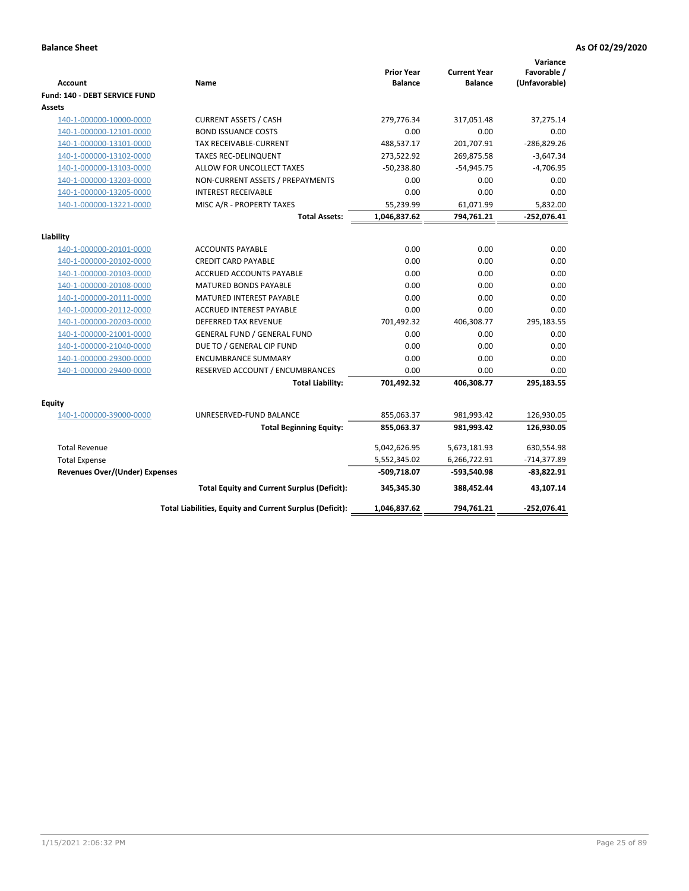|                                       |                                                          | <b>Prior Year</b> | <b>Current Year</b> | Variance<br>Favorable / |
|---------------------------------------|----------------------------------------------------------|-------------------|---------------------|-------------------------|
| <b>Account</b>                        | Name                                                     | <b>Balance</b>    | <b>Balance</b>      | (Unfavorable)           |
| Fund: 140 - DEBT SERVICE FUND         |                                                          |                   |                     |                         |
| <b>Assets</b>                         |                                                          |                   |                     |                         |
| 140-1-000000-10000-0000               | <b>CURRENT ASSETS / CASH</b>                             | 279,776.34        | 317,051.48          | 37,275.14               |
| 140-1-000000-12101-0000               | <b>BOND ISSUANCE COSTS</b>                               | 0.00              | 0.00                | 0.00                    |
| 140-1-000000-13101-0000               | <b>TAX RECEIVABLE-CURRENT</b>                            | 488,537.17        | 201,707.91          | $-286,829.26$           |
| 140-1-000000-13102-0000               | <b>TAXES REC-DELINQUENT</b>                              | 273,522.92        | 269,875.58          | $-3,647.34$             |
| 140-1-000000-13103-0000               | ALLOW FOR UNCOLLECT TAXES                                | $-50,238.80$      | $-54,945.75$        | $-4,706.95$             |
| 140-1-000000-13203-0000               | NON-CURRENT ASSETS / PREPAYMENTS                         | 0.00              | 0.00                | 0.00                    |
| 140-1-000000-13205-0000               | <b>INTEREST RECEIVABLE</b>                               | 0.00              | 0.00                | 0.00                    |
| 140-1-000000-13221-0000               | MISC A/R - PROPERTY TAXES                                | 55,239.99         | 61,071.99           | 5,832.00                |
|                                       | <b>Total Assets:</b>                                     | 1,046,837.62      | 794,761.21          | $-252,076.41$           |
| Liability                             |                                                          |                   |                     |                         |
| 140-1-000000-20101-0000               | <b>ACCOUNTS PAYABLE</b>                                  | 0.00              | 0.00                | 0.00                    |
| 140-1-000000-20102-0000               | <b>CREDIT CARD PAYABLE</b>                               | 0.00              | 0.00                | 0.00                    |
| 140-1-000000-20103-0000               | <b>ACCRUED ACCOUNTS PAYABLE</b>                          | 0.00              | 0.00                | 0.00                    |
| 140-1-000000-20108-0000               | <b>MATURED BONDS PAYABLE</b>                             | 0.00              | 0.00                | 0.00                    |
| 140-1-000000-20111-0000               | <b>MATURED INTEREST PAYABLE</b>                          | 0.00              | 0.00                | 0.00                    |
| 140-1-000000-20112-0000               | <b>ACCRUED INTEREST PAYABLE</b>                          | 0.00              | 0.00                | 0.00                    |
| 140-1-000000-20203-0000               | <b>DEFERRED TAX REVENUE</b>                              | 701,492.32        | 406,308.77          | 295,183.55              |
| 140-1-000000-21001-0000               | <b>GENERAL FUND / GENERAL FUND</b>                       | 0.00              | 0.00                | 0.00                    |
| 140-1-000000-21040-0000               | DUE TO / GENERAL CIP FUND                                | 0.00              | 0.00                | 0.00                    |
| 140-1-000000-29300-0000               | <b>ENCUMBRANCE SUMMARY</b>                               | 0.00              | 0.00                | 0.00                    |
| 140-1-000000-29400-0000               | RESERVED ACCOUNT / ENCUMBRANCES                          | 0.00              | 0.00                | 0.00                    |
|                                       | <b>Total Liability:</b>                                  | 701,492.32        | 406,308.77          | 295,183.55              |
| <b>Equity</b>                         |                                                          |                   |                     |                         |
| 140-1-000000-39000-0000               | UNRESERVED-FUND BALANCE                                  | 855,063.37        | 981,993.42          | 126,930.05              |
|                                       | <b>Total Beginning Equity:</b>                           | 855,063.37        | 981,993.42          | 126,930.05              |
|                                       |                                                          |                   |                     |                         |
| <b>Total Revenue</b>                  |                                                          | 5,042,626.95      | 5,673,181.93        | 630,554.98              |
| <b>Total Expense</b>                  |                                                          | 5,552,345.02      | 6,266,722.91        | -714,377.89             |
| <b>Revenues Over/(Under) Expenses</b> |                                                          | -509,718.07       | -593,540.98         | -83,822.91              |
|                                       | <b>Total Equity and Current Surplus (Deficit):</b>       | 345,345.30        | 388,452.44          | 43,107.14               |
|                                       | Total Liabilities, Equity and Current Surplus (Deficit): | 1,046,837.62      | 794,761.21          | -252,076.41             |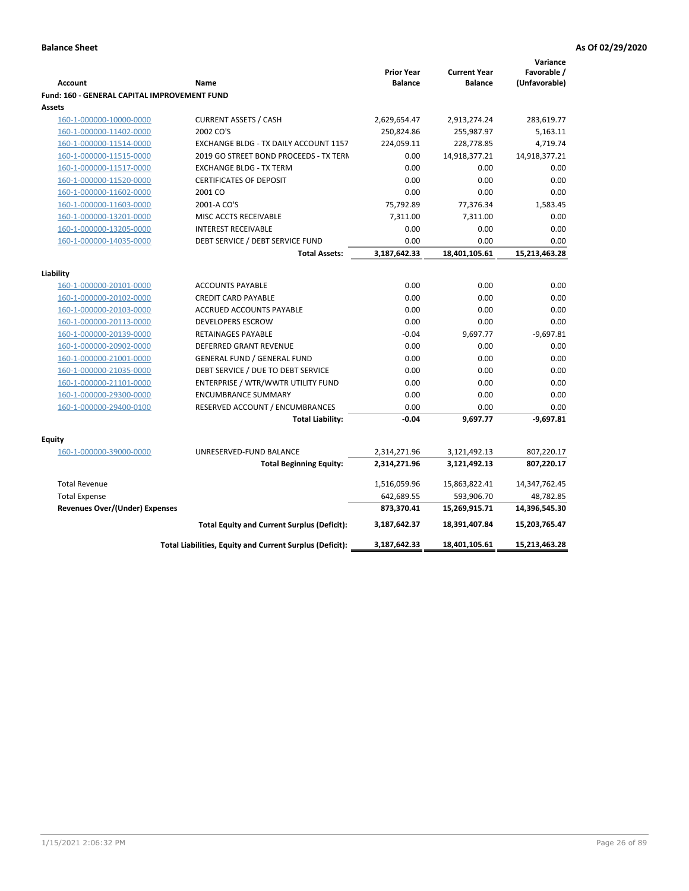|                                              |                                                          |                                     |                                       | Variance                     |
|----------------------------------------------|----------------------------------------------------------|-------------------------------------|---------------------------------------|------------------------------|
| <b>Account</b>                               | Name                                                     | <b>Prior Year</b><br><b>Balance</b> | <b>Current Year</b><br><b>Balance</b> | Favorable /<br>(Unfavorable) |
| Fund: 160 - GENERAL CAPITAL IMPROVEMENT FUND |                                                          |                                     |                                       |                              |
| <b>Assets</b>                                |                                                          |                                     |                                       |                              |
| 160-1-000000-10000-0000                      | <b>CURRENT ASSETS / CASH</b>                             | 2,629,654.47                        | 2,913,274.24                          | 283,619.77                   |
| 160-1-000000-11402-0000                      | 2002 CO'S                                                | 250,824.86                          | 255,987.97                            | 5,163.11                     |
| 160-1-000000-11514-0000                      | EXCHANGE BLDG - TX DAILY ACCOUNT 1157                    | 224,059.11                          | 228,778.85                            | 4,719.74                     |
| 160-1-000000-11515-0000                      | 2019 GO STREET BOND PROCEEDS - TX TERN                   | 0.00                                | 14,918,377.21                         | 14,918,377.21                |
| 160-1-000000-11517-0000                      | <b>EXCHANGE BLDG - TX TERM</b>                           | 0.00                                | 0.00                                  | 0.00                         |
| 160-1-000000-11520-0000                      | <b>CERTIFICATES OF DEPOSIT</b>                           | 0.00                                | 0.00                                  | 0.00                         |
| 160-1-000000-11602-0000                      | 2001 CO                                                  | 0.00                                | 0.00                                  | 0.00                         |
| 160-1-000000-11603-0000                      | 2001-A CO'S                                              | 75,792.89                           | 77,376.34                             | 1,583.45                     |
| 160-1-000000-13201-0000                      | MISC ACCTS RECEIVABLE                                    | 7,311.00                            | 7,311.00                              | 0.00                         |
| 160-1-000000-13205-0000                      | <b>INTEREST RECEIVABLE</b>                               | 0.00                                | 0.00                                  | 0.00                         |
| 160-1-000000-14035-0000                      | DEBT SERVICE / DEBT SERVICE FUND                         | 0.00                                | 0.00                                  | 0.00                         |
|                                              | <b>Total Assets:</b>                                     | 3,187,642.33                        | 18,401,105.61                         | 15,213,463.28                |
|                                              |                                                          |                                     |                                       |                              |
| Liability                                    |                                                          |                                     |                                       |                              |
| 160-1-000000-20101-0000                      | <b>ACCOUNTS PAYABLE</b>                                  | 0.00                                | 0.00                                  | 0.00                         |
| 160-1-000000-20102-0000                      | <b>CREDIT CARD PAYABLE</b>                               | 0.00                                | 0.00                                  | 0.00                         |
| 160-1-000000-20103-0000                      | ACCRUED ACCOUNTS PAYABLE                                 | 0.00                                | 0.00                                  | 0.00                         |
| 160-1-000000-20113-0000                      | <b>DEVELOPERS ESCROW</b>                                 | 0.00                                | 0.00                                  | 0.00                         |
| 160-1-000000-20139-0000                      | RETAINAGES PAYABLE                                       | $-0.04$                             | 9,697.77                              | $-9,697.81$                  |
| 160-1-000000-20902-0000                      | <b>DEFERRED GRANT REVENUE</b>                            | 0.00                                | 0.00                                  | 0.00                         |
| 160-1-000000-21001-0000                      | <b>GENERAL FUND / GENERAL FUND</b>                       | 0.00                                | 0.00                                  | 0.00                         |
| 160-1-000000-21035-0000                      | DEBT SERVICE / DUE TO DEBT SERVICE                       | 0.00                                | 0.00                                  | 0.00                         |
| 160-1-000000-21101-0000                      | ENTERPRISE / WTR/WWTR UTILITY FUND                       | 0.00                                | 0.00                                  | 0.00                         |
| 160-1-000000-29300-0000                      | <b>ENCUMBRANCE SUMMARY</b>                               | 0.00                                | 0.00                                  | 0.00                         |
| 160-1-000000-29400-0100                      | RESERVED ACCOUNT / ENCUMBRANCES                          | 0.00                                | 0.00                                  | 0.00                         |
|                                              | <b>Total Liability:</b>                                  | $-0.04$                             | 9,697.77                              | $-9,697.81$                  |
| <b>Equity</b>                                |                                                          |                                     |                                       |                              |
| 160-1-000000-39000-0000                      | UNRESERVED-FUND BALANCE                                  | 2,314,271.96                        | 3,121,492.13                          | 807,220.17                   |
|                                              | <b>Total Beginning Equity:</b>                           | 2,314,271.96                        | 3,121,492.13                          | 807,220.17                   |
| <b>Total Revenue</b>                         |                                                          | 1,516,059.96                        | 15,863,822.41                         | 14,347,762.45                |
| <b>Total Expense</b>                         |                                                          | 642,689.55                          | 593,906.70                            | 48,782.85                    |
| <b>Revenues Over/(Under) Expenses</b>        |                                                          | 873,370.41                          | 15,269,915.71                         | 14,396,545.30                |
|                                              | <b>Total Equity and Current Surplus (Deficit):</b>       | 3,187,642.37                        | 18,391,407.84                         | 15,203,765.47                |
|                                              | Total Liabilities, Equity and Current Surplus (Deficit): | 3,187,642.33                        | 18,401,105.61                         | 15,213,463.28                |
|                                              |                                                          |                                     |                                       |                              |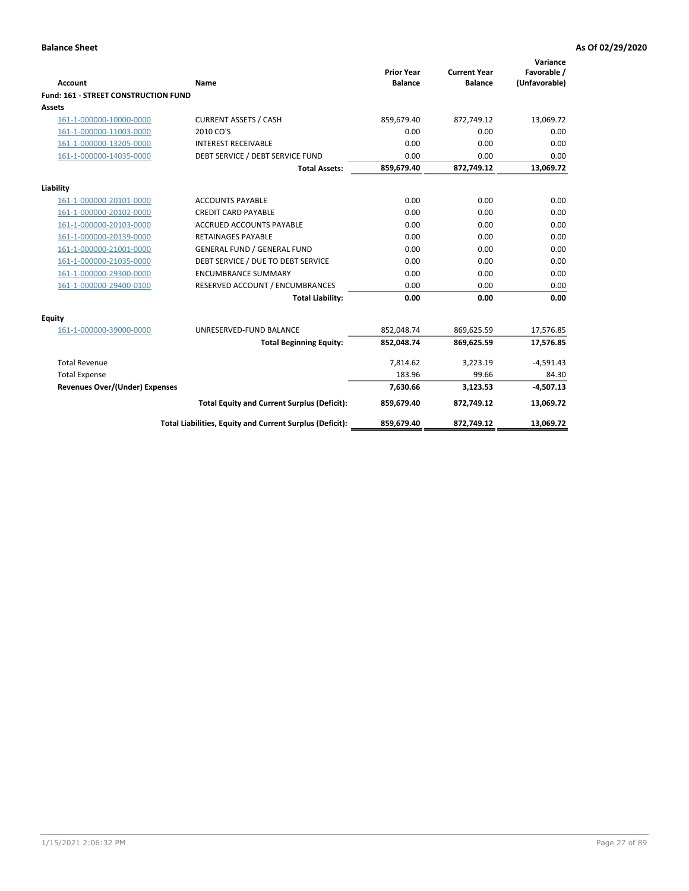| <b>Account</b>                        | <b>Name</b>                                              | <b>Prior Year</b><br><b>Balance</b> | <b>Current Year</b><br><b>Balance</b> | Variance<br>Favorable /<br>(Unfavorable) |
|---------------------------------------|----------------------------------------------------------|-------------------------------------|---------------------------------------|------------------------------------------|
| Fund: 161 - STREET CONSTRUCTION FUND  |                                                          |                                     |                                       |                                          |
| <b>Assets</b>                         |                                                          |                                     |                                       |                                          |
| 161-1-000000-10000-0000               | <b>CURRENT ASSETS / CASH</b>                             | 859,679.40                          | 872,749.12                            | 13,069.72                                |
| 161-1-000000-11003-0000               | 2010 CO'S                                                | 0.00                                | 0.00                                  | 0.00                                     |
| 161-1-000000-13205-0000               | <b>INTEREST RECEIVABLE</b>                               | 0.00                                | 0.00                                  | 0.00                                     |
| 161-1-000000-14035-0000               | DEBT SERVICE / DEBT SERVICE FUND                         | 0.00                                | 0.00                                  | 0.00                                     |
|                                       | <b>Total Assets:</b>                                     | 859,679.40                          | 872,749.12                            | 13,069.72                                |
| Liability                             |                                                          |                                     |                                       |                                          |
| 161-1-000000-20101-0000               | <b>ACCOUNTS PAYABLE</b>                                  | 0.00                                | 0.00                                  | 0.00                                     |
| 161-1-000000-20102-0000               | <b>CREDIT CARD PAYABLE</b>                               | 0.00                                | 0.00                                  | 0.00                                     |
| 161-1-000000-20103-0000               | <b>ACCRUED ACCOUNTS PAYABLE</b>                          | 0.00                                | 0.00                                  | 0.00                                     |
| 161-1-000000-20139-0000               | <b>RETAINAGES PAYABLE</b>                                | 0.00                                | 0.00                                  | 0.00                                     |
| 161-1-000000-21001-0000               | <b>GENERAL FUND / GENERAL FUND</b>                       | 0.00                                | 0.00                                  | 0.00                                     |
| 161-1-000000-21035-0000               | DEBT SERVICE / DUE TO DEBT SERVICE                       | 0.00                                | 0.00                                  | 0.00                                     |
| 161-1-000000-29300-0000               | <b>ENCUMBRANCE SUMMARY</b>                               | 0.00                                | 0.00                                  | 0.00                                     |
| 161-1-000000-29400-0100               | RESERVED ACCOUNT / ENCUMBRANCES                          | 0.00                                | 0.00                                  | 0.00                                     |
|                                       | <b>Total Liability:</b>                                  | 0.00                                | 0.00                                  | 0.00                                     |
| <b>Equity</b>                         |                                                          |                                     |                                       |                                          |
| 161-1-000000-39000-0000               | UNRESERVED-FUND BALANCE                                  | 852,048.74                          | 869,625.59                            | 17,576.85                                |
|                                       | <b>Total Beginning Equity:</b>                           | 852,048.74                          | 869,625.59                            | 17,576.85                                |
| <b>Total Revenue</b>                  |                                                          | 7,814.62                            | 3,223.19                              | $-4,591.43$                              |
| <b>Total Expense</b>                  |                                                          | 183.96                              | 99.66                                 | 84.30                                    |
| <b>Revenues Over/(Under) Expenses</b> |                                                          | 7,630.66                            | 3,123.53                              | $-4,507.13$                              |
|                                       | <b>Total Equity and Current Surplus (Deficit):</b>       | 859,679.40                          | 872,749.12                            | 13,069.72                                |
|                                       | Total Liabilities, Equity and Current Surplus (Deficit): | 859,679.40                          | 872,749.12                            | 13,069.72                                |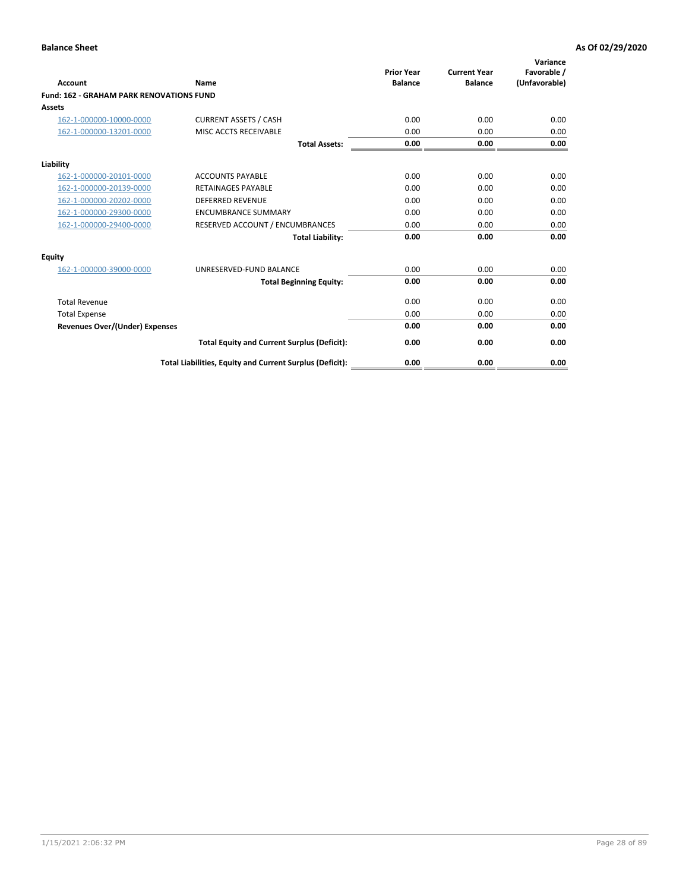|                                                 |                                                          | <b>Prior Year</b><br><b>Balance</b> | <b>Current Year</b> | Variance<br>Favorable / |
|-------------------------------------------------|----------------------------------------------------------|-------------------------------------|---------------------|-------------------------|
| <b>Account</b>                                  | Name                                                     |                                     | <b>Balance</b>      | (Unfavorable)           |
| <b>Fund: 162 - GRAHAM PARK RENOVATIONS FUND</b> |                                                          |                                     |                     |                         |
| <b>Assets</b>                                   |                                                          |                                     |                     |                         |
| 162-1-000000-10000-0000                         | <b>CURRENT ASSETS / CASH</b>                             | 0.00                                | 0.00                | 0.00                    |
| 162-1-000000-13201-0000                         | MISC ACCTS RECEIVABLE                                    | 0.00                                | 0.00                | 0.00                    |
|                                                 | <b>Total Assets:</b>                                     | 0.00                                | 0.00                | 0.00                    |
| Liability                                       |                                                          |                                     |                     |                         |
| 162-1-000000-20101-0000                         | <b>ACCOUNTS PAYABLE</b>                                  | 0.00                                | 0.00                | 0.00                    |
| 162-1-000000-20139-0000                         | <b>RETAINAGES PAYABLE</b>                                | 0.00                                | 0.00                | 0.00                    |
| 162-1-000000-20202-0000                         | <b>DEFERRED REVENUE</b>                                  | 0.00                                | 0.00                | 0.00                    |
| 162-1-000000-29300-0000                         | <b>ENCUMBRANCE SUMMARY</b>                               | 0.00                                | 0.00                | 0.00                    |
| 162-1-000000-29400-0000                         | RESERVED ACCOUNT / ENCUMBRANCES                          | 0.00                                | 0.00                | 0.00                    |
|                                                 | <b>Total Liability:</b>                                  | 0.00                                | 0.00                | 0.00                    |
| Equity                                          |                                                          |                                     |                     |                         |
| 162-1-000000-39000-0000                         | UNRESERVED-FUND BALANCE                                  | 0.00                                | 0.00                | 0.00                    |
|                                                 | <b>Total Beginning Equity:</b>                           | 0.00                                | 0.00                | 0.00                    |
| <b>Total Revenue</b>                            |                                                          | 0.00                                | 0.00                | 0.00                    |
| <b>Total Expense</b>                            |                                                          | 0.00                                | 0.00                | 0.00                    |
| Revenues Over/(Under) Expenses                  |                                                          | 0.00                                | 0.00                | 0.00                    |
|                                                 | <b>Total Equity and Current Surplus (Deficit):</b>       | 0.00                                | 0.00                | 0.00                    |
|                                                 | Total Liabilities, Equity and Current Surplus (Deficit): | 0.00                                | 0.00                | 0.00                    |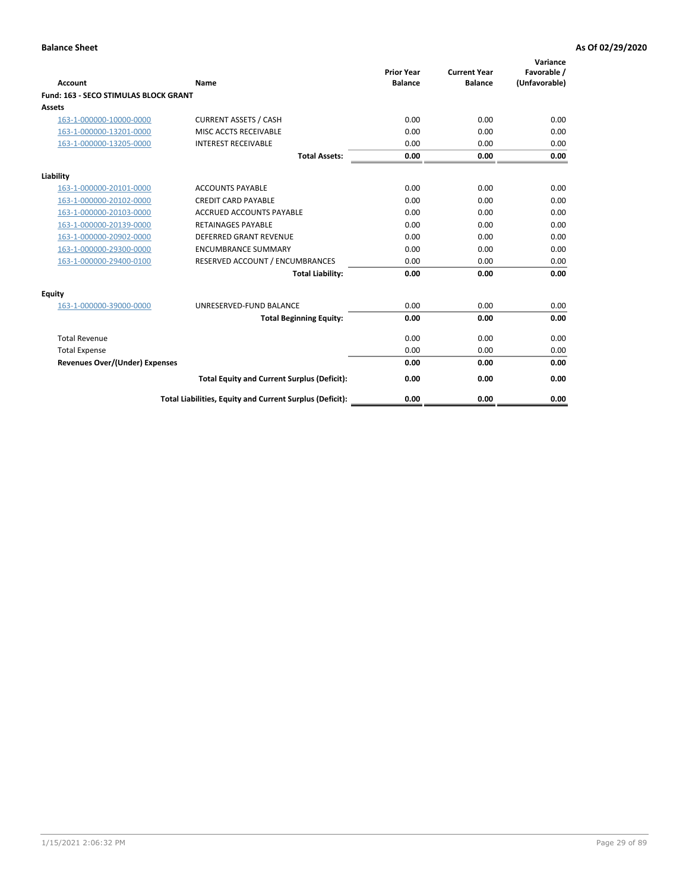| Account                               | Name                                                     | <b>Prior Year</b><br><b>Balance</b> | <b>Current Year</b><br><b>Balance</b> | Variance<br>Favorable /<br>(Unfavorable) |
|---------------------------------------|----------------------------------------------------------|-------------------------------------|---------------------------------------|------------------------------------------|
| Fund: 163 - SECO STIMULAS BLOCK GRANT |                                                          |                                     |                                       |                                          |
| <b>Assets</b>                         |                                                          |                                     |                                       |                                          |
| 163-1-000000-10000-0000               | <b>CURRENT ASSETS / CASH</b>                             | 0.00                                | 0.00                                  | 0.00                                     |
| 163-1-000000-13201-0000               | MISC ACCTS RECEIVABLE                                    | 0.00                                | 0.00                                  | 0.00                                     |
| 163-1-000000-13205-0000               | <b>INTEREST RECEIVABLE</b>                               | 0.00                                | 0.00                                  | 0.00                                     |
|                                       | <b>Total Assets:</b>                                     | 0.00                                | 0.00                                  | 0.00                                     |
| Liability                             |                                                          |                                     |                                       |                                          |
| 163-1-000000-20101-0000               | <b>ACCOUNTS PAYABLE</b>                                  | 0.00                                | 0.00                                  | 0.00                                     |
| 163-1-000000-20102-0000               | <b>CREDIT CARD PAYABLE</b>                               | 0.00                                | 0.00                                  | 0.00                                     |
| 163-1-000000-20103-0000               | <b>ACCRUED ACCOUNTS PAYABLE</b>                          | 0.00                                | 0.00                                  | 0.00                                     |
| 163-1-000000-20139-0000               | <b>RETAINAGES PAYABLE</b>                                | 0.00                                | 0.00                                  | 0.00                                     |
| 163-1-000000-20902-0000               | DEFERRED GRANT REVENUE                                   | 0.00                                | 0.00                                  | 0.00                                     |
| 163-1-000000-29300-0000               | <b>ENCUMBRANCE SUMMARY</b>                               | 0.00                                | 0.00                                  | 0.00                                     |
| 163-1-000000-29400-0100               | RESERVED ACCOUNT / ENCUMBRANCES                          | 0.00                                | 0.00                                  | 0.00                                     |
|                                       | <b>Total Liability:</b>                                  | 0.00                                | 0.00                                  | 0.00                                     |
| <b>Equity</b>                         |                                                          |                                     |                                       |                                          |
| 163-1-000000-39000-0000               | UNRESERVED-FUND BALANCE                                  | 0.00                                | 0.00                                  | 0.00                                     |
|                                       | <b>Total Beginning Equity:</b>                           | 0.00                                | 0.00                                  | 0.00                                     |
| <b>Total Revenue</b>                  |                                                          | 0.00                                | 0.00                                  | 0.00                                     |
| <b>Total Expense</b>                  |                                                          | 0.00                                | 0.00                                  | 0.00                                     |
| <b>Revenues Over/(Under) Expenses</b> |                                                          | 0.00                                | 0.00                                  | 0.00                                     |
|                                       | <b>Total Equity and Current Surplus (Deficit):</b>       | 0.00                                | 0.00                                  | 0.00                                     |
|                                       | Total Liabilities, Equity and Current Surplus (Deficit): | 0.00                                | 0.00                                  | 0.00                                     |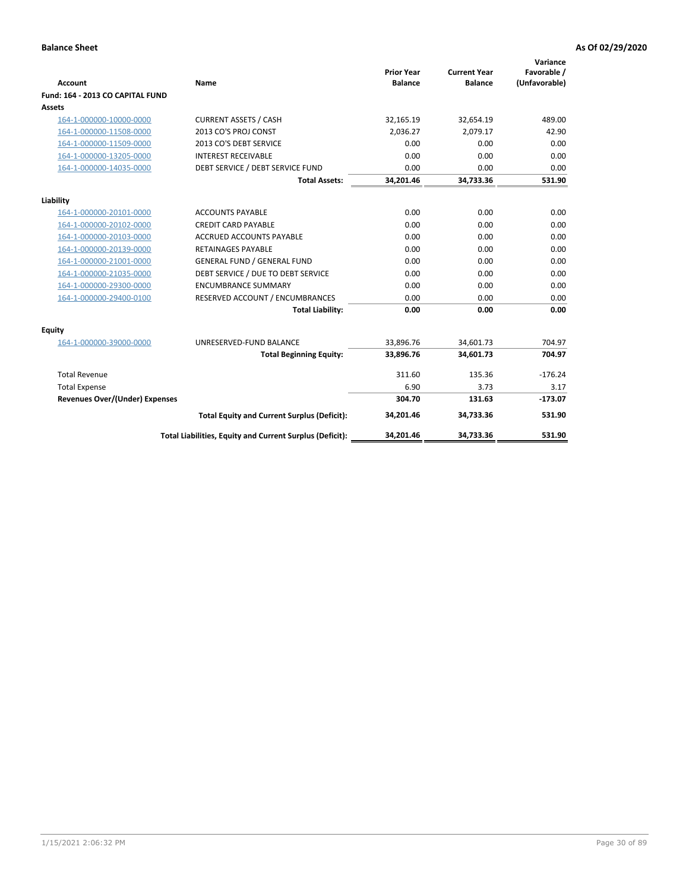| <b>Account</b>                   | Name                                                     | <b>Prior Year</b><br><b>Balance</b> | <b>Current Year</b><br><b>Balance</b> | Variance<br>Favorable /<br>(Unfavorable) |
|----------------------------------|----------------------------------------------------------|-------------------------------------|---------------------------------------|------------------------------------------|
| Fund: 164 - 2013 CO CAPITAL FUND |                                                          |                                     |                                       |                                          |
| <b>Assets</b>                    |                                                          |                                     |                                       |                                          |
| 164-1-000000-10000-0000          | <b>CURRENT ASSETS / CASH</b>                             | 32,165.19                           | 32,654.19                             | 489.00                                   |
| 164-1-000000-11508-0000          | 2013 CO'S PROJ CONST                                     | 2,036.27                            | 2,079.17                              | 42.90                                    |
| 164-1-000000-11509-0000          | 2013 CO'S DEBT SERVICE                                   | 0.00                                | 0.00                                  | 0.00                                     |
| 164-1-000000-13205-0000          | <b>INTEREST RECEIVABLE</b>                               | 0.00                                | 0.00                                  | 0.00                                     |
| 164-1-000000-14035-0000          | DEBT SERVICE / DEBT SERVICE FUND                         | 0.00                                | 0.00                                  | 0.00                                     |
|                                  | <b>Total Assets:</b>                                     | 34,201.46                           | 34,733.36                             | 531.90                                   |
| Liability                        |                                                          |                                     |                                       |                                          |
| 164-1-000000-20101-0000          | <b>ACCOUNTS PAYABLE</b>                                  | 0.00                                | 0.00                                  | 0.00                                     |
| 164-1-000000-20102-0000          | <b>CREDIT CARD PAYABLE</b>                               | 0.00                                | 0.00                                  | 0.00                                     |
| 164-1-000000-20103-0000          | <b>ACCRUED ACCOUNTS PAYABLE</b>                          | 0.00                                | 0.00                                  | 0.00                                     |
| 164-1-000000-20139-0000          | <b>RETAINAGES PAYABLE</b>                                | 0.00                                | 0.00                                  | 0.00                                     |
| 164-1-000000-21001-0000          | <b>GENERAL FUND / GENERAL FUND</b>                       | 0.00                                | 0.00                                  | 0.00                                     |
| 164-1-000000-21035-0000          | DEBT SERVICE / DUE TO DEBT SERVICE                       | 0.00                                | 0.00                                  | 0.00                                     |
| 164-1-000000-29300-0000          | <b>ENCUMBRANCE SUMMARY</b>                               | 0.00                                | 0.00                                  | 0.00                                     |
| 164-1-000000-29400-0100          | RESERVED ACCOUNT / ENCUMBRANCES                          | 0.00                                | 0.00                                  | 0.00                                     |
|                                  | <b>Total Liability:</b>                                  | 0.00                                | 0.00                                  | 0.00                                     |
| Equity                           |                                                          |                                     |                                       |                                          |
| 164-1-000000-39000-0000          | UNRESERVED-FUND BALANCE                                  | 33,896.76                           | 34,601.73                             | 704.97                                   |
|                                  | <b>Total Beginning Equity:</b>                           | 33,896.76                           | 34,601.73                             | 704.97                                   |
| <b>Total Revenue</b>             |                                                          | 311.60                              | 135.36                                | $-176.24$                                |
| <b>Total Expense</b>             |                                                          | 6.90                                | 3.73                                  | 3.17                                     |
| Revenues Over/(Under) Expenses   |                                                          | 304.70                              | 131.63                                | $-173.07$                                |
|                                  | <b>Total Equity and Current Surplus (Deficit):</b>       | 34,201.46                           | 34,733.36                             | 531.90                                   |
|                                  | Total Liabilities, Equity and Current Surplus (Deficit): | 34,201.46                           | 34,733.36                             | 531.90                                   |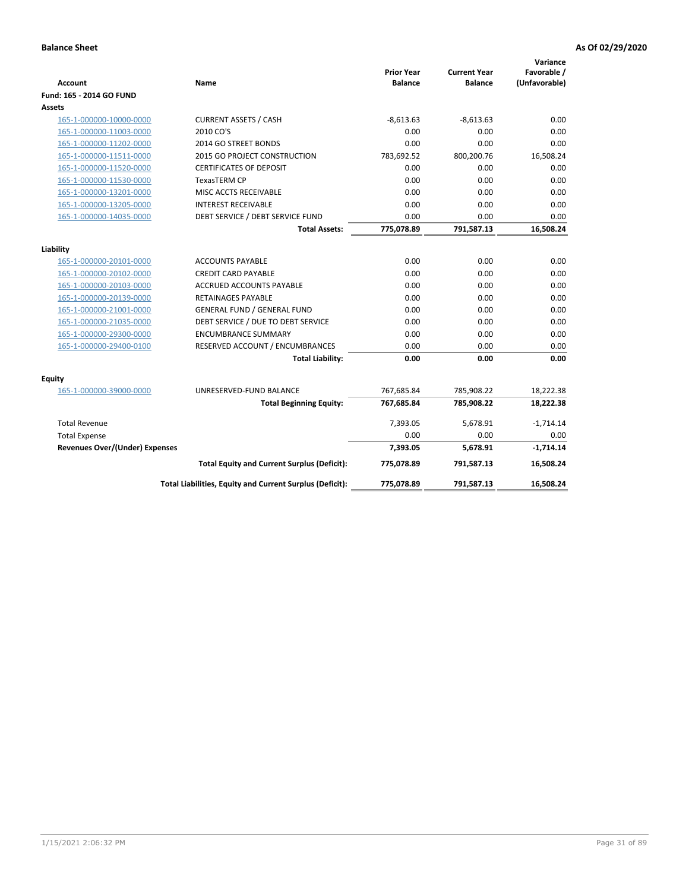| <b>Account</b>                        | Name                                                     | <b>Prior Year</b><br><b>Balance</b> | <b>Current Year</b><br><b>Balance</b> | Variance<br>Favorable /<br>(Unfavorable) |
|---------------------------------------|----------------------------------------------------------|-------------------------------------|---------------------------------------|------------------------------------------|
| Fund: 165 - 2014 GO FUND              |                                                          |                                     |                                       |                                          |
| Assets                                |                                                          |                                     |                                       |                                          |
| 165-1-000000-10000-0000               | <b>CURRENT ASSETS / CASH</b>                             | $-8,613.63$                         | $-8,613.63$                           | 0.00                                     |
| 165-1-000000-11003-0000               | 2010 CO'S                                                | 0.00                                | 0.00                                  | 0.00                                     |
| 165-1-000000-11202-0000               | 2014 GO STREET BONDS                                     | 0.00                                | 0.00                                  | 0.00                                     |
| 165-1-000000-11511-0000               | 2015 GO PROJECT CONSTRUCTION                             | 783,692.52                          | 800,200.76                            | 16,508.24                                |
| 165-1-000000-11520-0000               | <b>CERTIFICATES OF DEPOSIT</b>                           | 0.00                                | 0.00                                  | 0.00                                     |
| 165-1-000000-11530-0000               | <b>TexasTERM CP</b>                                      | 0.00                                | 0.00                                  | 0.00                                     |
| 165-1-000000-13201-0000               | MISC ACCTS RECEIVABLE                                    | 0.00                                | 0.00                                  | 0.00                                     |
| 165-1-000000-13205-0000               | <b>INTEREST RECEIVABLE</b>                               | 0.00                                | 0.00                                  | 0.00                                     |
| 165-1-000000-14035-0000               | DEBT SERVICE / DEBT SERVICE FUND                         | 0.00                                | 0.00                                  | 0.00                                     |
|                                       | <b>Total Assets:</b>                                     | 775,078.89                          | 791,587.13                            | 16,508.24                                |
| Liability                             |                                                          |                                     |                                       |                                          |
| 165-1-000000-20101-0000               | <b>ACCOUNTS PAYABLE</b>                                  | 0.00                                | 0.00                                  | 0.00                                     |
| 165-1-000000-20102-0000               | <b>CREDIT CARD PAYABLE</b>                               | 0.00                                | 0.00                                  | 0.00                                     |
| 165-1-000000-20103-0000               | <b>ACCRUED ACCOUNTS PAYABLE</b>                          | 0.00                                | 0.00                                  | 0.00                                     |
| 165-1-000000-20139-0000               | <b>RETAINAGES PAYABLE</b>                                | 0.00                                | 0.00                                  | 0.00                                     |
| 165-1-000000-21001-0000               | <b>GENERAL FUND / GENERAL FUND</b>                       | 0.00                                | 0.00                                  | 0.00                                     |
| 165-1-000000-21035-0000               | DEBT SERVICE / DUE TO DEBT SERVICE                       | 0.00                                | 0.00                                  | 0.00                                     |
| 165-1-000000-29300-0000               | <b>ENCUMBRANCE SUMMARY</b>                               | 0.00                                | 0.00                                  | 0.00                                     |
| 165-1-000000-29400-0100               | RESERVED ACCOUNT / ENCUMBRANCES                          | 0.00                                | 0.00                                  | 0.00                                     |
|                                       | <b>Total Liability:</b>                                  | 0.00                                | 0.00                                  | 0.00                                     |
| Equity                                |                                                          |                                     |                                       |                                          |
| 165-1-000000-39000-0000               | UNRESERVED-FUND BALANCE                                  | 767,685.84                          | 785,908.22                            | 18,222.38                                |
|                                       | <b>Total Beginning Equity:</b>                           | 767,685.84                          | 785,908.22                            | 18,222.38                                |
| <b>Total Revenue</b>                  |                                                          | 7,393.05                            | 5,678.91                              | $-1,714.14$                              |
| <b>Total Expense</b>                  |                                                          | 0.00                                | 0.00                                  | 0.00                                     |
| <b>Revenues Over/(Under) Expenses</b> |                                                          | 7,393.05                            | 5,678.91                              | $-1,714.14$                              |
|                                       | <b>Total Equity and Current Surplus (Deficit):</b>       | 775,078.89                          | 791,587.13                            | 16,508.24                                |
|                                       | Total Liabilities, Equity and Current Surplus (Deficit): | 775,078.89                          | 791,587.13                            | 16.508.24                                |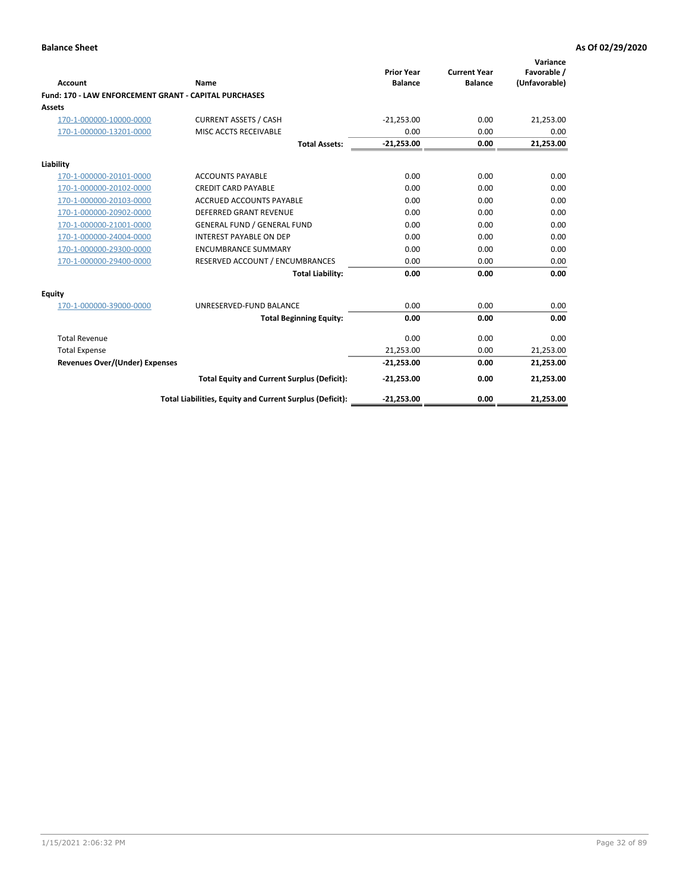|                                                       |                                                          |                                     |                                       | Variance                     |
|-------------------------------------------------------|----------------------------------------------------------|-------------------------------------|---------------------------------------|------------------------------|
| Account                                               | Name                                                     | <b>Prior Year</b><br><b>Balance</b> | <b>Current Year</b><br><b>Balance</b> | Favorable /<br>(Unfavorable) |
| Fund: 170 - LAW ENFORCEMENT GRANT - CAPITAL PURCHASES |                                                          |                                     |                                       |                              |
| <b>Assets</b>                                         |                                                          |                                     |                                       |                              |
| 170-1-000000-10000-0000                               | <b>CURRENT ASSETS / CASH</b>                             | $-21,253.00$                        | 0.00                                  | 21,253.00                    |
| 170-1-000000-13201-0000                               | MISC ACCTS RECEIVABLE                                    | 0.00                                | 0.00                                  | 0.00                         |
|                                                       | <b>Total Assets:</b>                                     | $-21,253.00$                        | 0.00                                  | 21,253.00                    |
| Liability                                             |                                                          |                                     |                                       |                              |
| 170-1-000000-20101-0000                               | <b>ACCOUNTS PAYABLE</b>                                  | 0.00                                | 0.00                                  | 0.00                         |
| 170-1-000000-20102-0000                               | <b>CREDIT CARD PAYABLE</b>                               | 0.00                                | 0.00                                  | 0.00                         |
| 170-1-000000-20103-0000                               | <b>ACCRUED ACCOUNTS PAYABLE</b>                          | 0.00                                | 0.00                                  | 0.00                         |
| 170-1-000000-20902-0000                               | <b>DEFERRED GRANT REVENUE</b>                            | 0.00                                | 0.00                                  | 0.00                         |
| 170-1-000000-21001-0000                               | <b>GENERAL FUND / GENERAL FUND</b>                       | 0.00                                | 0.00                                  | 0.00                         |
| 170-1-000000-24004-0000                               | <b>INTEREST PAYABLE ON DEP</b>                           | 0.00                                | 0.00                                  | 0.00                         |
| 170-1-000000-29300-0000                               | <b>ENCUMBRANCE SUMMARY</b>                               | 0.00                                | 0.00                                  | 0.00                         |
| 170-1-000000-29400-0000                               | RESERVED ACCOUNT / ENCUMBRANCES                          | 0.00                                | 0.00                                  | 0.00                         |
|                                                       | <b>Total Liability:</b>                                  | 0.00                                | 0.00                                  | 0.00                         |
| <b>Equity</b>                                         |                                                          |                                     |                                       |                              |
| 170-1-000000-39000-0000                               | UNRESERVED-FUND BALANCE                                  | 0.00                                | 0.00                                  | 0.00                         |
|                                                       | <b>Total Beginning Equity:</b>                           | 0.00                                | 0.00                                  | 0.00                         |
| <b>Total Revenue</b>                                  |                                                          | 0.00                                | 0.00                                  | 0.00                         |
| <b>Total Expense</b>                                  |                                                          | 21,253.00                           | 0.00                                  | 21,253.00                    |
| Revenues Over/(Under) Expenses                        |                                                          | $-21,253.00$                        | 0.00                                  | 21,253.00                    |
|                                                       | <b>Total Equity and Current Surplus (Deficit):</b>       | $-21,253.00$                        | 0.00                                  | 21,253.00                    |
|                                                       | Total Liabilities, Equity and Current Surplus (Deficit): | $-21.253.00$                        | 0.00                                  | 21.253.00                    |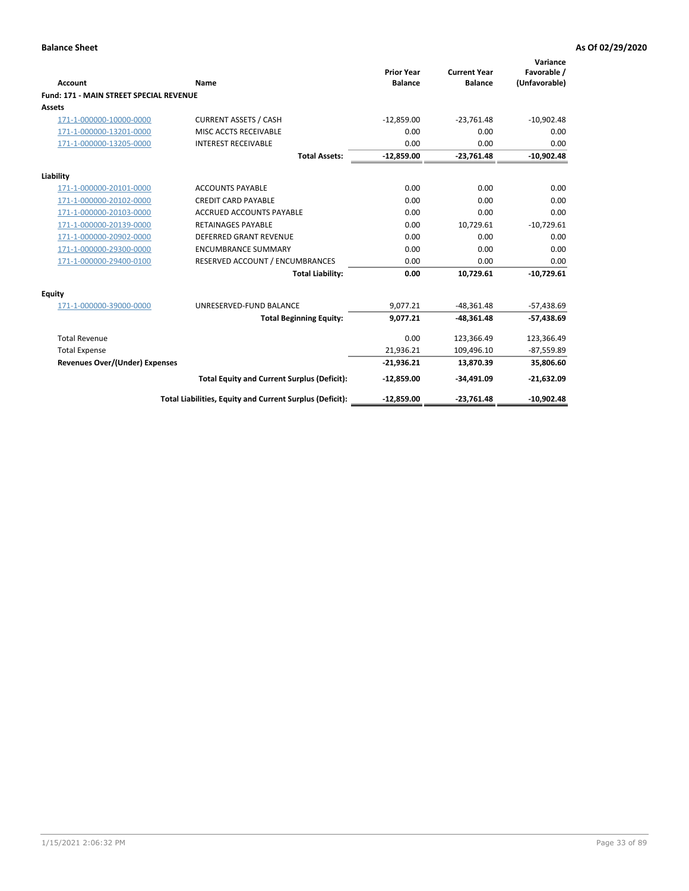| Account                                        | Name                                                     | <b>Prior Year</b><br><b>Balance</b> | <b>Current Year</b><br><b>Balance</b> | Variance<br>Favorable /<br>(Unfavorable) |
|------------------------------------------------|----------------------------------------------------------|-------------------------------------|---------------------------------------|------------------------------------------|
| <b>Fund: 171 - MAIN STREET SPECIAL REVENUE</b> |                                                          |                                     |                                       |                                          |
| Assets                                         |                                                          |                                     |                                       |                                          |
| 171-1-000000-10000-0000                        | <b>CURRENT ASSETS / CASH</b>                             | $-12,859.00$                        | $-23,761.48$                          | $-10,902.48$                             |
| 171-1-000000-13201-0000                        | MISC ACCTS RECEIVABLE                                    | 0.00                                | 0.00                                  | 0.00                                     |
| 171-1-000000-13205-0000                        | <b>INTEREST RECEIVABLE</b>                               | 0.00                                | 0.00                                  | 0.00                                     |
|                                                | <b>Total Assets:</b>                                     | $-12,859.00$                        | $-23,761.48$                          | $-10,902.48$                             |
| Liability                                      |                                                          |                                     |                                       |                                          |
| 171-1-000000-20101-0000                        | <b>ACCOUNTS PAYABLE</b>                                  | 0.00                                | 0.00                                  | 0.00                                     |
| 171-1-000000-20102-0000                        | <b>CREDIT CARD PAYABLE</b>                               | 0.00                                | 0.00                                  | 0.00                                     |
| 171-1-000000-20103-0000                        | <b>ACCRUED ACCOUNTS PAYABLE</b>                          | 0.00                                | 0.00                                  | 0.00                                     |
| 171-1-000000-20139-0000                        | <b>RETAINAGES PAYABLE</b>                                | 0.00                                | 10,729.61                             | $-10,729.61$                             |
| 171-1-000000-20902-0000                        | <b>DEFERRED GRANT REVENUE</b>                            | 0.00                                | 0.00                                  | 0.00                                     |
| 171-1-000000-29300-0000                        | <b>ENCUMBRANCE SUMMARY</b>                               | 0.00                                | 0.00                                  | 0.00                                     |
| 171-1-000000-29400-0100                        | RESERVED ACCOUNT / ENCUMBRANCES                          | 0.00                                | 0.00                                  | 0.00                                     |
|                                                | <b>Total Liability:</b>                                  | 0.00                                | 10,729.61                             | $-10,729.61$                             |
| <b>Equity</b>                                  |                                                          |                                     |                                       |                                          |
| 171-1-000000-39000-0000                        | UNRESERVED-FUND BALANCE                                  | 9,077.21                            | $-48.361.48$                          | $-57,438.69$                             |
|                                                | <b>Total Beginning Equity:</b>                           | 9,077.21                            | $-48,361.48$                          | $-57,438.69$                             |
| <b>Total Revenue</b>                           |                                                          | 0.00                                | 123,366.49                            | 123,366.49                               |
| <b>Total Expense</b>                           |                                                          | 21,936.21                           | 109,496.10                            | $-87,559.89$                             |
| Revenues Over/(Under) Expenses                 |                                                          | $-21,936.21$                        | 13,870.39                             | 35,806.60                                |
|                                                | <b>Total Equity and Current Surplus (Deficit):</b>       | $-12,859.00$                        | $-34,491.09$                          | $-21,632.09$                             |
|                                                | Total Liabilities, Equity and Current Surplus (Deficit): | $-12.859.00$                        | $-23.761.48$                          | $-10.902.48$                             |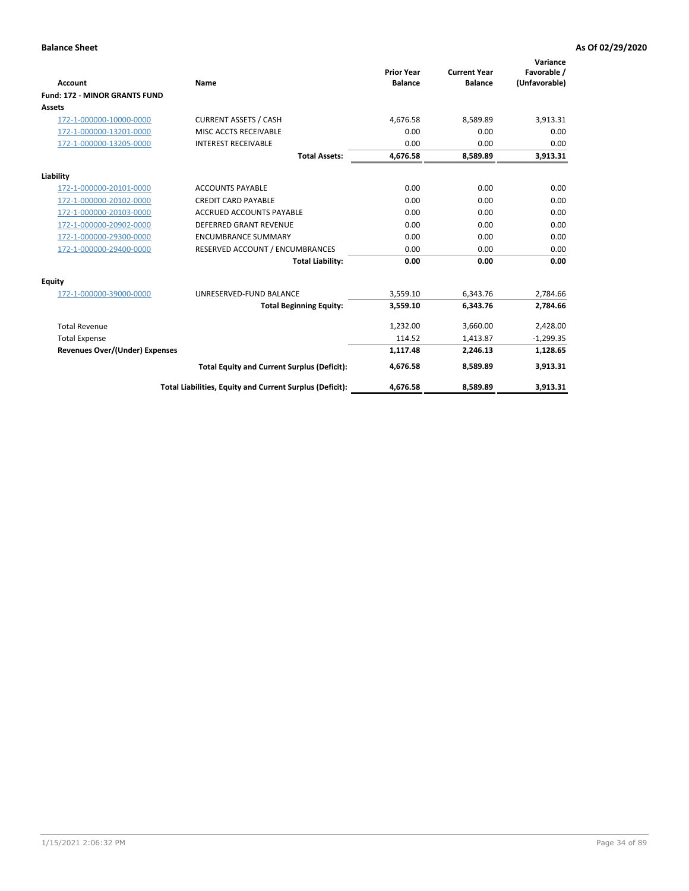|                                       |                                                          |                                     |                                       | Variance                     |
|---------------------------------------|----------------------------------------------------------|-------------------------------------|---------------------------------------|------------------------------|
| <b>Account</b>                        | <b>Name</b>                                              | <b>Prior Year</b><br><b>Balance</b> | <b>Current Year</b><br><b>Balance</b> | Favorable /<br>(Unfavorable) |
| <b>Fund: 172 - MINOR GRANTS FUND</b>  |                                                          |                                     |                                       |                              |
| <b>Assets</b>                         |                                                          |                                     |                                       |                              |
| 172-1-000000-10000-0000               | <b>CURRENT ASSETS / CASH</b>                             | 4,676.58                            | 8,589.89                              | 3,913.31                     |
| 172-1-000000-13201-0000               | MISC ACCTS RECEIVABLE                                    | 0.00                                | 0.00                                  | 0.00                         |
| 172-1-000000-13205-0000               | <b>INTEREST RECEIVABLE</b>                               | 0.00                                | 0.00                                  | 0.00                         |
|                                       | <b>Total Assets:</b>                                     | 4,676.58                            | 8,589.89                              | 3,913.31                     |
| Liability                             |                                                          |                                     |                                       |                              |
| 172-1-000000-20101-0000               | <b>ACCOUNTS PAYABLE</b>                                  | 0.00                                | 0.00                                  | 0.00                         |
| 172-1-000000-20102-0000               | <b>CREDIT CARD PAYABLE</b>                               | 0.00                                | 0.00                                  | 0.00                         |
| 172-1-000000-20103-0000               | <b>ACCRUED ACCOUNTS PAYABLE</b>                          | 0.00                                | 0.00                                  | 0.00                         |
| 172-1-000000-20902-0000               | DEFERRED GRANT REVENUE                                   | 0.00                                | 0.00                                  | 0.00                         |
| 172-1-000000-29300-0000               | <b>ENCUMBRANCE SUMMARY</b>                               | 0.00                                | 0.00                                  | 0.00                         |
| 172-1-000000-29400-0000               | RESERVED ACCOUNT / ENCUMBRANCES                          | 0.00                                | 0.00                                  | 0.00                         |
|                                       | <b>Total Liability:</b>                                  | 0.00                                | 0.00                                  | 0.00                         |
| Equity                                |                                                          |                                     |                                       |                              |
| 172-1-000000-39000-0000               | UNRESERVED-FUND BALANCE                                  | 3,559.10                            | 6,343.76                              | 2,784.66                     |
|                                       | <b>Total Beginning Equity:</b>                           | 3,559.10                            | 6,343.76                              | 2,784.66                     |
| <b>Total Revenue</b>                  |                                                          | 1,232.00                            | 3,660.00                              | 2,428.00                     |
| <b>Total Expense</b>                  |                                                          | 114.52                              | 1,413.87                              | $-1,299.35$                  |
| <b>Revenues Over/(Under) Expenses</b> |                                                          | 1,117.48                            | 2,246.13                              | 1,128.65                     |
|                                       | <b>Total Equity and Current Surplus (Deficit):</b>       | 4,676.58                            | 8,589.89                              | 3,913.31                     |
|                                       | Total Liabilities, Equity and Current Surplus (Deficit): | 4,676.58                            | 8,589.89                              | 3,913.31                     |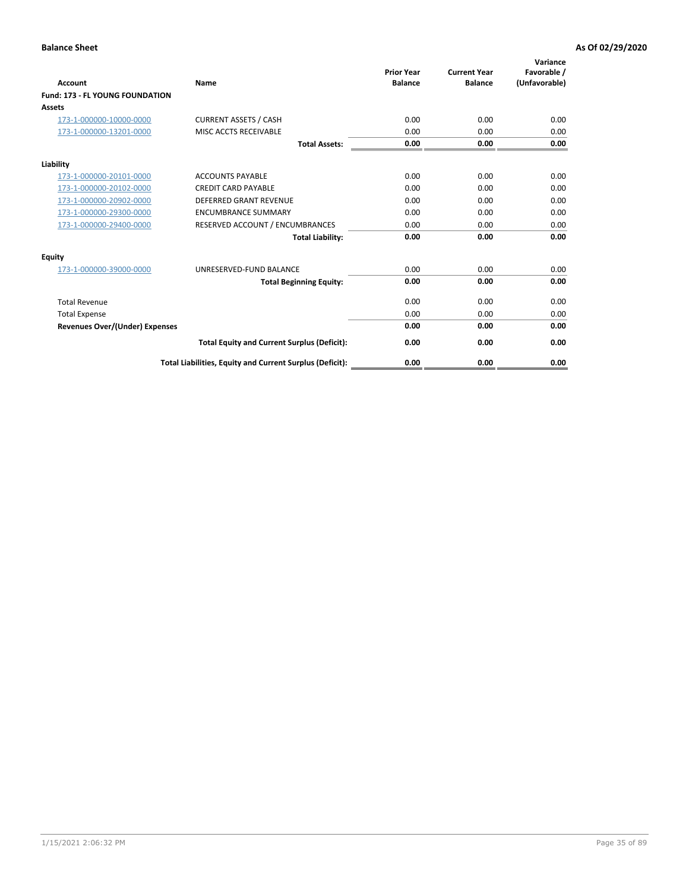| <b>Account</b>                         | Name                                                     | <b>Prior Year</b><br><b>Balance</b> | <b>Current Year</b><br><b>Balance</b> | Variance<br>Favorable /<br>(Unfavorable) |
|----------------------------------------|----------------------------------------------------------|-------------------------------------|---------------------------------------|------------------------------------------|
| <b>Fund: 173 - FL YOUNG FOUNDATION</b> |                                                          |                                     |                                       |                                          |
| Assets                                 |                                                          |                                     |                                       |                                          |
| 173-1-000000-10000-0000                | <b>CURRENT ASSETS / CASH</b>                             | 0.00                                | 0.00                                  | 0.00                                     |
| 173-1-000000-13201-0000                | MISC ACCTS RECEIVABLE                                    | 0.00                                | 0.00                                  | 0.00                                     |
|                                        | <b>Total Assets:</b>                                     | 0.00                                | 0.00                                  | 0.00                                     |
| Liability                              |                                                          |                                     |                                       |                                          |
| 173-1-000000-20101-0000                | <b>ACCOUNTS PAYABLE</b>                                  | 0.00                                | 0.00                                  | 0.00                                     |
| 173-1-000000-20102-0000                | <b>CREDIT CARD PAYABLE</b>                               | 0.00                                | 0.00                                  | 0.00                                     |
| 173-1-000000-20902-0000                | <b>DEFERRED GRANT REVENUE</b>                            | 0.00                                | 0.00                                  | 0.00                                     |
| 173-1-000000-29300-0000                | <b>ENCUMBRANCE SUMMARY</b>                               | 0.00                                | 0.00                                  | 0.00                                     |
| 173-1-000000-29400-0000                | RESERVED ACCOUNT / ENCUMBRANCES                          | 0.00                                | 0.00                                  | 0.00                                     |
|                                        | <b>Total Liability:</b>                                  | 0.00                                | 0.00                                  | 0.00                                     |
| Equity                                 |                                                          |                                     |                                       |                                          |
| 173-1-000000-39000-0000                | UNRESERVED-FUND BALANCE                                  | 0.00                                | 0.00                                  | 0.00                                     |
|                                        | <b>Total Beginning Equity:</b>                           | 0.00                                | 0.00                                  | 0.00                                     |
| <b>Total Revenue</b>                   |                                                          | 0.00                                | 0.00                                  | 0.00                                     |
| <b>Total Expense</b>                   |                                                          | 0.00                                | 0.00                                  | 0.00                                     |
| <b>Revenues Over/(Under) Expenses</b>  |                                                          | 0.00                                | 0.00                                  | 0.00                                     |
|                                        | <b>Total Equity and Current Surplus (Deficit):</b>       | 0.00                                | 0.00                                  | 0.00                                     |
|                                        | Total Liabilities, Equity and Current Surplus (Deficit): | 0.00                                | 0.00                                  | 0.00                                     |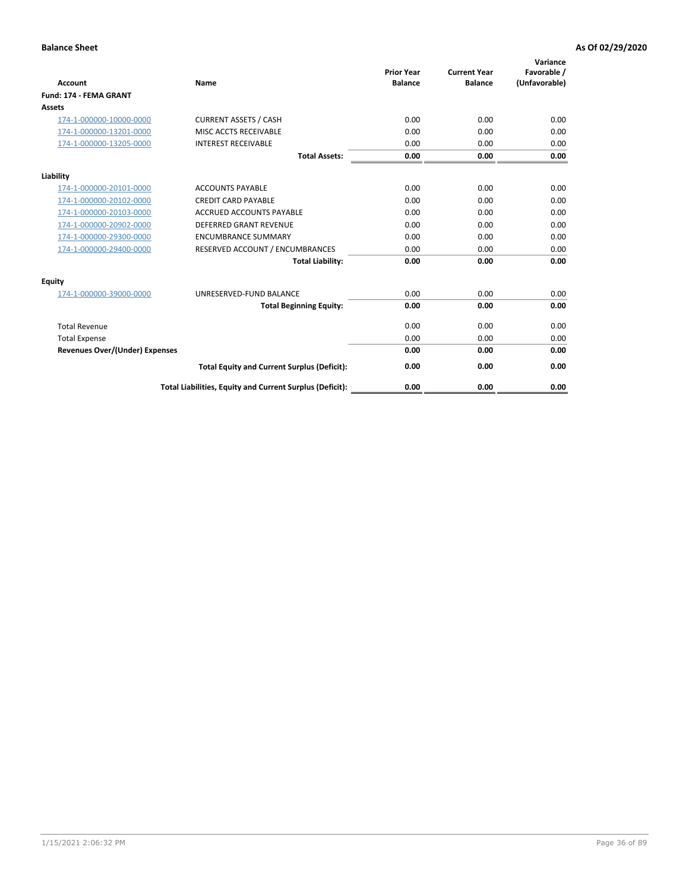| <b>Account</b>                        | Name                                                     | <b>Prior Year</b><br><b>Balance</b> | <b>Current Year</b><br><b>Balance</b> | Variance<br>Favorable /<br>(Unfavorable) |
|---------------------------------------|----------------------------------------------------------|-------------------------------------|---------------------------------------|------------------------------------------|
| Fund: 174 - FEMA GRANT                |                                                          |                                     |                                       |                                          |
| Assets                                |                                                          |                                     |                                       |                                          |
| 174-1-000000-10000-0000               | <b>CURRENT ASSETS / CASH</b>                             | 0.00                                | 0.00                                  | 0.00                                     |
| 174-1-000000-13201-0000               | MISC ACCTS RECEIVABLE                                    | 0.00                                | 0.00                                  | 0.00                                     |
| 174-1-000000-13205-0000               | <b>INTEREST RECEIVABLE</b>                               | 0.00                                | 0.00                                  | 0.00                                     |
|                                       | <b>Total Assets:</b>                                     | 0.00                                | 0.00                                  | 0.00                                     |
| Liability                             |                                                          |                                     |                                       |                                          |
| 174-1-000000-20101-0000               | <b>ACCOUNTS PAYABLE</b>                                  | 0.00                                | 0.00                                  | 0.00                                     |
| 174-1-000000-20102-0000               | <b>CREDIT CARD PAYABLE</b>                               | 0.00                                | 0.00                                  | 0.00                                     |
| 174-1-000000-20103-0000               | <b>ACCRUED ACCOUNTS PAYABLE</b>                          | 0.00                                | 0.00                                  | 0.00                                     |
| 174-1-000000-20902-0000               | <b>DEFERRED GRANT REVENUE</b>                            | 0.00                                | 0.00                                  | 0.00                                     |
| 174-1-000000-29300-0000               | <b>ENCUMBRANCE SUMMARY</b>                               | 0.00                                | 0.00                                  | 0.00                                     |
| 174-1-000000-29400-0000               | RESERVED ACCOUNT / ENCUMBRANCES                          | 0.00                                | 0.00                                  | 0.00                                     |
|                                       | <b>Total Liability:</b>                                  | 0.00                                | 0.00                                  | 0.00                                     |
| Equity                                |                                                          |                                     |                                       |                                          |
| 174-1-000000-39000-0000               | UNRESERVED-FUND BALANCE                                  | 0.00                                | 0.00                                  | 0.00                                     |
|                                       | <b>Total Beginning Equity:</b>                           | 0.00                                | 0.00                                  | 0.00                                     |
| <b>Total Revenue</b>                  |                                                          | 0.00                                | 0.00                                  | 0.00                                     |
| <b>Total Expense</b>                  |                                                          | 0.00                                | 0.00                                  | 0.00                                     |
| <b>Revenues Over/(Under) Expenses</b> |                                                          | 0.00                                | 0.00                                  | 0.00                                     |
|                                       | <b>Total Equity and Current Surplus (Deficit):</b>       | 0.00                                | 0.00                                  | 0.00                                     |
|                                       | Total Liabilities, Equity and Current Surplus (Deficit): | 0.00                                | 0.00                                  | 0.00                                     |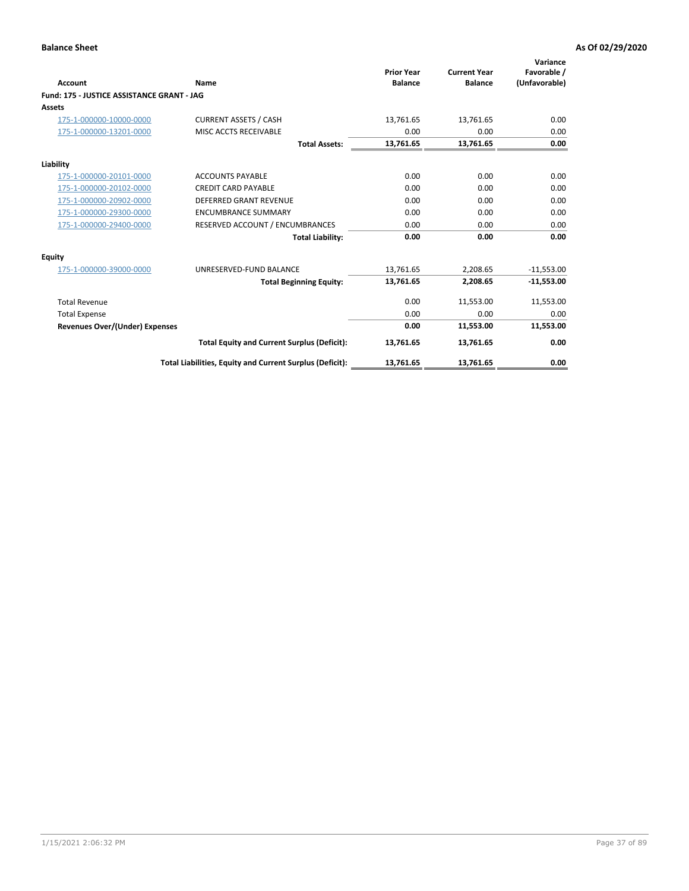| <b>Account</b>                             | Name                                                     | <b>Prior Year</b><br><b>Balance</b> | <b>Current Year</b><br><b>Balance</b> | Variance<br>Favorable /<br>(Unfavorable) |
|--------------------------------------------|----------------------------------------------------------|-------------------------------------|---------------------------------------|------------------------------------------|
| Fund: 175 - JUSTICE ASSISTANCE GRANT - JAG |                                                          |                                     |                                       |                                          |
| <b>Assets</b>                              |                                                          |                                     |                                       |                                          |
| 175-1-000000-10000-0000                    | <b>CURRENT ASSETS / CASH</b>                             | 13,761.65                           | 13,761.65                             | 0.00                                     |
| 175-1-000000-13201-0000                    | MISC ACCTS RECEIVABLE                                    | 0.00                                | 0.00                                  | 0.00                                     |
|                                            | <b>Total Assets:</b>                                     | 13,761.65                           | 13,761.65                             | 0.00                                     |
| Liability                                  |                                                          |                                     |                                       |                                          |
| 175-1-000000-20101-0000                    | <b>ACCOUNTS PAYABLE</b>                                  | 0.00                                | 0.00                                  | 0.00                                     |
| 175-1-000000-20102-0000                    | <b>CREDIT CARD PAYABLE</b>                               | 0.00                                | 0.00                                  | 0.00                                     |
| 175-1-000000-20902-0000                    | <b>DEFERRED GRANT REVENUE</b>                            | 0.00                                | 0.00                                  | 0.00                                     |
| 175-1-000000-29300-0000                    | <b>ENCUMBRANCE SUMMARY</b>                               | 0.00                                | 0.00                                  | 0.00                                     |
| 175-1-000000-29400-0000                    | RESERVED ACCOUNT / ENCUMBRANCES                          | 0.00                                | 0.00                                  | 0.00                                     |
|                                            | <b>Total Liability:</b>                                  | 0.00                                | 0.00                                  | 0.00                                     |
| Equity                                     |                                                          |                                     |                                       |                                          |
| 175-1-000000-39000-0000                    | UNRESERVED-FUND BALANCE                                  | 13,761.65                           | 2,208.65                              | $-11,553.00$                             |
|                                            | <b>Total Beginning Equity:</b>                           | 13,761.65                           | 2,208.65                              | $-11,553.00$                             |
| <b>Total Revenue</b>                       |                                                          | 0.00                                | 11,553.00                             | 11,553.00                                |
| <b>Total Expense</b>                       |                                                          | 0.00                                | 0.00                                  | 0.00                                     |
| <b>Revenues Over/(Under) Expenses</b>      |                                                          | 0.00                                | 11,553.00                             | 11,553.00                                |
|                                            | <b>Total Equity and Current Surplus (Deficit):</b>       | 13,761.65                           | 13,761.65                             | 0.00                                     |
|                                            | Total Liabilities, Equity and Current Surplus (Deficit): | 13,761.65                           | 13,761.65                             | 0.00                                     |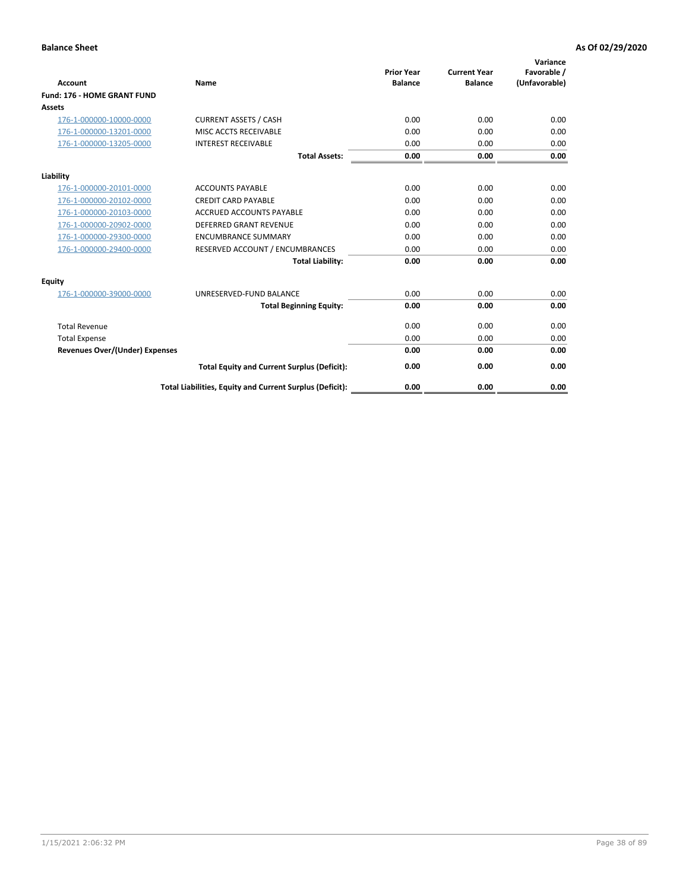| <b>Account</b>                        | Name                                                     | <b>Prior Year</b><br><b>Balance</b> | <b>Current Year</b><br><b>Balance</b> | Variance<br>Favorable /<br>(Unfavorable) |
|---------------------------------------|----------------------------------------------------------|-------------------------------------|---------------------------------------|------------------------------------------|
| <b>Fund: 176 - HOME GRANT FUND</b>    |                                                          |                                     |                                       |                                          |
| Assets                                |                                                          |                                     |                                       |                                          |
| 176-1-000000-10000-0000               | <b>CURRENT ASSETS / CASH</b>                             | 0.00                                | 0.00                                  | 0.00                                     |
| 176-1-000000-13201-0000               | MISC ACCTS RECEIVABLE                                    | 0.00                                | 0.00                                  | 0.00                                     |
| 176-1-000000-13205-0000               | <b>INTEREST RECEIVABLE</b>                               | 0.00                                | 0.00                                  | 0.00                                     |
|                                       | <b>Total Assets:</b>                                     | 0.00                                | 0.00                                  | 0.00                                     |
| Liability                             |                                                          |                                     |                                       |                                          |
| 176-1-000000-20101-0000               | <b>ACCOUNTS PAYABLE</b>                                  | 0.00                                | 0.00                                  | 0.00                                     |
| 176-1-000000-20102-0000               | <b>CREDIT CARD PAYABLE</b>                               | 0.00                                | 0.00                                  | 0.00                                     |
| 176-1-000000-20103-0000               | <b>ACCRUED ACCOUNTS PAYABLE</b>                          | 0.00                                | 0.00                                  | 0.00                                     |
| 176-1-000000-20902-0000               | <b>DEFERRED GRANT REVENUE</b>                            | 0.00                                | 0.00                                  | 0.00                                     |
| 176-1-000000-29300-0000               | <b>ENCUMBRANCE SUMMARY</b>                               | 0.00                                | 0.00                                  | 0.00                                     |
| 176-1-000000-29400-0000               | RESERVED ACCOUNT / ENCUMBRANCES                          | 0.00                                | 0.00                                  | 0.00                                     |
|                                       | <b>Total Liability:</b>                                  | 0.00                                | 0.00                                  | 0.00                                     |
| Equity                                |                                                          |                                     |                                       |                                          |
| 176-1-000000-39000-0000               | UNRESERVED-FUND BALANCE                                  | 0.00                                | 0.00                                  | 0.00                                     |
|                                       | <b>Total Beginning Equity:</b>                           | 0.00                                | 0.00                                  | 0.00                                     |
| <b>Total Revenue</b>                  |                                                          | 0.00                                | 0.00                                  | 0.00                                     |
| <b>Total Expense</b>                  |                                                          | 0.00                                | 0.00                                  | 0.00                                     |
| <b>Revenues Over/(Under) Expenses</b> |                                                          | 0.00                                | 0.00                                  | 0.00                                     |
|                                       | <b>Total Equity and Current Surplus (Deficit):</b>       | 0.00                                | 0.00                                  | 0.00                                     |
|                                       | Total Liabilities, Equity and Current Surplus (Deficit): | 0.00                                | 0.00                                  | 0.00                                     |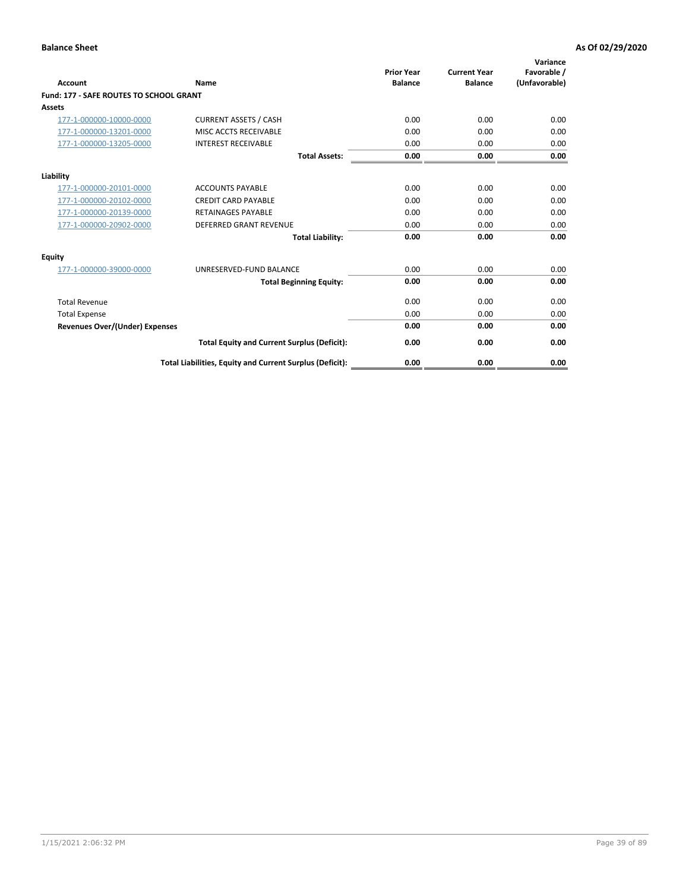| Account                                        | Name                                                     | <b>Prior Year</b><br><b>Balance</b> | <b>Current Year</b><br><b>Balance</b> | Variance<br>Favorable /<br>(Unfavorable) |
|------------------------------------------------|----------------------------------------------------------|-------------------------------------|---------------------------------------|------------------------------------------|
| <b>Fund: 177 - SAFE ROUTES TO SCHOOL GRANT</b> |                                                          |                                     |                                       |                                          |
| <b>Assets</b>                                  |                                                          |                                     |                                       |                                          |
| 177-1-000000-10000-0000                        | <b>CURRENT ASSETS / CASH</b>                             | 0.00                                | 0.00                                  | 0.00                                     |
| 177-1-000000-13201-0000                        | MISC ACCTS RECEIVABLE                                    | 0.00                                | 0.00                                  | 0.00                                     |
| 177-1-000000-13205-0000                        | <b>INTEREST RECEIVABLE</b>                               | 0.00                                | 0.00                                  | 0.00                                     |
|                                                | <b>Total Assets:</b>                                     | 0.00                                | 0.00                                  | 0.00                                     |
| Liability                                      |                                                          |                                     |                                       |                                          |
| 177-1-000000-20101-0000                        | <b>ACCOUNTS PAYABLE</b>                                  | 0.00                                | 0.00                                  | 0.00                                     |
| 177-1-000000-20102-0000                        | <b>CREDIT CARD PAYABLE</b>                               | 0.00                                | 0.00                                  | 0.00                                     |
| 177-1-000000-20139-0000                        | <b>RETAINAGES PAYABLE</b>                                | 0.00                                | 0.00                                  | 0.00                                     |
| 177-1-000000-20902-0000                        | <b>DEFERRED GRANT REVENUE</b>                            | 0.00                                | 0.00                                  | 0.00                                     |
|                                                | <b>Total Liability:</b>                                  | 0.00                                | 0.00                                  | 0.00                                     |
| Equity                                         |                                                          |                                     |                                       |                                          |
| 177-1-000000-39000-0000                        | UNRESERVED-FUND BALANCE                                  | 0.00                                | 0.00                                  | 0.00                                     |
|                                                | <b>Total Beginning Equity:</b>                           | 0.00                                | 0.00                                  | 0.00                                     |
| <b>Total Revenue</b>                           |                                                          | 0.00                                | 0.00                                  | 0.00                                     |
| <b>Total Expense</b>                           |                                                          | 0.00                                | 0.00                                  | 0.00                                     |
| Revenues Over/(Under) Expenses                 |                                                          | 0.00                                | 0.00                                  | 0.00                                     |
|                                                | <b>Total Equity and Current Surplus (Deficit):</b>       | 0.00                                | 0.00                                  | 0.00                                     |
|                                                | Total Liabilities, Equity and Current Surplus (Deficit): | 0.00                                | 0.00                                  | 0.00                                     |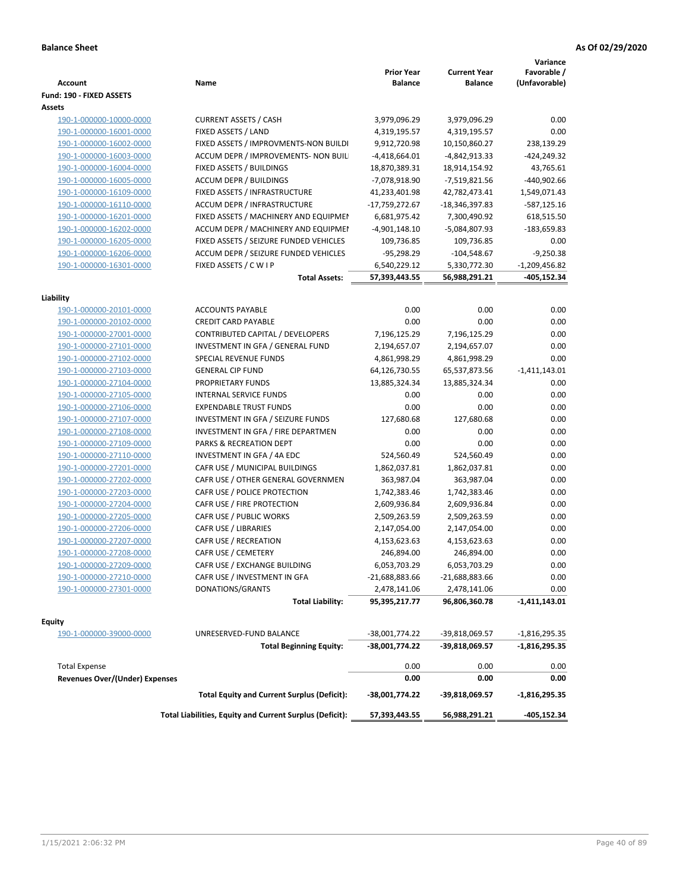| <b>Account</b>                           | Name                                                     | <b>Prior Year</b><br><b>Balance</b> | <b>Current Year</b><br><b>Balance</b> | Variance<br>Favorable /<br>(Unfavorable) |
|------------------------------------------|----------------------------------------------------------|-------------------------------------|---------------------------------------|------------------------------------------|
| Fund: 190 - FIXED ASSETS<br>Assets       |                                                          |                                     |                                       |                                          |
| 190-1-000000-10000-0000                  | <b>CURRENT ASSETS / CASH</b>                             | 3,979,096.29                        | 3,979,096.29                          | 0.00                                     |
| 190-1-000000-16001-0000                  | FIXED ASSETS / LAND                                      | 4,319,195.57                        | 4,319,195.57                          | 0.00                                     |
| 190-1-000000-16002-0000                  | FIXED ASSETS / IMPROVMENTS-NON BUILDI                    | 9,912,720.98                        | 10,150,860.27                         | 238,139.29                               |
| 190-1-000000-16003-0000                  | ACCUM DEPR / IMPROVEMENTS- NON BUIL                      | $-4,418,664.01$                     | -4,842,913.33                         | -424,249.32                              |
| 190-1-000000-16004-0000                  | FIXED ASSETS / BUILDINGS                                 | 18,870,389.31                       | 18,914,154.92                         | 43,765.61                                |
| 190-1-000000-16005-0000                  | <b>ACCUM DEPR / BUILDINGS</b>                            | -7,078,918.90                       | -7,519,821.56                         | $-440,902.66$                            |
| 190-1-000000-16109-0000                  | FIXED ASSETS / INFRASTRUCTURE                            | 41,233,401.98                       | 42,782,473.41                         | 1,549,071.43                             |
| 190-1-000000-16110-0000                  | ACCUM DEPR / INFRASTRUCTURE                              | -17,759,272.67                      | -18,346,397.83                        | $-587,125.16$                            |
| 190-1-000000-16201-0000                  | FIXED ASSETS / MACHINERY AND EQUIPMEN                    | 6,681,975.42                        | 7,300,490.92                          | 618,515.50                               |
| 190-1-000000-16202-0000                  | ACCUM DEPR / MACHINERY AND EQUIPMEI                      | $-4,901,148.10$                     | -5,084,807.93                         | $-183,659.83$                            |
| 190-1-000000-16205-0000                  | FIXED ASSETS / SEIZURE FUNDED VEHICLES                   | 109,736.85                          | 109,736.85                            | 0.00                                     |
| 190-1-000000-16206-0000                  | ACCUM DEPR / SEIZURE FUNDED VEHICLES                     | $-95,298.29$                        | $-104,548.67$                         | $-9,250.38$                              |
| 190-1-000000-16301-0000                  | FIXED ASSETS / C W I P                                   | 6,540,229.12                        | 5,330,772.30                          | $-1,209,456.82$                          |
|                                          | <b>Total Assets:</b>                                     | 57,393,443.55                       | 56,988,291.21                         | -405,152.34                              |
|                                          |                                                          |                                     |                                       |                                          |
| Liability                                |                                                          |                                     |                                       |                                          |
| 190-1-000000-20101-0000                  | <b>ACCOUNTS PAYABLE</b>                                  | 0.00                                | 0.00                                  | 0.00                                     |
| 190-1-000000-20102-0000                  | <b>CREDIT CARD PAYABLE</b>                               | 0.00                                | 0.00                                  | 0.00                                     |
| 190-1-000000-27001-0000                  | CONTRIBUTED CAPITAL / DEVELOPERS                         | 7,196,125.29                        | 7,196,125.29                          | 0.00                                     |
| 190-1-000000-27101-0000                  | INVESTMENT IN GFA / GENERAL FUND                         | 2,194,657.07                        | 2,194,657.07                          | 0.00                                     |
| 190-1-000000-27102-0000                  | SPECIAL REVENUE FUNDS                                    | 4,861,998.29                        | 4,861,998.29                          | 0.00                                     |
| 190-1-000000-27103-0000                  | <b>GENERAL CIP FUND</b>                                  | 64,126,730.55                       | 65,537,873.56                         | $-1,411,143.01$                          |
| 190-1-000000-27104-0000                  | PROPRIETARY FUNDS                                        | 13,885,324.34                       | 13,885,324.34                         | 0.00                                     |
| 190-1-000000-27105-0000                  | <b>INTERNAL SERVICE FUNDS</b>                            | 0.00                                | 0.00                                  | 0.00                                     |
| 190-1-000000-27106-0000                  | <b>EXPENDABLE TRUST FUNDS</b>                            | 0.00                                | 0.00                                  | 0.00                                     |
| 190-1-000000-27107-0000                  | INVESTMENT IN GFA / SEIZURE FUNDS                        | 127,680.68                          | 127,680.68                            | 0.00                                     |
| 190-1-000000-27108-0000                  | INVESTMENT IN GFA / FIRE DEPARTMEN                       | 0.00                                | 0.00                                  | 0.00                                     |
| 190-1-000000-27109-0000                  | PARKS & RECREATION DEPT                                  | 0.00                                | 0.00                                  | 0.00                                     |
| 190-1-000000-27110-0000                  | INVESTMENT IN GFA / 4A EDC                               | 524,560.49                          | 524,560.49                            | 0.00                                     |
| 190-1-000000-27201-0000                  | CAFR USE / MUNICIPAL BUILDINGS                           | 1,862,037.81                        | 1,862,037.81                          | 0.00                                     |
| 190-1-000000-27202-0000                  | CAFR USE / OTHER GENERAL GOVERNMEN                       | 363,987.04                          | 363,987.04                            | 0.00                                     |
| 190-1-000000-27203-0000                  | CAFR USE / POLICE PROTECTION                             | 1,742,383.46                        | 1,742,383.46                          | 0.00                                     |
| 190-1-000000-27204-0000                  | CAFR USE / FIRE PROTECTION                               | 2,609,936.84                        | 2,609,936.84                          | 0.00                                     |
| 190-1-000000-27205-0000                  | CAFR USE / PUBLIC WORKS                                  | 2,509,263.59                        | 2,509,263.59                          | 0.00                                     |
| 190-1-000000-27206-0000                  | CAFR USE / LIBRARIES                                     | 2,147,054.00                        | 2,147,054.00                          | 0.00                                     |
| 190-1-000000-27207-0000                  | CAFR USE / RECREATION                                    | 4,153,623.63                        | 4,153,623.63                          | 0.00                                     |
| 190-1-000000-27208-0000                  | CAFR USE / CEMETERY                                      | 246,894.00                          | 246,894.00                            | 0.00                                     |
| 190-1-000000-27209-0000                  | CAFR USE / EXCHANGE BUILDING                             | 6,053,703.29                        | 6,053,703.29                          | 0.00                                     |
| 190-1-000000-27210-0000                  | CAFR USE / INVESTMENT IN GFA                             | -21,688,883.66                      | $-21,688,883.66$                      | 0.00                                     |
| 190-1-000000-27301-0000                  | DONATIONS/GRANTS                                         | 2,478,141.06                        | 2,478,141.06                          | 0.00                                     |
|                                          | <b>Total Liability:</b>                                  | 95,395,217.77                       | 96,806,360.78                         | -1,411,143.01                            |
|                                          |                                                          |                                     |                                       |                                          |
| <b>Equity</b><br>190-1-000000-39000-0000 | UNRESERVED-FUND BALANCE                                  | -38,001,774.22                      | -39,818,069.57                        | $-1,816,295.35$                          |
|                                          | <b>Total Beginning Equity:</b>                           | -38,001,774.22                      | -39,818,069.57                        | $-1,816,295.35$                          |
|                                          |                                                          |                                     |                                       |                                          |
| <b>Total Expense</b>                     |                                                          | 0.00                                | 0.00                                  | 0.00                                     |
| Revenues Over/(Under) Expenses           |                                                          | 0.00                                | 0.00                                  | 0.00                                     |
|                                          | <b>Total Equity and Current Surplus (Deficit):</b>       | -38,001,774.22                      | -39,818,069.57                        | $-1,816,295.35$                          |
|                                          | Total Liabilities, Equity and Current Surplus (Deficit): | 57,393,443.55                       | 56,988,291.21                         | -405,152.34                              |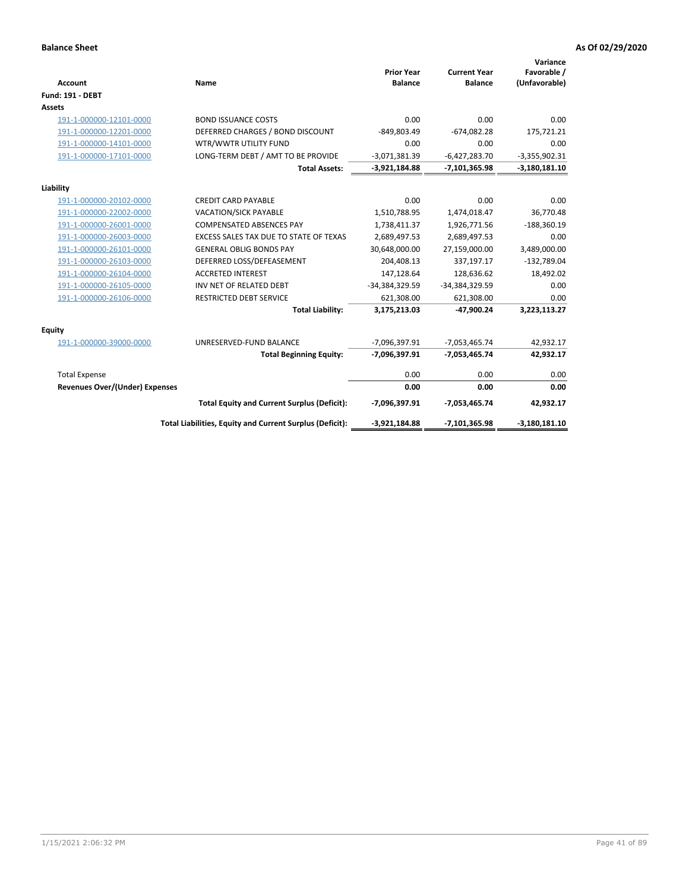| Account                               | Name                                                     | <b>Prior Year</b><br><b>Balance</b> | <b>Current Year</b><br><b>Balance</b> | Variance<br>Favorable /<br>(Unfavorable) |
|---------------------------------------|----------------------------------------------------------|-------------------------------------|---------------------------------------|------------------------------------------|
| <b>Fund: 191 - DEBT</b>               |                                                          |                                     |                                       |                                          |
| Assets                                |                                                          |                                     |                                       |                                          |
| 191-1-000000-12101-0000               | <b>BOND ISSUANCE COSTS</b>                               | 0.00                                | 0.00                                  | 0.00                                     |
| 191-1-000000-12201-0000               | DEFERRED CHARGES / BOND DISCOUNT                         | $-849,803.49$                       | $-674,082.28$                         | 175,721.21                               |
| 191-1-000000-14101-0000               | WTR/WWTR UTILITY FUND                                    | 0.00                                | 0.00                                  | 0.00                                     |
| 191-1-000000-17101-0000               | LONG-TERM DEBT / AMT TO BE PROVIDE                       | $-3,071,381.39$                     | $-6,427,283.70$                       | $-3,355,902.31$                          |
|                                       | <b>Total Assets:</b>                                     | $-3,921,184.88$                     | $-7,101,365.98$                       | $-3,180,181.10$                          |
| Liability                             |                                                          |                                     |                                       |                                          |
| 191-1-000000-20102-0000               | <b>CREDIT CARD PAYABLE</b>                               | 0.00                                | 0.00                                  | 0.00                                     |
| 191-1-000000-22002-0000               | <b>VACATION/SICK PAYABLE</b>                             | 1,510,788.95                        | 1,474,018.47                          | 36,770.48                                |
| 191-1-000000-26001-0000               | <b>COMPENSATED ABSENCES PAY</b>                          | 1,738,411.37                        | 1,926,771.56                          | $-188,360.19$                            |
| 191-1-000000-26003-0000               | EXCESS SALES TAX DUE TO STATE OF TEXAS                   | 2,689,497.53                        | 2,689,497.53                          | 0.00                                     |
| 191-1-000000-26101-0000               | <b>GENERAL OBLIG BONDS PAY</b>                           | 30,648,000.00                       | 27,159,000.00                         | 3,489,000.00                             |
| 191-1-000000-26103-0000               | DEFERRED LOSS/DEFEASEMENT                                | 204,408.13                          | 337,197.17                            | $-132,789.04$                            |
| 191-1-000000-26104-0000               | <b>ACCRETED INTEREST</b>                                 | 147,128.64                          | 128,636.62                            | 18,492.02                                |
| 191-1-000000-26105-0000               | INV NET OF RELATED DEBT                                  | -34,384,329.59                      | -34,384,329.59                        | 0.00                                     |
| 191-1-000000-26106-0000               | <b>RESTRICTED DEBT SERVICE</b>                           | 621,308.00                          | 621,308.00                            | 0.00                                     |
|                                       | <b>Total Liability:</b>                                  | 3,175,213.03                        | -47,900.24                            | 3,223,113.27                             |
| <b>Equity</b>                         |                                                          |                                     |                                       |                                          |
| 191-1-000000-39000-0000               | UNRESERVED-FUND BALANCE                                  | -7,096,397.91                       | $-7,053,465.74$                       | 42,932.17                                |
|                                       | <b>Total Beginning Equity:</b>                           | -7,096,397.91                       | $-7,053,465.74$                       | 42,932.17                                |
| <b>Total Expense</b>                  |                                                          | 0.00                                | 0.00                                  | 0.00                                     |
| <b>Revenues Over/(Under) Expenses</b> |                                                          | 0.00                                | 0.00                                  | 0.00                                     |
|                                       | <b>Total Equity and Current Surplus (Deficit):</b>       | -7,096,397.91                       | $-7,053,465.74$                       | 42,932.17                                |
|                                       | Total Liabilities, Equity and Current Surplus (Deficit): | $-3,921,184.88$                     | -7,101,365.98                         | $-3,180,181.10$                          |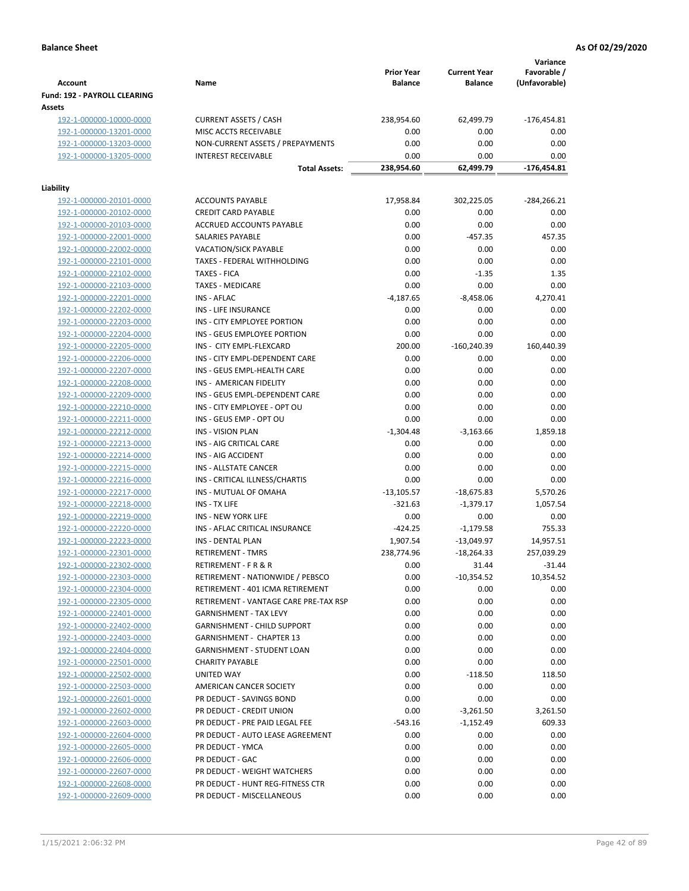| <b>Account</b>                 | Name                                  | <b>Prior Year</b><br><b>Balance</b> | <b>Current Year</b><br><b>Balance</b> | Variance<br>Favorable /<br>(Unfavorable) |
|--------------------------------|---------------------------------------|-------------------------------------|---------------------------------------|------------------------------------------|
| Fund: 192 - PAYROLL CLEARING   |                                       |                                     |                                       |                                          |
| Assets                         |                                       |                                     |                                       |                                          |
| 192-1-000000-10000-0000        | <b>CURRENT ASSETS / CASH</b>          | 238,954.60                          | 62,499.79                             | $-176,454.81$                            |
| 192-1-000000-13201-0000        | MISC ACCTS RECEIVABLE                 | 0.00                                | 0.00                                  | 0.00                                     |
| 192-1-000000-13203-0000        | NON-CURRENT ASSETS / PREPAYMENTS      | 0.00                                | 0.00                                  | 0.00                                     |
| 192-1-000000-13205-0000        | <b>INTEREST RECEIVABLE</b>            | 0.00                                | 0.00                                  | 0.00                                     |
|                                | <b>Total Assets:</b>                  | 238,954.60                          | 62,499.79                             | -176,454.81                              |
| Liability                      |                                       |                                     |                                       |                                          |
| 192-1-000000-20101-0000        | <b>ACCOUNTS PAYABLE</b>               | 17,958.84                           | 302,225.05                            | $-284, 266.21$                           |
| 192-1-000000-20102-0000        | <b>CREDIT CARD PAYABLE</b>            | 0.00                                | 0.00                                  | 0.00                                     |
| 192-1-000000-20103-0000        | ACCRUED ACCOUNTS PAYABLE              | 0.00                                | 0.00                                  | 0.00                                     |
| 192-1-000000-22001-0000        | SALARIES PAYABLE                      | 0.00                                | $-457.35$                             | 457.35                                   |
| 192-1-000000-22002-0000        | <b>VACATION/SICK PAYABLE</b>          | 0.00                                | 0.00                                  | 0.00                                     |
| 192-1-000000-22101-0000        | TAXES - FEDERAL WITHHOLDING           | 0.00                                | 0.00                                  | 0.00                                     |
| 192-1-000000-22102-0000        | <b>TAXES - FICA</b>                   | 0.00                                | $-1.35$                               | 1.35                                     |
| 192-1-000000-22103-0000        | <b>TAXES - MEDICARE</b>               | 0.00                                | 0.00                                  | 0.00                                     |
| 192-1-000000-22201-0000        | <b>INS - AFLAC</b>                    | $-4,187.65$                         | $-8,458.06$                           | 4,270.41                                 |
| 192-1-000000-22202-0000        | <b>INS - LIFE INSURANCE</b>           | 0.00                                | 0.00                                  | 0.00                                     |
| 192-1-000000-22203-0000        | INS - CITY EMPLOYEE PORTION           | 0.00                                | 0.00                                  | 0.00                                     |
| 192-1-000000-22204-0000        | INS - GEUS EMPLOYEE PORTION           | 0.00                                | 0.00                                  | 0.00                                     |
| 192-1-000000-22205-0000        | INS - CITY EMPL-FLEXCARD              | 200.00                              | $-160,240.39$                         | 160,440.39                               |
| 192-1-000000-22206-0000        | INS - CITY EMPL-DEPENDENT CARE        | 0.00                                | 0.00                                  | 0.00                                     |
| 192-1-000000-22207-0000        | INS - GEUS EMPL-HEALTH CARE           | 0.00                                | 0.00                                  | 0.00                                     |
| 192-1-000000-22208-0000        | INS - AMERICAN FIDELITY               | 0.00                                | 0.00                                  | 0.00                                     |
| 192-1-000000-22209-0000        | INS - GEUS EMPL-DEPENDENT CARE        | 0.00                                | 0.00                                  | 0.00                                     |
| 192-1-000000-22210-0000        | INS - CITY EMPLOYEE - OPT OU          | 0.00                                | 0.00                                  | 0.00                                     |
|                                | INS - GEUS EMP - OPT OU               | 0.00                                | 0.00                                  | 0.00                                     |
| 192-1-000000-22211-0000        | <b>INS - VISION PLAN</b>              | $-1,304.48$                         | $-3,163.66$                           | 1,859.18                                 |
| 192-1-000000-22212-0000        | INS - AIG CRITICAL CARE               | 0.00                                | 0.00                                  |                                          |
| 192-1-000000-22213-0000        |                                       |                                     |                                       | 0.00                                     |
| 192-1-000000-22214-0000        | INS - AIG ACCIDENT                    | 0.00                                | 0.00                                  | 0.00                                     |
| 192-1-000000-22215-0000        | INS - ALLSTATE CANCER                 | 0.00                                | 0.00                                  | 0.00                                     |
| 192-1-000000-22216-0000        | INS - CRITICAL ILLNESS/CHARTIS        | 0.00                                | 0.00                                  | 0.00                                     |
| 192-1-000000-22217-0000        | INS - MUTUAL OF OMAHA                 | $-13,105.57$                        | $-18,675.83$                          | 5,570.26                                 |
| 192-1-000000-22218-0000        | INS - TX LIFE                         | $-321.63$                           | $-1,379.17$                           | 1,057.54                                 |
| 192-1-000000-22219-0000        | <b>INS - NEW YORK LIFE</b>            | 0.00                                | 0.00                                  | 0.00                                     |
| 192-1-000000-22220-0000        | INS - AFLAC CRITICAL INSURANCE        | $-424.25$                           | $-1,179.58$                           | 755.33                                   |
| 192-1-000000-22223-0000        | INS - DENTAL PLAN                     | 1,907.54                            | $-13,049.97$                          | 14,957.51                                |
| <u>192-1-000000-22301-0000</u> | <b>RETIREMENT - TMRS</b>              | 238,774.96                          | $-18,264.33$                          | 257,039.29                               |
| 192-1-000000-22302-0000        | RETIREMENT - F R & R                  | 0.00                                | 31.44                                 | $-31.44$                                 |
| 192-1-000000-22303-0000        | RETIREMENT - NATIONWIDE / PEBSCO      | 0.00                                | $-10,354.52$                          | 10,354.52                                |
| 192-1-000000-22304-0000        | RETIREMENT - 401 ICMA RETIREMENT      | 0.00                                | 0.00                                  | 0.00                                     |
| 192-1-000000-22305-0000        | RETIREMENT - VANTAGE CARE PRE-TAX RSP | 0.00                                | 0.00                                  | 0.00                                     |
| 192-1-000000-22401-0000        | <b>GARNISHMENT - TAX LEVY</b>         | 0.00                                | 0.00                                  | 0.00                                     |
| 192-1-000000-22402-0000        | <b>GARNISHMENT - CHILD SUPPORT</b>    | 0.00                                | 0.00                                  | 0.00                                     |
| 192-1-000000-22403-0000        | <b>GARNISHMENT - CHAPTER 13</b>       | 0.00                                | 0.00                                  | 0.00                                     |
| 192-1-000000-22404-0000        | <b>GARNISHMENT - STUDENT LOAN</b>     | 0.00                                | 0.00                                  | 0.00                                     |
| 192-1-000000-22501-0000        | <b>CHARITY PAYABLE</b>                | 0.00                                | 0.00                                  | 0.00                                     |
| 192-1-000000-22502-0000        | UNITED WAY                            | 0.00                                | $-118.50$                             | 118.50                                   |
| 192-1-000000-22503-0000        | AMERICAN CANCER SOCIETY               | 0.00                                | 0.00                                  | 0.00                                     |
| 192-1-000000-22601-0000        | PR DEDUCT - SAVINGS BOND              | 0.00                                | 0.00                                  | 0.00                                     |
| 192-1-000000-22602-0000        | PR DEDUCT - CREDIT UNION              | 0.00                                | $-3,261.50$                           | 3,261.50                                 |
| 192-1-000000-22603-0000        | PR DEDUCT - PRE PAID LEGAL FEE        | $-543.16$                           | $-1,152.49$                           | 609.33                                   |
| 192-1-000000-22604-0000        | PR DEDUCT - AUTO LEASE AGREEMENT      | 0.00                                | 0.00                                  | 0.00                                     |
| 192-1-000000-22605-0000        | PR DEDUCT - YMCA                      | 0.00                                | 0.00                                  | 0.00                                     |
| 192-1-000000-22606-0000        | PR DEDUCT - GAC                       | 0.00                                | 0.00                                  | 0.00                                     |
| 192-1-000000-22607-0000        | PR DEDUCT - WEIGHT WATCHERS           | 0.00                                | 0.00                                  | 0.00                                     |
| 192-1-000000-22608-0000        | PR DEDUCT - HUNT REG-FITNESS CTR      | 0.00                                | 0.00                                  | 0.00                                     |
| 192-1-000000-22609-0000        | PR DEDUCT - MISCELLANEOUS             | 0.00                                | 0.00                                  | 0.00                                     |
|                                |                                       |                                     |                                       |                                          |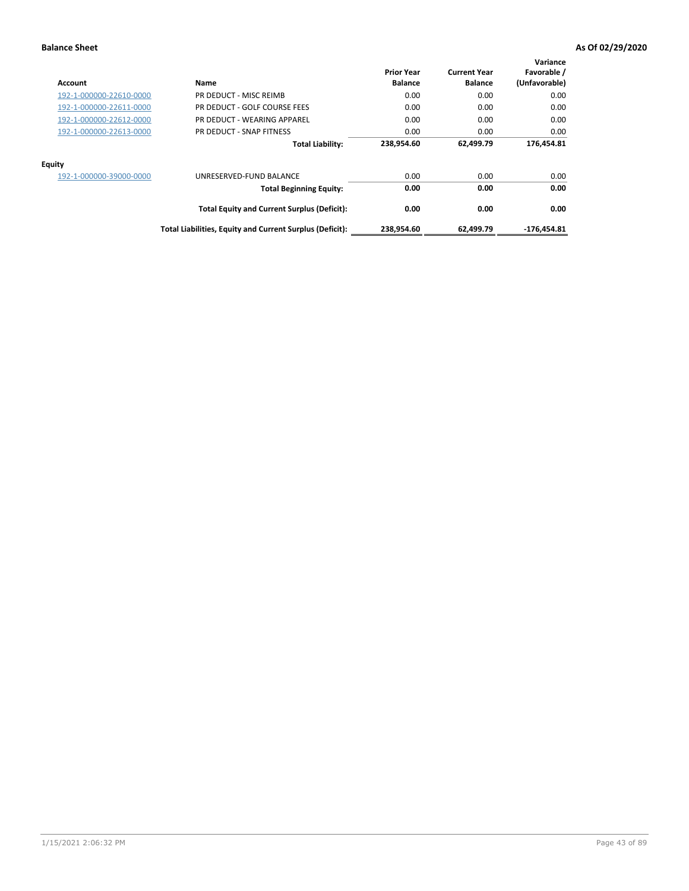| Account                 | Name                                                     | <b>Prior Year</b><br><b>Balance</b> | <b>Current Year</b><br><b>Balance</b> | Variance<br>Favorable /<br>(Unfavorable) |
|-------------------------|----------------------------------------------------------|-------------------------------------|---------------------------------------|------------------------------------------|
| 192-1-000000-22610-0000 | PR DEDUCT - MISC REIMB                                   | 0.00                                | 0.00                                  | 0.00                                     |
| 192-1-000000-22611-0000 | PR DEDUCT - GOLF COURSE FEES                             | 0.00                                | 0.00                                  | 0.00                                     |
| 192-1-000000-22612-0000 | PR DEDUCT - WEARING APPAREL                              | 0.00                                | 0.00                                  | 0.00                                     |
| 192-1-000000-22613-0000 | PR DEDUCT - SNAP FITNESS                                 | 0.00                                | 0.00                                  | 0.00                                     |
|                         | <b>Total Liability:</b>                                  | 238,954.60                          | 62,499.79                             | 176,454.81                               |
| <b>Equity</b>           |                                                          |                                     |                                       |                                          |
| 192-1-000000-39000-0000 | UNRESERVED-FUND BALANCE                                  | 0.00                                | 0.00                                  | 0.00                                     |
|                         | <b>Total Beginning Equity:</b>                           | 0.00                                | 0.00                                  | 0.00                                     |
|                         | <b>Total Equity and Current Surplus (Deficit):</b>       | 0.00                                | 0.00                                  | 0.00                                     |
|                         | Total Liabilities, Equity and Current Surplus (Deficit): | 238,954.60                          | 62.499.79                             | $-176.454.81$                            |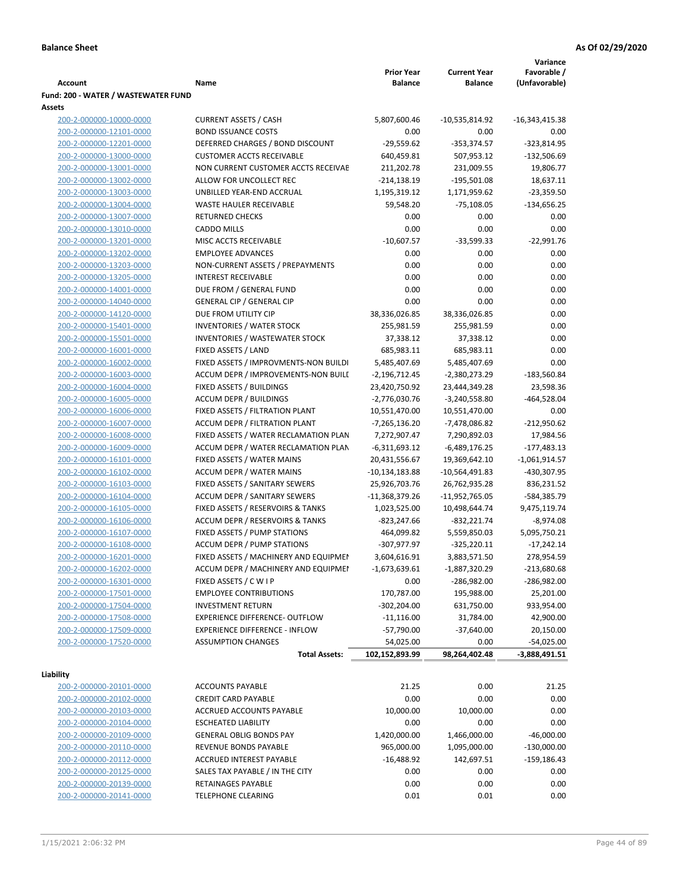|                                     |                                       |                   |                     | Variance         |
|-------------------------------------|---------------------------------------|-------------------|---------------------|------------------|
|                                     |                                       | <b>Prior Year</b> | <b>Current Year</b> | Favorable /      |
| <b>Account</b>                      | Name                                  | <b>Balance</b>    | <b>Balance</b>      | (Unfavorable)    |
| Fund: 200 - WATER / WASTEWATER FUND |                                       |                   |                     |                  |
| Assets                              |                                       |                   |                     |                  |
| 200-2-000000-10000-0000             | <b>CURRENT ASSETS / CASH</b>          | 5,807,600.46      | -10,535,814.92      | $-16,343,415.38$ |
| 200-2-000000-12101-0000             | <b>BOND ISSUANCE COSTS</b>            | 0.00              | 0.00                | 0.00             |
| 200-2-000000-12201-0000             | DEFERRED CHARGES / BOND DISCOUNT      | $-29,559.62$      | $-353,374.57$       | $-323,814.95$    |
| 200-2-000000-13000-0000             | <b>CUSTOMER ACCTS RECEIVABLE</b>      | 640,459.81        | 507,953.12          | $-132,506.69$    |
| 200-2-000000-13001-0000             | NON CURRENT CUSTOMER ACCTS RECEIVAE   | 211,202.78        | 231,009.55          | 19,806.77        |
| 200-2-000000-13002-0000             | ALLOW FOR UNCOLLECT REC               | $-214,138.19$     | $-195,501.08$       | 18,637.11        |
| 200-2-000000-13003-0000             | UNBILLED YEAR-END ACCRUAL             | 1,195,319.12      | 1,171,959.62        | $-23,359.50$     |
| 200-2-000000-13004-0000             | <b>WASTE HAULER RECEIVABLE</b>        | 59,548.20         | $-75,108.05$        | $-134,656.25$    |
| 200-2-000000-13007-0000             | <b>RETURNED CHECKS</b>                | 0.00              | 0.00                | 0.00             |
| 200-2-000000-13010-0000             | <b>CADDO MILLS</b>                    | 0.00              | 0.00                | 0.00             |
| 200-2-000000-13201-0000             | MISC ACCTS RECEIVABLE                 | $-10,607.57$      | $-33,599.33$        | $-22,991.76$     |
| 200-2-000000-13202-0000             | <b>EMPLOYEE ADVANCES</b>              | 0.00              | 0.00                | 0.00             |
| 200-2-000000-13203-0000             | NON-CURRENT ASSETS / PREPAYMENTS      | 0.00              | 0.00                | 0.00             |
| 200-2-000000-13205-0000             | <b>INTEREST RECEIVABLE</b>            | 0.00              | 0.00                | 0.00             |
| 200-2-000000-14001-0000             | DUE FROM / GENERAL FUND               | 0.00              | 0.00                | 0.00             |
| 200-2-000000-14040-0000             | <b>GENERAL CIP / GENERAL CIP</b>      | 0.00              | 0.00                | 0.00             |
| 200-2-000000-14120-0000             | DUE FROM UTILITY CIP                  | 38,336,026.85     | 38,336,026.85       | 0.00             |
| 200-2-000000-15401-0000             | <b>INVENTORIES / WATER STOCK</b>      | 255,981.59        | 255,981.59          | 0.00             |
| 200-2-000000-15501-0000             | <b>INVENTORIES / WASTEWATER STOCK</b> | 37,338.12         | 37,338.12           | 0.00             |
| 200-2-000000-16001-0000             | FIXED ASSETS / LAND                   | 685,983.11        | 685,983.11          | 0.00             |
| 200-2-000000-16002-0000             | FIXED ASSETS / IMPROVMENTS-NON BUILDI | 5,485,407.69      | 5,485,407.69        | 0.00             |
| 200-2-000000-16003-0000             | ACCUM DEPR / IMPROVEMENTS-NON BUILL   | $-2,196,712.45$   | -2,380,273.29       | $-183,560.84$    |
| 200-2-000000-16004-0000             | FIXED ASSETS / BUILDINGS              | 23,420,750.92     | 23,444,349.28       | 23,598.36        |
| 200-2-000000-16005-0000             | <b>ACCUM DEPR / BUILDINGS</b>         | $-2,776,030.76$   | $-3,240,558.80$     | $-464,528.04$    |
| 200-2-000000-16006-0000             | FIXED ASSETS / FILTRATION PLANT       | 10,551,470.00     | 10,551,470.00       | 0.00             |
| 200-2-000000-16007-0000             | ACCUM DEPR / FILTRATION PLANT         | -7,265,136.20     | -7,478,086.82       | $-212,950.62$    |
| 200-2-000000-16008-0000             | FIXED ASSETS / WATER RECLAMATION PLAN | 7,272,907.47      | 7,290,892.03        | 17,984.56        |
| 200-2-000000-16009-0000             | ACCUM DEPR / WATER RECLAMATION PLAN   | $-6,311,693.12$   | $-6,489,176.25$     | $-177,483.13$    |
| 200-2-000000-16101-0000             | FIXED ASSETS / WATER MAINS            | 20,431,556.67     | 19,369,642.10       | $-1,061,914.57$  |
| 200-2-000000-16102-0000             | <b>ACCUM DEPR / WATER MAINS</b>       | -10,134,183.88    | -10,564,491.83      | -430,307.95      |
| 200-2-000000-16103-0000             | FIXED ASSETS / SANITARY SEWERS        | 25,926,703.76     | 26,762,935.28       | 836,231.52       |
| 200-2-000000-16104-0000             | <b>ACCUM DEPR / SANITARY SEWERS</b>   | $-11,368,379.26$  | -11,952,765.05      | -584,385.79      |
| 200-2-000000-16105-0000             | FIXED ASSETS / RESERVOIRS & TANKS     | 1,023,525.00      | 10,498,644.74       | 9,475,119.74     |
| 200-2-000000-16106-0000             | ACCUM DEPR / RESERVOIRS & TANKS       | $-823,247.66$     | $-832,221.74$       | $-8,974.08$      |
| 200-2-000000-16107-0000             | FIXED ASSETS / PUMP STATIONS          | 464,099.82        | 5,559,850.03        | 5,095,750.21     |
| 200-2-000000-16108-0000             | <b>ACCUM DEPR / PUMP STATIONS</b>     | -307,977.97       | $-325,220.11$       | $-17,242.14$     |
| 200-2-000000-16201-0000             | FIXED ASSETS / MACHINERY AND EQUIPMEN | 3,604,616.91      | 3,883,571.50        | 278,954.59       |
| 200-2-000000-16202-0000             | ACCUM DEPR / MACHINERY AND EQUIPMEI   | -1,673,639.61     | $-1,887,320.29$     | $-213,680.68$    |
| 200-2-000000-16301-0000             | FIXED ASSETS / C W I P                | 0.00              | -286,982.00         | $-286,982.00$    |
| 200-2-000000-17501-0000             | <b>EMPLOYEE CONTRIBUTIONS</b>         | 170,787.00        | 195,988.00          | 25,201.00        |
| 200-2-000000-17504-0000             | <b>INVESTMENT RETURN</b>              | $-302,204.00$     | 631,750.00          | 933,954.00       |
| 200-2-000000-17508-0000             | EXPERIENCE DIFFERENCE- OUTFLOW        | $-11,116.00$      | 31,784.00           | 42,900.00        |
| 200-2-000000-17509-0000             | <b>EXPERIENCE DIFFERENCE - INFLOW</b> | $-57,790.00$      | $-37,640.00$        | 20,150.00        |
| 200-2-000000-17520-0000             | <b>ASSUMPTION CHANGES</b>             | 54,025.00         | 0.00                | $-54,025.00$     |
|                                     | <b>Total Assets:</b>                  | 102,152,893.99    | 98,264,402.48       | $-3,888,491.51$  |
|                                     |                                       |                   |                     |                  |
| Liability                           |                                       |                   |                     |                  |
| 200-2-000000-20101-0000             | <b>ACCOUNTS PAYABLE</b>               | 21.25             | 0.00                | 21.25            |
| 200-2-000000-20102-0000             | <b>CREDIT CARD PAYABLE</b>            | 0.00              | 0.00                | 0.00             |
| 200-2-000000-20103-0000             | ACCRUED ACCOUNTS PAYABLE              | 10,000.00         | 10,000.00           | 0.00             |
| 200-2-000000-20104-0000             | <b>ESCHEATED LIABILITY</b>            | 0.00              | 0.00                | 0.00             |
| 200-2-000000-20109-0000             | <b>GENERAL OBLIG BONDS PAY</b>        | 1,420,000.00      | 1,466,000.00        | $-46,000.00$     |
| 200-2-000000-20110-0000             | REVENUE BONDS PAYABLE                 | 965,000.00        | 1,095,000.00        | $-130,000.00$    |
| 200-2-000000-20112-0000             | ACCRUED INTEREST PAYABLE              | $-16,488.92$      | 142,697.51          | $-159,186.43$    |
| 200-2-000000-20125-0000             | SALES TAX PAYABLE / IN THE CITY       | 0.00              | 0.00                | 0.00             |
| 200-2-000000-20139-0000             | RETAINAGES PAYABLE                    | 0.00              | 0.00                | 0.00             |
| 200-2-000000-20141-0000             | <b>TELEPHONE CLEARING</b>             | 0.01              | 0.01                | 0.00             |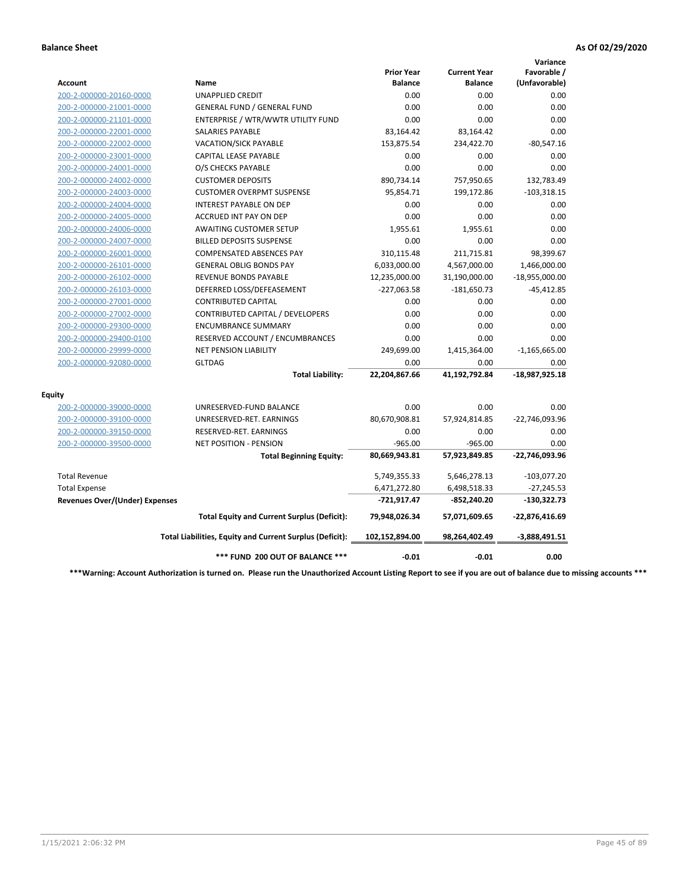|                                       |                                                          |                                     |                                       | Variance                     |
|---------------------------------------|----------------------------------------------------------|-------------------------------------|---------------------------------------|------------------------------|
| Account                               | Name                                                     | <b>Prior Year</b><br><b>Balance</b> | <b>Current Year</b><br><b>Balance</b> | Favorable /<br>(Unfavorable) |
| 200-2-000000-20160-0000               | <b>UNAPPLIED CREDIT</b>                                  | 0.00                                | 0.00                                  | 0.00                         |
| 200-2-000000-21001-0000               | <b>GENERAL FUND / GENERAL FUND</b>                       | 0.00                                | 0.00                                  | 0.00                         |
| 200-2-000000-21101-0000               | ENTERPRISE / WTR/WWTR UTILITY FUND                       | 0.00                                | 0.00                                  | 0.00                         |
| 200-2-000000-22001-0000               | <b>SALARIES PAYABLE</b>                                  | 83,164.42                           | 83,164.42                             | 0.00                         |
| 200-2-000000-22002-0000               | <b>VACATION/SICK PAYABLE</b>                             | 153,875.54                          | 234,422.70                            | $-80,547.16$                 |
| 200-2-000000-23001-0000               | CAPITAL LEASE PAYABLE                                    | 0.00                                | 0.00                                  | 0.00                         |
| 200-2-000000-24001-0000               | O/S CHECKS PAYABLE                                       | 0.00                                | 0.00                                  | 0.00                         |
| 200-2-000000-24002-0000               | <b>CUSTOMER DEPOSITS</b>                                 | 890,734.14                          | 757,950.65                            | 132,783.49                   |
| 200-2-000000-24003-0000               | <b>CUSTOMER OVERPMT SUSPENSE</b>                         | 95,854.71                           | 199,172.86                            | $-103,318.15$                |
| 200-2-000000-24004-0000               | <b>INTEREST PAYABLE ON DEP</b>                           | 0.00                                | 0.00                                  | 0.00                         |
| 200-2-000000-24005-0000               | <b>ACCRUED INT PAY ON DEP</b>                            | 0.00                                | 0.00                                  | 0.00                         |
| 200-2-000000-24006-0000               | <b>AWAITING CUSTOMER SETUP</b>                           | 1.955.61                            | 1,955.61                              | 0.00                         |
| 200-2-000000-24007-0000               | <b>BILLED DEPOSITS SUSPENSE</b>                          | 0.00                                | 0.00                                  | 0.00                         |
| 200-2-000000-26001-0000               | <b>COMPENSATED ABSENCES PAY</b>                          | 310,115.48                          | 211,715.81                            | 98,399.67                    |
| 200-2-000000-26101-0000               | <b>GENERAL OBLIG BONDS PAY</b>                           | 6,033,000.00                        | 4,567,000.00                          | 1,466,000.00                 |
| 200-2-000000-26102-0000               | <b>REVENUE BONDS PAYABLE</b>                             | 12,235,000.00                       | 31,190,000.00                         | $-18,955,000.00$             |
| 200-2-000000-26103-0000               | DEFERRED LOSS/DEFEASEMENT                                | $-227,063.58$                       | $-181,650.73$                         | $-45,412.85$                 |
| 200-2-000000-27001-0000               | <b>CONTRIBUTED CAPITAL</b>                               | 0.00                                | 0.00                                  | 0.00                         |
| 200-2-000000-27002-0000               | CONTRIBUTED CAPITAL / DEVELOPERS                         | 0.00                                | 0.00                                  | 0.00                         |
| 200-2-000000-29300-0000               | <b>ENCUMBRANCE SUMMARY</b>                               | 0.00                                | 0.00                                  | 0.00                         |
| 200-2-000000-29400-0100               | RESERVED ACCOUNT / ENCUMBRANCES                          | 0.00                                | 0.00                                  | 0.00                         |
| 200-2-000000-29999-0000               | <b>NET PENSION LIABILITY</b>                             | 249,699.00                          | 1,415,364.00                          | $-1,165,665.00$              |
| 200-2-000000-92080-0000               | <b>GLTDAG</b>                                            | 0.00                                | 0.00                                  | 0.00                         |
|                                       | <b>Total Liability:</b>                                  | 22,204,867.66                       | 41,192,792.84                         | -18,987,925.18               |
| <b>Equity</b>                         |                                                          |                                     |                                       |                              |
| 200-2-000000-39000-0000               | UNRESERVED-FUND BALANCE                                  | 0.00                                | 0.00                                  | 0.00                         |
| 200-2-000000-39100-0000               | UNRESERVED-RET. EARNINGS                                 | 80,670,908.81                       | 57,924,814.85                         | -22,746,093.96               |
| 200-2-000000-39150-0000               | RESERVED-RET. EARNINGS                                   | 0.00                                | 0.00                                  | 0.00                         |
| 200-2-000000-39500-0000               | NET POSITION - PENSION                                   | $-965.00$                           | $-965.00$                             | 0.00                         |
|                                       | <b>Total Beginning Equity:</b>                           | 80,669,943.81                       | 57,923,849.85                         | -22,746,093.96               |
| <b>Total Revenue</b>                  |                                                          | 5,749,355.33                        | 5,646,278.13                          | $-103,077.20$                |
| <b>Total Expense</b>                  |                                                          | 6,471,272.80                        | 6,498,518.33                          | $-27,245.53$                 |
| <b>Revenues Over/(Under) Expenses</b> |                                                          | -721,917.47                         | -852,240.20                           | $-130,322.73$                |
|                                       | <b>Total Equity and Current Surplus (Deficit):</b>       | 79,948,026.34                       | 57,071,609.65                         | $-22,876,416.69$             |
|                                       | Total Liabilities, Equity and Current Surplus (Deficit): | 102,152,894.00                      | 98,264,402.49                         | $-3,888,491.51$              |
|                                       | *** FUND 200 OUT OF BALANCE ***                          | $-0.01$                             | $-0.01$                               | 0.00                         |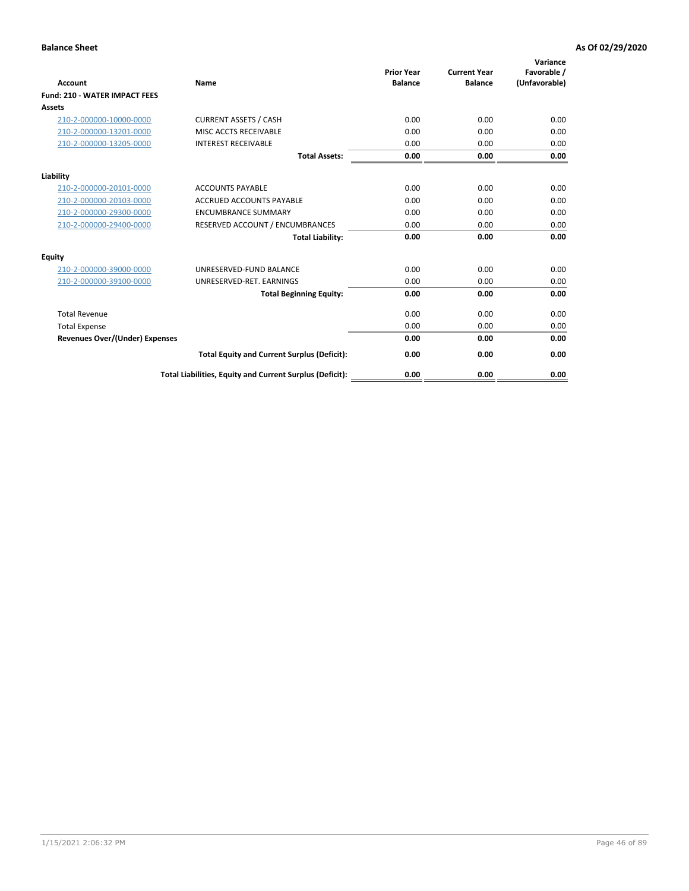| Account                               | Name                                                     | <b>Prior Year</b><br><b>Balance</b> | <b>Current Year</b><br><b>Balance</b> | Variance<br>Favorable /<br>(Unfavorable) |
|---------------------------------------|----------------------------------------------------------|-------------------------------------|---------------------------------------|------------------------------------------|
| <b>Fund: 210 - WATER IMPACT FEES</b>  |                                                          |                                     |                                       |                                          |
| <b>Assets</b>                         |                                                          |                                     |                                       |                                          |
| 210-2-000000-10000-0000               | <b>CURRENT ASSETS / CASH</b>                             | 0.00                                | 0.00                                  | 0.00                                     |
| 210-2-000000-13201-0000               | MISC ACCTS RECEIVABLE                                    | 0.00                                | 0.00                                  | 0.00                                     |
| 210-2-000000-13205-0000               | <b>INTEREST RECEIVABLE</b>                               | 0.00                                | 0.00                                  | 0.00                                     |
|                                       | <b>Total Assets:</b>                                     | 0.00                                | 0.00                                  | 0.00                                     |
| Liability                             |                                                          |                                     |                                       |                                          |
| 210-2-000000-20101-0000               | <b>ACCOUNTS PAYABLE</b>                                  | 0.00                                | 0.00                                  | 0.00                                     |
| 210-2-000000-20103-0000               | <b>ACCRUED ACCOUNTS PAYABLE</b>                          | 0.00                                | 0.00                                  | 0.00                                     |
| 210-2-000000-29300-0000               | <b>ENCUMBRANCE SUMMARY</b>                               | 0.00                                | 0.00                                  | 0.00                                     |
| 210-2-000000-29400-0000               | RESERVED ACCOUNT / ENCUMBRANCES                          | 0.00                                | 0.00                                  | 0.00                                     |
|                                       | <b>Total Liability:</b>                                  | 0.00                                | 0.00                                  | 0.00                                     |
| <b>Equity</b>                         |                                                          |                                     |                                       |                                          |
| 210-2-000000-39000-0000               | UNRESERVED-FUND BALANCE                                  | 0.00                                | 0.00                                  | 0.00                                     |
| 210-2-000000-39100-0000               | UNRESERVED-RET. EARNINGS                                 | 0.00                                | 0.00                                  | 0.00                                     |
|                                       | <b>Total Beginning Equity:</b>                           | 0.00                                | 0.00                                  | 0.00                                     |
| <b>Total Revenue</b>                  |                                                          | 0.00                                | 0.00                                  | 0.00                                     |
| <b>Total Expense</b>                  |                                                          | 0.00                                | 0.00                                  | 0.00                                     |
| <b>Revenues Over/(Under) Expenses</b> |                                                          | 0.00                                | 0.00                                  | 0.00                                     |
|                                       | <b>Total Equity and Current Surplus (Deficit):</b>       | 0.00                                | 0.00                                  | 0.00                                     |
|                                       | Total Liabilities, Equity and Current Surplus (Deficit): | 0.00                                | 0.00                                  | 0.00                                     |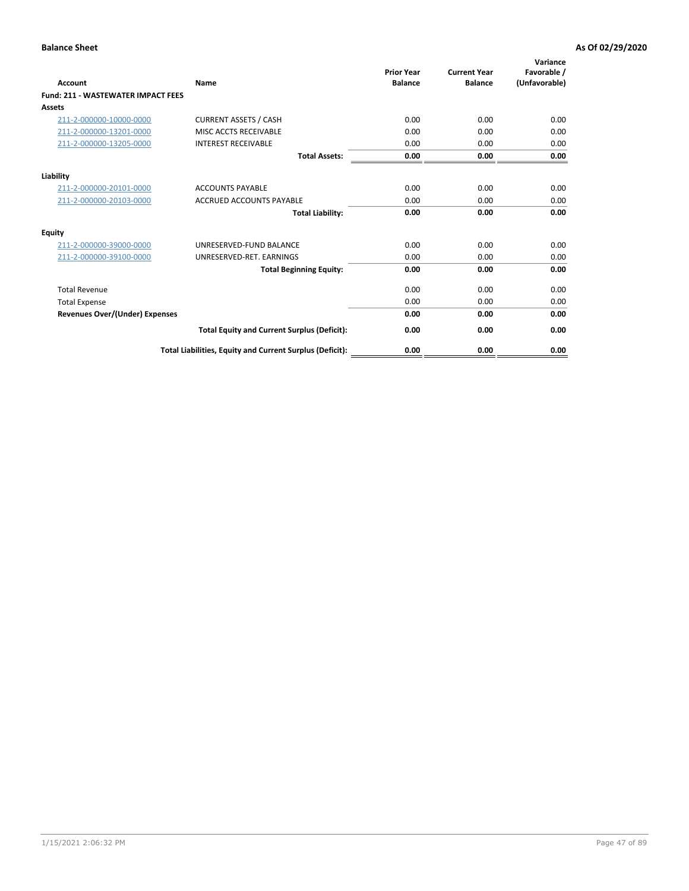| Account                                   | Name                                                     | <b>Prior Year</b><br><b>Balance</b> | <b>Current Year</b><br><b>Balance</b> | Variance<br>Favorable /<br>(Unfavorable) |
|-------------------------------------------|----------------------------------------------------------|-------------------------------------|---------------------------------------|------------------------------------------|
| <b>Fund: 211 - WASTEWATER IMPACT FEES</b> |                                                          |                                     |                                       |                                          |
| <b>Assets</b>                             |                                                          |                                     |                                       |                                          |
| 211-2-000000-10000-0000                   | <b>CURRENT ASSETS / CASH</b>                             | 0.00                                | 0.00                                  | 0.00                                     |
| 211-2-000000-13201-0000                   | MISC ACCTS RECEIVABLE                                    | 0.00                                | 0.00                                  | 0.00                                     |
| 211-2-000000-13205-0000                   | <b>INTEREST RECEIVABLE</b>                               | 0.00                                | 0.00                                  | 0.00                                     |
|                                           | <b>Total Assets:</b>                                     | 0.00                                | 0.00                                  | 0.00                                     |
| Liability                                 |                                                          |                                     |                                       |                                          |
| 211-2-000000-20101-0000                   | <b>ACCOUNTS PAYABLE</b>                                  | 0.00                                | 0.00                                  | 0.00                                     |
| 211-2-000000-20103-0000                   | <b>ACCRUED ACCOUNTS PAYABLE</b>                          | 0.00                                | 0.00                                  | 0.00                                     |
|                                           | <b>Total Liability:</b>                                  | 0.00                                | 0.00                                  | 0.00                                     |
| Equity                                    |                                                          |                                     |                                       |                                          |
| 211-2-000000-39000-0000                   | UNRESERVED-FUND BALANCE                                  | 0.00                                | 0.00                                  | 0.00                                     |
| 211-2-000000-39100-0000                   | UNRESERVED-RET. EARNINGS                                 | 0.00                                | 0.00                                  | 0.00                                     |
|                                           | <b>Total Beginning Equity:</b>                           | 0.00                                | 0.00                                  | 0.00                                     |
| <b>Total Revenue</b>                      |                                                          | 0.00                                | 0.00                                  | 0.00                                     |
| <b>Total Expense</b>                      |                                                          | 0.00                                | 0.00                                  | 0.00                                     |
| <b>Revenues Over/(Under) Expenses</b>     |                                                          | 0.00                                | 0.00                                  | 0.00                                     |
|                                           | <b>Total Equity and Current Surplus (Deficit):</b>       | 0.00                                | 0.00                                  | 0.00                                     |
|                                           | Total Liabilities, Equity and Current Surplus (Deficit): | 0.00                                | 0.00                                  | 0.00                                     |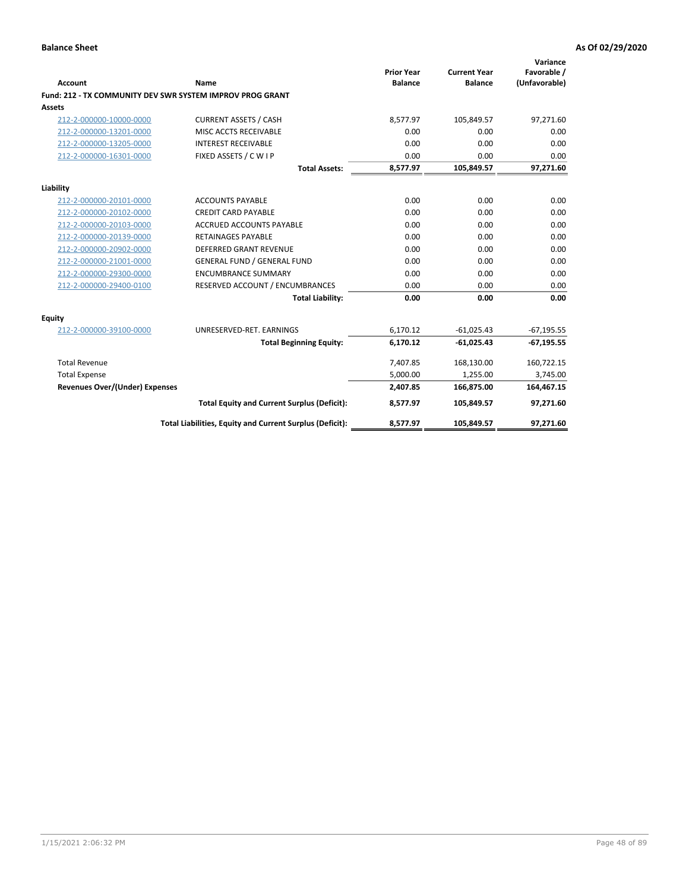| <b>Account</b>                 | Name                                                      | <b>Prior Year</b><br><b>Balance</b> | <b>Current Year</b><br><b>Balance</b> | Variance<br>Favorable /<br>(Unfavorable) |
|--------------------------------|-----------------------------------------------------------|-------------------------------------|---------------------------------------|------------------------------------------|
|                                | Fund: 212 - TX COMMUNITY DEV SWR SYSTEM IMPROV PROG GRANT |                                     |                                       |                                          |
| <b>Assets</b>                  |                                                           |                                     |                                       |                                          |
| 212-2-000000-10000-0000        | <b>CURRENT ASSETS / CASH</b>                              | 8,577.97                            | 105,849.57                            | 97,271.60                                |
| 212-2-000000-13201-0000        | MISC ACCTS RECEIVABLE                                     | 0.00                                | 0.00                                  | 0.00                                     |
| 212-2-000000-13205-0000        | <b>INTEREST RECEIVABLE</b>                                | 0.00                                | 0.00                                  | 0.00                                     |
| 212-2-000000-16301-0000        | FIXED ASSETS / C W I P                                    | 0.00                                | 0.00                                  | 0.00                                     |
|                                | <b>Total Assets:</b>                                      | 8,577.97                            | 105,849.57                            | 97,271.60                                |
| Liability                      |                                                           |                                     |                                       |                                          |
| 212-2-000000-20101-0000        | <b>ACCOUNTS PAYABLE</b>                                   | 0.00                                | 0.00                                  | 0.00                                     |
| 212-2-000000-20102-0000        | <b>CREDIT CARD PAYABLE</b>                                | 0.00                                | 0.00                                  | 0.00                                     |
| 212-2-000000-20103-0000        | <b>ACCRUED ACCOUNTS PAYABLE</b>                           | 0.00                                | 0.00                                  | 0.00                                     |
| 212-2-000000-20139-0000        | <b>RETAINAGES PAYABLE</b>                                 | 0.00                                | 0.00                                  | 0.00                                     |
| 212-2-000000-20902-0000        | <b>DEFERRED GRANT REVENUE</b>                             | 0.00                                | 0.00                                  | 0.00                                     |
| 212-2-000000-21001-0000        | <b>GENERAL FUND / GENERAL FUND</b>                        | 0.00                                | 0.00                                  | 0.00                                     |
| 212-2-000000-29300-0000        | <b>ENCUMBRANCE SUMMARY</b>                                | 0.00                                | 0.00                                  | 0.00                                     |
| 212-2-000000-29400-0100        | RESERVED ACCOUNT / ENCUMBRANCES                           | 0.00                                | 0.00                                  | 0.00                                     |
|                                | <b>Total Liability:</b>                                   | 0.00                                | 0.00                                  | 0.00                                     |
| <b>Equity</b>                  |                                                           |                                     |                                       |                                          |
| 212-2-000000-39100-0000        | UNRESERVED-RET. EARNINGS                                  | 6,170.12                            | $-61,025.43$                          | $-67,195.55$                             |
|                                | <b>Total Beginning Equity:</b>                            | 6,170.12                            | $-61,025.43$                          | $-67,195.55$                             |
| <b>Total Revenue</b>           |                                                           | 7,407.85                            | 168,130.00                            | 160,722.15                               |
| <b>Total Expense</b>           |                                                           | 5,000.00                            | 1,255.00                              | 3,745.00                                 |
| Revenues Over/(Under) Expenses |                                                           | 2,407.85                            | 166,875.00                            | 164,467.15                               |
|                                | <b>Total Equity and Current Surplus (Deficit):</b>        | 8,577.97                            | 105,849.57                            | 97,271.60                                |
|                                | Total Liabilities, Equity and Current Surplus (Deficit):  | 8,577.97                            | 105,849.57                            | 97,271.60                                |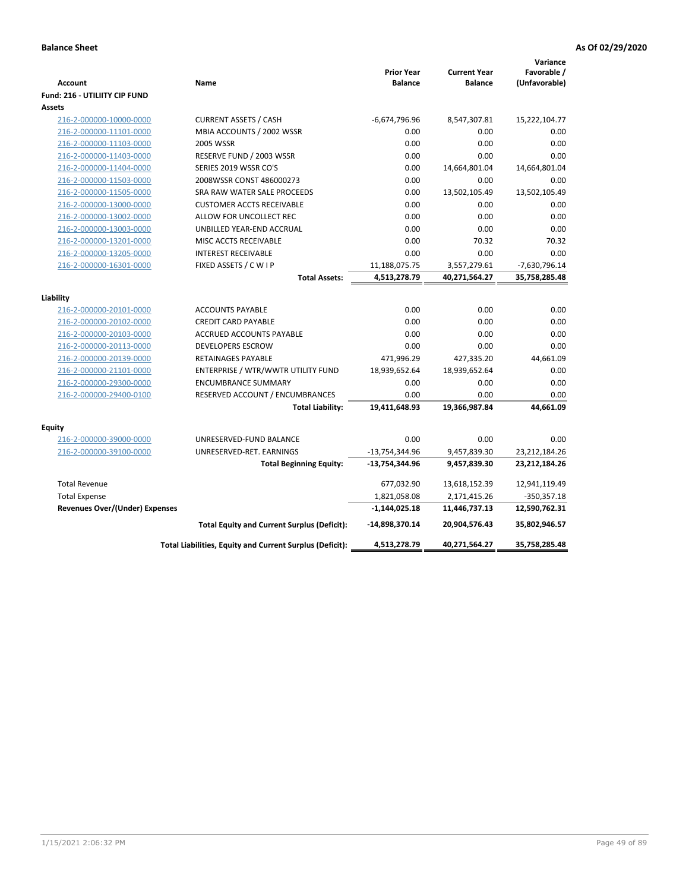| <b>Account</b><br>Fund: 216 - UTILIITY CIP FUND | Name                                                     | <b>Prior Year</b><br><b>Balance</b> | <b>Current Year</b><br><b>Balance</b> | Variance<br>Favorable /<br>(Unfavorable) |
|-------------------------------------------------|----------------------------------------------------------|-------------------------------------|---------------------------------------|------------------------------------------|
| <b>Assets</b>                                   |                                                          |                                     |                                       |                                          |
| 216-2-000000-10000-0000                         | <b>CURRENT ASSETS / CASH</b>                             | $-6,674,796.96$                     | 8,547,307.81                          | 15,222,104.77                            |
| 216-2-000000-11101-0000                         | MBIA ACCOUNTS / 2002 WSSR                                | 0.00                                | 0.00                                  | 0.00                                     |
| 216-2-000000-11103-0000                         | 2005 WSSR                                                | 0.00                                | 0.00                                  | 0.00                                     |
| 216-2-000000-11403-0000                         | RESERVE FUND / 2003 WSSR                                 | 0.00                                | 0.00                                  | 0.00                                     |
| 216-2-000000-11404-0000                         | SERIES 2019 WSSR CO'S                                    | 0.00                                | 14,664,801.04                         | 14,664,801.04                            |
| 216-2-000000-11503-0000                         | 2008WSSR CONST 486000273                                 | 0.00                                | 0.00                                  | 0.00                                     |
| 216-2-000000-11505-0000                         | SRA RAW WATER SALE PROCEEDS                              | 0.00                                | 13,502,105.49                         | 13,502,105.49                            |
| 216-2-000000-13000-0000                         | <b>CUSTOMER ACCTS RECEIVABLE</b>                         | 0.00                                | 0.00                                  | 0.00                                     |
| 216-2-000000-13002-0000                         | ALLOW FOR UNCOLLECT REC                                  | 0.00                                | 0.00                                  | 0.00                                     |
| 216-2-000000-13003-0000                         | UNBILLED YEAR-END ACCRUAL                                | 0.00                                | 0.00                                  | 0.00                                     |
| 216-2-000000-13201-0000                         | MISC ACCTS RECEIVABLE                                    | 0.00                                | 70.32                                 | 70.32                                    |
| 216-2-000000-13205-0000                         | <b>INTEREST RECEIVABLE</b>                               | 0.00                                | 0.00                                  | 0.00                                     |
| 216-2-000000-16301-0000                         | FIXED ASSETS / C W I P                                   | 11,188,075.75                       | 3,557,279.61                          | $-7,630,796.14$                          |
|                                                 | <b>Total Assets:</b>                                     | 4,513,278.79                        | 40,271,564.27                         | 35,758,285.48                            |
|                                                 |                                                          |                                     |                                       |                                          |
| Liability<br>216-2-000000-20101-0000            | <b>ACCOUNTS PAYABLE</b>                                  | 0.00                                | 0.00                                  | 0.00                                     |
| 216-2-000000-20102-0000                         | <b>CREDIT CARD PAYABLE</b>                               | 0.00                                | 0.00                                  | 0.00                                     |
| 216-2-000000-20103-0000                         | ACCRUED ACCOUNTS PAYABLE                                 | 0.00                                | 0.00                                  | 0.00                                     |
| 216-2-000000-20113-0000                         | <b>DEVELOPERS ESCROW</b>                                 | 0.00                                | 0.00                                  | 0.00                                     |
| 216-2-000000-20139-0000                         | <b>RETAINAGES PAYABLE</b>                                | 471,996.29                          | 427,335.20                            | 44,661.09                                |
| 216-2-000000-21101-0000                         | ENTERPRISE / WTR/WWTR UTILITY FUND                       | 18,939,652.64                       | 18,939,652.64                         | 0.00                                     |
| 216-2-000000-29300-0000                         | <b>ENCUMBRANCE SUMMARY</b>                               | 0.00                                | 0.00                                  | 0.00                                     |
| 216-2-000000-29400-0100                         | RESERVED ACCOUNT / ENCUMBRANCES                          | 0.00                                | 0.00                                  | 0.00                                     |
|                                                 | <b>Total Liability:</b>                                  | 19,411,648.93                       | 19,366,987.84                         | 44,661.09                                |
|                                                 |                                                          |                                     |                                       |                                          |
| <b>Equity</b>                                   |                                                          |                                     |                                       |                                          |
| 216-2-000000-39000-0000                         | UNRESERVED-FUND BALANCE                                  | 0.00                                | 0.00                                  | 0.00                                     |
| 216-2-000000-39100-0000                         | UNRESERVED-RET. EARNINGS                                 | $-13,754,344.96$                    | 9,457,839.30                          | 23,212,184.26                            |
|                                                 | <b>Total Beginning Equity:</b>                           | -13,754,344.96                      | 9,457,839.30                          | 23,212,184.26                            |
| <b>Total Revenue</b>                            |                                                          | 677,032.90                          | 13,618,152.39                         | 12,941,119.49                            |
| <b>Total Expense</b>                            |                                                          | 1,821,058.08                        | 2,171,415.26                          | $-350,357.18$                            |
| Revenues Over/(Under) Expenses                  |                                                          | $-1,144,025.18$                     | 11,446,737.13                         | 12,590,762.31                            |
|                                                 | <b>Total Equity and Current Surplus (Deficit):</b>       | -14,898,370.14                      | 20,904,576.43                         | 35,802,946.57                            |
|                                                 | Total Liabilities, Equity and Current Surplus (Deficit): | 4,513,278.79                        | 40,271,564.27                         | 35,758,285.48                            |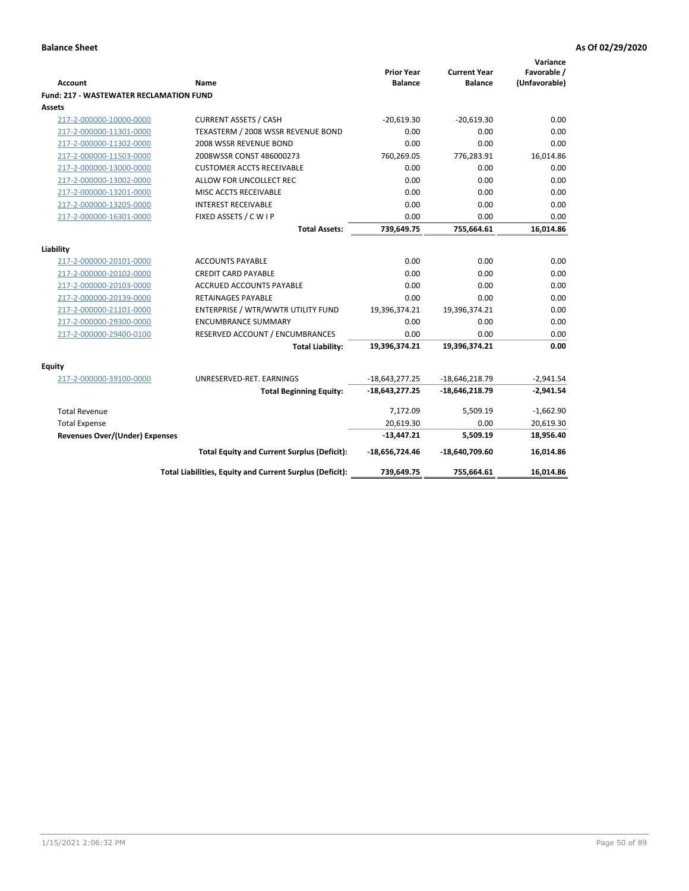|                                                |                                                          | <b>Prior Year</b> | <b>Current Year</b> | Variance<br>Favorable / |
|------------------------------------------------|----------------------------------------------------------|-------------------|---------------------|-------------------------|
| <b>Account</b>                                 | Name                                                     | <b>Balance</b>    | <b>Balance</b>      | (Unfavorable)           |
| <b>Fund: 217 - WASTEWATER RECLAMATION FUND</b> |                                                          |                   |                     |                         |
| <b>Assets</b>                                  |                                                          |                   |                     |                         |
| 217-2-000000-10000-0000                        | <b>CURRENT ASSETS / CASH</b>                             | $-20,619.30$      | $-20,619.30$        | 0.00                    |
| 217-2-000000-11301-0000                        | TEXASTERM / 2008 WSSR REVENUE BOND                       | 0.00              | 0.00                | 0.00                    |
| 217-2-000000-11302-0000                        | 2008 WSSR REVENUE BOND                                   | 0.00              | 0.00                | 0.00                    |
| 217-2-000000-11503-0000                        | 2008WSSR CONST 486000273                                 | 760,269.05        | 776,283.91          | 16,014.86               |
| 217-2-000000-13000-0000                        | <b>CUSTOMER ACCTS RECEIVABLE</b>                         | 0.00              | 0.00                | 0.00                    |
| 217-2-000000-13002-0000                        | ALLOW FOR UNCOLLECT REC                                  | 0.00              | 0.00                | 0.00                    |
| 217-2-000000-13201-0000                        | MISC ACCTS RECEIVABLE                                    | 0.00              | 0.00                | 0.00                    |
| 217-2-000000-13205-0000                        | <b>INTEREST RECEIVABLE</b>                               | 0.00              | 0.00                | 0.00                    |
| 217-2-000000-16301-0000                        | FIXED ASSETS / C W I P                                   | 0.00              | 0.00                | 0.00                    |
|                                                | <b>Total Assets:</b>                                     | 739,649.75        | 755,664.61          | 16,014.86               |
|                                                |                                                          |                   |                     |                         |
| Liability                                      |                                                          |                   |                     |                         |
| 217-2-000000-20101-0000                        | <b>ACCOUNTS PAYABLE</b>                                  | 0.00              | 0.00                | 0.00                    |
| 217-2-000000-20102-0000                        | <b>CREDIT CARD PAYABLE</b>                               | 0.00              | 0.00                | 0.00                    |
| 217-2-000000-20103-0000                        | ACCRUED ACCOUNTS PAYABLE                                 | 0.00              | 0.00                | 0.00                    |
| 217-2-000000-20139-0000                        | <b>RETAINAGES PAYABLE</b>                                | 0.00              | 0.00                | 0.00                    |
| 217-2-000000-21101-0000                        | ENTERPRISE / WTR/WWTR UTILITY FUND                       | 19,396,374.21     | 19,396,374.21       | 0.00                    |
| 217-2-000000-29300-0000                        | <b>ENCUMBRANCE SUMMARY</b>                               | 0.00              | 0.00                | 0.00                    |
| 217-2-000000-29400-0100                        | RESERVED ACCOUNT / ENCUMBRANCES                          | 0.00              | 0.00                | 0.00                    |
|                                                | <b>Total Liability:</b>                                  | 19,396,374.21     | 19,396,374.21       | 0.00                    |
| <b>Equity</b>                                  |                                                          |                   |                     |                         |
| 217-2-000000-39100-0000                        | UNRESERVED-RET. EARNINGS                                 | $-18,643,277.25$  | $-18,646,218.79$    | $-2,941.54$             |
|                                                | <b>Total Beginning Equity:</b>                           | -18,643,277.25    | $-18,646,218.79$    | $-2,941.54$             |
| <b>Total Revenue</b>                           |                                                          | 7,172.09          | 5,509.19            | $-1,662.90$             |
| <b>Total Expense</b>                           |                                                          | 20,619.30         | 0.00                | 20,619.30               |
| <b>Revenues Over/(Under) Expenses</b>          |                                                          | $-13,447.21$      | 5,509.19            | 18,956.40               |
|                                                | <b>Total Equity and Current Surplus (Deficit):</b>       | -18,656,724.46    | -18,640,709.60      | 16,014.86               |
|                                                | Total Liabilities, Equity and Current Surplus (Deficit): | 739,649.75        | 755,664.61          | 16,014.86               |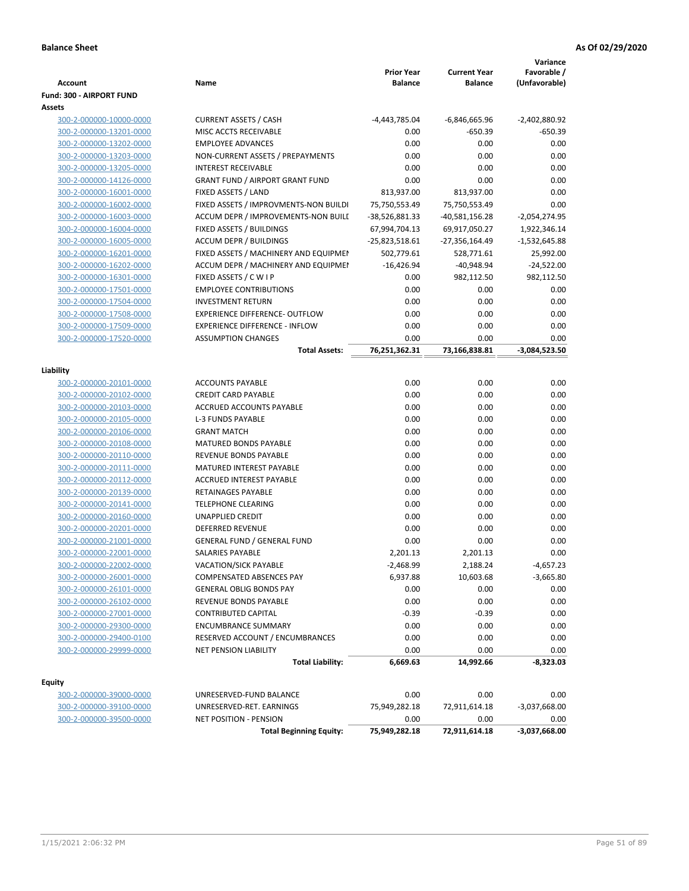|                                 |                                        | <b>Prior Year</b> | <b>Current Year</b> | Variance<br>Favorable / |
|---------------------------------|----------------------------------------|-------------------|---------------------|-------------------------|
| <b>Account</b>                  | Name                                   | <b>Balance</b>    | <b>Balance</b>      | (Unfavorable)           |
| <b>Fund: 300 - AIRPORT FUND</b> |                                        |                   |                     |                         |
| <b>Assets</b>                   |                                        |                   |                     |                         |
| 300-2-000000-10000-0000         | <b>CURRENT ASSETS / CASH</b>           | -4,443,785.04     | -6,846,665.96       | $-2,402,880.92$         |
| 300-2-000000-13201-0000         | MISC ACCTS RECEIVABLE                  | 0.00              | $-650.39$           | -650.39                 |
| 300-2-000000-13202-0000         | <b>EMPLOYEE ADVANCES</b>               | 0.00              | 0.00                | 0.00                    |
| 300-2-000000-13203-0000         | NON-CURRENT ASSETS / PREPAYMENTS       | 0.00              | 0.00                | 0.00                    |
| 300-2-000000-13205-0000         | <b>INTEREST RECEIVABLE</b>             | 0.00              | 0.00                | 0.00                    |
| 300-2-000000-14126-0000         | <b>GRANT FUND / AIRPORT GRANT FUND</b> | 0.00              | 0.00                | 0.00                    |
| 300-2-000000-16001-0000         | FIXED ASSETS / LAND                    | 813,937.00        | 813,937.00          | 0.00                    |
| 300-2-000000-16002-0000         | FIXED ASSETS / IMPROVMENTS-NON BUILDI  | 75,750,553.49     | 75,750,553.49       | 0.00                    |
| 300-2-000000-16003-0000         | ACCUM DEPR / IMPROVEMENTS-NON BUILI    | -38,526,881.33    | $-40,581,156.28$    | $-2,054,274.95$         |
| 300-2-000000-16004-0000         | FIXED ASSETS / BUILDINGS               | 67,994,704.13     | 69,917,050.27       | 1,922,346.14            |
| 300-2-000000-16005-0000         | <b>ACCUM DEPR / BUILDINGS</b>          | $-25,823,518.61$  | -27,356,164.49      | $-1,532,645.88$         |
| 300-2-000000-16201-0000         | FIXED ASSETS / MACHINERY AND EQUIPMEN  | 502,779.61        | 528,771.61          | 25,992.00               |
| 300-2-000000-16202-0000         | ACCUM DEPR / MACHINERY AND EQUIPMEI    | $-16,426.94$      | $-40,948.94$        | $-24,522.00$            |
| 300-2-000000-16301-0000         | FIXED ASSETS / C W I P                 | 0.00              | 982,112.50          | 982,112.50              |
| 300-2-000000-17501-0000         | <b>EMPLOYEE CONTRIBUTIONS</b>          | 0.00              | 0.00                | 0.00                    |
| 300-2-000000-17504-0000         | <b>INVESTMENT RETURN</b>               | 0.00              | 0.00                | 0.00                    |
| 300-2-000000-17508-0000         | <b>EXPERIENCE DIFFERENCE- OUTFLOW</b>  | 0.00              | 0.00                | 0.00                    |
| 300-2-000000-17509-0000         | <b>EXPERIENCE DIFFERENCE - INFLOW</b>  | 0.00              | 0.00                | 0.00                    |
| 300-2-000000-17520-0000         | <b>ASSUMPTION CHANGES</b>              | 0.00              | 0.00                | 0.00                    |
|                                 | <b>Total Assets:</b>                   | 76,251,362.31     | 73,166,838.81       | -3,084,523.50           |
|                                 |                                        |                   |                     |                         |
| Liability                       |                                        |                   |                     |                         |
| 300-2-000000-20101-0000         | <b>ACCOUNTS PAYABLE</b>                | 0.00              | 0.00                | 0.00                    |
| 300-2-000000-20102-0000         | <b>CREDIT CARD PAYABLE</b>             | 0.00              | 0.00                | 0.00                    |
| 300-2-000000-20103-0000         | ACCRUED ACCOUNTS PAYABLE               | 0.00              | 0.00                | 0.00                    |
| 300-2-000000-20105-0000         | <b>L-3 FUNDS PAYABLE</b>               | 0.00              | 0.00                | 0.00                    |
| 300-2-000000-20106-0000         | <b>GRANT MATCH</b>                     | 0.00              | 0.00                | 0.00                    |
| 300-2-000000-20108-0000         | MATURED BONDS PAYABLE                  | 0.00              | 0.00                | 0.00                    |
| 300-2-000000-20110-0000         | REVENUE BONDS PAYABLE                  | 0.00              | 0.00                | 0.00                    |
| 300-2-000000-20111-0000         | MATURED INTEREST PAYABLE               | 0.00              | 0.00                | 0.00                    |
| 300-2-000000-20112-0000         | <b>ACCRUED INTEREST PAYABLE</b>        | 0.00              | 0.00                | 0.00                    |
| 300-2-000000-20139-0000         | <b>RETAINAGES PAYABLE</b>              | 0.00              | 0.00                | 0.00                    |
| 300-2-000000-20141-0000         | <b>TELEPHONE CLEARING</b>              | 0.00              | 0.00                | 0.00                    |
| 300-2-000000-20160-0000         | <b>UNAPPLIED CREDIT</b>                | 0.00              | 0.00                | 0.00                    |
| 300-2-000000-20201-0000         | <b>DEFERRED REVENUE</b>                | 0.00              | 0.00                | 0.00                    |
| 300-2-000000-21001-0000         | <b>GENERAL FUND / GENERAL FUND</b>     | 0.00              | 0.00                | 0.00                    |
| 300-2-000000-22001-0000         | SALARIES PAYABLE                       | 2,201.13          | 2,201.13            | 0.00                    |
| 300-2-000000-22002-0000         | VACATION/SICK PAYABLE                  | $-2,468.99$       | 2,188.24            | $-4,657.23$             |
| 300-2-000000-26001-0000         | COMPENSATED ABSENCES PAY               | 6,937.88          | 10,603.68           | $-3,665.80$             |
| 300-2-000000-26101-0000         | <b>GENERAL OBLIG BONDS PAY</b>         | 0.00              | 0.00                | 0.00                    |
| 300-2-000000-26102-0000         | REVENUE BONDS PAYABLE                  | 0.00              | 0.00                | 0.00                    |
| 300-2-000000-27001-0000         | <b>CONTRIBUTED CAPITAL</b>             | $-0.39$           | $-0.39$             | 0.00                    |
| 300-2-000000-29300-0000         | <b>ENCUMBRANCE SUMMARY</b>             | 0.00              | 0.00                | 0.00                    |
| 300-2-000000-29400-0100         | RESERVED ACCOUNT / ENCUMBRANCES        | 0.00              | 0.00                | 0.00                    |
| 300-2-000000-29999-0000         | NET PENSION LIABILITY                  | 0.00              | 0.00                | 0.00                    |
|                                 | <b>Total Liability:</b>                | 6,669.63          | 14,992.66           | $-8,323.03$             |
|                                 |                                        |                   |                     |                         |
| <b>Equity</b>                   |                                        |                   |                     |                         |
| 300-2-000000-39000-0000         | UNRESERVED-FUND BALANCE                | 0.00              | 0.00                | 0.00                    |
| 300-2-000000-39100-0000         | UNRESERVED-RET. EARNINGS               | 75,949,282.18     | 72,911,614.18       | $-3,037,668.00$         |
| 300-2-000000-39500-0000         | NET POSITION - PENSION                 | 0.00              | 0.00                | 0.00                    |
|                                 | <b>Total Beginning Equity:</b>         | 75,949,282.18     | 72,911,614.18       | -3,037,668.00           |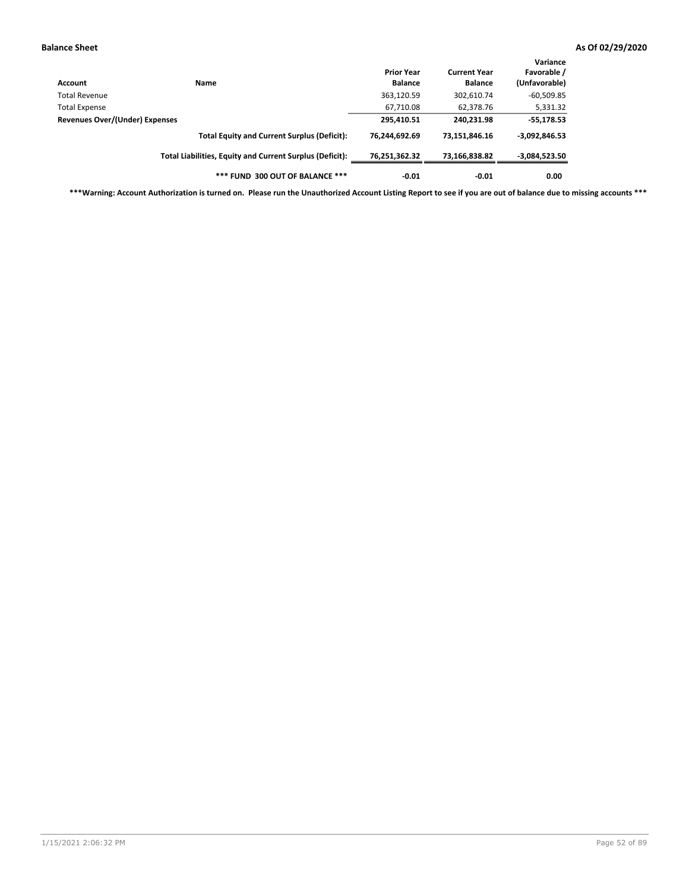| Account                               | Name                                                     | <b>Prior Year</b><br><b>Balance</b> | <b>Current Year</b><br><b>Balance</b> | Variance<br>Favorable /<br>(Unfavorable) |
|---------------------------------------|----------------------------------------------------------|-------------------------------------|---------------------------------------|------------------------------------------|
| Total Revenue                         |                                                          | 363,120.59                          | 302,610.74                            | $-60,509.85$                             |
| <b>Total Expense</b>                  |                                                          | 67,710.08                           | 62.378.76                             | 5,331.32                                 |
| <b>Revenues Over/(Under) Expenses</b> |                                                          | 295,410.51                          | 240,231.98                            | $-55,178.53$                             |
|                                       | <b>Total Equity and Current Surplus (Deficit):</b>       | 76,244,692.69                       | 73,151,846.16                         | $-3,092,846.53$                          |
|                                       | Total Liabilities, Equity and Current Surplus (Deficit): | 76,251,362.32                       | 73,166,838.82                         | $-3,084,523.50$                          |
|                                       | *** FUND 300 OUT OF BALANCE ***                          | $-0.01$                             | $-0.01$                               | 0.00                                     |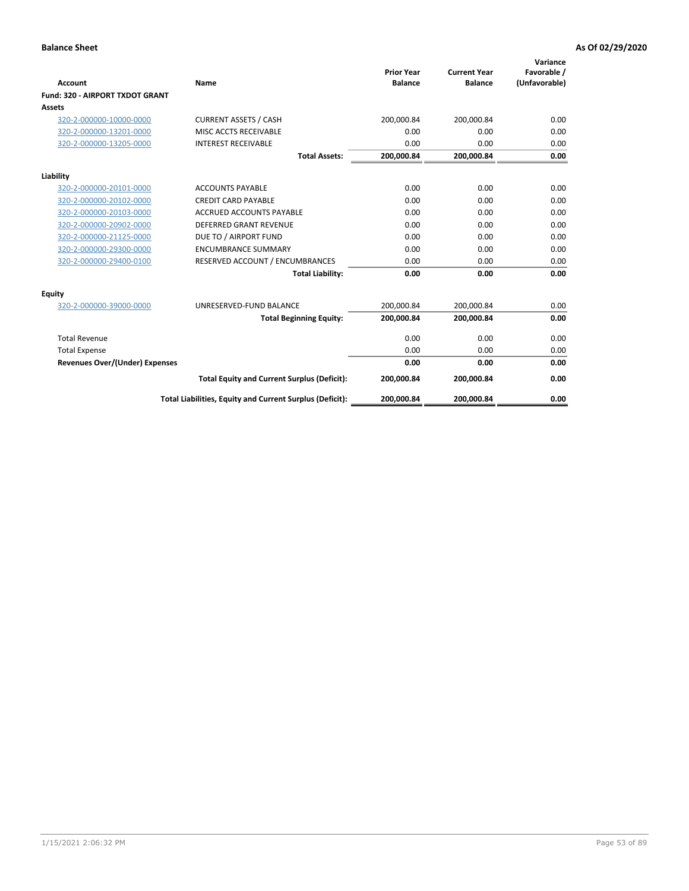|                                       |                                                          | <b>Prior Year</b> | <b>Current Year</b> | Variance<br>Favorable / |
|---------------------------------------|----------------------------------------------------------|-------------------|---------------------|-------------------------|
| <b>Account</b>                        | Name                                                     | <b>Balance</b>    | <b>Balance</b>      | (Unfavorable)           |
| Fund: 320 - AIRPORT TXDOT GRANT       |                                                          |                   |                     |                         |
| Assets                                |                                                          |                   |                     |                         |
| 320-2-000000-10000-0000               | <b>CURRENT ASSETS / CASH</b>                             | 200,000.84        | 200,000.84          | 0.00                    |
| 320-2-000000-13201-0000               | MISC ACCTS RECEIVABLE                                    | 0.00              | 0.00                | 0.00                    |
| 320-2-000000-13205-0000               | <b>INTEREST RECEIVABLE</b>                               | 0.00              | 0.00                | 0.00                    |
|                                       | <b>Total Assets:</b>                                     | 200,000.84        | 200,000.84          | 0.00                    |
| Liability                             |                                                          |                   |                     |                         |
| 320-2-000000-20101-0000               | <b>ACCOUNTS PAYABLE</b>                                  | 0.00              | 0.00                | 0.00                    |
| 320-2-000000-20102-0000               | <b>CREDIT CARD PAYABLE</b>                               | 0.00              | 0.00                | 0.00                    |
| 320-2-000000-20103-0000               | <b>ACCRUED ACCOUNTS PAYABLE</b>                          | 0.00              | 0.00                | 0.00                    |
| 320-2-000000-20902-0000               | <b>DEFERRED GRANT REVENUE</b>                            | 0.00              | 0.00                | 0.00                    |
| 320-2-000000-21125-0000               | DUE TO / AIRPORT FUND                                    | 0.00              | 0.00                | 0.00                    |
| 320-2-000000-29300-0000               | <b>ENCUMBRANCE SUMMARY</b>                               | 0.00              | 0.00                | 0.00                    |
| 320-2-000000-29400-0100               | RESERVED ACCOUNT / ENCUMBRANCES                          | 0.00              | 0.00                | 0.00                    |
|                                       | <b>Total Liability:</b>                                  | 0.00              | 0.00                | 0.00                    |
| <b>Equity</b>                         |                                                          |                   |                     |                         |
| 320-2-000000-39000-0000               | UNRESERVED-FUND BALANCE                                  | 200,000.84        | 200,000.84          | 0.00                    |
|                                       | <b>Total Beginning Equity:</b>                           | 200,000.84        | 200,000.84          | 0.00                    |
| <b>Total Revenue</b>                  |                                                          | 0.00              | 0.00                | 0.00                    |
| <b>Total Expense</b>                  |                                                          | 0.00              | 0.00                | 0.00                    |
| <b>Revenues Over/(Under) Expenses</b> |                                                          | 0.00              | 0.00                | 0.00                    |
|                                       | <b>Total Equity and Current Surplus (Deficit):</b>       | 200,000.84        | 200,000.84          | 0.00                    |
|                                       | Total Liabilities, Equity and Current Surplus (Deficit): | 200,000.84        | 200,000.84          | 0.00                    |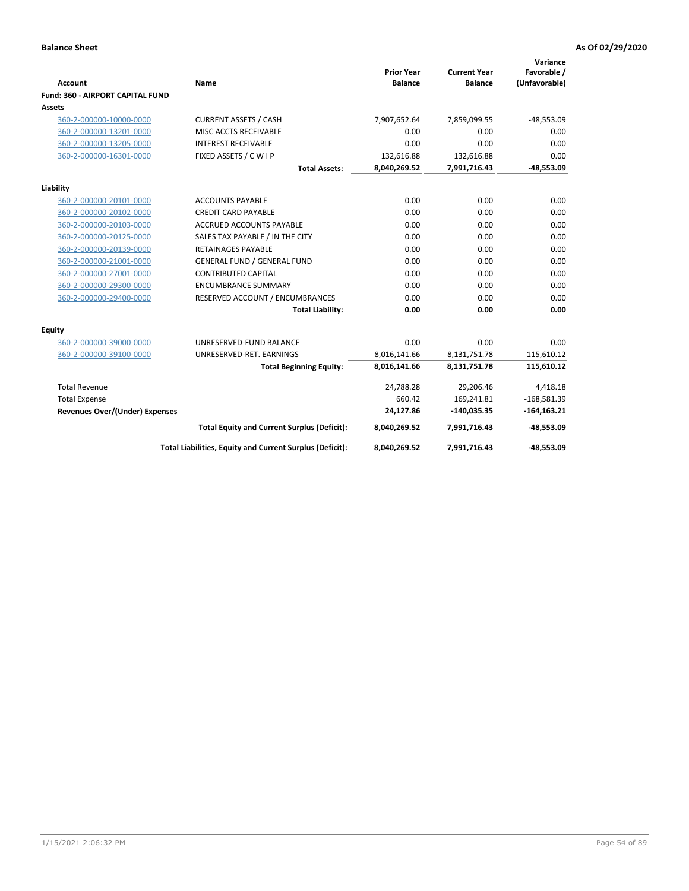|                                                    |                                                          |                                     |                                       | Variance                     |
|----------------------------------------------------|----------------------------------------------------------|-------------------------------------|---------------------------------------|------------------------------|
| <b>Account</b>                                     | Name                                                     | <b>Prior Year</b><br><b>Balance</b> | <b>Current Year</b><br><b>Balance</b> | Favorable /<br>(Unfavorable) |
| Fund: 360 - AIRPORT CAPITAL FUND                   |                                                          |                                     |                                       |                              |
| <b>Assets</b>                                      |                                                          |                                     |                                       |                              |
| 360-2-000000-10000-0000                            | <b>CURRENT ASSETS / CASH</b>                             | 7,907,652.64                        | 7,859,099.55                          | $-48,553.09$                 |
| 360-2-000000-13201-0000                            | MISC ACCTS RECEIVABLE                                    | 0.00                                | 0.00                                  | 0.00                         |
| 360-2-000000-13205-0000                            | <b>INTEREST RECEIVABLE</b>                               | 0.00                                | 0.00                                  | 0.00                         |
| 360-2-000000-16301-0000                            | FIXED ASSETS / C W I P                                   | 132,616.88                          | 132,616.88                            | 0.00                         |
|                                                    | <b>Total Assets:</b>                                     | 8,040,269.52                        | 7,991,716.43                          | $-48,553.09$                 |
|                                                    |                                                          |                                     |                                       |                              |
| Liability                                          | <b>ACCOUNTS PAYABLE</b>                                  | 0.00                                | 0.00                                  | 0.00                         |
| 360-2-000000-20101-0000                            | <b>CREDIT CARD PAYABLE</b>                               | 0.00                                | 0.00                                  | 0.00                         |
| 360-2-000000-20102-0000<br>360-2-000000-20103-0000 | <b>ACCRUED ACCOUNTS PAYABLE</b>                          | 0.00                                | 0.00                                  | 0.00                         |
| 360-2-000000-20125-0000                            | SALES TAX PAYABLE / IN THE CITY                          | 0.00                                | 0.00                                  | 0.00                         |
| 360-2-000000-20139-0000                            | <b>RETAINAGES PAYABLE</b>                                | 0.00                                | 0.00                                  | 0.00                         |
| 360-2-000000-21001-0000                            | <b>GENERAL FUND / GENERAL FUND</b>                       | 0.00                                | 0.00                                  | 0.00                         |
| 360-2-000000-27001-0000                            | <b>CONTRIBUTED CAPITAL</b>                               | 0.00                                | 0.00                                  | 0.00                         |
| 360-2-000000-29300-0000                            | <b>ENCUMBRANCE SUMMARY</b>                               | 0.00                                | 0.00                                  | 0.00                         |
| 360-2-000000-29400-0000                            | RESERVED ACCOUNT / ENCUMBRANCES                          | 0.00                                | 0.00                                  | 0.00                         |
|                                                    | <b>Total Liability:</b>                                  | 0.00                                | 0.00                                  | 0.00                         |
|                                                    |                                                          |                                     |                                       |                              |
| <b>Equity</b>                                      |                                                          |                                     |                                       |                              |
| 360-2-000000-39000-0000                            | UNRESERVED-FUND BALANCE                                  | 0.00                                | 0.00                                  | 0.00                         |
| 360-2-000000-39100-0000                            | UNRESERVED-RET. EARNINGS                                 | 8,016,141.66                        | 8,131,751.78                          | 115,610.12                   |
|                                                    | <b>Total Beginning Equity:</b>                           | 8,016,141.66                        | 8,131,751.78                          | 115,610.12                   |
| <b>Total Revenue</b>                               |                                                          | 24,788.28                           | 29,206.46                             | 4,418.18                     |
| <b>Total Expense</b>                               |                                                          | 660.42                              | 169,241.81                            | $-168,581.39$                |
| <b>Revenues Over/(Under) Expenses</b>              |                                                          | 24,127.86                           | $-140,035.35$                         | $-164, 163.21$               |
|                                                    | <b>Total Equity and Current Surplus (Deficit):</b>       | 8,040,269.52                        | 7,991,716.43                          | $-48,553.09$                 |
|                                                    | Total Liabilities, Equity and Current Surplus (Deficit): | 8,040,269.52                        | 7,991,716.43                          | $-48,553.09$                 |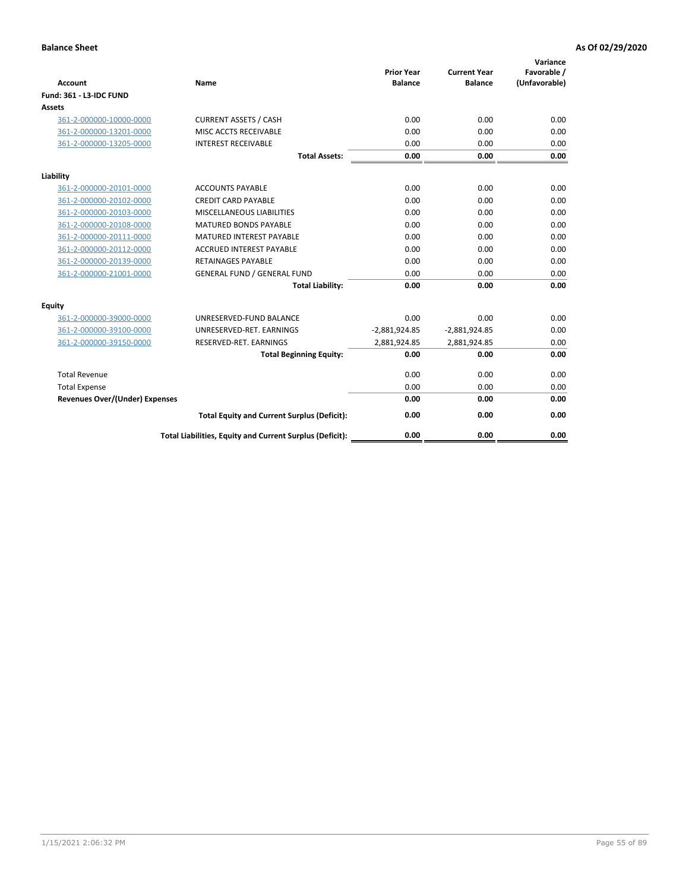| <b>Account</b>                        | <b>Name</b>                                              | <b>Prior Year</b><br><b>Balance</b> | <b>Current Year</b><br><b>Balance</b> | Variance<br>Favorable /<br>(Unfavorable) |
|---------------------------------------|----------------------------------------------------------|-------------------------------------|---------------------------------------|------------------------------------------|
| <b>Fund: 361 - L3-IDC FUND</b>        |                                                          |                                     |                                       |                                          |
| Assets                                |                                                          |                                     |                                       |                                          |
| 361-2-000000-10000-0000               | <b>CURRENT ASSETS / CASH</b>                             | 0.00                                | 0.00                                  | 0.00                                     |
| 361-2-000000-13201-0000               | MISC ACCTS RECEIVABLE                                    | 0.00                                | 0.00                                  | 0.00                                     |
| 361-2-000000-13205-0000               | <b>INTEREST RECEIVABLE</b>                               | 0.00                                | 0.00                                  | 0.00                                     |
|                                       | <b>Total Assets:</b>                                     | 0.00                                | 0.00                                  | 0.00                                     |
| Liability                             |                                                          |                                     |                                       |                                          |
| 361-2-000000-20101-0000               | <b>ACCOUNTS PAYABLE</b>                                  | 0.00                                | 0.00                                  | 0.00                                     |
| 361-2-000000-20102-0000               | <b>CREDIT CARD PAYABLE</b>                               | 0.00                                | 0.00                                  | 0.00                                     |
| 361-2-000000-20103-0000               | MISCELLANEOUS LIABILITIES                                | 0.00                                | 0.00                                  | 0.00                                     |
| 361-2-000000-20108-0000               | <b>MATURED BONDS PAYABLE</b>                             | 0.00                                | 0.00                                  | 0.00                                     |
| 361-2-000000-20111-0000               | <b>MATURED INTEREST PAYABLE</b>                          | 0.00                                | 0.00                                  | 0.00                                     |
| 361-2-000000-20112-0000               | <b>ACCRUED INTEREST PAYABLE</b>                          | 0.00                                | 0.00                                  | 0.00                                     |
| 361-2-000000-20139-0000               | <b>RETAINAGES PAYABLE</b>                                | 0.00                                | 0.00                                  | 0.00                                     |
| 361-2-000000-21001-0000               | <b>GENERAL FUND / GENERAL FUND</b>                       | 0.00                                | 0.00                                  | 0.00                                     |
|                                       | <b>Total Liability:</b>                                  | 0.00                                | 0.00                                  | 0.00                                     |
| Equity                                |                                                          |                                     |                                       |                                          |
| 361-2-000000-39000-0000               | UNRESERVED-FUND BALANCE                                  | 0.00                                | 0.00                                  | 0.00                                     |
| 361-2-000000-39100-0000               | UNRESERVED-RET. EARNINGS                                 | $-2,881,924.85$                     | $-2,881,924.85$                       | 0.00                                     |
| 361-2-000000-39150-0000               | RESERVED-RET. EARNINGS                                   | 2,881,924.85                        | 2,881,924.85                          | 0.00                                     |
|                                       | <b>Total Beginning Equity:</b>                           | 0.00                                | 0.00                                  | 0.00                                     |
| <b>Total Revenue</b>                  |                                                          | 0.00                                | 0.00                                  | 0.00                                     |
| <b>Total Expense</b>                  |                                                          | 0.00                                | 0.00                                  | 0.00                                     |
| <b>Revenues Over/(Under) Expenses</b> |                                                          | 0.00                                | 0.00                                  | 0.00                                     |
|                                       | <b>Total Equity and Current Surplus (Deficit):</b>       | 0.00                                | 0.00                                  | 0.00                                     |
|                                       | Total Liabilities, Equity and Current Surplus (Deficit): | 0.00                                | 0.00                                  | 0.00                                     |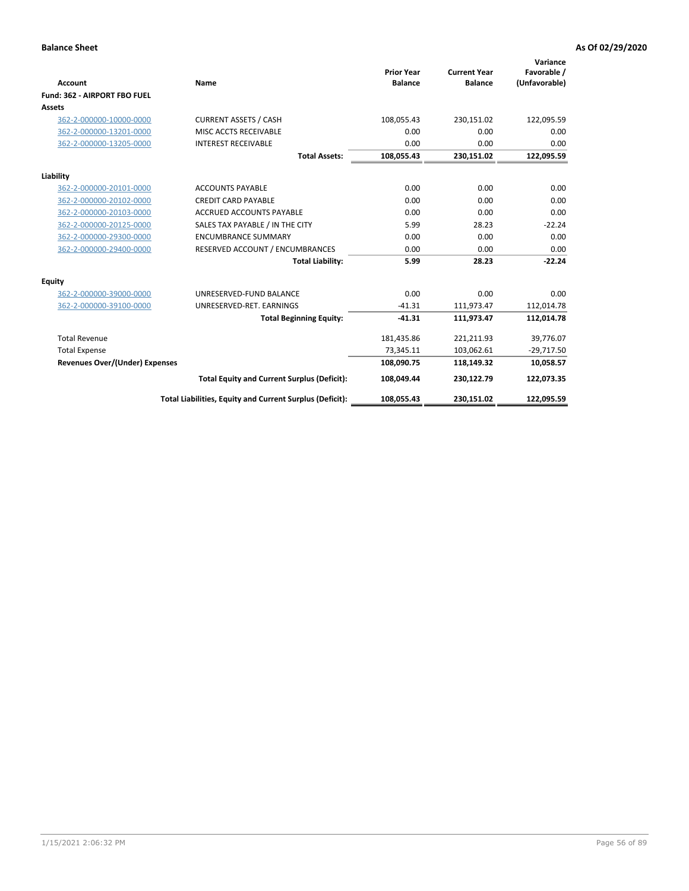|                                       |                                                          |                                     |                                       | Variance                     |
|---------------------------------------|----------------------------------------------------------|-------------------------------------|---------------------------------------|------------------------------|
| <b>Account</b>                        | Name                                                     | <b>Prior Year</b><br><b>Balance</b> | <b>Current Year</b><br><b>Balance</b> | Favorable /<br>(Unfavorable) |
| Fund: 362 - AIRPORT FBO FUEL          |                                                          |                                     |                                       |                              |
| Assets                                |                                                          |                                     |                                       |                              |
| 362-2-000000-10000-0000               | <b>CURRENT ASSETS / CASH</b>                             | 108,055.43                          | 230,151.02                            | 122,095.59                   |
| 362-2-000000-13201-0000               | MISC ACCTS RECEIVABLE                                    | 0.00                                | 0.00                                  | 0.00                         |
| 362-2-000000-13205-0000               | <b>INTEREST RECEIVABLE</b>                               | 0.00                                | 0.00                                  | 0.00                         |
|                                       | <b>Total Assets:</b>                                     | 108,055.43                          | 230,151.02                            | 122,095.59                   |
| Liability                             |                                                          |                                     |                                       |                              |
| 362-2-000000-20101-0000               | <b>ACCOUNTS PAYABLE</b>                                  | 0.00                                | 0.00                                  | 0.00                         |
| 362-2-000000-20102-0000               | <b>CREDIT CARD PAYABLE</b>                               | 0.00                                | 0.00                                  | 0.00                         |
| 362-2-000000-20103-0000               | <b>ACCRUED ACCOUNTS PAYABLE</b>                          | 0.00                                | 0.00                                  | 0.00                         |
| 362-2-000000-20125-0000               | SALES TAX PAYABLE / IN THE CITY                          | 5.99                                | 28.23                                 | $-22.24$                     |
| 362-2-000000-29300-0000               | <b>ENCUMBRANCE SUMMARY</b>                               | 0.00                                | 0.00                                  | 0.00                         |
| 362-2-000000-29400-0000               | RESERVED ACCOUNT / ENCUMBRANCES                          | 0.00                                | 0.00                                  | 0.00                         |
|                                       | <b>Total Liability:</b>                                  | 5.99                                | 28.23                                 | $-22.24$                     |
| <b>Equity</b>                         |                                                          |                                     |                                       |                              |
| 362-2-000000-39000-0000               | UNRESERVED-FUND BALANCE                                  | 0.00                                | 0.00                                  | 0.00                         |
| 362-2-000000-39100-0000               | UNRESERVED-RET. EARNINGS                                 | $-41.31$                            | 111,973.47                            | 112,014.78                   |
|                                       | <b>Total Beginning Equity:</b>                           | $-41.31$                            | 111,973.47                            | 112,014.78                   |
| <b>Total Revenue</b>                  |                                                          | 181,435.86                          | 221,211.93                            | 39,776.07                    |
| <b>Total Expense</b>                  |                                                          | 73,345.11                           | 103,062.61                            | $-29,717.50$                 |
| <b>Revenues Over/(Under) Expenses</b> |                                                          | 108,090.75                          | 118,149.32                            | 10,058.57                    |
|                                       | <b>Total Equity and Current Surplus (Deficit):</b>       | 108,049.44                          | 230,122.79                            | 122,073.35                   |
|                                       | Total Liabilities, Equity and Current Surplus (Deficit): | 108,055.43                          | 230,151.02                            | 122,095.59                   |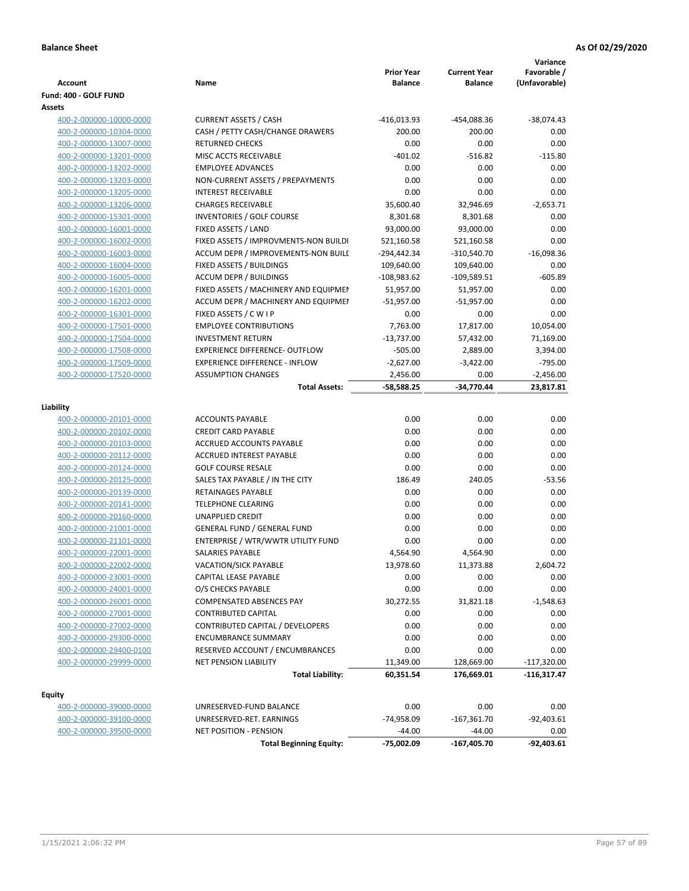| Account                                            | Name                                                  | <b>Prior Year</b><br><b>Balance</b> | <b>Current Year</b><br><b>Balance</b> | Variance<br>Favorable /<br>(Unfavorable) |
|----------------------------------------------------|-------------------------------------------------------|-------------------------------------|---------------------------------------|------------------------------------------|
| Fund: 400 - GOLF FUND                              |                                                       |                                     |                                       |                                          |
| Assets                                             |                                                       |                                     |                                       |                                          |
| 400-2-000000-10000-0000                            | <b>CURRENT ASSETS / CASH</b>                          | -416,013.93                         | -454,088.36                           | $-38,074.43$                             |
| 400-2-000000-10304-0000                            | CASH / PETTY CASH/CHANGE DRAWERS                      | 200.00                              | 200.00                                | 0.00                                     |
| 400-2-000000-13007-0000                            | <b>RETURNED CHECKS</b>                                | 0.00                                | 0.00                                  | 0.00                                     |
| 400-2-000000-13201-0000                            | MISC ACCTS RECEIVABLE                                 | $-401.02$                           | $-516.82$                             | $-115.80$                                |
| 400-2-000000-13202-0000                            | <b>EMPLOYEE ADVANCES</b>                              | 0.00                                | 0.00                                  | 0.00                                     |
| 400-2-000000-13203-0000                            | NON-CURRENT ASSETS / PREPAYMENTS                      | 0.00                                | 0.00                                  | 0.00                                     |
| 400-2-000000-13205-0000                            | <b>INTEREST RECEIVABLE</b>                            | 0.00                                | 0.00                                  | 0.00                                     |
| 400-2-000000-13206-0000                            | <b>CHARGES RECEIVABLE</b>                             | 35,600.40                           | 32,946.69                             | $-2,653.71$                              |
| 400-2-000000-15301-0000                            | INVENTORIES / GOLF COURSE                             | 8,301.68                            | 8,301.68                              | 0.00                                     |
| 400-2-000000-16001-0000                            | FIXED ASSETS / LAND                                   | 93,000.00                           | 93,000.00                             | 0.00                                     |
| 400-2-000000-16002-0000                            | FIXED ASSETS / IMPROVMENTS-NON BUILDI                 | 521,160.58                          | 521,160.58                            | 0.00                                     |
| 400-2-000000-16003-0000                            | ACCUM DEPR / IMPROVEMENTS-NON BUILI                   | -294,442.34                         | $-310,540.70$                         | $-16,098.36$                             |
| 400-2-000000-16004-0000                            | FIXED ASSETS / BUILDINGS                              | 109,640.00                          | 109,640.00                            | 0.00                                     |
| 400-2-000000-16005-0000                            | <b>ACCUM DEPR / BUILDINGS</b>                         | $-108,983.62$                       | $-109,589.51$                         | $-605.89$                                |
| 400-2-000000-16201-0000                            | FIXED ASSETS / MACHINERY AND EQUIPMEN                 | 51,957.00                           | 51,957.00                             | 0.00                                     |
| 400-2-000000-16202-0000                            | ACCUM DEPR / MACHINERY AND EQUIPMEI                   | $-51,957.00$                        | $-51,957.00$                          | 0.00                                     |
| 400-2-000000-16301-0000                            | FIXED ASSETS / C W I P                                | 0.00                                | 0.00                                  | 0.00                                     |
| 400-2-000000-17501-0000                            | <b>EMPLOYEE CONTRIBUTIONS</b>                         | 7,763.00                            | 17,817.00                             | 10,054.00                                |
| 400-2-000000-17504-0000                            | <b>INVESTMENT RETURN</b>                              | $-13,737.00$                        | 57,432.00                             | 71,169.00                                |
| 400-2-000000-17508-0000                            | <b>EXPERIENCE DIFFERENCE- OUTFLOW</b>                 | $-505.00$                           | 2,889.00                              | 3,394.00                                 |
| 400-2-000000-17509-0000                            | <b>EXPERIENCE DIFFERENCE - INFLOW</b>                 | $-2,627.00$                         | $-3,422.00$                           | $-795.00$                                |
| 400-2-000000-17520-0000                            | <b>ASSUMPTION CHANGES</b>                             | 2,456.00                            | 0.00                                  | $-2,456.00$                              |
|                                                    | <b>Total Assets:</b>                                  | $-58,588.25$                        | -34,770.44                            | 23,817.81                                |
|                                                    |                                                       |                                     |                                       |                                          |
| Liability                                          |                                                       |                                     |                                       |                                          |
| 400-2-000000-20101-0000                            | <b>ACCOUNTS PAYABLE</b><br><b>CREDIT CARD PAYABLE</b> | 0.00<br>0.00                        | 0.00<br>0.00                          | 0.00<br>0.00                             |
| 400-2-000000-20102-0000                            | ACCRUED ACCOUNTS PAYABLE                              | 0.00                                | 0.00                                  | 0.00                                     |
| 400-2-000000-20103-0000                            | <b>ACCRUED INTEREST PAYABLE</b>                       | 0.00                                | 0.00                                  | 0.00                                     |
| 400-2-000000-20112-0000                            | <b>GOLF COURSE RESALE</b>                             | 0.00                                |                                       | 0.00                                     |
| 400-2-000000-20124-0000<br>400-2-000000-20125-0000 | SALES TAX PAYABLE / IN THE CITY                       | 186.49                              | 0.00<br>240.05                        | $-53.56$                                 |
| 400-2-000000-20139-0000                            | <b>RETAINAGES PAYABLE</b>                             | 0.00                                | 0.00                                  | 0.00                                     |
| 400-2-000000-20141-0000                            | <b>TELEPHONE CLEARING</b>                             | 0.00                                | 0.00                                  | 0.00                                     |
| 400-2-000000-20160-0000                            | <b>UNAPPLIED CREDIT</b>                               | 0.00                                | 0.00                                  | 0.00                                     |
| 400-2-000000-21001-0000                            | <b>GENERAL FUND / GENERAL FUND</b>                    | 0.00                                | 0.00                                  | 0.00                                     |
| 400-2-000000-21101-0000                            | ENTERPRISE / WTR/WWTR UTILITY FUND                    | 0.00                                | 0.00                                  | 0.00                                     |
| 400-2-000000-22001-0000                            | SALARIES PAYABLE                                      | 4,564.90                            | 4,564.90                              | 0.00                                     |
| 400-2-000000-22002-0000                            | VACATION/SICK PAYABLE                                 | 13,978.60                           | 11,373.88                             | 2,604.72                                 |
| 400-2-000000-23001-0000                            | CAPITAL LEASE PAYABLE                                 | 0.00                                | 0.00                                  | 0.00                                     |
| 400-2-000000-24001-0000                            | O/S CHECKS PAYABLE                                    | 0.00                                | 0.00                                  | 0.00                                     |
| 400-2-000000-26001-0000                            | COMPENSATED ABSENCES PAY                              | 30,272.55                           | 31,821.18                             | $-1,548.63$                              |
| 400-2-000000-27001-0000                            | <b>CONTRIBUTED CAPITAL</b>                            | 0.00                                | 0.00                                  | 0.00                                     |
| 400-2-000000-27002-0000                            | CONTRIBUTED CAPITAL / DEVELOPERS                      | 0.00                                | 0.00                                  | 0.00                                     |
| 400-2-000000-29300-0000                            | <b>ENCUMBRANCE SUMMARY</b>                            | 0.00                                | 0.00                                  | 0.00                                     |
| 400-2-000000-29400-0100                            | RESERVED ACCOUNT / ENCUMBRANCES                       | 0.00                                | 0.00                                  | 0.00                                     |
| 400-2-000000-29999-0000                            | NET PENSION LIABILITY                                 | 11,349.00                           | 128,669.00                            | $-117,320.00$                            |
|                                                    | <b>Total Liability:</b>                               | 60,351.54                           | 176,669.01                            | -116,317.47                              |
|                                                    |                                                       |                                     |                                       |                                          |
| <b>Equity</b>                                      |                                                       |                                     |                                       |                                          |
| 400-2-000000-39000-0000                            | UNRESERVED-FUND BALANCE                               | 0.00                                | 0.00                                  | 0.00                                     |
| 400-2-000000-39100-0000                            | UNRESERVED-RET. EARNINGS                              | -74,958.09                          | $-167,361.70$                         | $-92,403.61$                             |
| 400-2-000000-39500-0000                            | <b>NET POSITION - PENSION</b>                         | $-44.00$                            | $-44.00$                              | 0.00                                     |
|                                                    | <b>Total Beginning Equity:</b>                        | -75,002.09                          | -167,405.70                           | $-92,403.61$                             |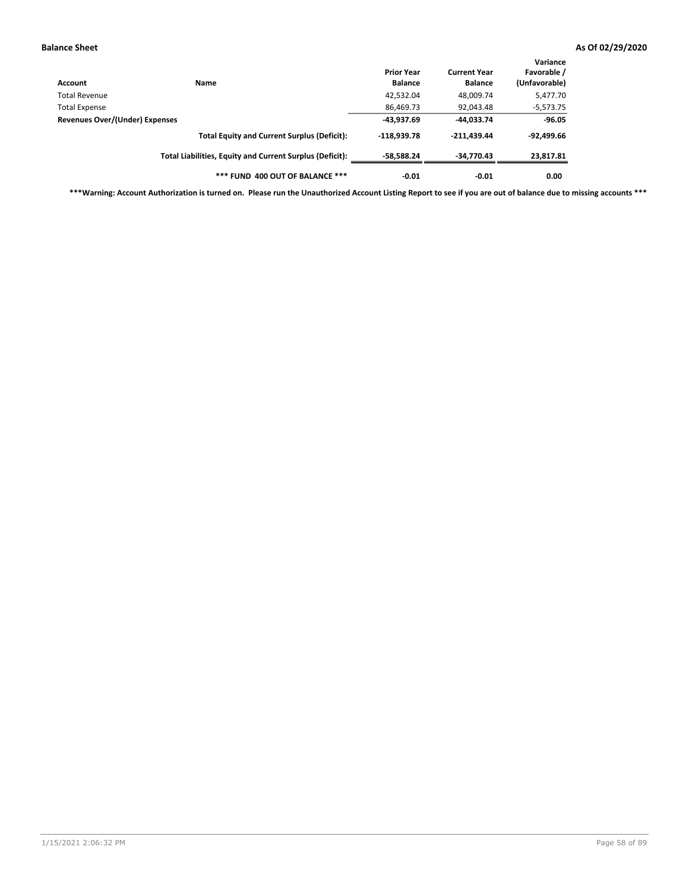| Account                        | <b>Name</b>                                              | <b>Prior Year</b><br><b>Balance</b> | <b>Current Year</b><br><b>Balance</b> | Variance<br>Favorable /<br>(Unfavorable) |
|--------------------------------|----------------------------------------------------------|-------------------------------------|---------------------------------------|------------------------------------------|
| Total Revenue                  |                                                          | 42,532.04                           | 48,009.74                             | 5,477.70                                 |
| <b>Total Expense</b>           |                                                          | 86,469.73                           | 92,043.48                             | $-5,573.75$                              |
| Revenues Over/(Under) Expenses |                                                          | -43,937.69                          | -44,033.74                            | $-96.05$                                 |
|                                | <b>Total Equity and Current Surplus (Deficit):</b>       | $-118.939.78$                       | $-211.439.44$                         | $-92,499.66$                             |
|                                | Total Liabilities, Equity and Current Surplus (Deficit): | $-58,588.24$                        | -34,770.43                            | 23,817.81                                |
|                                | *** FUND 400 OUT OF BALANCE ***                          | $-0.01$                             | $-0.01$                               | 0.00                                     |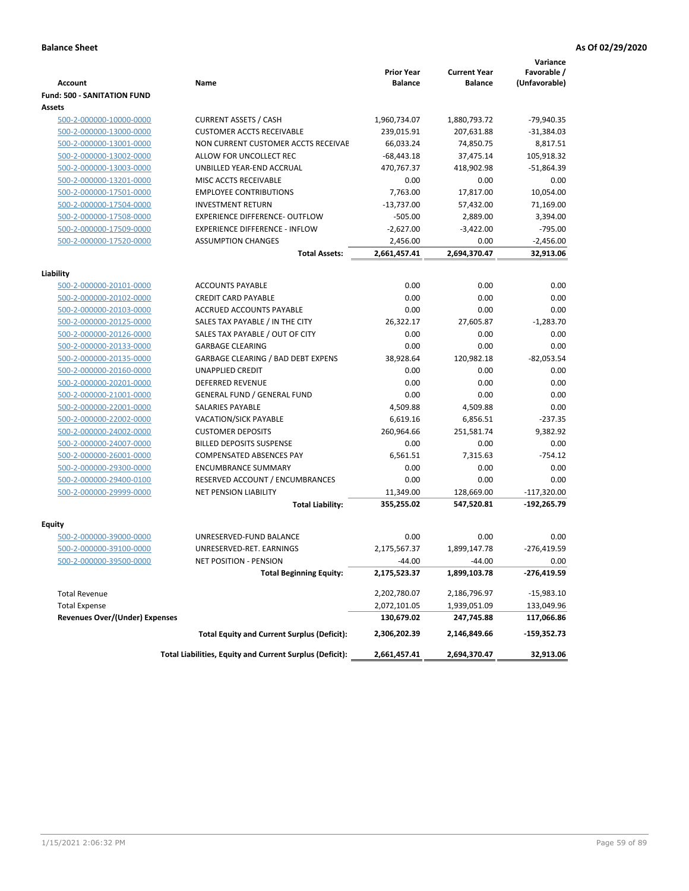| <b>Account</b>                        | Name                                                     | <b>Prior Year</b><br><b>Balance</b> | <b>Current Year</b><br><b>Balance</b> | Variance<br>Favorable /<br>(Unfavorable) |
|---------------------------------------|----------------------------------------------------------|-------------------------------------|---------------------------------------|------------------------------------------|
| <b>Fund: 500 - SANITATION FUND</b>    |                                                          |                                     |                                       |                                          |
| Assets                                |                                                          |                                     |                                       |                                          |
| 500-2-000000-10000-0000               | <b>CURRENT ASSETS / CASH</b>                             | 1,960,734.07                        | 1,880,793.72                          | $-79,940.35$                             |
| 500-2-000000-13000-0000               | <b>CUSTOMER ACCTS RECEIVABLE</b>                         | 239,015.91                          | 207,631.88                            | $-31,384.03$                             |
| 500-2-000000-13001-0000               | NON CURRENT CUSTOMER ACCTS RECEIVAE                      | 66,033.24                           | 74,850.75                             | 8,817.51                                 |
| 500-2-000000-13002-0000               | ALLOW FOR UNCOLLECT REC                                  | $-68,443.18$                        | 37,475.14                             | 105,918.32                               |
| 500-2-000000-13003-0000               | UNBILLED YEAR-END ACCRUAL                                | 470,767.37                          | 418,902.98                            | $-51,864.39$                             |
| 500-2-000000-13201-0000               | MISC ACCTS RECEIVABLE                                    | 0.00                                | 0.00                                  | 0.00                                     |
| 500-2-000000-17501-0000               | <b>EMPLOYEE CONTRIBUTIONS</b>                            | 7,763.00                            | 17,817.00                             | 10,054.00                                |
| 500-2-000000-17504-0000               | <b>INVESTMENT RETURN</b>                                 | $-13,737.00$                        | 57,432.00                             | 71,169.00                                |
| 500-2-000000-17508-0000               | <b>EXPERIENCE DIFFERENCE- OUTFLOW</b>                    | $-505.00$                           | 2,889.00                              | 3,394.00                                 |
| 500-2-000000-17509-0000               | <b>EXPERIENCE DIFFERENCE - INFLOW</b>                    | $-2,627.00$                         | $-3,422.00$                           | $-795.00$                                |
| 500-2-000000-17520-0000               | <b>ASSUMPTION CHANGES</b>                                | 2,456.00                            | 0.00                                  | $-2,456.00$                              |
|                                       | <b>Total Assets:</b>                                     | 2,661,457.41                        | 2,694,370.47                          | 32,913.06                                |
|                                       |                                                          |                                     |                                       |                                          |
| Liability                             |                                                          |                                     |                                       |                                          |
| 500-2-000000-20101-0000               | <b>ACCOUNTS PAYABLE</b>                                  | 0.00                                | 0.00                                  | 0.00                                     |
| 500-2-000000-20102-0000               | <b>CREDIT CARD PAYABLE</b>                               | 0.00                                | 0.00                                  | 0.00                                     |
| 500-2-000000-20103-0000               | ACCRUED ACCOUNTS PAYABLE                                 | 0.00                                | 0.00                                  | 0.00                                     |
| 500-2-000000-20125-0000               | SALES TAX PAYABLE / IN THE CITY                          | 26,322.17                           | 27,605.87                             | $-1,283.70$                              |
| 500-2-000000-20126-0000               | SALES TAX PAYABLE / OUT OF CITY                          | 0.00                                | 0.00                                  | 0.00                                     |
| 500-2-000000-20133-0000               | <b>GARBAGE CLEARING</b>                                  | 0.00                                | 0.00                                  | 0.00                                     |
| 500-2-000000-20135-0000               | GARBAGE CLEARING / BAD DEBT EXPENS                       | 38,928.64                           | 120,982.18                            | $-82,053.54$                             |
| 500-2-000000-20160-0000               | <b>UNAPPLIED CREDIT</b>                                  | 0.00                                | 0.00                                  | 0.00                                     |
| 500-2-000000-20201-0000               | <b>DEFERRED REVENUE</b>                                  | 0.00                                | 0.00                                  | 0.00                                     |
| 500-2-000000-21001-0000               | <b>GENERAL FUND / GENERAL FUND</b>                       | 0.00                                | 0.00                                  | 0.00                                     |
| 500-2-000000-22001-0000               | SALARIES PAYABLE                                         | 4,509.88                            | 4,509.88                              | 0.00                                     |
| 500-2-000000-22002-0000               | <b>VACATION/SICK PAYABLE</b>                             | 6,619.16                            | 6,856.51                              | $-237.35$                                |
| 500-2-000000-24002-0000               | <b>CUSTOMER DEPOSITS</b>                                 | 260,964.66                          | 251,581.74                            | 9,382.92                                 |
| 500-2-000000-24007-0000               | <b>BILLED DEPOSITS SUSPENSE</b>                          | 0.00                                | 0.00                                  | 0.00                                     |
| 500-2-000000-26001-0000               | <b>COMPENSATED ABSENCES PAY</b>                          | 6,561.51                            | 7,315.63                              | $-754.12$                                |
| 500-2-000000-29300-0000               | <b>ENCUMBRANCE SUMMARY</b>                               | 0.00                                | 0.00                                  | 0.00                                     |
| 500-2-000000-29400-0100               | RESERVED ACCOUNT / ENCUMBRANCES                          | 0.00                                | 0.00                                  | 0.00                                     |
| 500-2-000000-29999-0000               | <b>NET PENSION LIABILITY</b>                             | 11,349.00                           | 128,669.00                            | $-117,320.00$                            |
|                                       | <b>Total Liability:</b>                                  | 355,255.02                          | 547,520.81                            | $-192,265.79$                            |
| Equity                                |                                                          |                                     |                                       |                                          |
| 500-2-000000-39000-0000               | UNRESERVED-FUND BALANCE                                  | 0.00                                | 0.00                                  | 0.00                                     |
| 500-2-000000-39100-0000               | UNRESERVED-RET. EARNINGS                                 | 2,175,567.37                        | 1,899,147.78                          | $-276,419.59$                            |
|                                       |                                                          | -44.00                              | $-44.00$                              | 0.00                                     |
| <u>500-2-000000-39500-0000</u>        | NET POSITION - PENSION<br><b>Total Beginning Equity:</b> | 2,175,523.37                        | 1,899,103.78                          | $-276,419.59$                            |
|                                       |                                                          |                                     |                                       |                                          |
| <b>Total Revenue</b>                  |                                                          | 2,202,780.07                        | 2,186,796.97                          | -15,983.10                               |
| <b>Total Expense</b>                  |                                                          | 2,072,101.05                        | 1,939,051.09                          | 133,049.96                               |
| <b>Revenues Over/(Under) Expenses</b> |                                                          | 130,679.02                          | 247,745.88                            | 117,066.86                               |
|                                       | <b>Total Equity and Current Surplus (Deficit):</b>       | 2,306,202.39                        | 2,146,849.66                          | -159,352.73                              |
|                                       | Total Liabilities, Equity and Current Surplus (Deficit): | 2,661,457.41                        | 2,694,370.47                          | 32,913.06                                |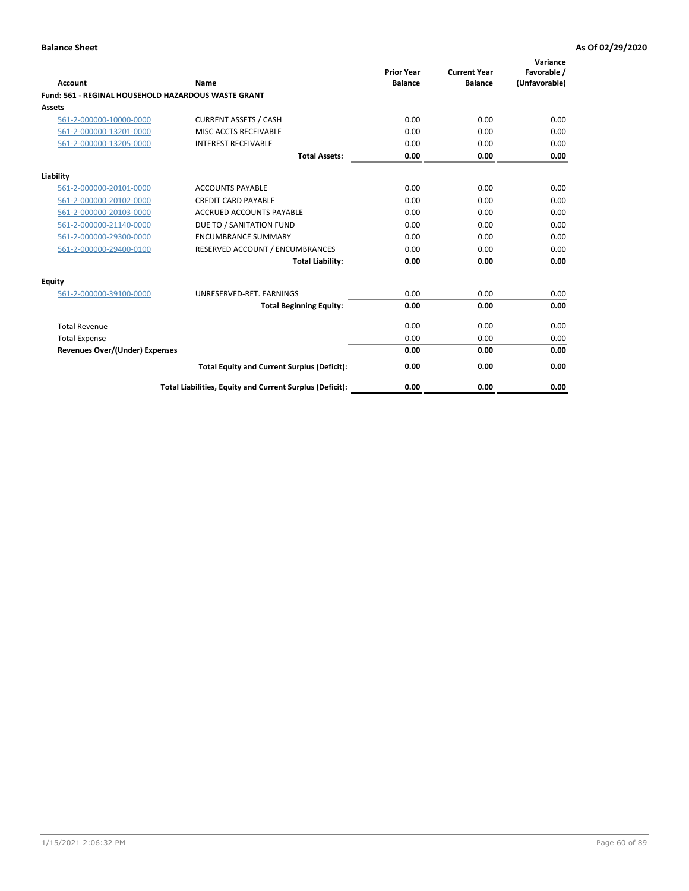| Account                                             | Name                                                     | <b>Prior Year</b><br><b>Balance</b> | <b>Current Year</b><br><b>Balance</b> | Variance<br>Favorable /<br>(Unfavorable) |
|-----------------------------------------------------|----------------------------------------------------------|-------------------------------------|---------------------------------------|------------------------------------------|
| Fund: 561 - REGINAL HOUSEHOLD HAZARDOUS WASTE GRANT |                                                          |                                     |                                       |                                          |
| <b>Assets</b>                                       |                                                          |                                     |                                       |                                          |
| 561-2-000000-10000-0000                             | <b>CURRENT ASSETS / CASH</b>                             | 0.00                                | 0.00                                  | 0.00                                     |
| 561-2-000000-13201-0000                             | MISC ACCTS RECEIVABLE                                    | 0.00                                | 0.00                                  | 0.00                                     |
| 561-2-000000-13205-0000                             | <b>INTEREST RECEIVABLE</b>                               | 0.00                                | 0.00                                  | 0.00                                     |
|                                                     | <b>Total Assets:</b>                                     | 0.00                                | 0.00                                  | 0.00                                     |
| Liability                                           |                                                          |                                     |                                       |                                          |
| 561-2-000000-20101-0000                             | <b>ACCOUNTS PAYABLE</b>                                  | 0.00                                | 0.00                                  | 0.00                                     |
| 561-2-000000-20102-0000                             | <b>CREDIT CARD PAYABLE</b>                               | 0.00                                | 0.00                                  | 0.00                                     |
| 561-2-000000-20103-0000                             | <b>ACCRUED ACCOUNTS PAYABLE</b>                          | 0.00                                | 0.00                                  | 0.00                                     |
| 561-2-000000-21140-0000                             | DUE TO / SANITATION FUND                                 | 0.00                                | 0.00                                  | 0.00                                     |
| 561-2-000000-29300-0000                             | <b>ENCUMBRANCE SUMMARY</b>                               | 0.00                                | 0.00                                  | 0.00                                     |
| 561-2-000000-29400-0100                             | RESERVED ACCOUNT / ENCUMBRANCES                          | 0.00                                | 0.00                                  | 0.00                                     |
|                                                     | <b>Total Liability:</b>                                  | 0.00                                | 0.00                                  | 0.00                                     |
| <b>Equity</b>                                       |                                                          |                                     |                                       |                                          |
| 561-2-000000-39100-0000                             | UNRESERVED-RET. EARNINGS                                 | 0.00                                | 0.00                                  | 0.00                                     |
|                                                     | <b>Total Beginning Equity:</b>                           | 0.00                                | 0.00                                  | 0.00                                     |
| <b>Total Revenue</b>                                |                                                          | 0.00                                | 0.00                                  | 0.00                                     |
| <b>Total Expense</b>                                |                                                          | 0.00                                | 0.00                                  | 0.00                                     |
| <b>Revenues Over/(Under) Expenses</b>               |                                                          | 0.00                                | 0.00                                  | 0.00                                     |
|                                                     | <b>Total Equity and Current Surplus (Deficit):</b>       | 0.00                                | 0.00                                  | 0.00                                     |
|                                                     | Total Liabilities, Equity and Current Surplus (Deficit): | 0.00                                | 0.00                                  | 0.00                                     |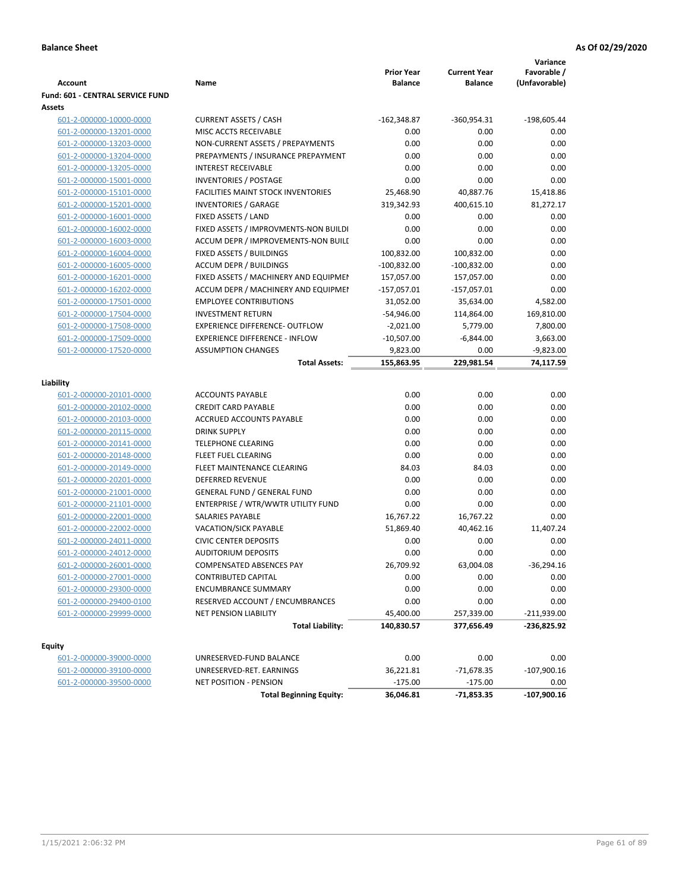|                                  |                                           |                   |                     | Variance      |
|----------------------------------|-------------------------------------------|-------------------|---------------------|---------------|
|                                  |                                           | <b>Prior Year</b> | <b>Current Year</b> | Favorable /   |
| <b>Account</b>                   | Name                                      | <b>Balance</b>    | <b>Balance</b>      | (Unfavorable) |
| Fund: 601 - CENTRAL SERVICE FUND |                                           |                   |                     |               |
| Assets                           |                                           |                   |                     |               |
| 601-2-000000-10000-0000          | <b>CURRENT ASSETS / CASH</b>              | $-162,348.87$     | $-360,954.31$       | $-198,605.44$ |
| 601-2-000000-13201-0000          | MISC ACCTS RECEIVABLE                     | 0.00              | 0.00                | 0.00          |
| 601-2-000000-13203-0000          | NON-CURRENT ASSETS / PREPAYMENTS          | 0.00              | 0.00                | 0.00          |
| 601-2-000000-13204-0000          | PREPAYMENTS / INSURANCE PREPAYMENT        | 0.00              | 0.00                | 0.00          |
| 601-2-000000-13205-0000          | <b>INTEREST RECEIVABLE</b>                | 0.00              | 0.00                | 0.00          |
| 601-2-000000-15001-0000          | <b>INVENTORIES / POSTAGE</b>              | 0.00              | 0.00                | 0.00          |
| 601-2-000000-15101-0000          | <b>FACILITIES MAINT STOCK INVENTORIES</b> | 25,468.90         | 40,887.76           | 15,418.86     |
| 601-2-000000-15201-0000          | <b>INVENTORIES / GARAGE</b>               | 319,342.93        | 400,615.10          | 81,272.17     |
| 601-2-000000-16001-0000          | FIXED ASSETS / LAND                       | 0.00              | 0.00                | 0.00          |
| 601-2-000000-16002-0000          | FIXED ASSETS / IMPROVMENTS-NON BUILDI     | 0.00              | 0.00                | 0.00          |
| 601-2-000000-16003-0000          | ACCUM DEPR / IMPROVEMENTS-NON BUILI       | 0.00              | 0.00                | 0.00          |
| 601-2-000000-16004-0000          | FIXED ASSETS / BUILDINGS                  | 100,832.00        | 100,832.00          | 0.00          |
| 601-2-000000-16005-0000          | <b>ACCUM DEPR / BUILDINGS</b>             | $-100,832.00$     | $-100,832.00$       | 0.00          |
| 601-2-000000-16201-0000          | FIXED ASSETS / MACHINERY AND EQUIPMEN     | 157,057.00        | 157,057.00          | 0.00          |
| 601-2-000000-16202-0000          | ACCUM DEPR / MACHINERY AND EQUIPMEI       | $-157,057.01$     | $-157,057.01$       | 0.00          |
| 601-2-000000-17501-0000          | <b>EMPLOYEE CONTRIBUTIONS</b>             | 31,052.00         | 35,634.00           | 4,582.00      |
| 601-2-000000-17504-0000          | <b>INVESTMENT RETURN</b>                  | $-54,946.00$      | 114,864.00          | 169,810.00    |
| 601-2-000000-17508-0000          | <b>EXPERIENCE DIFFERENCE- OUTFLOW</b>     | $-2,021.00$       | 5,779.00            | 7,800.00      |
| 601-2-000000-17509-0000          | <b>EXPERIENCE DIFFERENCE - INFLOW</b>     | $-10,507.00$      | $-6,844.00$         | 3,663.00      |
| 601-2-000000-17520-0000          | <b>ASSUMPTION CHANGES</b>                 | 9,823.00          | 0.00                | $-9,823.00$   |
|                                  | <b>Total Assets:</b>                      | 155,863.95        | 229,981.54          | 74,117.59     |
|                                  |                                           |                   |                     |               |
| Liability                        |                                           |                   |                     |               |
| 601-2-000000-20101-0000          | <b>ACCOUNTS PAYABLE</b>                   | 0.00              | 0.00                | 0.00          |
| 601-2-000000-20102-0000          | <b>CREDIT CARD PAYABLE</b>                | 0.00              | 0.00                | 0.00          |
| 601-2-000000-20103-0000          | ACCRUED ACCOUNTS PAYABLE                  | 0.00              | 0.00                | 0.00          |
| 601-2-000000-20115-0000          | <b>DRINK SUPPLY</b>                       | 0.00              | 0.00                | 0.00          |
| 601-2-000000-20141-0000          | <b>TELEPHONE CLEARING</b>                 | 0.00              | 0.00                | 0.00          |
| 601-2-000000-20148-0000          | FLEET FUEL CLEARING                       | 0.00              | 0.00                | 0.00          |
| 601-2-000000-20149-0000          | FLEET MAINTENANCE CLEARING                | 84.03             | 84.03               | 0.00          |
| 601-2-000000-20201-0000          | <b>DEFERRED REVENUE</b>                   | 0.00              | 0.00                | 0.00          |
| 601-2-000000-21001-0000          | <b>GENERAL FUND / GENERAL FUND</b>        | 0.00              | 0.00                | 0.00          |
| 601-2-000000-21101-0000          | ENTERPRISE / WTR/WWTR UTILITY FUND        | 0.00              | 0.00                | 0.00          |
| 601-2-000000-22001-0000          | SALARIES PAYABLE                          | 16,767.22         | 16,767.22           | 0.00          |
| 601-2-000000-22002-0000          | VACATION/SICK PAYABLE                     | 51,869.40         | 40,462.16           | 11,407.24     |
| 601-2-000000-24011-0000          | <b>CIVIC CENTER DEPOSITS</b>              | 0.00              | 0.00                | 0.00          |
| 601-2-000000-24012-0000          | <b>AUDITORIUM DEPOSITS</b>                | 0.00              | 0.00                | 0.00          |
| 601-2-000000-26001-0000          | COMPENSATED ABSENCES PAY                  | 26,709.92         | 63,004.08           | $-36,294.16$  |
| 601-2-000000-27001-0000          | <b>CONTRIBUTED CAPITAL</b>                | 0.00              | 0.00                | 0.00          |
| 601-2-000000-29300-0000          | <b>ENCUMBRANCE SUMMARY</b>                | 0.00              | 0.00                | 0.00          |
| 601-2-000000-29400-0100          | RESERVED ACCOUNT / ENCUMBRANCES           | 0.00              | 0.00                | 0.00          |
| 601-2-000000-29999-0000          | NET PENSION LIABILITY                     | 45,400.00         | 257,339.00          | $-211,939.00$ |
|                                  | <b>Total Liability:</b>                   | 140,830.57        | 377,656.49          | -236,825.92   |
|                                  |                                           |                   |                     |               |
| <b>Equity</b>                    |                                           |                   |                     |               |
| 601-2-000000-39000-0000          | UNRESERVED-FUND BALANCE                   | 0.00              | 0.00                | 0.00          |
| 601-2-000000-39100-0000          | UNRESERVED-RET. EARNINGS                  | 36,221.81         | $-71,678.35$        | $-107,900.16$ |
| 601-2-000000-39500-0000          | NET POSITION - PENSION                    | $-175.00$         | $-175.00$           | 0.00          |
|                                  | <b>Total Beginning Equity:</b>            | 36,046.81         | -71,853.35          | $-107,900.16$ |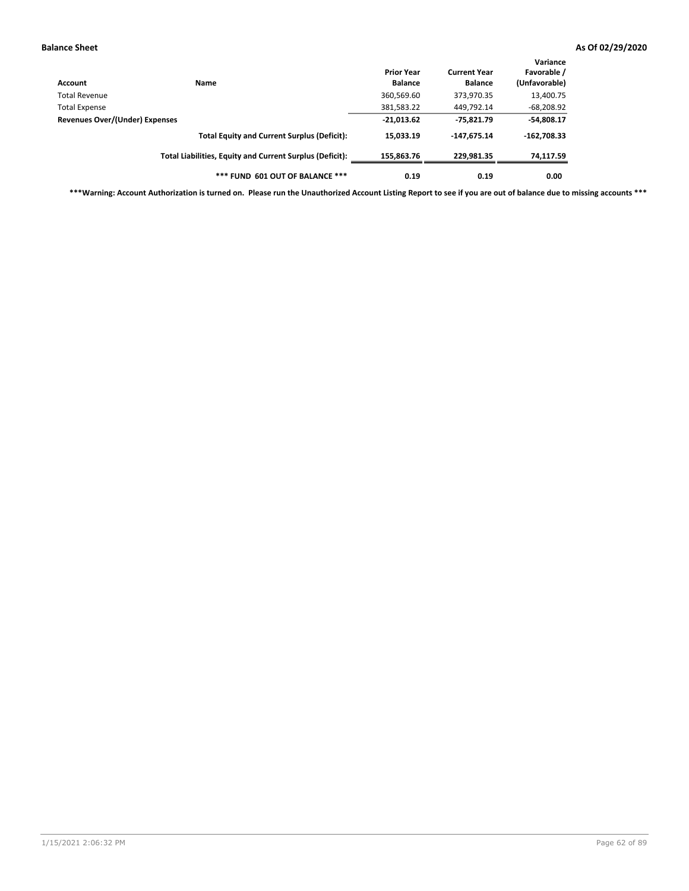| Account                        | Name                                                     | <b>Prior Year</b><br><b>Balance</b> | <b>Current Year</b><br><b>Balance</b> | Variance<br>Favorable /<br>(Unfavorable) |
|--------------------------------|----------------------------------------------------------|-------------------------------------|---------------------------------------|------------------------------------------|
| Total Revenue                  |                                                          | 360,569.60                          | 373,970.35                            | 13,400.75                                |
| <b>Total Expense</b>           |                                                          | 381,583.22                          | 449,792.14                            | $-68,208.92$                             |
| Revenues Over/(Under) Expenses |                                                          | $-21,013.62$                        | $-75,821.79$                          | $-54,808.17$                             |
|                                | <b>Total Equity and Current Surplus (Deficit):</b>       | 15,033.19                           | $-147,675.14$                         | $-162,708.33$                            |
|                                | Total Liabilities, Equity and Current Surplus (Deficit): | 155,863.76                          | 229.981.35                            | 74,117.59                                |
|                                | *** FUND 601 OUT OF BALANCE ***                          | 0.19                                | 0.19                                  | 0.00                                     |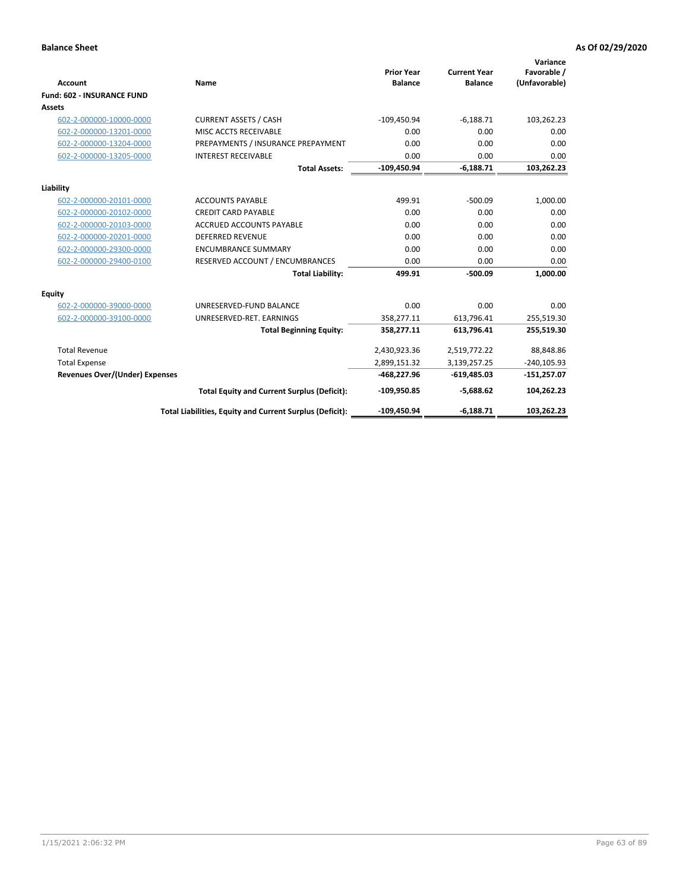|                                       |                                                          |                                     |                                       | Variance                     |
|---------------------------------------|----------------------------------------------------------|-------------------------------------|---------------------------------------|------------------------------|
| <b>Account</b>                        | <b>Name</b>                                              | <b>Prior Year</b><br><b>Balance</b> | <b>Current Year</b><br><b>Balance</b> | Favorable /<br>(Unfavorable) |
| <b>Fund: 602 - INSURANCE FUND</b>     |                                                          |                                     |                                       |                              |
| <b>Assets</b>                         |                                                          |                                     |                                       |                              |
| 602-2-000000-10000-0000               | <b>CURRENT ASSETS / CASH</b>                             | $-109,450.94$                       | $-6,188.71$                           | 103,262.23                   |
| 602-2-000000-13201-0000               | MISC ACCTS RECEIVABLE                                    | 0.00                                | 0.00                                  | 0.00                         |
| 602-2-000000-13204-0000               | PREPAYMENTS / INSURANCE PREPAYMENT                       | 0.00                                | 0.00                                  | 0.00                         |
| 602-2-000000-13205-0000               | <b>INTEREST RECEIVABLE</b>                               | 0.00                                | 0.00                                  | 0.00                         |
|                                       | <b>Total Assets:</b>                                     | $-109,450.94$                       | $-6,188.71$                           | 103,262.23                   |
| Liability                             |                                                          |                                     |                                       |                              |
| 602-2-000000-20101-0000               | <b>ACCOUNTS PAYABLE</b>                                  | 499.91                              | $-500.09$                             | 1,000.00                     |
| 602-2-000000-20102-0000               | <b>CREDIT CARD PAYABLE</b>                               | 0.00                                | 0.00                                  | 0.00                         |
| 602-2-000000-20103-0000               | <b>ACCRUED ACCOUNTS PAYABLE</b>                          | 0.00                                | 0.00                                  | 0.00                         |
| 602-2-000000-20201-0000               | <b>DEFERRED REVENUE</b>                                  | 0.00                                | 0.00                                  | 0.00                         |
| 602-2-000000-29300-0000               | <b>ENCUMBRANCE SUMMARY</b>                               | 0.00                                | 0.00                                  | 0.00                         |
| 602-2-000000-29400-0100               | RESERVED ACCOUNT / ENCUMBRANCES                          | 0.00                                | 0.00                                  | 0.00                         |
|                                       | <b>Total Liability:</b>                                  | 499.91                              | $-500.09$                             | 1,000.00                     |
| <b>Equity</b>                         |                                                          |                                     |                                       |                              |
| 602-2-000000-39000-0000               | UNRESERVED-FUND BALANCE                                  | 0.00                                | 0.00                                  | 0.00                         |
| 602-2-000000-39100-0000               | UNRESERVED-RET. EARNINGS                                 | 358,277.11                          | 613,796.41                            | 255,519.30                   |
|                                       | <b>Total Beginning Equity:</b>                           | 358,277.11                          | 613,796.41                            | 255,519.30                   |
| <b>Total Revenue</b>                  |                                                          | 2,430,923.36                        | 2,519,772.22                          | 88,848.86                    |
| <b>Total Expense</b>                  |                                                          | 2,899,151.32                        | 3,139,257.25                          | $-240,105.93$                |
| <b>Revenues Over/(Under) Expenses</b> |                                                          | $-468,227.96$                       | $-619,485.03$                         | $-151,257.07$                |
|                                       | <b>Total Equity and Current Surplus (Deficit):</b>       | $-109,950.85$                       | $-5,688.62$                           | 104,262.23                   |
|                                       | Total Liabilities, Equity and Current Surplus (Deficit): | -109,450.94                         | $-6,188.71$                           | 103.262.23                   |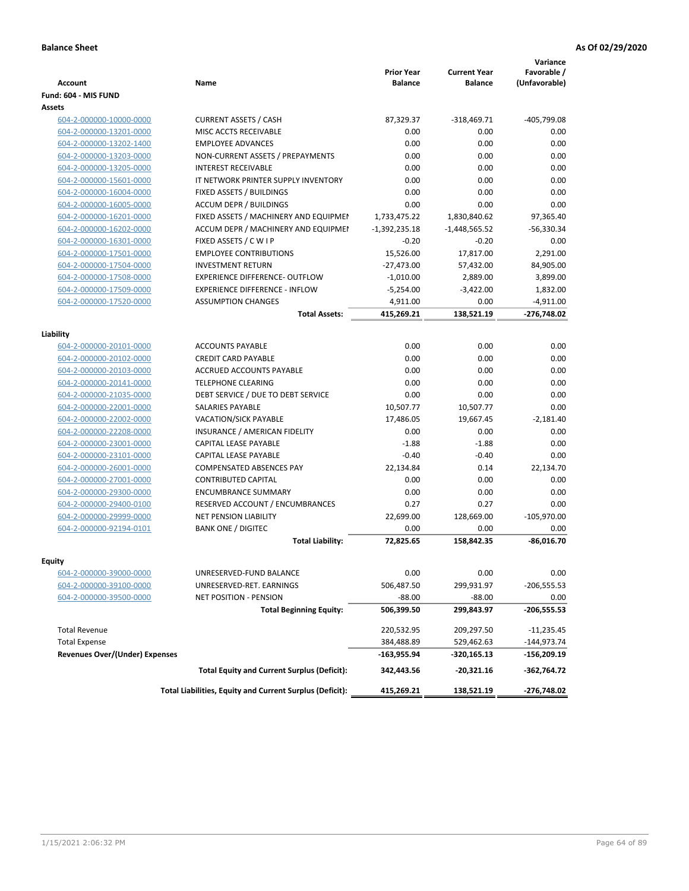| Account                               | Name                                                     | <b>Prior Year</b><br><b>Balance</b> | <b>Current Year</b><br><b>Balance</b> | Variance<br>Favorable /<br>(Unfavorable) |
|---------------------------------------|----------------------------------------------------------|-------------------------------------|---------------------------------------|------------------------------------------|
| Fund: 604 - MIS FUND                  |                                                          |                                     |                                       |                                          |
| <b>Assets</b>                         |                                                          |                                     |                                       |                                          |
| 604-2-000000-10000-0000               | <b>CURRENT ASSETS / CASH</b>                             | 87,329.37                           | $-318,469.71$                         | -405,799.08                              |
| 604-2-000000-13201-0000               | MISC ACCTS RECEIVABLE                                    | 0.00                                | 0.00                                  | 0.00                                     |
| 604-2-000000-13202-1400               | <b>EMPLOYEE ADVANCES</b>                                 | 0.00                                | 0.00                                  | 0.00                                     |
| 604-2-000000-13203-0000               | NON-CURRENT ASSETS / PREPAYMENTS                         | 0.00                                | 0.00                                  | 0.00                                     |
| 604-2-000000-13205-0000               | <b>INTEREST RECEIVABLE</b>                               | 0.00                                | 0.00                                  | 0.00                                     |
| 604-2-000000-15601-0000               | IT NETWORK PRINTER SUPPLY INVENTORY                      | 0.00                                | 0.00                                  | 0.00                                     |
| 604-2-000000-16004-0000               | FIXED ASSETS / BUILDINGS                                 | 0.00                                | 0.00                                  | 0.00                                     |
| 604-2-000000-16005-0000               | <b>ACCUM DEPR / BUILDINGS</b>                            | 0.00                                | 0.00                                  | 0.00                                     |
| 604-2-000000-16201-0000               | FIXED ASSETS / MACHINERY AND EQUIPMEN                    | 1,733,475.22                        | 1,830,840.62                          | 97,365.40                                |
| 604-2-000000-16202-0000               | ACCUM DEPR / MACHINERY AND EQUIPMEI                      | $-1,392,235.18$                     | $-1,448,565.52$                       | $-56,330.34$                             |
| 604-2-000000-16301-0000               | FIXED ASSETS / C W I P                                   | $-0.20$                             | $-0.20$                               | 0.00                                     |
| 604-2-000000-17501-0000               | <b>EMPLOYEE CONTRIBUTIONS</b>                            | 15,526.00                           | 17,817.00                             | 2,291.00                                 |
| 604-2-000000-17504-0000               | <b>INVESTMENT RETURN</b>                                 | $-27,473.00$                        | 57,432.00                             | 84,905.00                                |
| 604-2-000000-17508-0000               | <b>EXPERIENCE DIFFERENCE- OUTFLOW</b>                    | $-1,010.00$                         | 2,889.00                              | 3,899.00                                 |
| 604-2-000000-17509-0000               | <b>EXPERIENCE DIFFERENCE - INFLOW</b>                    | $-5,254.00$                         | $-3,422.00$                           | 1,832.00                                 |
| 604-2-000000-17520-0000               | <b>ASSUMPTION CHANGES</b>                                | 4,911.00                            | 0.00                                  | $-4,911.00$                              |
|                                       | <b>Total Assets:</b>                                     | 415,269.21                          | 138,521.19                            | -276,748.02                              |
|                                       |                                                          |                                     |                                       |                                          |
| Liability                             |                                                          |                                     |                                       |                                          |
| 604-2-000000-20101-0000               | <b>ACCOUNTS PAYABLE</b>                                  | 0.00                                | 0.00                                  | 0.00                                     |
| 604-2-000000-20102-0000               | <b>CREDIT CARD PAYABLE</b>                               | 0.00                                | 0.00                                  | 0.00                                     |
| 604-2-000000-20103-0000               | ACCRUED ACCOUNTS PAYABLE                                 | 0.00                                | 0.00                                  | 0.00                                     |
| 604-2-000000-20141-0000               | <b>TELEPHONE CLEARING</b>                                | 0.00                                | 0.00                                  | 0.00                                     |
| 604-2-000000-21035-0000               | DEBT SERVICE / DUE TO DEBT SERVICE                       | 0.00                                | 0.00                                  | 0.00                                     |
| 604-2-000000-22001-0000               | SALARIES PAYABLE                                         | 10,507.77                           | 10,507.77                             | 0.00                                     |
| 604-2-000000-22002-0000               | <b>VACATION/SICK PAYABLE</b>                             | 17,486.05                           | 19,667.45                             | $-2,181.40$                              |
| 604-2-000000-22208-0000               | INSURANCE / AMERICAN FIDELITY                            | 0.00                                | 0.00                                  | 0.00                                     |
| 604-2-000000-23001-0000               | CAPITAL LEASE PAYABLE                                    | $-1.88$                             | $-1.88$                               | 0.00                                     |
| 604-2-000000-23101-0000               | CAPITAL LEASE PAYABLE                                    | $-0.40$                             | $-0.40$                               | 0.00                                     |
| 604-2-000000-26001-0000               | <b>COMPENSATED ABSENCES PAY</b>                          | 22,134.84                           | 0.14                                  | 22,134.70                                |
| 604-2-000000-27001-0000               | <b>CONTRIBUTED CAPITAL</b>                               | 0.00                                | 0.00                                  | 0.00                                     |
| 604-2-000000-29300-0000               | <b>ENCUMBRANCE SUMMARY</b>                               | 0.00                                | 0.00                                  | 0.00                                     |
| 604-2-000000-29400-0100               | RESERVED ACCOUNT / ENCUMBRANCES                          | 0.27                                | 0.27                                  | 0.00                                     |
| 604-2-000000-29999-0000               | <b>NET PENSION LIABILITY</b>                             | 22,699.00                           | 128,669.00                            | $-105,970.00$                            |
| 604-2-000000-92194-0101               | <b>BANK ONE / DIGITEC</b>                                | 0.00                                | 0.00                                  | 0.00                                     |
|                                       | <b>Total Liability:</b>                                  | 72,825.65                           | 158,842.35                            | $-86,016.70$                             |
| <b>Equity</b>                         |                                                          |                                     |                                       |                                          |
| 604-2-000000-39000-0000               | UNRESERVED-FUND BALANCE                                  | 0.00                                | 0.00                                  | 0.00                                     |
| 604-2-000000-39100-0000               | UNRESERVED-RET. EARNINGS                                 | 506,487.50                          | 299,931.97                            | $-206,555.53$                            |
| 604-2-000000-39500-0000               | <b>NET POSITION - PENSION</b>                            | $-88.00$                            | $-88.00$                              | 0.00                                     |
|                                       | <b>Total Beginning Equity:</b>                           | 506,399.50                          | 299,843.97                            | $-206,555.53$                            |
|                                       |                                                          |                                     |                                       |                                          |
| <b>Total Revenue</b>                  |                                                          | 220,532.95                          | 209,297.50                            | $-11,235.45$                             |
| <b>Total Expense</b>                  |                                                          | 384,488.89                          | 529,462.63                            | $-144,973.74$                            |
| <b>Revenues Over/(Under) Expenses</b> |                                                          | $-163,955.94$                       | -320,165.13                           | -156,209.19                              |
|                                       | <b>Total Equity and Current Surplus (Deficit):</b>       | 342,443.56                          | $-20,321.16$                          | $-362,764.72$                            |
|                                       | Total Liabilities, Equity and Current Surplus (Deficit): | 415,269.21                          | 138,521.19                            | -276,748.02                              |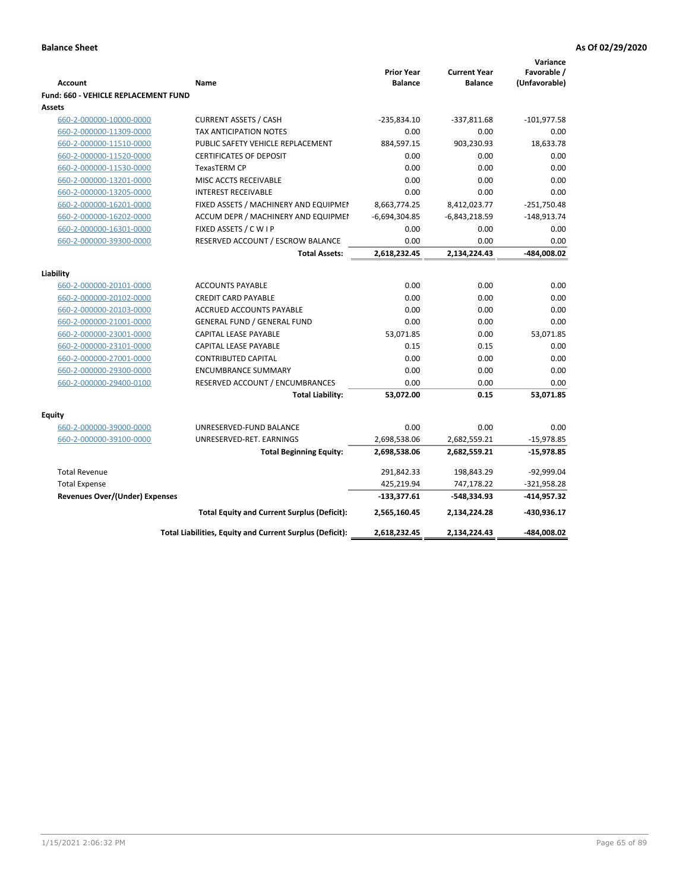|                                                       |                                                               |                                     |                                       | Variance              |
|-------------------------------------------------------|---------------------------------------------------------------|-------------------------------------|---------------------------------------|-----------------------|
| <b>Account</b>                                        | Name                                                          | <b>Prior Year</b><br><b>Balance</b> | <b>Current Year</b><br><b>Balance</b> | Favorable /           |
|                                                       |                                                               |                                     |                                       | (Unfavorable)         |
| <b>Fund: 660 - VEHICLE REPLACEMENT FUND</b><br>Assets |                                                               |                                     |                                       |                       |
|                                                       | <b>CURRENT ASSETS / CASH</b>                                  | $-235,834.10$                       | $-337,811.68$                         | $-101,977.58$         |
| 660-2-000000-10000-0000                               | TAX ANTICIPATION NOTES                                        | 0.00                                | 0.00                                  | 0.00                  |
| 660-2-000000-11309-0000<br>660-2-000000-11510-0000    | PUBLIC SAFETY VEHICLE REPLACEMENT                             | 884,597.15                          | 903,230.93                            | 18,633.78             |
| 660-2-000000-11520-0000                               | <b>CERTIFICATES OF DEPOSIT</b>                                | 0.00                                | 0.00                                  | 0.00                  |
|                                                       | <b>TexasTERM CP</b>                                           | 0.00                                | 0.00                                  | 0.00                  |
| 660-2-000000-11530-0000                               | MISC ACCTS RECEIVABLE                                         | 0.00                                | 0.00                                  | 0.00                  |
| 660-2-000000-13201-0000                               |                                                               | 0.00                                | 0.00                                  | 0.00                  |
| 660-2-000000-13205-0000                               | <b>INTEREST RECEIVABLE</b>                                    |                                     |                                       | $-251,750.48$         |
| 660-2-000000-16201-0000                               | FIXED ASSETS / MACHINERY AND EQUIPMEN                         | 8,663,774.25                        | 8,412,023.77                          |                       |
| 660-2-000000-16202-0000<br>660-2-000000-16301-0000    | ACCUM DEPR / MACHINERY AND EQUIPMEI<br>FIXED ASSETS / C W I P | $-6,694,304.85$<br>0.00             | $-6,843,218.59$<br>0.00               | $-148,913.74$<br>0.00 |
|                                                       | RESERVED ACCOUNT / ESCROW BALANCE                             | 0.00                                | 0.00                                  | 0.00                  |
| 660-2-000000-39300-0000                               | <b>Total Assets:</b>                                          | 2,618,232.45                        | 2,134,224.43                          | -484,008.02           |
|                                                       |                                                               |                                     |                                       |                       |
| Liability                                             |                                                               |                                     |                                       |                       |
| 660-2-000000-20101-0000                               | <b>ACCOUNTS PAYABLE</b>                                       | 0.00                                | 0.00                                  | 0.00                  |
| 660-2-000000-20102-0000                               | <b>CREDIT CARD PAYABLE</b>                                    | 0.00                                | 0.00                                  | 0.00                  |
| 660-2-000000-20103-0000                               | ACCRUED ACCOUNTS PAYABLE                                      | 0.00                                | 0.00                                  | 0.00                  |
| 660-2-000000-21001-0000                               | <b>GENERAL FUND / GENERAL FUND</b>                            | 0.00                                | 0.00                                  | 0.00                  |
| 660-2-000000-23001-0000                               | <b>CAPITAL LEASE PAYABLE</b>                                  | 53,071.85                           | 0.00                                  | 53,071.85             |
| 660-2-000000-23101-0000                               | <b>CAPITAL LEASE PAYABLE</b>                                  | 0.15                                | 0.15                                  | 0.00                  |
| 660-2-000000-27001-0000                               | <b>CONTRIBUTED CAPITAL</b>                                    | 0.00                                | 0.00                                  | 0.00                  |
| 660-2-000000-29300-0000                               | <b>ENCUMBRANCE SUMMARY</b>                                    | 0.00                                | 0.00                                  | 0.00                  |
| 660-2-000000-29400-0100                               | RESERVED ACCOUNT / ENCUMBRANCES                               | 0.00                                | 0.00                                  | 0.00                  |
|                                                       | <b>Total Liability:</b>                                       | 53,072.00                           | 0.15                                  | 53,071.85             |
| Equity                                                |                                                               |                                     |                                       |                       |
| 660-2-000000-39000-0000                               | UNRESERVED-FUND BALANCE                                       | 0.00                                | 0.00                                  | 0.00                  |
| 660-2-000000-39100-0000                               | UNRESERVED-RET. EARNINGS                                      | 2,698,538.06                        | 2,682,559.21                          | $-15,978.85$          |
|                                                       | <b>Total Beginning Equity:</b>                                | 2,698,538.06                        | 2,682,559.21                          | -15,978.85            |
|                                                       |                                                               |                                     |                                       |                       |
| <b>Total Revenue</b>                                  |                                                               | 291,842.33                          | 198,843.29                            | $-92,999.04$          |
| <b>Total Expense</b>                                  |                                                               | 425,219.94                          | 747,178.22                            | $-321,958.28$         |
| Revenues Over/(Under) Expenses                        |                                                               | $-133,377.61$                       | -548,334.93                           | -414,957.32           |
|                                                       | <b>Total Equity and Current Surplus (Deficit):</b>            | 2,565,160.45                        | 2,134,224.28                          | -430,936.17           |
|                                                       | Total Liabilities, Equity and Current Surplus (Deficit):      | 2,618,232.45                        | 2,134,224.43                          | -484,008.02           |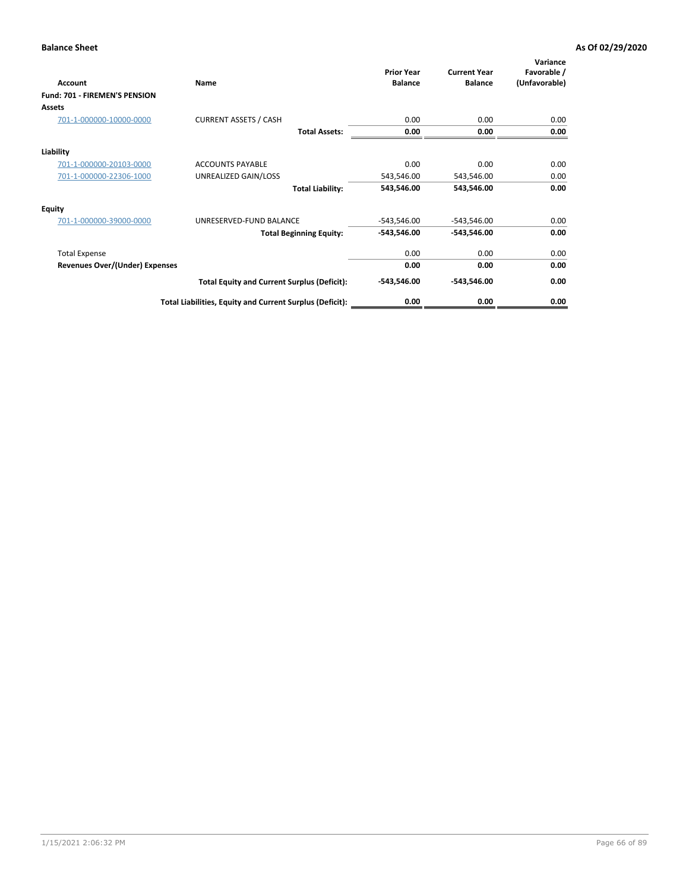| Account                               | Name                                                     | <b>Prior Year</b><br><b>Balance</b> | <b>Current Year</b><br><b>Balance</b> | Variance<br>Favorable /<br>(Unfavorable) |
|---------------------------------------|----------------------------------------------------------|-------------------------------------|---------------------------------------|------------------------------------------|
| Fund: 701 - FIREMEN'S PENSION         |                                                          |                                     |                                       |                                          |
| <b>Assets</b>                         |                                                          |                                     |                                       |                                          |
| 701-1-000000-10000-0000               | <b>CURRENT ASSETS / CASH</b>                             | 0.00                                | 0.00                                  | 0.00                                     |
|                                       | <b>Total Assets:</b>                                     | 0.00                                | 0.00                                  | 0.00                                     |
| Liability                             |                                                          |                                     |                                       |                                          |
| 701-1-000000-20103-0000               | <b>ACCOUNTS PAYABLE</b>                                  | 0.00                                | 0.00                                  | 0.00                                     |
| 701-1-000000-22306-1000               | UNREALIZED GAIN/LOSS                                     | 543,546.00                          | 543,546.00                            | 0.00                                     |
|                                       | <b>Total Liability:</b>                                  | 543,546.00                          | 543,546.00                            | 0.00                                     |
| <b>Equity</b>                         |                                                          |                                     |                                       |                                          |
| 701-1-000000-39000-0000               | UNRESERVED-FUND BALANCE                                  | $-543,546.00$                       | $-543,546.00$                         | 0.00                                     |
|                                       | <b>Total Beginning Equity:</b>                           | $-543,546.00$                       | $-543,546.00$                         | 0.00                                     |
| <b>Total Expense</b>                  |                                                          | 0.00                                | 0.00                                  | 0.00                                     |
| <b>Revenues Over/(Under) Expenses</b> |                                                          | 0.00                                | 0.00                                  | 0.00                                     |
|                                       | <b>Total Equity and Current Surplus (Deficit):</b>       | $-543,546.00$                       | $-543,546.00$                         | 0.00                                     |
|                                       | Total Liabilities, Equity and Current Surplus (Deficit): | 0.00                                | 0.00                                  | 0.00                                     |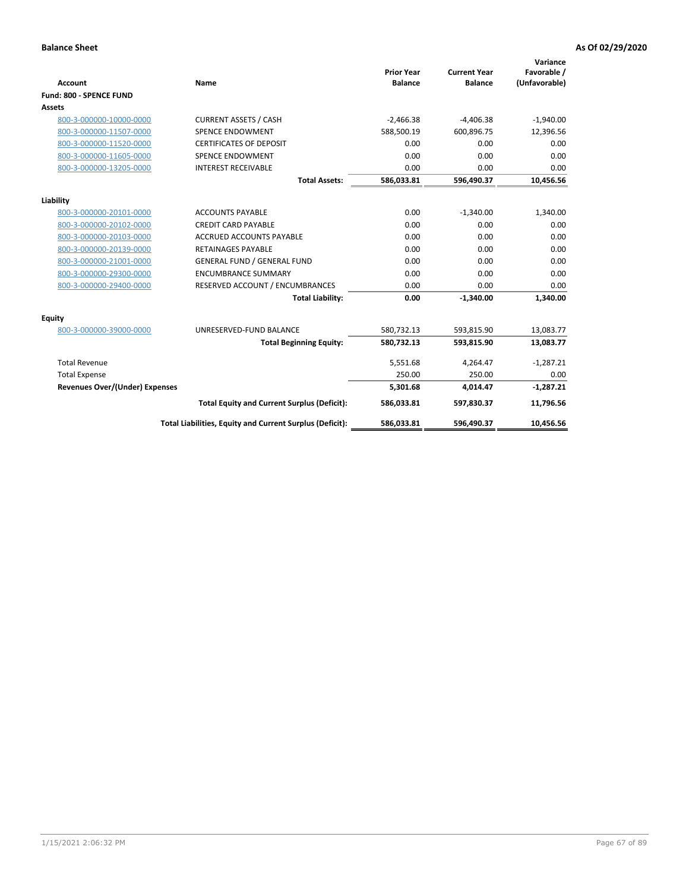|                                       |                                                          |                                     |                                       | Variance                     |
|---------------------------------------|----------------------------------------------------------|-------------------------------------|---------------------------------------|------------------------------|
| <b>Account</b>                        | <b>Name</b>                                              | <b>Prior Year</b><br><b>Balance</b> | <b>Current Year</b><br><b>Balance</b> | Favorable /<br>(Unfavorable) |
| Fund: 800 - SPENCE FUND               |                                                          |                                     |                                       |                              |
| <b>Assets</b>                         |                                                          |                                     |                                       |                              |
| 800-3-000000-10000-0000               | <b>CURRENT ASSETS / CASH</b>                             | $-2,466.38$                         | $-4,406.38$                           | $-1,940.00$                  |
| 800-3-000000-11507-0000               | <b>SPENCE ENDOWMENT</b>                                  | 588,500.19                          | 600,896.75                            | 12,396.56                    |
| 800-3-000000-11520-0000               | <b>CERTIFICATES OF DEPOSIT</b>                           | 0.00                                | 0.00                                  | 0.00                         |
| 800-3-000000-11605-0000               | <b>SPENCE ENDOWMENT</b>                                  | 0.00                                | 0.00                                  | 0.00                         |
| 800-3-000000-13205-0000               | <b>INTEREST RECEIVABLE</b>                               | 0.00                                | 0.00                                  | 0.00                         |
|                                       | <b>Total Assets:</b>                                     | 586,033.81                          | 596,490.37                            | 10,456.56                    |
| Liability                             |                                                          |                                     |                                       |                              |
| 800-3-000000-20101-0000               | <b>ACCOUNTS PAYABLE</b>                                  | 0.00                                | $-1,340.00$                           | 1,340.00                     |
| 800-3-000000-20102-0000               | <b>CREDIT CARD PAYABLE</b>                               | 0.00                                | 0.00                                  | 0.00                         |
| 800-3-000000-20103-0000               | <b>ACCRUED ACCOUNTS PAYABLE</b>                          | 0.00                                | 0.00                                  | 0.00                         |
| 800-3-000000-20139-0000               | <b>RETAINAGES PAYABLE</b>                                | 0.00                                | 0.00                                  | 0.00                         |
| 800-3-000000-21001-0000               | <b>GENERAL FUND / GENERAL FUND</b>                       | 0.00                                | 0.00                                  | 0.00                         |
| 800-3-000000-29300-0000               | <b>ENCUMBRANCE SUMMARY</b>                               | 0.00                                | 0.00                                  | 0.00                         |
| 800-3-000000-29400-0000               | RESERVED ACCOUNT / ENCUMBRANCES                          | 0.00                                | 0.00                                  | 0.00                         |
|                                       | <b>Total Liability:</b>                                  | 0.00                                | $-1,340.00$                           | 1,340.00                     |
| <b>Equity</b>                         |                                                          |                                     |                                       |                              |
| 800-3-000000-39000-0000               | UNRESERVED-FUND BALANCE                                  | 580,732.13                          | 593,815.90                            | 13,083.77                    |
|                                       | <b>Total Beginning Equity:</b>                           | 580,732.13                          | 593,815.90                            | 13,083.77                    |
| <b>Total Revenue</b>                  |                                                          | 5,551.68                            | 4,264.47                              | $-1,287.21$                  |
| <b>Total Expense</b>                  |                                                          | 250.00                              | 250.00                                | 0.00                         |
| <b>Revenues Over/(Under) Expenses</b> |                                                          | 5,301.68                            | 4,014.47                              | $-1,287.21$                  |
|                                       | <b>Total Equity and Current Surplus (Deficit):</b>       | 586,033.81                          | 597,830.37                            | 11,796.56                    |
|                                       | Total Liabilities, Equity and Current Surplus (Deficit): | 586,033.81                          | 596,490.37                            | 10,456.56                    |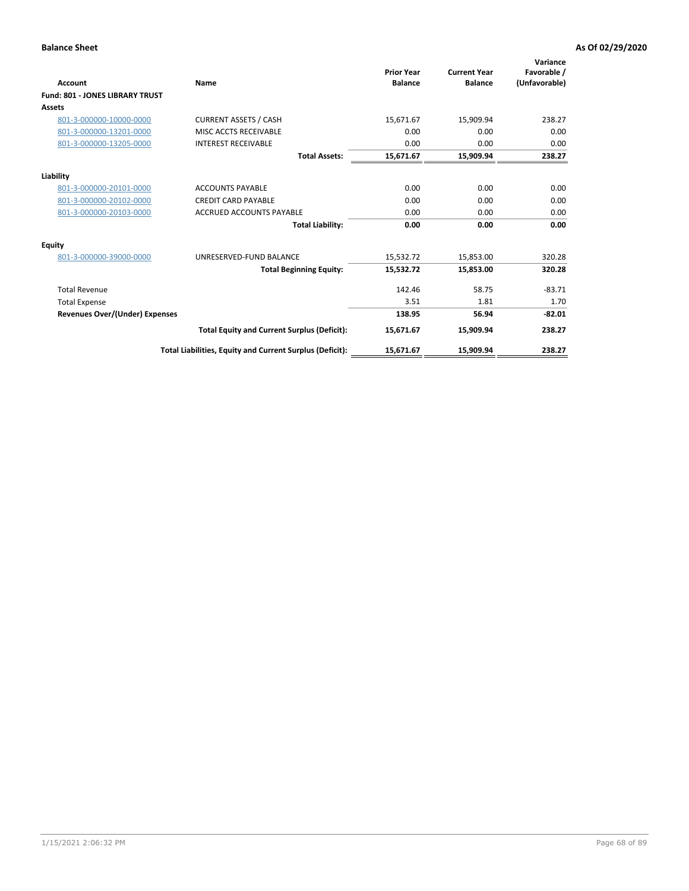| <b>Account</b>                         | Name                                                     | <b>Prior Year</b><br><b>Balance</b> | <b>Current Year</b><br><b>Balance</b> | Variance<br>Favorable /<br>(Unfavorable) |
|----------------------------------------|----------------------------------------------------------|-------------------------------------|---------------------------------------|------------------------------------------|
| <b>Fund: 801 - JONES LIBRARY TRUST</b> |                                                          |                                     |                                       |                                          |
| Assets                                 |                                                          |                                     |                                       |                                          |
| 801-3-000000-10000-0000                | <b>CURRENT ASSETS / CASH</b>                             | 15,671.67                           | 15,909.94                             | 238.27                                   |
| 801-3-000000-13201-0000                | MISC ACCTS RECEIVABLE                                    | 0.00                                | 0.00                                  | 0.00                                     |
| 801-3-000000-13205-0000                | <b>INTEREST RECEIVABLE</b>                               | 0.00                                | 0.00                                  | 0.00                                     |
|                                        | <b>Total Assets:</b>                                     | 15,671.67                           | 15,909.94                             | 238.27                                   |
| Liability                              |                                                          |                                     |                                       |                                          |
| 801-3-000000-20101-0000                | <b>ACCOUNTS PAYABLE</b>                                  | 0.00                                | 0.00                                  | 0.00                                     |
| 801-3-000000-20102-0000                | <b>CREDIT CARD PAYABLE</b>                               | 0.00                                | 0.00                                  | 0.00                                     |
| 801-3-000000-20103-0000                | <b>ACCRUED ACCOUNTS PAYABLE</b>                          | 0.00                                | 0.00                                  | 0.00                                     |
|                                        | <b>Total Liability:</b>                                  | 0.00                                | 0.00                                  | 0.00                                     |
| Equity                                 |                                                          |                                     |                                       |                                          |
| 801-3-000000-39000-0000                | UNRESERVED-FUND BALANCE                                  | 15,532.72                           | 15,853.00                             | 320.28                                   |
|                                        | <b>Total Beginning Equity:</b>                           | 15,532.72                           | 15,853.00                             | 320.28                                   |
| <b>Total Revenue</b>                   |                                                          | 142.46                              | 58.75                                 | $-83.71$                                 |
| <b>Total Expense</b>                   |                                                          | 3.51                                | 1.81                                  | 1.70                                     |
| <b>Revenues Over/(Under) Expenses</b>  |                                                          | 138.95                              | 56.94                                 | $-82.01$                                 |
|                                        | <b>Total Equity and Current Surplus (Deficit):</b>       | 15,671.67                           | 15,909.94                             | 238.27                                   |
|                                        | Total Liabilities, Equity and Current Surplus (Deficit): | 15,671.67                           | 15,909.94                             | 238.27                                   |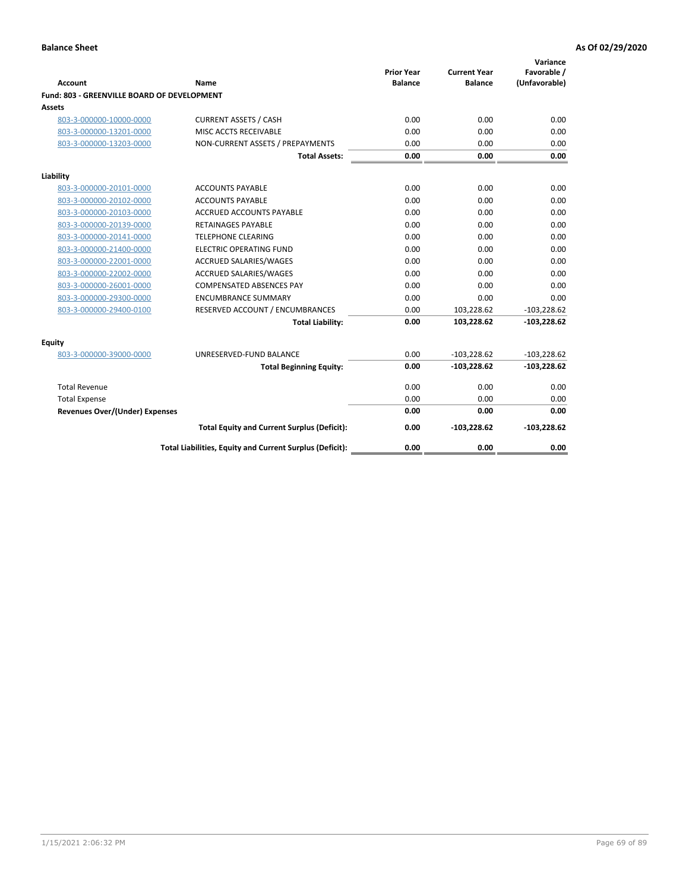| <b>Account</b>                              | Name                                                     | <b>Prior Year</b><br><b>Balance</b> | <b>Current Year</b><br><b>Balance</b> | Variance<br>Favorable /<br>(Unfavorable) |
|---------------------------------------------|----------------------------------------------------------|-------------------------------------|---------------------------------------|------------------------------------------|
| Fund: 803 - GREENVILLE BOARD OF DEVELOPMENT |                                                          |                                     |                                       |                                          |
| Assets                                      |                                                          |                                     |                                       |                                          |
| 803-3-000000-10000-0000                     | <b>CURRENT ASSETS / CASH</b>                             | 0.00                                | 0.00                                  | 0.00                                     |
| 803-3-000000-13201-0000                     | MISC ACCTS RECEIVABLE                                    | 0.00                                | 0.00                                  | 0.00                                     |
| 803-3-000000-13203-0000                     | NON-CURRENT ASSETS / PREPAYMENTS                         | 0.00                                | 0.00                                  | 0.00                                     |
|                                             | <b>Total Assets:</b>                                     | 0.00                                | 0.00                                  | 0.00                                     |
| Liability                                   |                                                          |                                     |                                       |                                          |
| 803-3-000000-20101-0000                     | <b>ACCOUNTS PAYABLE</b>                                  | 0.00                                | 0.00                                  | 0.00                                     |
| 803-3-000000-20102-0000                     | <b>ACCOUNTS PAYABLE</b>                                  | 0.00                                | 0.00                                  | 0.00                                     |
| 803-3-000000-20103-0000                     | <b>ACCRUED ACCOUNTS PAYABLE</b>                          | 0.00                                | 0.00                                  | 0.00                                     |
| 803-3-000000-20139-0000                     | RETAINAGES PAYABLE                                       | 0.00                                | 0.00                                  | 0.00                                     |
| 803-3-000000-20141-0000                     | <b>TELEPHONE CLEARING</b>                                | 0.00                                | 0.00                                  | 0.00                                     |
| 803-3-000000-21400-0000                     | <b>ELECTRIC OPERATING FUND</b>                           | 0.00                                | 0.00                                  | 0.00                                     |
| 803-3-000000-22001-0000                     | ACCRUED SALARIES/WAGES                                   | 0.00                                | 0.00                                  | 0.00                                     |
| 803-3-000000-22002-0000                     | <b>ACCRUED SALARIES/WAGES</b>                            | 0.00                                | 0.00                                  | 0.00                                     |
| 803-3-000000-26001-0000                     | <b>COMPENSATED ABSENCES PAY</b>                          | 0.00                                | 0.00                                  | 0.00                                     |
| 803-3-000000-29300-0000                     | <b>ENCUMBRANCE SUMMARY</b>                               | 0.00                                | 0.00                                  | 0.00                                     |
| 803-3-000000-29400-0100                     | RESERVED ACCOUNT / ENCUMBRANCES                          | 0.00                                | 103,228.62                            | $-103,228.62$                            |
|                                             | <b>Total Liability:</b>                                  | 0.00                                | 103,228.62                            | $-103,228.62$                            |
| Equity                                      |                                                          |                                     |                                       |                                          |
| 803-3-000000-39000-0000                     | UNRESERVED-FUND BALANCE                                  | 0.00                                | $-103,228.62$                         | $-103,228.62$                            |
|                                             | <b>Total Beginning Equity:</b>                           | 0.00                                | $-103,228.62$                         | $-103,228.62$                            |
| <b>Total Revenue</b>                        |                                                          | 0.00                                | 0.00                                  | 0.00                                     |
| <b>Total Expense</b>                        |                                                          | 0.00                                | 0.00                                  | 0.00                                     |
| <b>Revenues Over/(Under) Expenses</b>       |                                                          | 0.00                                | 0.00                                  | 0.00                                     |
|                                             | <b>Total Equity and Current Surplus (Deficit):</b>       | 0.00                                | $-103,228.62$                         | $-103,228.62$                            |
|                                             | Total Liabilities, Equity and Current Surplus (Deficit): | 0.00                                | 0.00                                  | 0.00                                     |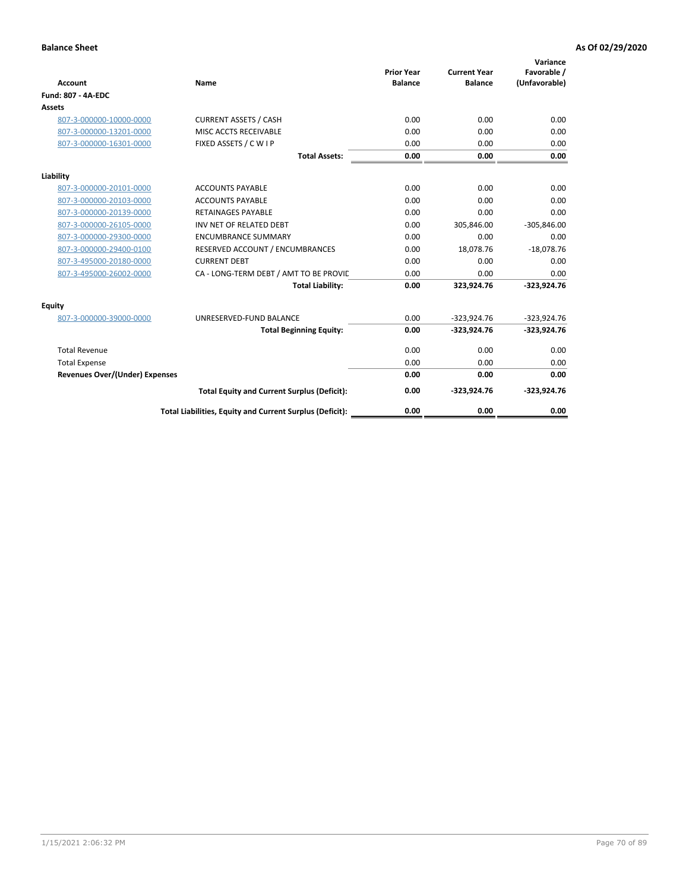| <b>Account</b>                        | Name                                                     | <b>Prior Year</b><br><b>Balance</b> | <b>Current Year</b><br><b>Balance</b> | Variance<br>Favorable /<br>(Unfavorable) |
|---------------------------------------|----------------------------------------------------------|-------------------------------------|---------------------------------------|------------------------------------------|
| <b>Fund: 807 - 4A-EDC</b>             |                                                          |                                     |                                       |                                          |
| <b>Assets</b>                         |                                                          |                                     |                                       |                                          |
| 807-3-000000-10000-0000               | <b>CURRENT ASSETS / CASH</b>                             | 0.00                                | 0.00                                  | 0.00                                     |
| 807-3-000000-13201-0000               | MISC ACCTS RECEIVABLE                                    | 0.00                                | 0.00                                  | 0.00                                     |
| 807-3-000000-16301-0000               | FIXED ASSETS / C W I P                                   | 0.00                                | 0.00                                  | 0.00                                     |
|                                       | <b>Total Assets:</b>                                     | 0.00                                | 0.00                                  | 0.00                                     |
| Liability                             |                                                          |                                     |                                       |                                          |
| 807-3-000000-20101-0000               | <b>ACCOUNTS PAYABLE</b>                                  | 0.00                                | 0.00                                  | 0.00                                     |
| 807-3-000000-20103-0000               | <b>ACCOUNTS PAYABLE</b>                                  | 0.00                                | 0.00                                  | 0.00                                     |
| 807-3-000000-20139-0000               | <b>RETAINAGES PAYABLE</b>                                | 0.00                                | 0.00                                  | 0.00                                     |
| 807-3-000000-26105-0000               | INV NET OF RELATED DEBT                                  | 0.00                                | 305,846.00                            | $-305,846.00$                            |
| 807-3-000000-29300-0000               | <b>ENCUMBRANCE SUMMARY</b>                               | 0.00                                | 0.00                                  | 0.00                                     |
| 807-3-000000-29400-0100               | RESERVED ACCOUNT / ENCUMBRANCES                          | 0.00                                | 18,078.76                             | $-18,078.76$                             |
| 807-3-495000-20180-0000               | <b>CURRENT DEBT</b>                                      | 0.00                                | 0.00                                  | 0.00                                     |
| 807-3-495000-26002-0000               | CA - LONG-TERM DEBT / AMT TO BE PROVIL                   | 0.00                                | 0.00                                  | 0.00                                     |
|                                       | <b>Total Liability:</b>                                  | 0.00                                | 323,924.76                            | $-323,924.76$                            |
| Equity                                |                                                          |                                     |                                       |                                          |
| 807-3-000000-39000-0000               | UNRESERVED-FUND BALANCE                                  | 0.00                                | $-323,924.76$                         | $-323,924.76$                            |
|                                       | <b>Total Beginning Equity:</b>                           | 0.00                                | $-323,924.76$                         | $-323,924.76$                            |
| <b>Total Revenue</b>                  |                                                          | 0.00                                | 0.00                                  | 0.00                                     |
| <b>Total Expense</b>                  |                                                          | 0.00                                | 0.00                                  | 0.00                                     |
| <b>Revenues Over/(Under) Expenses</b> |                                                          | 0.00                                | 0.00                                  | 0.00                                     |
|                                       | <b>Total Equity and Current Surplus (Deficit):</b>       | 0.00                                | $-323,924.76$                         | $-323,924.76$                            |
|                                       | Total Liabilities, Equity and Current Surplus (Deficit): | 0.00                                | 0.00                                  | 0.00                                     |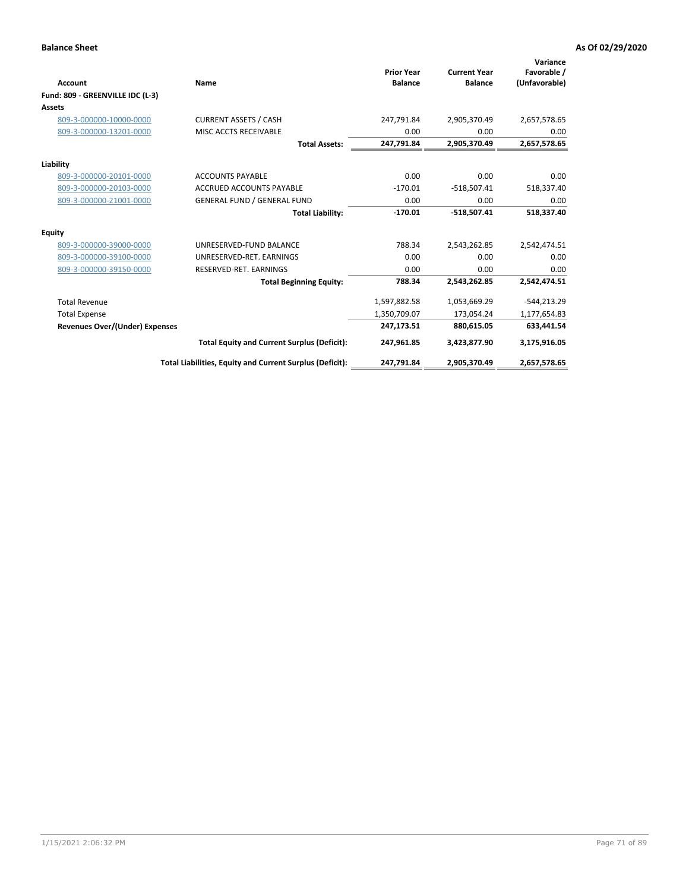| <b>Account</b>                        | Name                                                     | <b>Prior Year</b><br><b>Balance</b> | <b>Current Year</b><br><b>Balance</b> | Variance<br>Favorable /<br>(Unfavorable) |
|---------------------------------------|----------------------------------------------------------|-------------------------------------|---------------------------------------|------------------------------------------|
| Fund: 809 - GREENVILLE IDC (L-3)      |                                                          |                                     |                                       |                                          |
| <b>Assets</b>                         |                                                          |                                     |                                       |                                          |
| 809-3-000000-10000-0000               | <b>CURRENT ASSETS / CASH</b>                             | 247,791.84                          | 2,905,370.49                          | 2,657,578.65                             |
| 809-3-000000-13201-0000               | MISC ACCTS RECEIVABLE                                    | 0.00                                | 0.00                                  | 0.00                                     |
|                                       | <b>Total Assets:</b>                                     | 247,791.84                          | 2,905,370.49                          | 2,657,578.65                             |
| Liability                             |                                                          |                                     |                                       |                                          |
| 809-3-000000-20101-0000               | <b>ACCOUNTS PAYABLE</b>                                  | 0.00                                | 0.00                                  | 0.00                                     |
| 809-3-000000-20103-0000               | ACCRUED ACCOUNTS PAYABLE                                 | $-170.01$                           | $-518,507.41$                         | 518,337.40                               |
| 809-3-000000-21001-0000               | <b>GENERAL FUND / GENERAL FUND</b>                       | 0.00                                | 0.00                                  | 0.00                                     |
|                                       | <b>Total Liability:</b>                                  | $-170.01$                           | $-518,507.41$                         | 518,337.40                               |
| Equity                                |                                                          |                                     |                                       |                                          |
| 809-3-000000-39000-0000               | UNRESERVED-FUND BALANCE                                  | 788.34                              | 2,543,262.85                          | 2,542,474.51                             |
| 809-3-000000-39100-0000               | UNRESERVED-RET. EARNINGS                                 | 0.00                                | 0.00                                  | 0.00                                     |
| 809-3-000000-39150-0000               | RESERVED-RET. EARNINGS                                   | 0.00                                | 0.00                                  | 0.00                                     |
|                                       | <b>Total Beginning Equity:</b>                           | 788.34                              | 2,543,262.85                          | 2,542,474.51                             |
| <b>Total Revenue</b>                  |                                                          | 1,597,882.58                        | 1,053,669.29                          | $-544,213.29$                            |
| <b>Total Expense</b>                  |                                                          | 1,350,709.07                        | 173,054.24                            | 1,177,654.83                             |
| <b>Revenues Over/(Under) Expenses</b> |                                                          | 247,173.51                          | 880,615.05                            | 633,441.54                               |
|                                       | <b>Total Equity and Current Surplus (Deficit):</b>       | 247,961.85                          | 3,423,877.90                          | 3,175,916.05                             |
|                                       | Total Liabilities, Equity and Current Surplus (Deficit): | 247,791.84                          | 2,905,370.49                          | 2,657,578.65                             |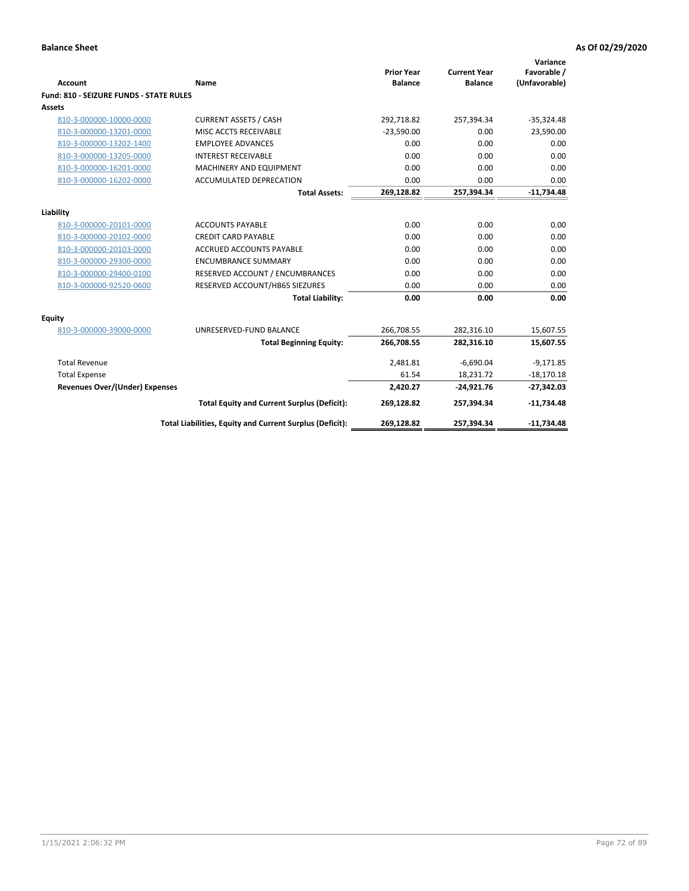| <b>Account</b>                                 | Name                                                     | <b>Prior Year</b><br><b>Balance</b> | <b>Current Year</b><br><b>Balance</b> | Variance<br>Favorable /<br>(Unfavorable) |
|------------------------------------------------|----------------------------------------------------------|-------------------------------------|---------------------------------------|------------------------------------------|
| <b>Fund: 810 - SEIZURE FUNDS - STATE RULES</b> |                                                          |                                     |                                       |                                          |
| <b>Assets</b>                                  |                                                          |                                     |                                       |                                          |
| 810-3-000000-10000-0000                        | <b>CURRENT ASSETS / CASH</b>                             | 292,718.82                          | 257,394.34                            | $-35,324.48$                             |
| 810-3-000000-13201-0000                        | MISC ACCTS RECEIVABLE                                    | $-23.590.00$                        | 0.00                                  | 23,590.00                                |
| 810-3-000000-13202-1400                        | <b>EMPLOYEE ADVANCES</b>                                 | 0.00                                | 0.00                                  | 0.00                                     |
| 810-3-000000-13205-0000                        | <b>INTEREST RECEIVABLE</b>                               | 0.00                                | 0.00                                  | 0.00                                     |
| 810-3-000000-16201-0000                        | MACHINERY AND EQUIPMENT                                  | 0.00                                | 0.00                                  | 0.00                                     |
| 810-3-000000-16202-0000                        | <b>ACCUMULATED DEPRECATION</b>                           | 0.00                                | 0.00                                  | 0.00                                     |
|                                                | <b>Total Assets:</b>                                     | 269,128.82                          | 257,394.34                            | $-11,734.48$                             |
|                                                |                                                          |                                     |                                       |                                          |
| Liability                                      |                                                          |                                     |                                       |                                          |
| 810-3-000000-20101-0000                        | <b>ACCOUNTS PAYABLE</b>                                  | 0.00                                | 0.00                                  | 0.00                                     |
| 810-3-000000-20102-0000                        | <b>CREDIT CARD PAYABLE</b>                               | 0.00                                | 0.00                                  | 0.00                                     |
| 810-3-000000-20103-0000                        | <b>ACCRUED ACCOUNTS PAYABLE</b>                          | 0.00                                | 0.00                                  | 0.00                                     |
| 810-3-000000-29300-0000                        | <b>ENCUMBRANCE SUMMARY</b>                               | 0.00                                | 0.00                                  | 0.00                                     |
| 810-3-000000-29400-0100                        | RESERVED ACCOUNT / ENCUMBRANCES                          | 0.00                                | 0.00                                  | 0.00                                     |
| 810-3-000000-92520-0600                        | RESERVED ACCOUNT/HB65 SIEZURES                           | 0.00                                | 0.00                                  | 0.00                                     |
|                                                | <b>Total Liability:</b>                                  | 0.00                                | 0.00                                  | 0.00                                     |
| Equity                                         |                                                          |                                     |                                       |                                          |
| 810-3-000000-39000-0000                        | UNRESERVED-FUND BALANCE                                  | 266,708.55                          | 282,316.10                            | 15,607.55                                |
|                                                | <b>Total Beginning Equity:</b>                           | 266,708.55                          | 282,316.10                            | 15,607.55                                |
| <b>Total Revenue</b>                           |                                                          | 2,481.81                            | $-6,690.04$                           | $-9,171.85$                              |
| <b>Total Expense</b>                           |                                                          | 61.54                               | 18,231.72                             | $-18,170.18$                             |
| Revenues Over/(Under) Expenses                 |                                                          | 2,420.27                            | $-24,921.76$                          | $-27,342.03$                             |
|                                                | <b>Total Equity and Current Surplus (Deficit):</b>       | 269,128.82                          | 257,394.34                            | $-11,734.48$                             |
|                                                | Total Liabilities, Equity and Current Surplus (Deficit): | 269,128.82                          | 257,394.34                            | $-11,734.48$                             |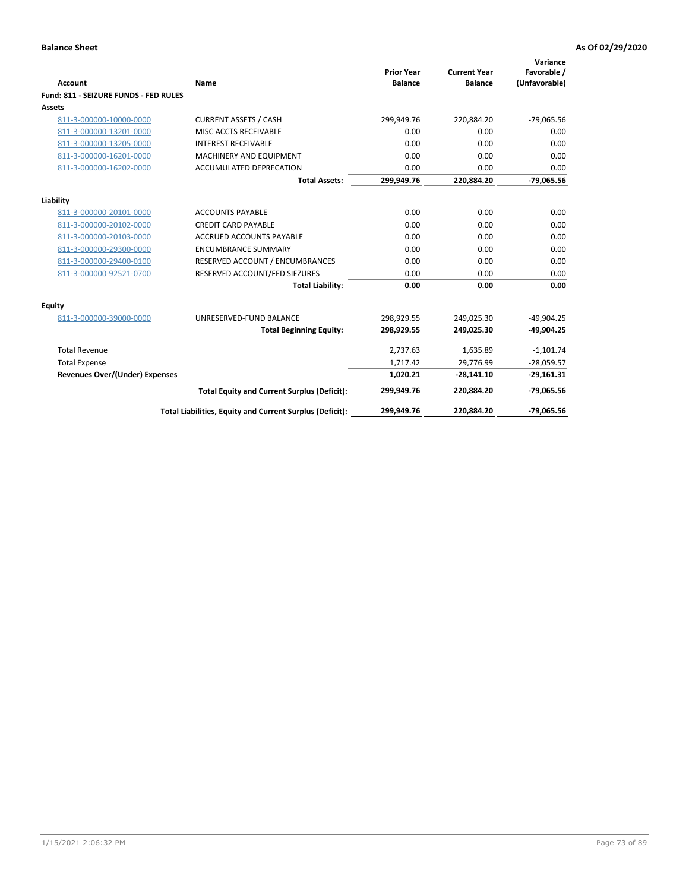| Account                               | Name                                                     | <b>Prior Year</b><br><b>Balance</b> | <b>Current Year</b><br><b>Balance</b> | Variance<br>Favorable /<br>(Unfavorable) |
|---------------------------------------|----------------------------------------------------------|-------------------------------------|---------------------------------------|------------------------------------------|
| Fund: 811 - SEIZURE FUNDS - FED RULES |                                                          |                                     |                                       |                                          |
| <b>Assets</b>                         |                                                          |                                     |                                       |                                          |
| 811-3-000000-10000-0000               | <b>CURRENT ASSETS / CASH</b>                             | 299,949.76                          | 220,884.20                            | $-79,065.56$                             |
| 811-3-000000-13201-0000               | MISC ACCTS RECEIVABLE                                    | 0.00                                | 0.00                                  | 0.00                                     |
| 811-3-000000-13205-0000               | <b>INTEREST RECEIVABLE</b>                               | 0.00                                | 0.00                                  | 0.00                                     |
| 811-3-000000-16201-0000               | <b>MACHINERY AND EQUIPMENT</b>                           | 0.00                                | 0.00                                  | 0.00                                     |
| 811-3-000000-16202-0000               | <b>ACCUMULATED DEPRECATION</b>                           | 0.00                                | 0.00                                  | 0.00                                     |
|                                       | <b>Total Assets:</b>                                     | 299,949.76                          | 220,884.20                            | $-79,065.56$                             |
| Liability                             |                                                          |                                     |                                       |                                          |
| 811-3-000000-20101-0000               | <b>ACCOUNTS PAYABLE</b>                                  | 0.00                                | 0.00                                  | 0.00                                     |
| 811-3-000000-20102-0000               | <b>CREDIT CARD PAYABLE</b>                               | 0.00                                | 0.00                                  | 0.00                                     |
| 811-3-000000-20103-0000               | <b>ACCRUED ACCOUNTS PAYABLE</b>                          | 0.00                                | 0.00                                  | 0.00                                     |
| 811-3-000000-29300-0000               | <b>ENCUMBRANCE SUMMARY</b>                               | 0.00                                | 0.00                                  | 0.00                                     |
| 811-3-000000-29400-0100               | RESERVED ACCOUNT / ENCUMBRANCES                          | 0.00                                | 0.00                                  | 0.00                                     |
| 811-3-000000-92521-0700               | RESERVED ACCOUNT/FED SIEZURES                            | 0.00                                | 0.00                                  | 0.00                                     |
|                                       | <b>Total Liability:</b>                                  | 0.00                                | 0.00                                  | 0.00                                     |
| <b>Equity</b>                         |                                                          |                                     |                                       |                                          |
| 811-3-000000-39000-0000               | UNRESERVED-FUND BALANCE                                  | 298,929.55                          | 249,025.30                            | $-49,904.25$                             |
|                                       | <b>Total Beginning Equity:</b>                           | 298,929.55                          | 249,025.30                            | $-49.904.25$                             |
| <b>Total Revenue</b>                  |                                                          | 2,737.63                            | 1,635.89                              | $-1,101.74$                              |
| <b>Total Expense</b>                  |                                                          | 1,717.42                            | 29,776.99                             | $-28,059.57$                             |
| Revenues Over/(Under) Expenses        |                                                          | 1,020.21                            | $-28,141.10$                          | $-29,161.31$                             |
|                                       | <b>Total Equity and Current Surplus (Deficit):</b>       | 299,949.76                          | 220,884.20                            | $-79,065.56$                             |
|                                       | Total Liabilities, Equity and Current Surplus (Deficit): | 299,949.76                          | 220,884.20                            | $-79,065.56$                             |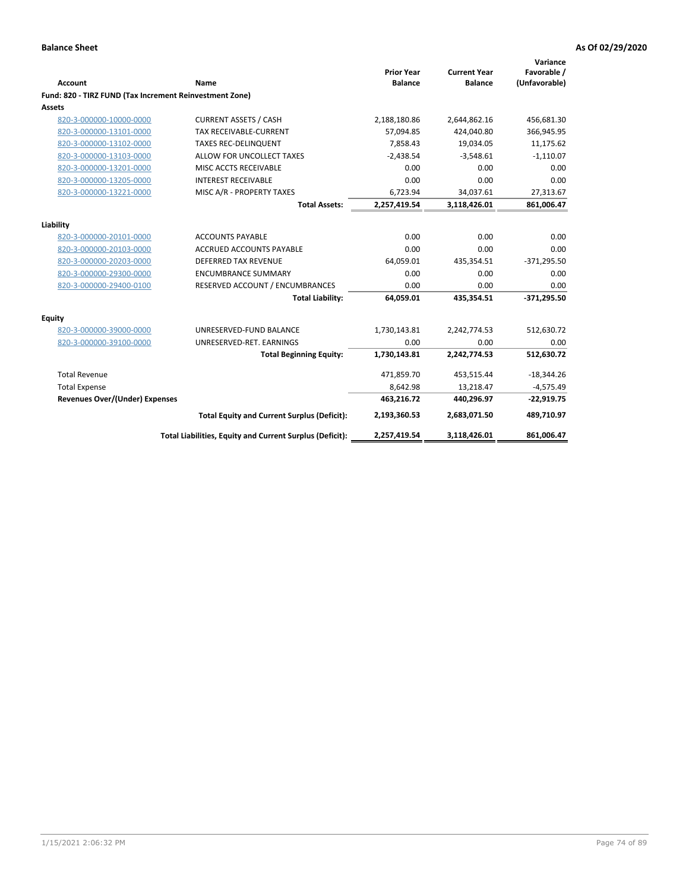|                                                                   |                                                          | <b>Prior Year</b>   | <b>Current Year</b> | Variance<br>Favorable / |
|-------------------------------------------------------------------|----------------------------------------------------------|---------------------|---------------------|-------------------------|
| <b>Account</b>                                                    | <b>Name</b>                                              | <b>Balance</b>      | <b>Balance</b>      | (Unfavorable)           |
| Fund: 820 - TIRZ FUND (Tax Increment Reinvestment Zone)<br>Assets |                                                          |                     |                     |                         |
| 820-3-000000-10000-0000                                           | <b>CURRENT ASSETS / CASH</b>                             | 2,188,180.86        | 2,644,862.16        | 456,681.30              |
| 820-3-000000-13101-0000                                           | TAX RECEIVABLE-CURRENT                                   | 57,094.85           | 424,040.80          | 366,945.95              |
| 820-3-000000-13102-0000                                           | <b>TAXES REC-DELINQUENT</b>                              | 7,858.43            | 19,034.05           | 11,175.62               |
| 820-3-000000-13103-0000                                           | ALLOW FOR UNCOLLECT TAXES                                |                     |                     | $-1,110.07$             |
|                                                                   | MISC ACCTS RECEIVABLE                                    | $-2,438.54$<br>0.00 | $-3,548.61$<br>0.00 | 0.00                    |
| 820-3-000000-13201-0000                                           |                                                          |                     |                     |                         |
| 820-3-000000-13205-0000                                           | <b>INTEREST RECEIVABLE</b>                               | 0.00                | 0.00                | 0.00                    |
| 820-3-000000-13221-0000                                           | MISC A/R - PROPERTY TAXES                                | 6,723.94            | 34,037.61           | 27,313.67               |
|                                                                   | <b>Total Assets:</b>                                     | 2,257,419.54        | 3,118,426.01        | 861,006.47              |
| Liability                                                         |                                                          |                     |                     |                         |
| 820-3-000000-20101-0000                                           | <b>ACCOUNTS PAYABLE</b>                                  | 0.00                | 0.00                | 0.00                    |
| 820-3-000000-20103-0000                                           | <b>ACCRUED ACCOUNTS PAYABLE</b>                          | 0.00                | 0.00                | 0.00                    |
| 820-3-000000-20203-0000                                           | <b>DEFERRED TAX REVENUE</b>                              | 64,059.01           | 435,354.51          | $-371,295.50$           |
| 820-3-000000-29300-0000                                           | <b>ENCUMBRANCE SUMMARY</b>                               | 0.00                | 0.00                | 0.00                    |
| 820-3-000000-29400-0100                                           | RESERVED ACCOUNT / ENCUMBRANCES                          | 0.00                | 0.00                | 0.00                    |
|                                                                   | <b>Total Liability:</b>                                  | 64,059.01           | 435,354.51          | $-371,295.50$           |
| <b>Equity</b>                                                     |                                                          |                     |                     |                         |
| 820-3-000000-39000-0000                                           | UNRESERVED-FUND BALANCE                                  | 1,730,143.81        | 2,242,774.53        | 512,630.72              |
| 820-3-000000-39100-0000                                           | UNRESERVED-RET. EARNINGS                                 | 0.00                | 0.00                | 0.00                    |
|                                                                   | <b>Total Beginning Equity:</b>                           | 1,730,143.81        | 2,242,774.53        | 512,630.72              |
| <b>Total Revenue</b>                                              |                                                          | 471,859.70          | 453,515.44          | $-18,344.26$            |
| <b>Total Expense</b>                                              |                                                          | 8,642.98            | 13,218.47           | $-4,575.49$             |
| <b>Revenues Over/(Under) Expenses</b>                             |                                                          | 463,216.72          | 440,296.97          | $-22,919.75$            |
|                                                                   | <b>Total Equity and Current Surplus (Deficit):</b>       | 2,193,360.53        | 2,683,071.50        | 489,710.97              |
|                                                                   | Total Liabilities, Equity and Current Surplus (Deficit): | 2,257,419.54        | 3,118,426.01        | 861,006.47              |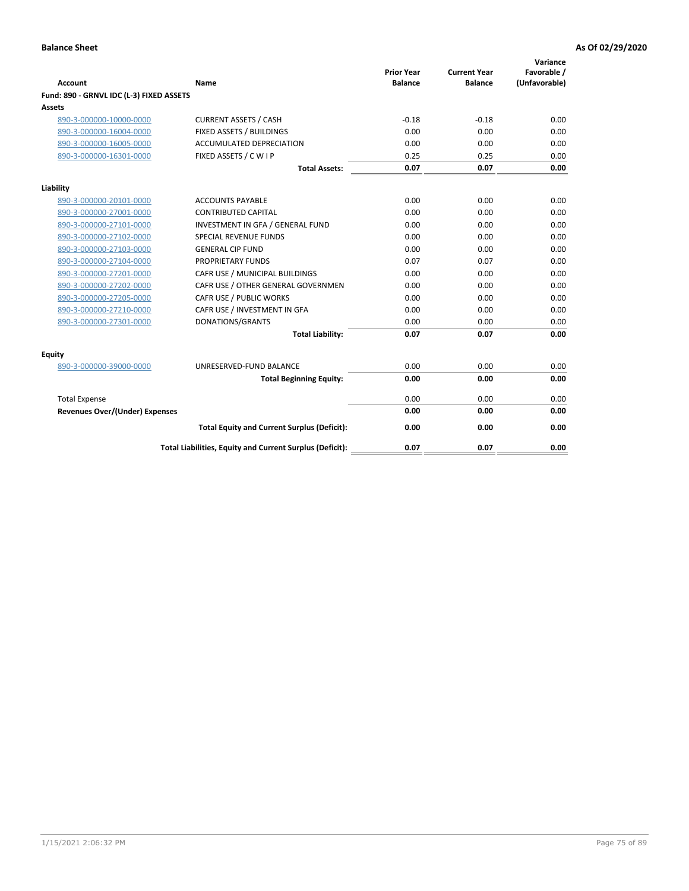| <b>Account</b>                           | Name                                                     | <b>Prior Year</b><br><b>Balance</b> | <b>Current Year</b><br><b>Balance</b> | Variance<br>Favorable /<br>(Unfavorable) |
|------------------------------------------|----------------------------------------------------------|-------------------------------------|---------------------------------------|------------------------------------------|
| Fund: 890 - GRNVL IDC (L-3) FIXED ASSETS |                                                          |                                     |                                       |                                          |
| <b>Assets</b>                            |                                                          |                                     |                                       |                                          |
| 890-3-000000-10000-0000                  | <b>CURRENT ASSETS / CASH</b>                             | $-0.18$                             | $-0.18$                               | 0.00                                     |
| 890-3-000000-16004-0000                  | FIXED ASSETS / BUILDINGS                                 | 0.00                                | 0.00                                  | 0.00                                     |
| 890-3-000000-16005-0000                  | <b>ACCUMULATED DEPRECIATION</b>                          | 0.00                                | 0.00                                  | 0.00                                     |
| 890-3-000000-16301-0000                  | FIXED ASSETS / C W I P                                   | 0.25                                | 0.25                                  | 0.00                                     |
|                                          | <b>Total Assets:</b>                                     | 0.07                                | 0.07                                  | 0.00                                     |
| Liability                                |                                                          |                                     |                                       |                                          |
| 890-3-000000-20101-0000                  | <b>ACCOUNTS PAYABLE</b>                                  | 0.00                                | 0.00                                  | 0.00                                     |
| 890-3-000000-27001-0000                  | <b>CONTRIBUTED CAPITAL</b>                               | 0.00                                | 0.00                                  | 0.00                                     |
| 890-3-000000-27101-0000                  | INVESTMENT IN GFA / GENERAL FUND                         | 0.00                                | 0.00                                  | 0.00                                     |
| 890-3-000000-27102-0000                  | <b>SPECIAL REVENUE FUNDS</b>                             | 0.00                                | 0.00                                  | 0.00                                     |
| 890-3-000000-27103-0000                  | <b>GENERAL CIP FUND</b>                                  | 0.00                                | 0.00                                  | 0.00                                     |
| 890-3-000000-27104-0000                  | PROPRIETARY FUNDS                                        | 0.07                                | 0.07                                  | 0.00                                     |
| 890-3-000000-27201-0000                  | CAFR USE / MUNICIPAL BUILDINGS                           | 0.00                                | 0.00                                  | 0.00                                     |
| 890-3-000000-27202-0000                  | CAFR USE / OTHER GENERAL GOVERNMEN                       | 0.00                                | 0.00                                  | 0.00                                     |
| 890-3-000000-27205-0000                  | CAFR USE / PUBLIC WORKS                                  | 0.00                                | 0.00                                  | 0.00                                     |
| 890-3-000000-27210-0000                  | CAFR USE / INVESTMENT IN GFA                             | 0.00                                | 0.00                                  | 0.00                                     |
| 890-3-000000-27301-0000                  | DONATIONS/GRANTS                                         | 0.00                                | 0.00                                  | 0.00                                     |
|                                          | <b>Total Liability:</b>                                  | 0.07                                | 0.07                                  | 0.00                                     |
| Equity                                   |                                                          |                                     |                                       |                                          |
| 890-3-000000-39000-0000                  | UNRESERVED-FUND BALANCE                                  | 0.00                                | 0.00                                  | 0.00                                     |
|                                          | <b>Total Beginning Equity:</b>                           | 0.00                                | 0.00                                  | 0.00                                     |
| <b>Total Expense</b>                     |                                                          | 0.00                                | 0.00                                  | 0.00                                     |
| Revenues Over/(Under) Expenses           |                                                          | 0.00                                | 0.00                                  | 0.00                                     |
|                                          |                                                          |                                     |                                       |                                          |
|                                          | <b>Total Equity and Current Surplus (Deficit):</b>       | 0.00                                | 0.00                                  | 0.00                                     |
|                                          | Total Liabilities, Equity and Current Surplus (Deficit): | 0.07                                | 0.07                                  | 0.00                                     |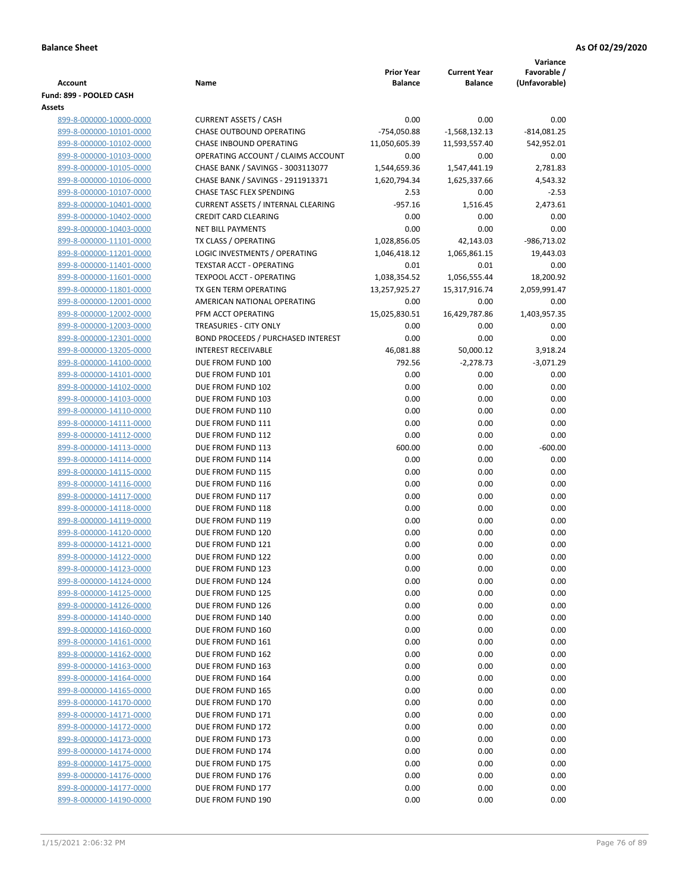|                                                    |                                                                     |                   |                     | Variance      |
|----------------------------------------------------|---------------------------------------------------------------------|-------------------|---------------------|---------------|
|                                                    |                                                                     | <b>Prior Year</b> | <b>Current Year</b> | Favorable /   |
| Account                                            | Name                                                                | <b>Balance</b>    | <b>Balance</b>      | (Unfavorable) |
| Fund: 899 - POOLED CASH<br>Assets                  |                                                                     |                   |                     |               |
| 899-8-000000-10000-0000                            | <b>CURRENT ASSETS / CASH</b>                                        | 0.00              | 0.00                | 0.00          |
| 899-8-000000-10101-0000                            | CHASE OUTBOUND OPERATING                                            | -754,050.88       | $-1,568,132.13$     | $-814,081.25$ |
| 899-8-000000-10102-0000                            | <b>CHASE INBOUND OPERATING</b>                                      | 11,050,605.39     | 11,593,557.40       | 542,952.01    |
| 899-8-000000-10103-0000                            | OPERATING ACCOUNT / CLAIMS ACCOUNT                                  | 0.00              | 0.00                | 0.00          |
| 899-8-000000-10105-0000                            | CHASE BANK / SAVINGS - 3003113077                                   | 1,544,659.36      | 1,547,441.19        | 2,781.83      |
| 899-8-000000-10106-0000                            | CHASE BANK / SAVINGS - 2911913371                                   | 1,620,794.34      | 1,625,337.66        | 4,543.32      |
| 899-8-000000-10107-0000                            | <b>CHASE TASC FLEX SPENDING</b>                                     | 2.53              | 0.00                | $-2.53$       |
| 899-8-000000-10401-0000                            | <b>CURRENT ASSETS / INTERNAL CLEARING</b>                           | $-957.16$         | 1,516.45            | 2,473.61      |
| 899-8-000000-10402-0000                            | <b>CREDIT CARD CLEARING</b>                                         | 0.00              | 0.00                | 0.00          |
| 899-8-000000-10403-0000                            | <b>NET BILL PAYMENTS</b>                                            | 0.00              | 0.00                | 0.00          |
| 899-8-000000-11101-0000                            | TX CLASS / OPERATING                                                | 1,028,856.05      | 42,143.03           | -986,713.02   |
| 899-8-000000-11201-0000                            | LOGIC INVESTMENTS / OPERATING                                       | 1,046,418.12      | 1,065,861.15        | 19,443.03     |
| 899-8-000000-11401-0000                            | <b>TEXSTAR ACCT - OPERATING</b>                                     | 0.01              | 0.01                | 0.00          |
| 899-8-000000-11601-0000                            | <b>TEXPOOL ACCT - OPERATING</b>                                     | 1,038,354.52      | 1,056,555.44        | 18,200.92     |
| 899-8-000000-11801-0000                            | TX GEN TERM OPERATING                                               | 13,257,925.27     | 15,317,916.74       | 2,059,991.47  |
| 899-8-000000-12001-0000                            | AMERICAN NATIONAL OPERATING                                         | 0.00              | 0.00                | 0.00          |
| 899-8-000000-12002-0000                            | PFM ACCT OPERATING                                                  | 15,025,830.51     | 16,429,787.86       | 1,403,957.35  |
| 899-8-000000-12003-0000<br>899-8-000000-12301-0000 | TREASURIES - CITY ONLY<br><b>BOND PROCEEDS / PURCHASED INTEREST</b> | 0.00<br>0.00      | 0.00<br>0.00        | 0.00<br>0.00  |
| 899-8-000000-13205-0000                            | <b>INTEREST RECEIVABLE</b>                                          | 46,081.88         | 50,000.12           | 3,918.24      |
| 899-8-000000-14100-0000                            | DUE FROM FUND 100                                                   | 792.56            | $-2,278.73$         | $-3,071.29$   |
| 899-8-000000-14101-0000                            | DUE FROM FUND 101                                                   | 0.00              | 0.00                | 0.00          |
| 899-8-000000-14102-0000                            | DUE FROM FUND 102                                                   | 0.00              | 0.00                | 0.00          |
| 899-8-000000-14103-0000                            | DUE FROM FUND 103                                                   | 0.00              | 0.00                | 0.00          |
| 899-8-000000-14110-0000                            | DUE FROM FUND 110                                                   | 0.00              | 0.00                | 0.00          |
| 899-8-000000-14111-0000                            | DUE FROM FUND 111                                                   | 0.00              | 0.00                | 0.00          |
| 899-8-000000-14112-0000                            | DUE FROM FUND 112                                                   | 0.00              | 0.00                | 0.00          |
| 899-8-000000-14113-0000                            | DUE FROM FUND 113                                                   | 600.00            | 0.00                | $-600.00$     |
| 899-8-000000-14114-0000                            | DUE FROM FUND 114                                                   | 0.00              | 0.00                | 0.00          |
| 899-8-000000-14115-0000                            | DUE FROM FUND 115                                                   | 0.00              | 0.00                | 0.00          |
| 899-8-000000-14116-0000                            | DUE FROM FUND 116                                                   | 0.00              | 0.00                | 0.00          |
| 899-8-000000-14117-0000                            | DUE FROM FUND 117                                                   | 0.00              | 0.00                | 0.00          |
| 899-8-000000-14118-0000                            | DUE FROM FUND 118                                                   | 0.00              | 0.00                | 0.00          |
| 899-8-000000-14119-0000<br>899-8-000000-14120-0000 | DUE FROM FUND 119<br>DUE FROM FUND 120                              | 0.00<br>0.00      | 0.00<br>0.00        | 0.00<br>0.00  |
| 899-8-000000-14121-0000                            | DUE FROM FUND 121                                                   | 0.00              | 0.00                | 0.00          |
| 899-8-000000-14122-0000                            | DUE FROM FUND 122                                                   | 0.00              | 0.00                | 0.00          |
| 899-8-000000-14123-0000                            | DUE FROM FUND 123                                                   | 0.00              | 0.00                | 0.00          |
| 899-8-000000-14124-0000                            | DUE FROM FUND 124                                                   | 0.00              | 0.00                | 0.00          |
| 899-8-000000-14125-0000                            | DUE FROM FUND 125                                                   | 0.00              | 0.00                | 0.00          |
| 899-8-000000-14126-0000                            | DUE FROM FUND 126                                                   | 0.00              | 0.00                | 0.00          |
| 899-8-000000-14140-0000                            | DUE FROM FUND 140                                                   | 0.00              | 0.00                | 0.00          |
| 899-8-000000-14160-0000                            | DUE FROM FUND 160                                                   | 0.00              | 0.00                | 0.00          |
| 899-8-000000-14161-0000                            | DUE FROM FUND 161                                                   | 0.00              | 0.00                | 0.00          |
| 899-8-000000-14162-0000                            | DUE FROM FUND 162                                                   | 0.00              | 0.00                | 0.00          |
| 899-8-000000-14163-0000                            | DUE FROM FUND 163                                                   | 0.00              | 0.00                | 0.00          |
| 899-8-000000-14164-0000                            | DUE FROM FUND 164                                                   | 0.00              | 0.00                | 0.00          |
| 899-8-000000-14165-0000                            | DUE FROM FUND 165                                                   | 0.00              | 0.00                | 0.00          |
| 899-8-000000-14170-0000                            | DUE FROM FUND 170                                                   | 0.00              | 0.00                | 0.00          |
| 899-8-000000-14171-0000<br>899-8-000000-14172-0000 | DUE FROM FUND 171                                                   | 0.00<br>0.00      | 0.00<br>0.00        | 0.00<br>0.00  |
| 899-8-000000-14173-0000                            | DUE FROM FUND 172<br>DUE FROM FUND 173                              | 0.00              | 0.00                | 0.00          |
| 899-8-000000-14174-0000                            | DUE FROM FUND 174                                                   | 0.00              | 0.00                | 0.00          |
| 899-8-000000-14175-0000                            | DUE FROM FUND 175                                                   | 0.00              | 0.00                | 0.00          |
| 899-8-000000-14176-0000                            | DUE FROM FUND 176                                                   | 0.00              | 0.00                | 0.00          |
| 899-8-000000-14177-0000                            | DUE FROM FUND 177                                                   | 0.00              | 0.00                | 0.00          |
| 899-8-000000-14190-0000                            | DUE FROM FUND 190                                                   | 0.00              | 0.00                | 0.00          |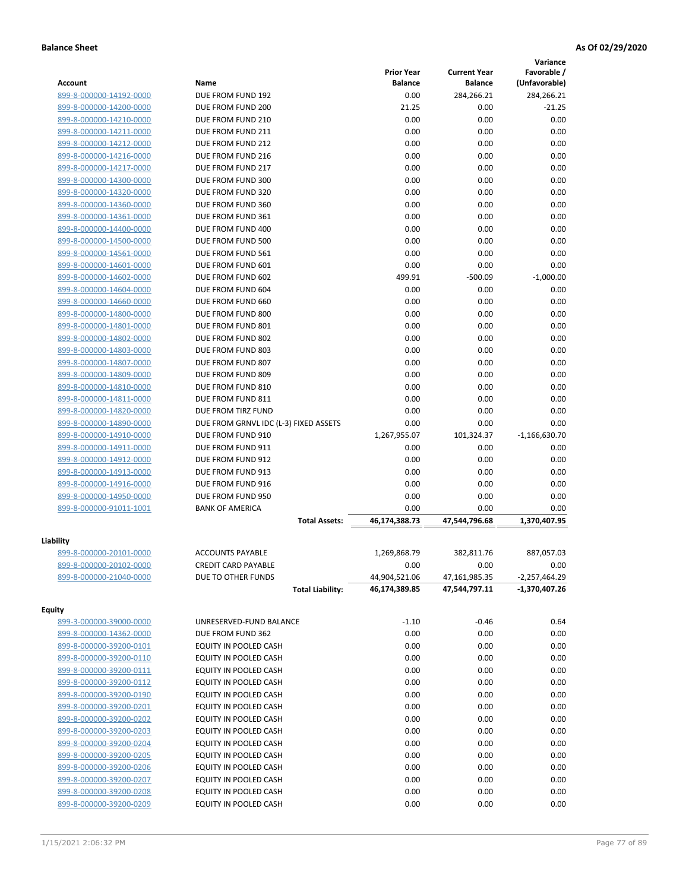|                         |                                       |                                     |                                       | Variance                     |
|-------------------------|---------------------------------------|-------------------------------------|---------------------------------------|------------------------------|
| Account                 | Name                                  | <b>Prior Year</b><br><b>Balance</b> | <b>Current Year</b><br><b>Balance</b> | Favorable /<br>(Unfavorable) |
| 899-8-000000-14192-0000 | DUE FROM FUND 192                     | 0.00                                | 284,266.21                            | 284,266.21                   |
| 899-8-000000-14200-0000 | DUE FROM FUND 200                     | 21.25                               | 0.00                                  | $-21.25$                     |
| 899-8-000000-14210-0000 | DUE FROM FUND 210                     | 0.00                                | 0.00                                  | 0.00                         |
| 899-8-000000-14211-0000 | DUE FROM FUND 211                     | 0.00                                | 0.00                                  | 0.00                         |
| 899-8-000000-14212-0000 | DUE FROM FUND 212                     | 0.00                                | 0.00                                  | 0.00                         |
| 899-8-000000-14216-0000 | DUE FROM FUND 216                     | 0.00                                | 0.00                                  | 0.00                         |
| 899-8-000000-14217-0000 | DUE FROM FUND 217                     | 0.00                                | 0.00                                  | 0.00                         |
| 899-8-000000-14300-0000 | DUE FROM FUND 300                     | 0.00                                | 0.00                                  | 0.00                         |
| 899-8-000000-14320-0000 | DUE FROM FUND 320                     | 0.00                                | 0.00                                  | 0.00                         |
| 899-8-000000-14360-0000 | DUE FROM FUND 360                     | 0.00                                | 0.00                                  | 0.00                         |
| 899-8-000000-14361-0000 | DUE FROM FUND 361                     | 0.00                                | 0.00                                  | 0.00                         |
| 899-8-000000-14400-0000 | DUE FROM FUND 400                     | 0.00                                | 0.00                                  | 0.00                         |
| 899-8-000000-14500-0000 | DUE FROM FUND 500                     | 0.00                                | 0.00                                  | 0.00                         |
| 899-8-000000-14561-0000 | DUE FROM FUND 561                     | 0.00                                | 0.00                                  | 0.00                         |
| 899-8-000000-14601-0000 | DUE FROM FUND 601                     | 0.00                                | 0.00                                  | 0.00                         |
| 899-8-000000-14602-0000 | DUE FROM FUND 602                     | 499.91                              | $-500.09$                             | $-1,000.00$                  |
| 899-8-000000-14604-0000 | DUE FROM FUND 604                     | 0.00                                | 0.00                                  | 0.00                         |
| 899-8-000000-14660-0000 | DUE FROM FUND 660                     | 0.00                                | 0.00                                  | 0.00                         |
| 899-8-000000-14800-0000 | DUE FROM FUND 800                     | 0.00                                | 0.00                                  | 0.00                         |
| 899-8-000000-14801-0000 | DUE FROM FUND 801                     | 0.00                                | 0.00                                  | 0.00                         |
| 899-8-000000-14802-0000 | DUE FROM FUND 802                     | 0.00                                | 0.00                                  | 0.00                         |
| 899-8-000000-14803-0000 | DUE FROM FUND 803                     | 0.00                                | 0.00                                  | 0.00                         |
| 899-8-000000-14807-0000 | DUE FROM FUND 807                     | 0.00                                | 0.00                                  | 0.00                         |
| 899-8-000000-14809-0000 | DUE FROM FUND 809                     | 0.00                                | 0.00                                  | 0.00                         |
| 899-8-000000-14810-0000 | DUE FROM FUND 810                     | 0.00                                | 0.00                                  | 0.00                         |
| 899-8-000000-14811-0000 | DUE FROM FUND 811                     | 0.00                                | 0.00                                  | 0.00                         |
| 899-8-000000-14820-0000 | DUE FROM TIRZ FUND                    | 0.00                                | 0.00                                  | 0.00                         |
| 899-8-000000-14890-0000 | DUE FROM GRNVL IDC (L-3) FIXED ASSETS | 0.00                                | 0.00                                  | 0.00                         |
| 899-8-000000-14910-0000 | DUE FROM FUND 910                     | 1,267,955.07                        | 101,324.37                            | $-1,166,630.70$              |
| 899-8-000000-14911-0000 | DUE FROM FUND 911                     | 0.00                                | 0.00                                  | 0.00                         |
| 899-8-000000-14912-0000 | DUE FROM FUND 912                     | 0.00                                | 0.00                                  | 0.00                         |
| 899-8-000000-14913-0000 | DUE FROM FUND 913                     | 0.00                                | 0.00                                  | 0.00                         |
| 899-8-000000-14916-0000 | DUE FROM FUND 916                     | 0.00                                | 0.00                                  | 0.00                         |
| 899-8-000000-14950-0000 | DUE FROM FUND 950                     | 0.00                                | 0.00                                  | 0.00                         |
| 899-8-000000-91011-1001 | <b>BANK OF AMERICA</b>                | 0.00                                | 0.00                                  | 0.00                         |
|                         | <b>Total Assets:</b>                  | 46,174,388.73                       | 47,544,796.68                         | 1,370,407.95                 |
| Liability               |                                       |                                     |                                       |                              |
| 899-8-000000-20101-0000 | <b>ACCOUNTS PAYABLE</b>               | 1,269,868.79                        | 382,811.76                            | 887,057.03                   |
| 899-8-000000-20102-0000 | <b>CREDIT CARD PAYABLE</b>            | 0.00                                | 0.00                                  | 0.00                         |
| 899-8-000000-21040-0000 | DUE TO OTHER FUNDS                    | 44,904,521.06                       | 47,161,985.35                         | $-2,257,464.29$              |
|                         | <b>Total Liability:</b>               | 46,174,389.85                       | 47,544,797.11                         | $-1,370,407.26$              |
| <b>Equity</b>           |                                       |                                     |                                       |                              |
| 899-3-000000-39000-0000 | UNRESERVED-FUND BALANCE               | $-1.10$                             | $-0.46$                               | 0.64                         |
| 899-8-000000-14362-0000 | DUE FROM FUND 362                     | 0.00                                | 0.00                                  | 0.00                         |
| 899-8-000000-39200-0101 | EQUITY IN POOLED CASH                 | 0.00                                | 0.00                                  | 0.00                         |
| 899-8-000000-39200-0110 | EQUITY IN POOLED CASH                 | 0.00                                | 0.00                                  | 0.00                         |
| 899-8-000000-39200-0111 | EQUITY IN POOLED CASH                 | 0.00                                | 0.00                                  | 0.00                         |
| 899-8-000000-39200-0112 | <b>EQUITY IN POOLED CASH</b>          | 0.00                                | 0.00                                  | 0.00                         |
| 899-8-000000-39200-0190 | EQUITY IN POOLED CASH                 | 0.00                                | 0.00                                  | 0.00                         |
| 899-8-000000-39200-0201 | EQUITY IN POOLED CASH                 | 0.00                                | 0.00                                  | 0.00                         |
| 899-8-000000-39200-0202 | EQUITY IN POOLED CASH                 | 0.00                                | 0.00                                  | 0.00                         |
| 899-8-000000-39200-0203 | EQUITY IN POOLED CASH                 | 0.00                                | 0.00                                  | 0.00                         |
| 899-8-000000-39200-0204 | EQUITY IN POOLED CASH                 | 0.00                                | 0.00                                  | 0.00                         |
| 899-8-000000-39200-0205 | EQUITY IN POOLED CASH                 | 0.00                                | 0.00                                  | 0.00                         |
| 899-8-000000-39200-0206 | EQUITY IN POOLED CASH                 | 0.00                                | 0.00                                  | 0.00                         |
| 899-8-000000-39200-0207 | EQUITY IN POOLED CASH                 | 0.00                                | 0.00                                  | 0.00                         |
| 899-8-000000-39200-0208 | EQUITY IN POOLED CASH                 | 0.00                                | 0.00                                  | 0.00                         |
| 899-8-000000-39200-0209 | EQUITY IN POOLED CASH                 | 0.00                                | 0.00                                  | 0.00                         |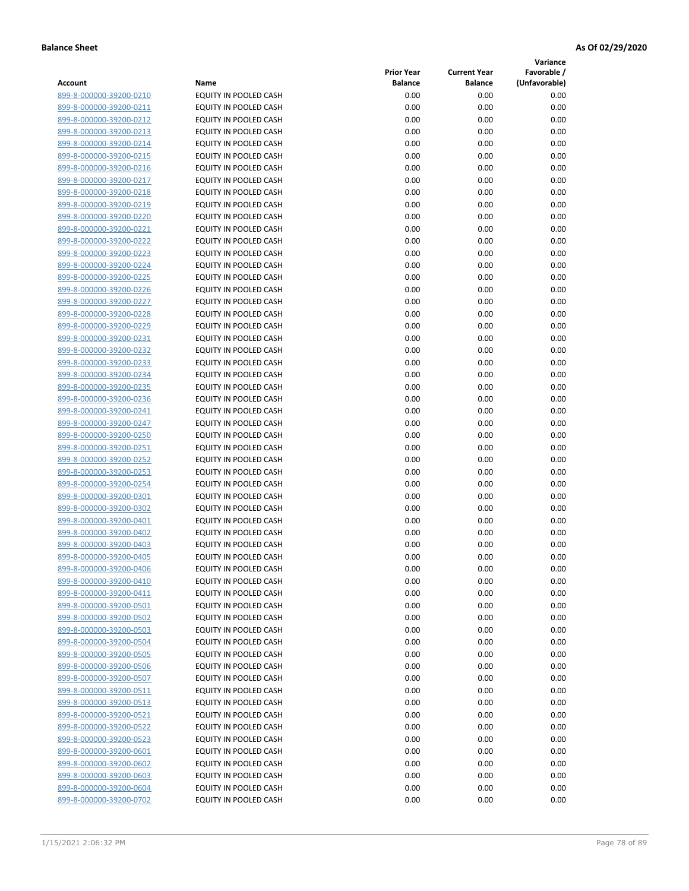**Variance**

|                         |                              | <b>Prior Year</b> | <b>Current Year</b> | Favorable /   |
|-------------------------|------------------------------|-------------------|---------------------|---------------|
| Account                 | Name                         | <b>Balance</b>    | <b>Balance</b>      | (Unfavorable) |
| 899-8-000000-39200-0210 | EQUITY IN POOLED CASH        | 0.00              | 0.00                | 0.00          |
| 899-8-000000-39200-0211 | EQUITY IN POOLED CASH        | 0.00              | 0.00                | 0.00          |
| 899-8-000000-39200-0212 | EQUITY IN POOLED CASH        | 0.00              | 0.00                | 0.00          |
| 899-8-000000-39200-0213 | EQUITY IN POOLED CASH        | 0.00              | 0.00                | 0.00          |
| 899-8-000000-39200-0214 | <b>EQUITY IN POOLED CASH</b> | 0.00              | 0.00                | 0.00          |
| 899-8-000000-39200-0215 | EQUITY IN POOLED CASH        | 0.00              | 0.00                | 0.00          |
| 899-8-000000-39200-0216 | EQUITY IN POOLED CASH        | 0.00              | 0.00                | 0.00          |
| 899-8-000000-39200-0217 | EQUITY IN POOLED CASH        | 0.00              | 0.00                | 0.00          |
| 899-8-000000-39200-0218 | EQUITY IN POOLED CASH        | 0.00              | 0.00                | 0.00          |
| 899-8-000000-39200-0219 | EQUITY IN POOLED CASH        | 0.00              | 0.00                | 0.00          |
| 899-8-000000-39200-0220 | EQUITY IN POOLED CASH        | 0.00              | 0.00                | 0.00          |
| 899-8-000000-39200-0221 | EQUITY IN POOLED CASH        | 0.00              | 0.00                | 0.00          |
| 899-8-000000-39200-0222 | EQUITY IN POOLED CASH        | 0.00              | 0.00                | 0.00          |
| 899-8-000000-39200-0223 | EQUITY IN POOLED CASH        | 0.00              | 0.00                | 0.00          |
| 899-8-000000-39200-0224 | EQUITY IN POOLED CASH        | 0.00              | 0.00                | 0.00          |
| 899-8-000000-39200-0225 | EQUITY IN POOLED CASH        | 0.00              | 0.00                | 0.00          |
| 899-8-000000-39200-0226 | EQUITY IN POOLED CASH        | 0.00              | 0.00                | 0.00          |
| 899-8-000000-39200-0227 | EQUITY IN POOLED CASH        | 0.00              | 0.00                | 0.00          |
| 899-8-000000-39200-0228 | EQUITY IN POOLED CASH        | 0.00              | 0.00                | 0.00          |
| 899-8-000000-39200-0229 | EQUITY IN POOLED CASH        | 0.00              | 0.00                | 0.00          |
| 899-8-000000-39200-0231 | EQUITY IN POOLED CASH        | 0.00              | 0.00                | 0.00          |
| 899-8-000000-39200-0232 | EQUITY IN POOLED CASH        | 0.00              | 0.00                | 0.00          |
| 899-8-000000-39200-0233 | EQUITY IN POOLED CASH        | 0.00              | 0.00                | 0.00          |
| 899-8-000000-39200-0234 | EQUITY IN POOLED CASH        | 0.00              | 0.00                | 0.00          |
| 899-8-000000-39200-0235 | EQUITY IN POOLED CASH        | 0.00              | 0.00                | 0.00          |
| 899-8-000000-39200-0236 | EQUITY IN POOLED CASH        | 0.00              | 0.00                | 0.00          |
| 899-8-000000-39200-0241 | EQUITY IN POOLED CASH        | 0.00              | 0.00                | 0.00          |
| 899-8-000000-39200-0247 | EQUITY IN POOLED CASH        | 0.00              | 0.00                | 0.00          |
| 899-8-000000-39200-0250 | EQUITY IN POOLED CASH        | 0.00              | 0.00                | 0.00          |
| 899-8-000000-39200-0251 | EQUITY IN POOLED CASH        | 0.00              | 0.00                | 0.00          |
| 899-8-000000-39200-0252 | EQUITY IN POOLED CASH        | 0.00              | 0.00                | 0.00          |
| 899-8-000000-39200-0253 | EQUITY IN POOLED CASH        | 0.00              | 0.00                | 0.00          |
| 899-8-000000-39200-0254 | EQUITY IN POOLED CASH        | 0.00              | 0.00                | 0.00          |
| 899-8-000000-39200-0301 | EQUITY IN POOLED CASH        | 0.00              | 0.00                | 0.00          |
| 899-8-000000-39200-0302 | EQUITY IN POOLED CASH        | 0.00              | 0.00                | 0.00          |
| 899-8-000000-39200-0401 | EQUITY IN POOLED CASH        | 0.00              | 0.00                | 0.00          |
| 899-8-000000-39200-0402 | EQUITY IN POOLED CASH        | 0.00              | 0.00                | 0.00          |
| 899-8-000000-39200-0403 | EQUITY IN POOLED CASH        | 0.00              | 0.00                | 0.00          |
| 899-8-000000-39200-0405 | EQUITY IN POOLED CASH        | 0.00              | 0.00                | 0.00          |
| 899-8-000000-39200-0406 | EQUITY IN POOLED CASH        | 0.00              | 0.00                | 0.00          |
| 899-8-000000-39200-0410 | EQUITY IN POOLED CASH        | 0.00              | 0.00                | 0.00          |
| 899-8-000000-39200-0411 | EQUITY IN POOLED CASH        | 0.00              | 0.00                | 0.00          |
| 899-8-000000-39200-0501 | EQUITY IN POOLED CASH        | 0.00              | 0.00                | 0.00          |
| 899-8-000000-39200-0502 | EQUITY IN POOLED CASH        | 0.00              | 0.00                | 0.00          |
| 899-8-000000-39200-0503 | EQUITY IN POOLED CASH        | 0.00              | 0.00                | 0.00          |
| 899-8-000000-39200-0504 | EQUITY IN POOLED CASH        | 0.00              | 0.00                | 0.00          |
| 899-8-000000-39200-0505 | EQUITY IN POOLED CASH        | 0.00              | 0.00                | 0.00          |
| 899-8-000000-39200-0506 | EQUITY IN POOLED CASH        | 0.00              | 0.00                | 0.00          |
| 899-8-000000-39200-0507 | EQUITY IN POOLED CASH        | 0.00              | 0.00                | 0.00          |
| 899-8-000000-39200-0511 | EQUITY IN POOLED CASH        | 0.00              | 0.00                | 0.00          |
| 899-8-000000-39200-0513 | EQUITY IN POOLED CASH        | 0.00              | 0.00                | 0.00          |
| 899-8-000000-39200-0521 | EQUITY IN POOLED CASH        | 0.00              | 0.00                | 0.00          |
| 899-8-000000-39200-0522 | EQUITY IN POOLED CASH        | 0.00              | 0.00                | 0.00          |
| 899-8-000000-39200-0523 | EQUITY IN POOLED CASH        | 0.00              | 0.00                | 0.00          |
| 899-8-000000-39200-0601 | EQUITY IN POOLED CASH        | 0.00              | 0.00                | 0.00          |
| 899-8-000000-39200-0602 | EQUITY IN POOLED CASH        | 0.00              | 0.00                | 0.00          |
| 899-8-000000-39200-0603 | EQUITY IN POOLED CASH        | 0.00              | 0.00                | 0.00          |
| 899-8-000000-39200-0604 | EQUITY IN POOLED CASH        | 0.00              | 0.00                | 0.00          |
| 899-8-000000-39200-0702 | EQUITY IN POOLED CASH        | 0.00              | 0.00                | 0.00          |
|                         |                              |                   |                     |               |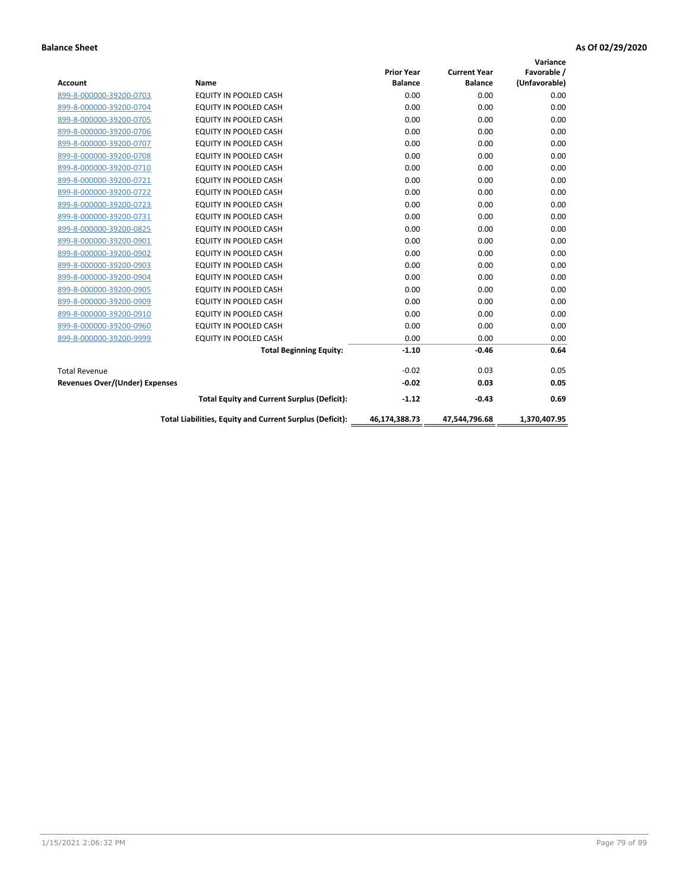| <b>Account</b>                        | Name                                                     | <b>Prior Year</b><br><b>Balance</b> | <b>Current Year</b><br><b>Balance</b> | Variance<br>Favorable /<br>(Unfavorable) |
|---------------------------------------|----------------------------------------------------------|-------------------------------------|---------------------------------------|------------------------------------------|
| 899-8-000000-39200-0703               | <b>EQUITY IN POOLED CASH</b>                             | 0.00                                | 0.00                                  | 0.00                                     |
| 899-8-000000-39200-0704               | <b>EQUITY IN POOLED CASH</b>                             | 0.00                                | 0.00                                  | 0.00                                     |
| 899-8-000000-39200-0705               | <b>EQUITY IN POOLED CASH</b>                             | 0.00                                | 0.00                                  | 0.00                                     |
| 899-8-000000-39200-0706               | EQUITY IN POOLED CASH                                    | 0.00                                | 0.00                                  | 0.00                                     |
| 899-8-000000-39200-0707               | EQUITY IN POOLED CASH                                    | 0.00                                | 0.00                                  | 0.00                                     |
| 899-8-000000-39200-0708               | <b>EQUITY IN POOLED CASH</b>                             | 0.00                                | 0.00                                  | 0.00                                     |
| 899-8-000000-39200-0710               | EQUITY IN POOLED CASH                                    | 0.00                                | 0.00                                  | 0.00                                     |
| 899-8-000000-39200-0721               | <b>EQUITY IN POOLED CASH</b>                             | 0.00                                | 0.00                                  | 0.00                                     |
| 899-8-000000-39200-0722               | <b>EQUITY IN POOLED CASH</b>                             | 0.00                                | 0.00                                  | 0.00                                     |
| 899-8-000000-39200-0723               | EQUITY IN POOLED CASH                                    | 0.00                                | 0.00                                  | 0.00                                     |
| 899-8-000000-39200-0731               | <b>EQUITY IN POOLED CASH</b>                             | 0.00                                | 0.00                                  | 0.00                                     |
| 899-8-000000-39200-0825               | EQUITY IN POOLED CASH                                    | 0.00                                | 0.00                                  | 0.00                                     |
| 899-8-000000-39200-0901               | EQUITY IN POOLED CASH                                    | 0.00                                | 0.00                                  | 0.00                                     |
| 899-8-000000-39200-0902               | EQUITY IN POOLED CASH                                    | 0.00                                | 0.00                                  | 0.00                                     |
| 899-8-000000-39200-0903               | <b>EQUITY IN POOLED CASH</b>                             | 0.00                                | 0.00                                  | 0.00                                     |
| 899-8-000000-39200-0904               | <b>EQUITY IN POOLED CASH</b>                             | 0.00                                | 0.00                                  | 0.00                                     |
| 899-8-000000-39200-0905               | EQUITY IN POOLED CASH                                    | 0.00                                | 0.00                                  | 0.00                                     |
| 899-8-000000-39200-0909               | EQUITY IN POOLED CASH                                    | 0.00                                | 0.00                                  | 0.00                                     |
| 899-8-000000-39200-0910               | <b>EQUITY IN POOLED CASH</b>                             | 0.00                                | 0.00                                  | 0.00                                     |
| 899-8-000000-39200-0960               | <b>EQUITY IN POOLED CASH</b>                             | 0.00                                | 0.00                                  | 0.00                                     |
| 899-8-000000-39200-9999               | EQUITY IN POOLED CASH                                    | 0.00                                | 0.00                                  | 0.00                                     |
|                                       | <b>Total Beginning Equity:</b>                           | $-1.10$                             | $-0.46$                               | 0.64                                     |
| <b>Total Revenue</b>                  |                                                          | $-0.02$                             | 0.03                                  | 0.05                                     |
| <b>Revenues Over/(Under) Expenses</b> |                                                          | $-0.02$                             | 0.03                                  | 0.05                                     |
|                                       | <b>Total Equity and Current Surplus (Deficit):</b>       | $-1.12$                             | $-0.43$                               | 0.69                                     |
|                                       | Total Liabilities, Equity and Current Surplus (Deficit): | 46,174,388.73                       | 47,544,796.68                         | 1,370,407.95                             |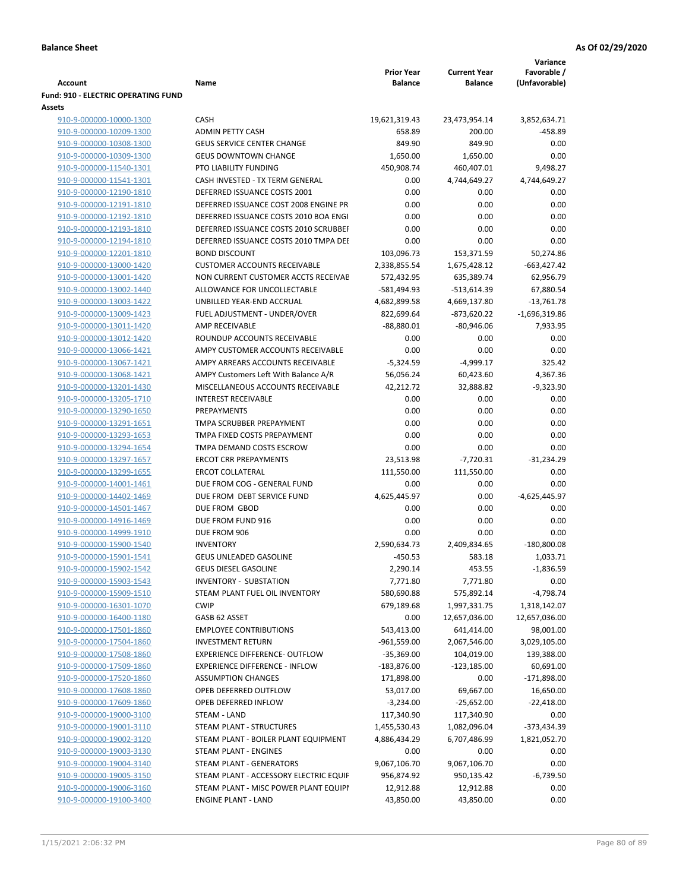|                                            |                                        |                   |                     | Variance        |
|--------------------------------------------|----------------------------------------|-------------------|---------------------|-----------------|
|                                            |                                        | <b>Prior Year</b> | <b>Current Year</b> | Favorable /     |
| Account                                    | Name                                   | <b>Balance</b>    | <b>Balance</b>      | (Unfavorable)   |
| <b>Fund: 910 - ELECTRIC OPERATING FUND</b> |                                        |                   |                     |                 |
| <b>Assets</b>                              |                                        |                   |                     |                 |
| 910-9-000000-10000-1300                    | <b>CASH</b>                            | 19,621,319.43     | 23,473,954.14       | 3,852,634.71    |
| 910-9-000000-10209-1300                    | <b>ADMIN PETTY CASH</b>                | 658.89            | 200.00              | $-458.89$       |
| 910-9-000000-10308-1300                    | <b>GEUS SERVICE CENTER CHANGE</b>      | 849.90            | 849.90              | 0.00            |
| 910-9-000000-10309-1300                    | <b>GEUS DOWNTOWN CHANGE</b>            | 1,650.00          | 1,650.00            | 0.00            |
| 910-9-000000-11540-1301                    | PTO LIABILITY FUNDING                  | 450,908.74        | 460,407.01          | 9,498.27        |
| 910-9-000000-11541-1301                    | CASH INVESTED - TX TERM GENERAL        | 0.00              | 4,744,649.27        | 4,744,649.27    |
| 910-9-000000-12190-1810                    | DEFERRED ISSUANCE COSTS 2001           | 0.00              | 0.00                | 0.00            |
| 910-9-000000-12191-1810                    | DEFERRED ISSUANCE COST 2008 ENGINE PR  | 0.00              | 0.00                | 0.00            |
| 910-9-000000-12192-1810                    | DEFERRED ISSUANCE COSTS 2010 BOA ENGI  | 0.00              | 0.00                | 0.00            |
| 910-9-000000-12193-1810                    | DEFERRED ISSUANCE COSTS 2010 SCRUBBEI  | 0.00              | 0.00                | 0.00            |
| 910-9-000000-12194-1810                    | DEFERRED ISSUANCE COSTS 2010 TMPA DEI  | 0.00              | 0.00                | 0.00            |
| 910-9-000000-12201-1810                    | <b>BOND DISCOUNT</b>                   | 103,096.73        | 153,371.59          | 50,274.86       |
| 910-9-000000-13000-1420                    | <b>CUSTOMER ACCOUNTS RECEIVABLE</b>    | 2,338,855.54      | 1,675,428.12        | $-663,427.42$   |
| 910-9-000000-13001-1420                    | NON CURRENT CUSTOMER ACCTS RECEIVAE    | 572,432.95        | 635,389.74          | 62,956.79       |
| 910-9-000000-13002-1440                    | ALLOWANCE FOR UNCOLLECTABLE            | $-581,494.93$     | $-513,614.39$       | 67,880.54       |
| 910-9-000000-13003-1422                    | UNBILLED YEAR-END ACCRUAL              | 4,682,899.58      | 4,669,137.80        | $-13,761.78$    |
| 910-9-000000-13009-1423                    | FUEL ADJUSTMENT - UNDER/OVER           | 822,699.64        | $-873,620.22$       | $-1,696,319.86$ |
| 910-9-000000-13011-1420                    | AMP RECEIVABLE                         | $-88,880.01$      | $-80,946.06$        | 7,933.95        |
| 910-9-000000-13012-1420                    | ROUNDUP ACCOUNTS RECEIVABLE            | 0.00              | 0.00                | 0.00            |
| 910-9-000000-13066-1421                    | AMPY CUSTOMER ACCOUNTS RECEIVABLE      | 0.00              | 0.00                | 0.00            |
| 910-9-000000-13067-1421                    | AMPY ARREARS ACCOUNTS RECEIVABLE       | $-5,324.59$       | $-4,999.17$         | 325.42          |
| 910-9-000000-13068-1421                    | AMPY Customers Left With Balance A/R   | 56,056.24         | 60,423.60           | 4,367.36        |
| 910-9-000000-13201-1430                    | MISCELLANEOUS ACCOUNTS RECEIVABLE      | 42,212.72         | 32,888.82           | $-9,323.90$     |
| 910-9-000000-13205-1710                    | <b>INTEREST RECEIVABLE</b>             | 0.00              | 0.00                | 0.00            |
| 910-9-000000-13290-1650                    | PREPAYMENTS                            | 0.00              | 0.00                | 0.00            |
| 910-9-000000-13291-1651                    | TMPA SCRUBBER PREPAYMENT               | 0.00              | 0.00                | 0.00            |
| 910-9-000000-13293-1653                    | TMPA FIXED COSTS PREPAYMENT            | 0.00              | 0.00                | 0.00            |
| 910-9-000000-13294-1654                    | TMPA DEMAND COSTS ESCROW               | 0.00              | 0.00                | 0.00            |
| 910-9-000000-13297-1657                    | <b>ERCOT CRR PREPAYMENTS</b>           | 23,513.98         | $-7,720.31$         | $-31,234.29$    |
| 910-9-000000-13299-1655                    | <b>ERCOT COLLATERAL</b>                | 111,550.00        | 111,550.00          | 0.00            |
| 910-9-000000-14001-1461                    | DUE FROM COG - GENERAL FUND            | 0.00              | 0.00                | 0.00            |
| 910-9-000000-14402-1469                    | DUE FROM DEBT SERVICE FUND             | 4,625,445.97      | 0.00                | -4,625,445.97   |
| 910-9-000000-14501-1467                    | DUE FROM GBOD                          | 0.00              | 0.00                | 0.00            |
| 910-9-000000-14916-1469                    | DUE FROM FUND 916                      | 0.00              | 0.00                | 0.00            |
| 910-9-000000-14999-1910                    | DUE FROM 906                           | 0.00              | 0.00                | 0.00            |
|                                            | <b>INVENTORY</b>                       |                   |                     |                 |
| 910-9-000000-15900-1540                    |                                        | 2,590,634.73      | 2,409,834.65        | $-180,800.08$   |
| 910-9-000000-15901-1541                    | <b>GEUS UNLEADED GASOLINE</b>          | $-450.53$         | 583.18              | 1,033.71        |
| 910-9-000000-15902-1542                    | <b>GEUS DIESEL GASOLINE</b>            | 2,290.14          | 453.55              | $-1,836.59$     |
| 910-9-000000-15903-1543                    | INVENTORY - SUBSTATION                 | 7,771.80          | 7,771.80            | 0.00            |
| 910-9-000000-15909-1510                    | STEAM PLANT FUEL OIL INVENTORY         | 580,690.88        | 575,892.14          | $-4,798.74$     |
| 910-9-000000-16301-1070                    | <b>CWIP</b>                            | 679,189.68        | 1,997,331.75        | 1,318,142.07    |
| 910-9-000000-16400-1180                    | GASB 62 ASSET                          | 0.00              | 12,657,036.00       | 12,657,036.00   |
| 910-9-000000-17501-1860                    | <b>EMPLOYEE CONTRIBUTIONS</b>          | 543,413.00        | 641,414.00          | 98,001.00       |
| 910-9-000000-17504-1860                    | <b>INVESTMENT RETURN</b>               | $-961,559.00$     | 2,067,546.00        | 3,029,105.00    |
| 910-9-000000-17508-1860                    | EXPERIENCE DIFFERENCE- OUTFLOW         | $-35,369.00$      | 104,019.00          | 139,388.00      |
| 910-9-000000-17509-1860                    | <b>EXPERIENCE DIFFERENCE - INFLOW</b>  | $-183,876.00$     | $-123,185.00$       | 60,691.00       |
| 910-9-000000-17520-1860                    | <b>ASSUMPTION CHANGES</b>              | 171,898.00        | 0.00                | $-171,898.00$   |
| 910-9-000000-17608-1860                    | OPEB DEFERRED OUTFLOW                  | 53,017.00         | 69,667.00           | 16,650.00       |
| 910-9-000000-17609-1860                    | OPEB DEFERRED INFLOW                   | $-3,234.00$       | $-25,652.00$        | $-22,418.00$    |
| 910-9-000000-19000-3100                    | STEAM - LAND                           | 117,340.90        | 117,340.90          | 0.00            |
| 910-9-000000-19001-3110                    | STEAM PLANT - STRUCTURES               | 1,455,530.43      | 1,082,096.04        | -373,434.39     |
| 910-9-000000-19002-3120                    | STEAM PLANT - BOILER PLANT EQUIPMENT   | 4,886,434.29      | 6,707,486.99        | 1,821,052.70    |
| 910-9-000000-19003-3130                    | STEAM PLANT - ENGINES                  | 0.00              | 0.00                | 0.00            |
| 910-9-000000-19004-3140                    | STEAM PLANT - GENERATORS               | 9,067,106.70      | 9,067,106.70        | 0.00            |
| 910-9-000000-19005-3150                    | STEAM PLANT - ACCESSORY ELECTRIC EQUIF | 956,874.92        | 950,135.42          | $-6,739.50$     |
| 910-9-000000-19006-3160                    | STEAM PLANT - MISC POWER PLANT EQUIPI  | 12,912.88         | 12,912.88           | 0.00            |
| 910-9-000000-19100-3400                    | <b>ENGINE PLANT - LAND</b>             | 43,850.00         | 43,850.00           | 0.00            |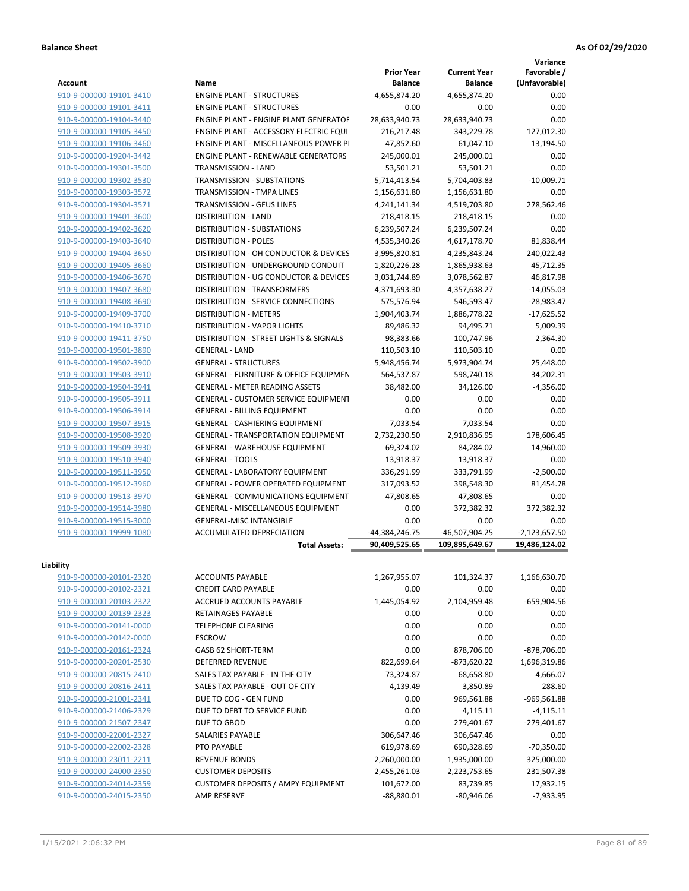**Variance**

| <b>Account</b>          | Name                                             | <b>Prior Year</b><br><b>Balance</b> | <b>Current Year</b><br><b>Balance</b> | Favorable /<br>(Unfavorable) |
|-------------------------|--------------------------------------------------|-------------------------------------|---------------------------------------|------------------------------|
| 910-9-000000-19101-3410 | <b>ENGINE PLANT - STRUCTURES</b>                 | 4,655,874.20                        | 4,655,874.20                          | 0.00                         |
| 910-9-000000-19101-3411 | <b>ENGINE PLANT - STRUCTURES</b>                 | 0.00                                | 0.00                                  | 0.00                         |
| 910-9-000000-19104-3440 | <b>ENGINE PLANT - ENGINE PLANT GENERATOF</b>     | 28,633,940.73                       | 28,633,940.73                         | 0.00                         |
| 910-9-000000-19105-3450 | ENGINE PLANT - ACCESSORY ELECTRIC EQUI           | 216,217.48                          | 343,229.78                            | 127,012.30                   |
| 910-9-000000-19106-3460 | ENGINE PLANT - MISCELLANEOUS POWER P             | 47,852.60                           | 61,047.10                             | 13,194.50                    |
| 910-9-000000-19204-3442 | <b>ENGINE PLANT - RENEWABLE GENERATORS</b>       | 245,000.01                          | 245,000.01                            | 0.00                         |
|                         | TRANSMISSION - LAND                              |                                     |                                       | 0.00                         |
| 910-9-000000-19301-3500 | <b>TRANSMISSION - SUBSTATIONS</b>                | 53,501.21                           | 53,501.21                             |                              |
| 910-9-000000-19302-3530 |                                                  | 5,714,413.54                        | 5,704,403.83                          | $-10,009.71$                 |
| 910-9-000000-19303-3572 | <b>TRANSMISSION - TMPA LINES</b>                 | 1,156,631.80                        | 1,156,631.80                          | 0.00                         |
| 910-9-000000-19304-3571 | TRANSMISSION - GEUS LINES                        | 4,241,141.34                        | 4,519,703.80                          | 278,562.46                   |
| 910-9-000000-19401-3600 | <b>DISTRIBUTION - LAND</b>                       | 218,418.15                          | 218,418.15                            | 0.00                         |
| 910-9-000000-19402-3620 | DISTRIBUTION - SUBSTATIONS                       | 6,239,507.24                        | 6,239,507.24                          | 0.00                         |
| 910-9-000000-19403-3640 | <b>DISTRIBUTION - POLES</b>                      | 4,535,340.26                        | 4,617,178.70                          | 81,838.44                    |
| 910-9-000000-19404-3650 | DISTRIBUTION - OH CONDUCTOR & DEVICES            | 3,995,820.81                        | 4,235,843.24                          | 240,022.43                   |
| 910-9-000000-19405-3660 | DISTRIBUTION - UNDERGROUND CONDUIT               | 1,820,226.28                        | 1,865,938.63                          | 45,712.35                    |
| 910-9-000000-19406-3670 | DISTRIBUTION - UG CONDUCTOR & DEVICES            | 3,031,744.89                        | 3,078,562.87                          | 46,817.98                    |
| 910-9-000000-19407-3680 | DISTRIBUTION - TRANSFORMERS                      | 4,371,693.30                        | 4,357,638.27                          | $-14,055.03$                 |
| 910-9-000000-19408-3690 | <b>DISTRIBUTION - SERVICE CONNECTIONS</b>        | 575,576.94                          | 546,593.47                            | $-28,983.47$                 |
| 910-9-000000-19409-3700 | <b>DISTRIBUTION - METERS</b>                     | 1,904,403.74                        | 1,886,778.22                          | $-17,625.52$                 |
| 910-9-000000-19410-3710 | DISTRIBUTION - VAPOR LIGHTS                      | 89,486.32                           | 94,495.71                             | 5,009.39                     |
| 910-9-000000-19411-3750 | DISTRIBUTION - STREET LIGHTS & SIGNALS           | 98,383.66                           | 100,747.96                            | 2.364.30                     |
| 910-9-000000-19501-3890 | <b>GENERAL - LAND</b>                            | 110,503.10                          | 110,503.10                            | 0.00                         |
| 910-9-000000-19502-3900 | <b>GENERAL - STRUCTURES</b>                      | 5,948,456.74                        | 5,973,904.74                          | 25,448.00                    |
| 910-9-000000-19503-3910 | <b>GENERAL - FURNITURE &amp; OFFICE EQUIPMEN</b> | 564,537.87                          | 598,740.18                            | 34,202.31                    |
| 910-9-000000-19504-3941 | <b>GENERAL - METER READING ASSETS</b>            | 38,482.00                           | 34,126.00                             | $-4,356.00$                  |
| 910-9-000000-19505-3911 | <b>GENERAL - CUSTOMER SERVICE EQUIPMENT</b>      | 0.00                                | 0.00                                  | 0.00                         |
| 910-9-000000-19506-3914 | <b>GENERAL - BILLING EQUIPMENT</b>               | 0.00                                | 0.00                                  | 0.00                         |
| 910-9-000000-19507-3915 | GENERAL - CASHIERING EQUIPMENT                   | 7,033.54                            | 7,033.54                              | 0.00                         |
| 910-9-000000-19508-3920 | <b>GENERAL - TRANSPORTATION EQUIPMENT</b>        | 2,732,230.50                        | 2,910,836.95                          | 178,606.45                   |
| 910-9-000000-19509-3930 | GENERAL - WAREHOUSE EQUIPMENT                    | 69,324.02                           | 84,284.02                             | 14,960.00                    |
| 910-9-000000-19510-3940 | <b>GENERAL - TOOLS</b>                           | 13,918.37                           | 13,918.37                             | 0.00                         |
| 910-9-000000-19511-3950 | <b>GENERAL - LABORATORY EQUIPMENT</b>            | 336,291.99                          | 333,791.99                            | $-2,500.00$                  |
| 910-9-000000-19512-3960 | <b>GENERAL - POWER OPERATED EQUIPMENT</b>        | 317,093.52                          | 398,548.30                            | 81,454.78                    |
| 910-9-000000-19513-3970 | GENERAL - COMMUNICATIONS EQUIPMENT               | 47,808.65                           | 47,808.65                             | 0.00                         |
| 910-9-000000-19514-3980 | GENERAL - MISCELLANEOUS EQUIPMENT                | 0.00                                | 372,382.32                            | 372,382.32                   |
| 910-9-000000-19515-3000 | <b>GENERAL-MISC INTANGIBLE</b>                   | 0.00                                | 0.00                                  | 0.00                         |
| 910-9-000000-19999-1080 | ACCUMULATED DEPRECIATION                         | -44,384,246.75                      | -46,507,904.25                        | $-2,123,657.50$              |
|                         | <b>Total Assets:</b>                             | 90,409,525.65                       | 109,895,649.67                        | 19,486,124.02                |
|                         |                                                  |                                     |                                       |                              |
| Liability               |                                                  |                                     |                                       |                              |
| 910-9-000000-20101-2320 | <b>ACCOUNTS PAYABLE</b>                          | 1,267,955.07                        | 101,324.37                            | 1,166,630.70                 |
| 910-9-000000-20102-2321 | <b>CREDIT CARD PAYABLE</b>                       | 0.00                                | 0.00                                  | 0.00                         |
| 910-9-000000-20103-2322 | ACCRUED ACCOUNTS PAYABLE                         | 1,445,054.92                        | 2,104,959.48                          | $-659,904.56$                |
| 910-9-000000-20139-2323 | RETAINAGES PAYABLE                               | 0.00                                | 0.00                                  | 0.00                         |
| 910-9-000000-20141-0000 | <b>TELEPHONE CLEARING</b>                        | 0.00                                | 0.00                                  | 0.00                         |
| 910-9-000000-20142-0000 | <b>ESCROW</b>                                    | 0.00                                | 0.00                                  | 0.00                         |
| 910-9-000000-20161-2324 | GASB 62 SHORT-TERM                               | 0.00                                | 878,706.00                            | -878,706.00                  |
| 910-9-000000-20201-2530 | <b>DEFERRED REVENUE</b>                          | 822,699.64                          | $-873,620.22$                         | 1,696,319.86                 |
| 910-9-000000-20815-2410 | SALES TAX PAYABLE - IN THE CITY                  | 73,324.87                           | 68,658.80                             | 4,666.07                     |
| 910-9-000000-20816-2411 | SALES TAX PAYABLE - OUT OF CITY                  | 4,139.49                            | 3,850.89                              | 288.60                       |
| 910-9-000000-21001-2341 | DUE TO COG - GEN FUND                            | 0.00                                | 969,561.88                            | -969,561.88                  |
| 910-9-000000-21406-2329 | DUE TO DEBT TO SERVICE FUND                      | 0.00                                | 4,115.11                              | $-4,115.11$                  |
| 910-9-000000-21507-2347 | DUE TO GBOD                                      | 0.00                                | 279,401.67                            | $-279,401.67$                |
| 910-9-000000-22001-2327 | SALARIES PAYABLE                                 | 306,647.46                          | 306,647.46                            | 0.00                         |
| 910-9-000000-22002-2328 | PTO PAYABLE                                      | 619,978.69                          | 690,328.69                            | $-70,350.00$                 |
| 910-9-000000-23011-2211 | <b>REVENUE BONDS</b>                             | 2,260,000.00                        | 1,935,000.00                          | 325,000.00                   |
| 910-9-000000-24000-2350 | <b>CUSTOMER DEPOSITS</b>                         | 2,455,261.03                        | 2,223,753.65                          | 231,507.38                   |
| 910-9-000000-24014-2359 | <b>CUSTOMER DEPOSITS / AMPY EQUIPMENT</b>        | 101,672.00                          | 83,739.85                             | 17,932.15                    |
| 910-9-000000-24015-2350 | AMP RESERVE                                      | $-88,880.01$                        | $-80,946.06$                          | $-7,933.95$                  |
|                         |                                                  |                                     |                                       |                              |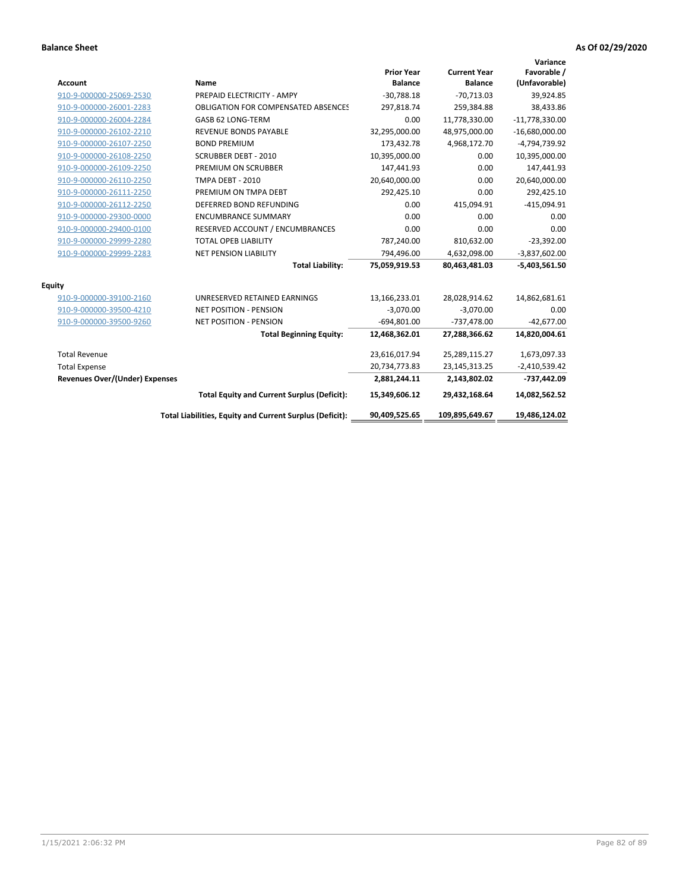| <b>Account</b>                        | Name                                                     | <b>Prior Year</b><br><b>Balance</b> | <b>Current Year</b><br><b>Balance</b> | Variance<br>Favorable /<br>(Unfavorable) |
|---------------------------------------|----------------------------------------------------------|-------------------------------------|---------------------------------------|------------------------------------------|
| 910-9-000000-25069-2530               | PREPAID ELECTRICITY - AMPY                               | $-30,788.18$                        | $-70,713.03$                          | 39,924.85                                |
| 910-9-000000-26001-2283               | <b>OBLIGATION FOR COMPENSATED ABSENCES</b>               | 297,818.74                          | 259,384.88                            | 38,433.86                                |
| 910-9-000000-26004-2284               | GASB 62 LONG-TERM                                        | 0.00                                | 11,778,330.00                         | $-11,778,330.00$                         |
| 910-9-000000-26102-2210               | <b>REVENUE BONDS PAYABLE</b>                             | 32,295,000.00                       | 48,975,000.00                         | $-16,680,000.00$                         |
| 910-9-000000-26107-2250               | <b>BOND PREMIUM</b>                                      | 173,432.78                          | 4,968,172.70                          | -4,794,739.92                            |
| 910-9-000000-26108-2250               | <b>SCRUBBER DEBT - 2010</b>                              | 10,395,000.00                       | 0.00                                  | 10,395,000.00                            |
| 910-9-000000-26109-2250               | PREMIUM ON SCRUBBER                                      | 147,441.93                          | 0.00                                  | 147,441.93                               |
| 910-9-000000-26110-2250               | TMPA DEBT - 2010                                         | 20,640,000.00                       | 0.00                                  | 20,640,000.00                            |
| 910-9-000000-26111-2250               | PREMIUM ON TMPA DEBT                                     | 292,425.10                          | 0.00                                  | 292,425.10                               |
| 910-9-000000-26112-2250               | DEFERRED BOND REFUNDING                                  | 0.00                                | 415,094.91                            | $-415,094.91$                            |
| 910-9-000000-29300-0000               | <b>ENCUMBRANCE SUMMARY</b>                               | 0.00                                | 0.00                                  | 0.00                                     |
| 910-9-000000-29400-0100               | RESERVED ACCOUNT / ENCUMBRANCES                          | 0.00                                | 0.00                                  | 0.00                                     |
| 910-9-000000-29999-2280               | <b>TOTAL OPEB LIABILITY</b>                              | 787,240.00                          | 810,632.00                            | $-23,392.00$                             |
| 910-9-000000-29999-2283               | <b>NET PENSION LIABILITY</b>                             | 794,496.00                          | 4,632,098.00                          | $-3,837,602.00$                          |
|                                       | <b>Total Liability:</b>                                  | 75,059,919.53                       | 80,463,481.03                         | $-5,403,561.50$                          |
| <b>Equity</b>                         |                                                          |                                     |                                       |                                          |
| 910-9-000000-39100-2160               | UNRESERVED RETAINED EARNINGS                             | 13,166,233.01                       | 28,028,914.62                         | 14,862,681.61                            |
| 910-9-000000-39500-4210               | <b>NET POSITION - PENSION</b>                            | $-3,070.00$                         | $-3,070.00$                           | 0.00                                     |
| 910-9-000000-39500-9260               | <b>NET POSITION - PENSION</b>                            | $-694,801.00$                       | $-737,478.00$                         | $-42,677.00$                             |
|                                       | <b>Total Beginning Equity:</b>                           | 12,468,362.01                       | 27,288,366.62                         | 14,820,004.61                            |
| <b>Total Revenue</b>                  |                                                          | 23,616,017.94                       | 25,289,115.27                         | 1,673,097.33                             |
| <b>Total Expense</b>                  |                                                          | 20,734,773.83                       | 23,145,313.25                         | $-2,410,539.42$                          |
| <b>Revenues Over/(Under) Expenses</b> |                                                          | 2,881,244.11                        | 2,143,802.02                          | -737,442.09                              |
|                                       | <b>Total Equity and Current Surplus (Deficit):</b>       | 15,349,606.12                       | 29,432,168.64                         | 14,082,562.52                            |
|                                       | Total Liabilities, Equity and Current Surplus (Deficit): | 90,409,525.65                       | 109,895,649.67                        | 19,486,124.02                            |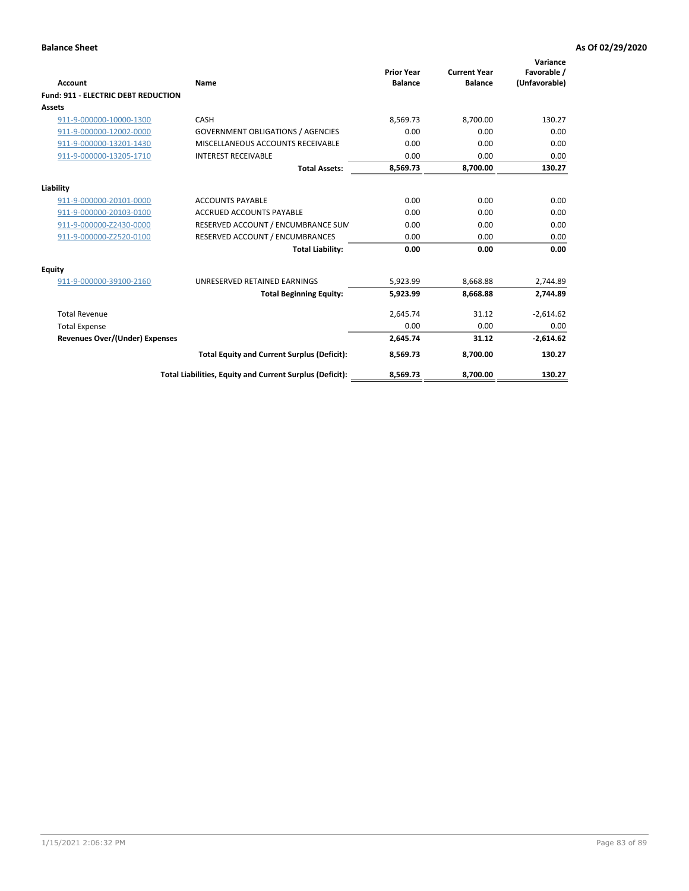| <b>Account</b>                             | Name                                                     | <b>Prior Year</b><br><b>Balance</b> | <b>Current Year</b><br><b>Balance</b> | Variance<br>Favorable /<br>(Unfavorable) |
|--------------------------------------------|----------------------------------------------------------|-------------------------------------|---------------------------------------|------------------------------------------|
| <b>Fund: 911 - ELECTRIC DEBT REDUCTION</b> |                                                          |                                     |                                       |                                          |
| Assets                                     |                                                          |                                     |                                       |                                          |
| 911-9-000000-10000-1300                    | CASH                                                     | 8,569.73                            | 8,700.00                              | 130.27                                   |
| 911-9-000000-12002-0000                    | <b>GOVERNMENT OBLIGATIONS / AGENCIES</b>                 | 0.00                                | 0.00                                  | 0.00                                     |
| 911-9-000000-13201-1430                    | MISCELLANEOUS ACCOUNTS RECEIVABLE                        | 0.00                                | 0.00                                  | 0.00                                     |
| 911-9-000000-13205-1710                    | <b>INTEREST RECEIVABLE</b>                               | 0.00                                | 0.00                                  | 0.00                                     |
|                                            | <b>Total Assets:</b>                                     | 8,569.73                            | 8,700.00                              | 130.27                                   |
| Liability                                  |                                                          |                                     |                                       |                                          |
| 911-9-000000-20101-0000                    | <b>ACCOUNTS PAYABLE</b>                                  | 0.00                                | 0.00                                  | 0.00                                     |
| 911-9-000000-20103-0100                    | <b>ACCRUED ACCOUNTS PAYABLE</b>                          | 0.00                                | 0.00                                  | 0.00                                     |
| 911-9-000000-Z2430-0000                    | RESERVED ACCOUNT / ENCUMBRANCE SUM                       | 0.00                                | 0.00                                  | 0.00                                     |
| 911-9-000000-Z2520-0100                    | RESERVED ACCOUNT / ENCUMBRANCES                          | 0.00                                | 0.00                                  | 0.00                                     |
|                                            | <b>Total Liability:</b>                                  | 0.00                                | 0.00                                  | 0.00                                     |
| <b>Equity</b>                              |                                                          |                                     |                                       |                                          |
| 911-9-000000-39100-2160                    | UNRESERVED RETAINED EARNINGS                             | 5,923.99                            | 8,668.88                              | 2,744.89                                 |
|                                            | <b>Total Beginning Equity:</b>                           | 5,923.99                            | 8.668.88                              | 2,744.89                                 |
| <b>Total Revenue</b>                       |                                                          | 2,645.74                            | 31.12                                 | $-2,614.62$                              |
| <b>Total Expense</b>                       |                                                          | 0.00                                | 0.00                                  | 0.00                                     |
| <b>Revenues Over/(Under) Expenses</b>      |                                                          | 2,645.74                            | 31.12                                 | $-2,614.62$                              |
|                                            | <b>Total Equity and Current Surplus (Deficit):</b>       | 8,569.73                            | 8,700.00                              | 130.27                                   |
|                                            | Total Liabilities, Equity and Current Surplus (Deficit): | 8,569.73                            | 8,700.00                              | 130.27                                   |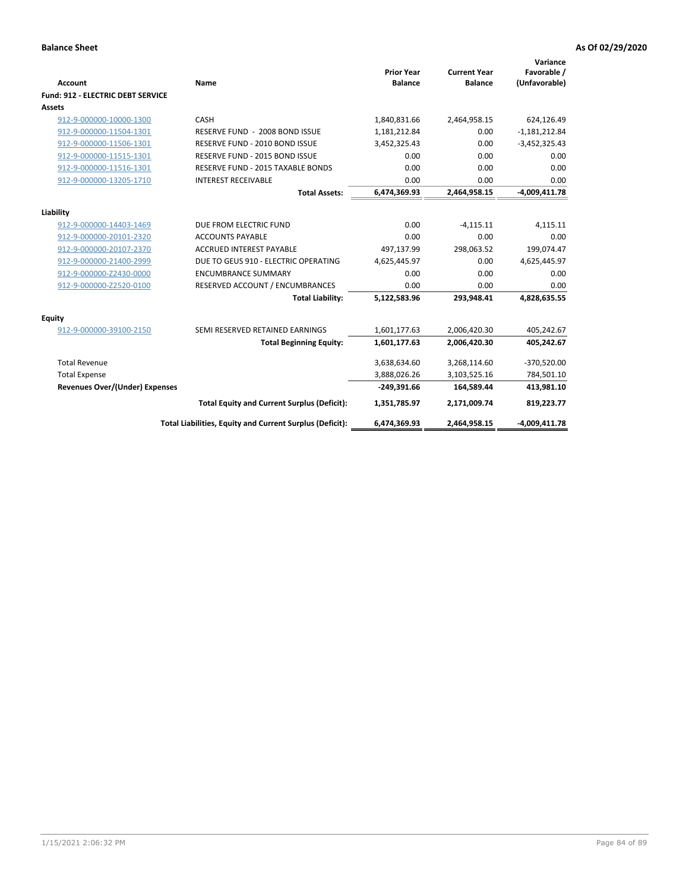| <b>Account</b>                           | Name                                                     | <b>Prior Year</b><br><b>Balance</b> | <b>Current Year</b><br><b>Balance</b> | Variance<br>Favorable /<br>(Unfavorable) |
|------------------------------------------|----------------------------------------------------------|-------------------------------------|---------------------------------------|------------------------------------------|
| <b>Fund: 912 - ELECTRIC DEBT SERVICE</b> |                                                          |                                     |                                       |                                          |
| Assets                                   |                                                          |                                     |                                       |                                          |
| 912-9-000000-10000-1300                  | CASH                                                     | 1,840,831.66                        | 2,464,958.15                          | 624,126.49                               |
| 912-9-000000-11504-1301                  | RESERVE FUND - 2008 BOND ISSUE                           | 1,181,212.84                        | 0.00                                  | $-1,181,212.84$                          |
| 912-9-000000-11506-1301                  | RESERVE FUND - 2010 BOND ISSUE                           | 3,452,325.43                        | 0.00                                  | $-3,452,325.43$                          |
| 912-9-000000-11515-1301                  | RESERVE FUND - 2015 BOND ISSUE                           | 0.00                                | 0.00                                  | 0.00                                     |
| 912-9-000000-11516-1301                  | RESERVE FUND - 2015 TAXABLE BONDS                        | 0.00                                | 0.00                                  | 0.00                                     |
| 912-9-000000-13205-1710                  | <b>INTEREST RECEIVABLE</b>                               | 0.00                                | 0.00                                  | 0.00                                     |
|                                          | <b>Total Assets:</b>                                     | 6,474,369.93                        | 2,464,958.15                          | $-4,009,411.78$                          |
|                                          |                                                          |                                     |                                       |                                          |
| Liability                                |                                                          |                                     |                                       |                                          |
| 912-9-000000-14403-1469                  | DUE FROM ELECTRIC FUND                                   | 0.00                                | $-4,115.11$                           | 4,115.11                                 |
| 912-9-000000-20101-2320                  | <b>ACCOUNTS PAYABLE</b>                                  | 0.00                                | 0.00                                  | 0.00                                     |
| 912-9-000000-20107-2370                  | <b>ACCRUED INTEREST PAYABLE</b>                          | 497,137.99                          | 298,063.52                            | 199,074.47                               |
| 912-9-000000-21400-2999                  | DUE TO GEUS 910 - ELECTRIC OPERATING                     | 4,625,445.97                        | 0.00                                  | 4,625,445.97                             |
| 912-9-000000-Z2430-0000                  | <b>ENCUMBRANCE SUMMARY</b>                               | 0.00                                | 0.00                                  | 0.00                                     |
| 912-9-000000-Z2520-0100                  | RESERVED ACCOUNT / ENCUMBRANCES                          | 0.00                                | 0.00                                  | 0.00                                     |
|                                          | <b>Total Liability:</b>                                  | 5,122,583.96                        | 293,948.41                            | 4,828,635.55                             |
| Equity                                   |                                                          |                                     |                                       |                                          |
| 912-9-000000-39100-2150                  | SEMI RESERVED RETAINED EARNINGS                          | 1,601,177.63                        | 2,006,420.30                          | 405,242.67                               |
|                                          | <b>Total Beginning Equity:</b>                           | 1,601,177.63                        | 2,006,420.30                          | 405,242.67                               |
| <b>Total Revenue</b>                     |                                                          | 3,638,634.60                        | 3,268,114.60                          | $-370,520.00$                            |
| <b>Total Expense</b>                     |                                                          | 3,888,026.26                        | 3,103,525.16                          | 784,501.10                               |
| <b>Revenues Over/(Under) Expenses</b>    |                                                          | $-249,391.66$                       | 164,589.44                            | 413,981.10                               |
|                                          | <b>Total Equity and Current Surplus (Deficit):</b>       | 1,351,785.97                        | 2,171,009.74                          | 819,223.77                               |
|                                          | Total Liabilities, Equity and Current Surplus (Deficit): | 6,474,369.93                        | 2,464,958.15                          | $-4,009,411.78$                          |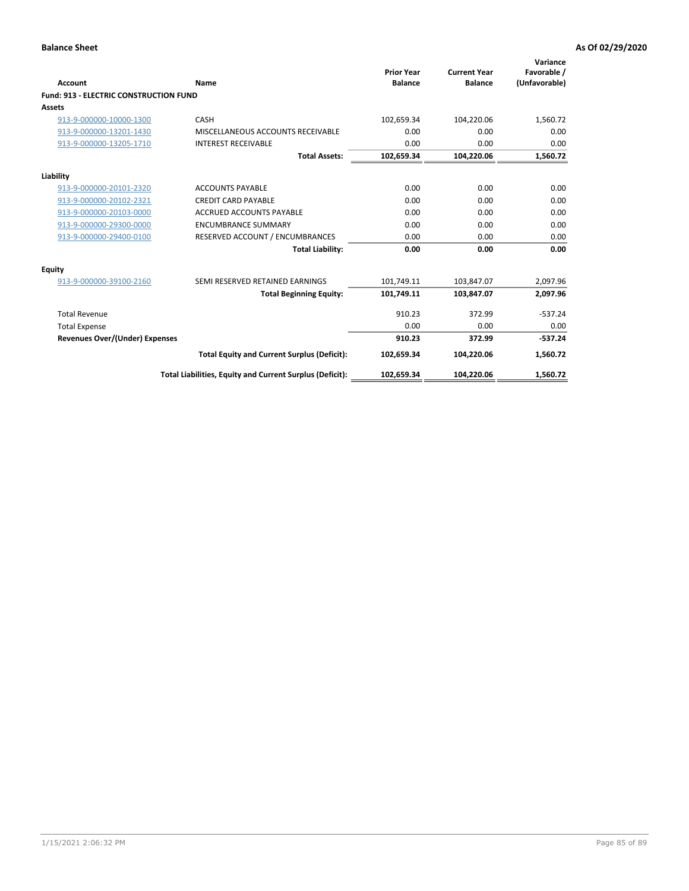| Account                                       | Name                                                     | <b>Prior Year</b><br><b>Balance</b> | <b>Current Year</b><br><b>Balance</b> | Variance<br>Favorable /<br>(Unfavorable) |
|-----------------------------------------------|----------------------------------------------------------|-------------------------------------|---------------------------------------|------------------------------------------|
| <b>Fund: 913 - ELECTRIC CONSTRUCTION FUND</b> |                                                          |                                     |                                       |                                          |
| <b>Assets</b>                                 |                                                          |                                     |                                       |                                          |
| 913-9-000000-10000-1300                       | CASH                                                     | 102,659.34                          | 104,220.06                            | 1,560.72                                 |
| 913-9-000000-13201-1430                       | MISCELLANEOUS ACCOUNTS RECEIVABLE                        | 0.00                                | 0.00                                  | 0.00                                     |
| 913-9-000000-13205-1710                       | <b>INTEREST RECEIVABLE</b>                               | 0.00                                | 0.00                                  | 0.00                                     |
|                                               | <b>Total Assets:</b>                                     | 102,659.34                          | 104,220.06                            | 1,560.72                                 |
| Liability                                     |                                                          |                                     |                                       |                                          |
| 913-9-000000-20101-2320                       | <b>ACCOUNTS PAYABLE</b>                                  | 0.00                                | 0.00                                  | 0.00                                     |
| 913-9-000000-20102-2321                       | <b>CREDIT CARD PAYABLE</b>                               | 0.00                                | 0.00                                  | 0.00                                     |
| 913-9-000000-20103-0000                       | <b>ACCRUED ACCOUNTS PAYABLE</b>                          | 0.00                                | 0.00                                  | 0.00                                     |
| 913-9-000000-29300-0000                       | <b>ENCUMBRANCE SUMMARY</b>                               | 0.00                                | 0.00                                  | 0.00                                     |
| 913-9-000000-29400-0100                       | RESERVED ACCOUNT / ENCUMBRANCES                          | 0.00                                | 0.00                                  | 0.00                                     |
|                                               | <b>Total Liability:</b>                                  | 0.00                                | 0.00                                  | 0.00                                     |
| <b>Equity</b>                                 |                                                          |                                     |                                       |                                          |
| 913-9-000000-39100-2160                       | SEMI RESERVED RETAINED EARNINGS                          | 101,749.11                          | 103,847.07                            | 2,097.96                                 |
|                                               | <b>Total Beginning Equity:</b>                           | 101,749.11                          | 103,847.07                            | 2,097.96                                 |
| <b>Total Revenue</b>                          |                                                          | 910.23                              | 372.99                                | $-537.24$                                |
| <b>Total Expense</b>                          |                                                          | 0.00                                | 0.00                                  | 0.00                                     |
| Revenues Over/(Under) Expenses                |                                                          | 910.23                              | 372.99                                | $-537.24$                                |
|                                               | <b>Total Equity and Current Surplus (Deficit):</b>       | 102,659.34                          | 104,220.06                            | 1,560.72                                 |
|                                               | Total Liabilities, Equity and Current Surplus (Deficit): | 102,659.34                          | 104,220.06                            | 1,560.72                                 |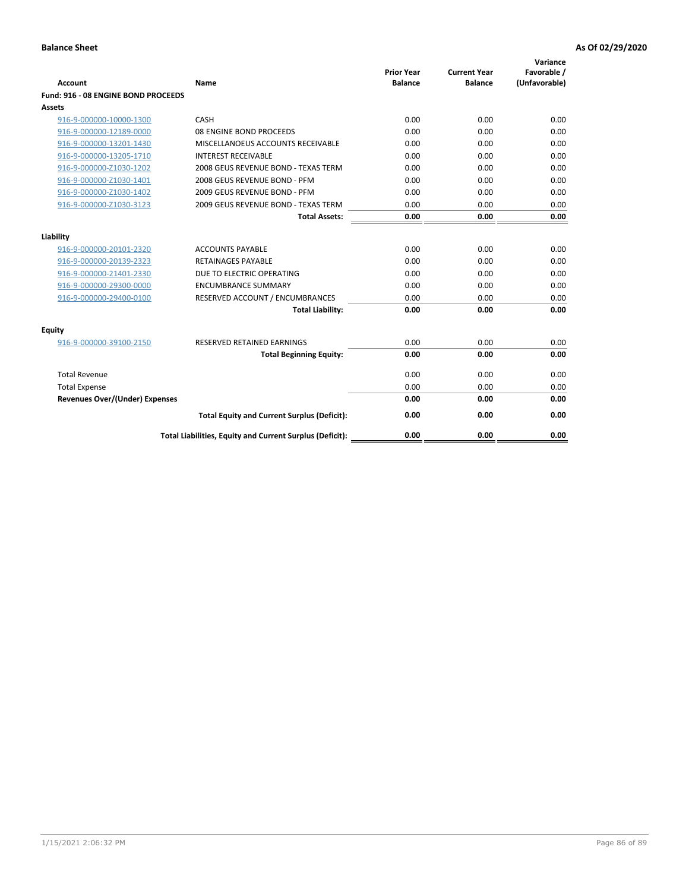| <b>Account</b>                      | Name                                                     | <b>Prior Year</b><br><b>Balance</b> | <b>Current Year</b><br><b>Balance</b> | Variance<br>Favorable /<br>(Unfavorable) |
|-------------------------------------|----------------------------------------------------------|-------------------------------------|---------------------------------------|------------------------------------------|
| Fund: 916 - 08 ENGINE BOND PROCEEDS |                                                          |                                     |                                       |                                          |
| Assets                              |                                                          |                                     |                                       |                                          |
| 916-9-000000-10000-1300             | CASH                                                     | 0.00                                | 0.00                                  | 0.00                                     |
| 916-9-000000-12189-0000             | 08 ENGINE BOND PROCEEDS                                  | 0.00                                | 0.00                                  | 0.00                                     |
| 916-9-000000-13201-1430             | MISCELLANOEUS ACCOUNTS RECEIVABLE                        | 0.00                                | 0.00                                  | 0.00                                     |
| 916-9-000000-13205-1710             | <b>INTEREST RECEIVABLE</b>                               | 0.00                                | 0.00                                  | 0.00                                     |
| 916-9-000000-Z1030-1202             | 2008 GEUS REVENUE BOND - TEXAS TERM                      | 0.00                                | 0.00                                  | 0.00                                     |
| 916-9-000000-Z1030-1401             | 2008 GEUS REVENUE BOND - PFM                             | 0.00                                | 0.00                                  | 0.00                                     |
| 916-9-000000-Z1030-1402             | 2009 GEUS REVENUE BOND - PFM                             | 0.00                                | 0.00                                  | 0.00                                     |
| 916-9-000000-Z1030-3123             | 2009 GEUS REVENUE BOND - TEXAS TERM                      | 0.00                                | 0.00                                  | 0.00                                     |
|                                     | <b>Total Assets:</b>                                     | 0.00                                | 0.00                                  | 0.00                                     |
| Liability                           |                                                          |                                     |                                       |                                          |
| 916-9-000000-20101-2320             | <b>ACCOUNTS PAYABLE</b>                                  | 0.00                                | 0.00                                  | 0.00                                     |
| 916-9-000000-20139-2323             | <b>RETAINAGES PAYABLE</b>                                | 0.00                                | 0.00                                  | 0.00                                     |
| 916-9-000000-21401-2330             | DUE TO ELECTRIC OPERATING                                | 0.00                                | 0.00                                  | 0.00                                     |
| 916-9-000000-29300-0000             | <b>ENCUMBRANCE SUMMARY</b>                               | 0.00                                | 0.00                                  | 0.00                                     |
| 916-9-000000-29400-0100             | RESERVED ACCOUNT / ENCUMBRANCES                          | 0.00                                | 0.00                                  | 0.00                                     |
|                                     | <b>Total Liability:</b>                                  | 0.00                                | 0.00                                  | 0.00                                     |
| Equity                              |                                                          |                                     |                                       |                                          |
| 916-9-000000-39100-2150             | <b>RESERVED RETAINED EARNINGS</b>                        | 0.00                                | 0.00                                  | 0.00                                     |
|                                     | <b>Total Beginning Equity:</b>                           | 0.00                                | 0.00                                  | 0.00                                     |
| <b>Total Revenue</b>                |                                                          | 0.00                                | 0.00                                  | 0.00                                     |
| <b>Total Expense</b>                |                                                          | 0.00                                | 0.00                                  | 0.00                                     |
| Revenues Over/(Under) Expenses      |                                                          | 0.00                                | 0.00                                  | 0.00                                     |
|                                     | <b>Total Equity and Current Surplus (Deficit):</b>       | 0.00                                | 0.00                                  | 0.00                                     |
|                                     | Total Liabilities, Equity and Current Surplus (Deficit): | 0.00                                | 0.00                                  | 0.00                                     |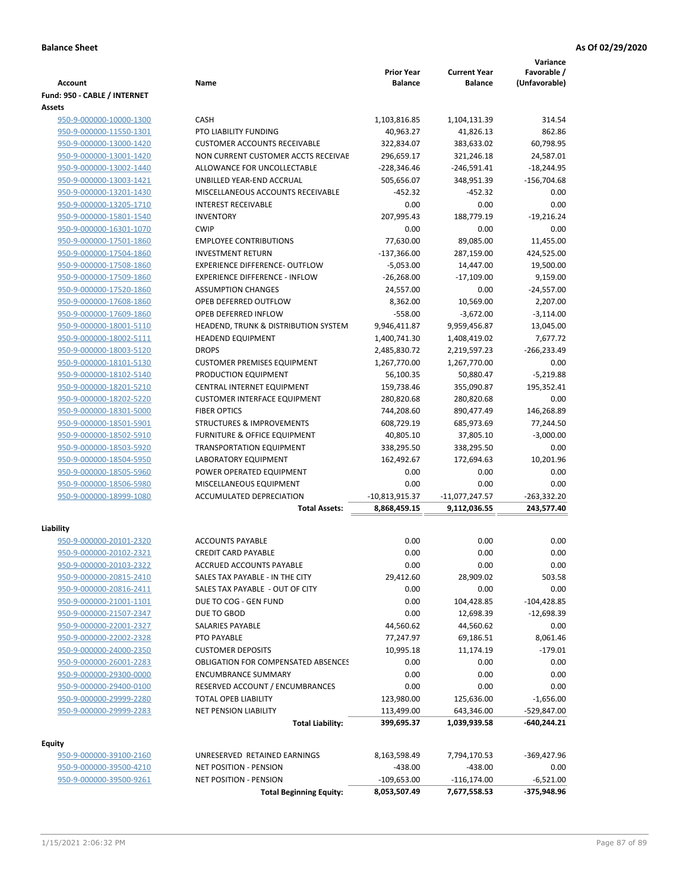| <b>Account</b>                                     | Name                                                               | <b>Prior Year</b><br><b>Balance</b> | <b>Current Year</b><br><b>Balance</b> | Variance<br>Favorable /<br>(Unfavorable) |
|----------------------------------------------------|--------------------------------------------------------------------|-------------------------------------|---------------------------------------|------------------------------------------|
| Fund: 950 - CABLE / INTERNET                       |                                                                    |                                     |                                       |                                          |
| Assets                                             |                                                                    |                                     |                                       |                                          |
| 950-9-000000-10000-1300                            | CASH                                                               | 1,103,816.85                        | 1,104,131.39                          | 314.54<br>862.86                         |
| 950-9-000000-11550-1301                            | PTO LIABILITY FUNDING                                              | 40,963.27                           | 41,826.13                             |                                          |
| 950-9-000000-13000-1420                            | <b>CUSTOMER ACCOUNTS RECEIVABLE</b>                                | 322,834.07                          | 383,633.02                            | 60,798.95                                |
| 950-9-000000-13001-1420<br>950-9-000000-13002-1440 | NON CURRENT CUSTOMER ACCTS RECEIVAE<br>ALLOWANCE FOR UNCOLLECTABLE | 296,659.17<br>$-228,346.46$         | 321,246.18<br>$-246,591.41$           | 24,587.01<br>$-18,244.95$                |
| 950-9-000000-13003-1421                            | UNBILLED YEAR-END ACCRUAL                                          | 505,656.07                          | 348,951.39                            |                                          |
| 950-9-000000-13201-1430                            | MISCELLANEOUS ACCOUNTS RECEIVABLE                                  | $-452.32$                           | $-452.32$                             | $-156,704.68$<br>0.00                    |
| 950-9-000000-13205-1710                            | <b>INTEREST RECEIVABLE</b>                                         | 0.00                                | 0.00                                  | 0.00                                     |
| 950-9-000000-15801-1540                            | <b>INVENTORY</b>                                                   | 207,995.43                          | 188,779.19                            | $-19,216.24$                             |
| 950-9-000000-16301-1070                            | <b>CWIP</b>                                                        | 0.00                                | 0.00                                  | 0.00                                     |
| 950-9-000000-17501-1860                            | <b>EMPLOYEE CONTRIBUTIONS</b>                                      | 77,630.00                           | 89,085.00                             | 11,455.00                                |
| 950-9-000000-17504-1860                            | <b>INVESTMENT RETURN</b>                                           | $-137,366.00$                       | 287,159.00                            | 424,525.00                               |
| 950-9-000000-17508-1860                            | <b>EXPERIENCE DIFFERENCE- OUTFLOW</b>                              | $-5,053.00$                         | 14,447.00                             | 19,500.00                                |
| 950-9-000000-17509-1860                            | <b>EXPERIENCE DIFFERENCE - INFLOW</b>                              | $-26,268.00$                        | $-17,109.00$                          | 9,159.00                                 |
| 950-9-000000-17520-1860                            | <b>ASSUMPTION CHANGES</b>                                          | 24,557.00                           | 0.00                                  | $-24,557.00$                             |
| 950-9-000000-17608-1860                            | OPEB DEFERRED OUTFLOW                                              | 8,362.00                            | 10,569.00                             | 2,207.00                                 |
| 950-9-000000-17609-1860                            | <b>OPEB DEFERRED INFLOW</b>                                        | $-558.00$                           | $-3,672.00$                           | $-3,114.00$                              |
| 950-9-000000-18001-5110                            | HEADEND, TRUNK & DISTRIBUTION SYSTEM                               | 9,946,411.87                        | 9,959,456.87                          | 13,045.00                                |
| 950-9-000000-18002-5111                            | <b>HEADEND EQUIPMENT</b>                                           | 1,400,741.30                        | 1,408,419.02                          | 7,677.72                                 |
| 950-9-000000-18003-5120                            | <b>DROPS</b>                                                       | 2,485,830.72                        | 2,219,597.23                          | $-266,233.49$                            |
| 950-9-000000-18101-5130                            | <b>CUSTOMER PREMISES EQUIPMENT</b>                                 | 1,267,770.00                        | 1,267,770.00                          | 0.00                                     |
| 950-9-000000-18102-5140                            | PRODUCTION EQUIPMENT                                               | 56,100.35                           | 50,880.47                             | $-5,219.88$                              |
| 950-9-000000-18201-5210                            | CENTRAL INTERNET EQUIPMENT                                         | 159,738.46                          | 355,090.87                            | 195,352.41                               |
| 950-9-000000-18202-5220                            | <b>CUSTOMER INTERFACE EQUIPMENT</b>                                | 280,820.68                          | 280,820.68                            | 0.00                                     |
| 950-9-000000-18301-5000                            | <b>FIBER OPTICS</b>                                                | 744,208.60                          | 890,477.49                            | 146,268.89                               |
| 950-9-000000-18501-5901                            | <b>STRUCTURES &amp; IMPROVEMENTS</b>                               | 608,729.19                          | 685,973.69                            | 77,244.50                                |
| 950-9-000000-18502-5910                            | <b>FURNITURE &amp; OFFICE EQUIPMENT</b>                            | 40,805.10                           | 37,805.10                             | $-3,000.00$                              |
| 950-9-000000-18503-5920                            | <b>TRANSPORTATION EQUIPMENT</b>                                    | 338,295.50                          | 338,295.50                            | 0.00                                     |
| 950-9-000000-18504-5950                            | <b>LABORATORY EQUIPMENT</b>                                        | 162,492.67                          | 172,694.63                            | 10,201.96                                |
| 950-9-000000-18505-5960                            | POWER OPERATED EQUIPMENT                                           | 0.00                                | 0.00                                  | 0.00                                     |
| 950-9-000000-18506-5980                            | MISCELLANEOUS EQUIPMENT                                            | 0.00                                | 0.00                                  | 0.00                                     |
| 950-9-000000-18999-1080                            | <b>ACCUMULATED DEPRECIATION</b>                                    | $-10,813,915.37$                    | $-11,077,247.57$                      | $-263,332.20$                            |
|                                                    | <b>Total Assets:</b>                                               | 8,868,459.15                        | 9,112,036.55                          | 243,577.40                               |
| Liability                                          |                                                                    |                                     |                                       |                                          |
| 950-9-000000-20101-2320                            | <b>ACCOUNTS PAYABLE</b>                                            | 0.00                                | 0.00                                  | 0.00                                     |
| 950-9-000000-20102-2321                            | <b>CREDIT CARD PAYABLE</b>                                         | 0.00                                | 0.00                                  | 0.00                                     |
| 950-9-000000-20103-2322                            | ACCRUED ACCOUNTS PAYABLE                                           | 0.00                                | 0.00                                  | 0.00                                     |
| 950-9-000000-20815-2410                            | SALES TAX PAYABLE - IN THE CITY                                    | 29,412.60                           | 28,909.02                             | 503.58                                   |
| 950-9-000000-20816-2411                            | SALES TAX PAYABLE - OUT OF CITY                                    | 0.00                                | 0.00                                  | 0.00                                     |
| 950-9-000000-21001-1101                            | DUE TO COG - GEN FUND                                              | 0.00                                | 104,428.85                            | $-104,428.85$                            |
| 950-9-000000-21507-2347                            | DUE TO GBOD                                                        | 0.00                                | 12,698.39                             | $-12,698.39$                             |
| 950-9-000000-22001-2327                            | SALARIES PAYABLE                                                   | 44,560.62                           | 44,560.62                             | 0.00                                     |
| 950-9-000000-22002-2328                            | PTO PAYABLE                                                        | 77,247.97                           | 69,186.51                             | 8,061.46                                 |
| 950-9-000000-24000-2350                            | <b>CUSTOMER DEPOSITS</b>                                           | 10,995.18                           | 11,174.19                             | $-179.01$                                |
| 950-9-000000-26001-2283                            | <b>OBLIGATION FOR COMPENSATED ABSENCES</b>                         | 0.00                                | 0.00                                  | 0.00                                     |
| 950-9-000000-29300-0000                            | <b>ENCUMBRANCE SUMMARY</b>                                         | 0.00                                | 0.00                                  | 0.00                                     |
| 950-9-000000-29400-0100                            | RESERVED ACCOUNT / ENCUMBRANCES                                    | 0.00                                | 0.00                                  | 0.00                                     |
| 950-9-000000-29999-2280                            | TOTAL OPEB LIABILITY                                               | 123,980.00                          | 125,636.00                            | $-1,656.00$                              |
| 950-9-000000-29999-2283                            | <b>NET PENSION LIABILITY</b>                                       | 113,499.00                          | 643,346.00                            | -529,847.00                              |
|                                                    | <b>Total Liability:</b>                                            | 399,695.37                          | 1,039,939.58                          | -640,244.21                              |
| <b>Equity</b>                                      |                                                                    |                                     |                                       |                                          |
| 950-9-000000-39100-2160                            | UNRESERVED RETAINED EARNINGS                                       | 8,163,598.49                        | 7,794,170.53                          | -369,427.96                              |
| 950-9-000000-39500-4210                            | <b>NET POSITION - PENSION</b>                                      | -438.00                             | $-438.00$                             | 0.00                                     |
| 950-9-000000-39500-9261                            | <b>NET POSITION - PENSION</b>                                      | $-109,653.00$                       | $-116, 174.00$                        | $-6,521.00$                              |
|                                                    | <b>Total Beginning Equity:</b>                                     | 8,053,507.49                        | 7,677,558.53                          | -375,948.96                              |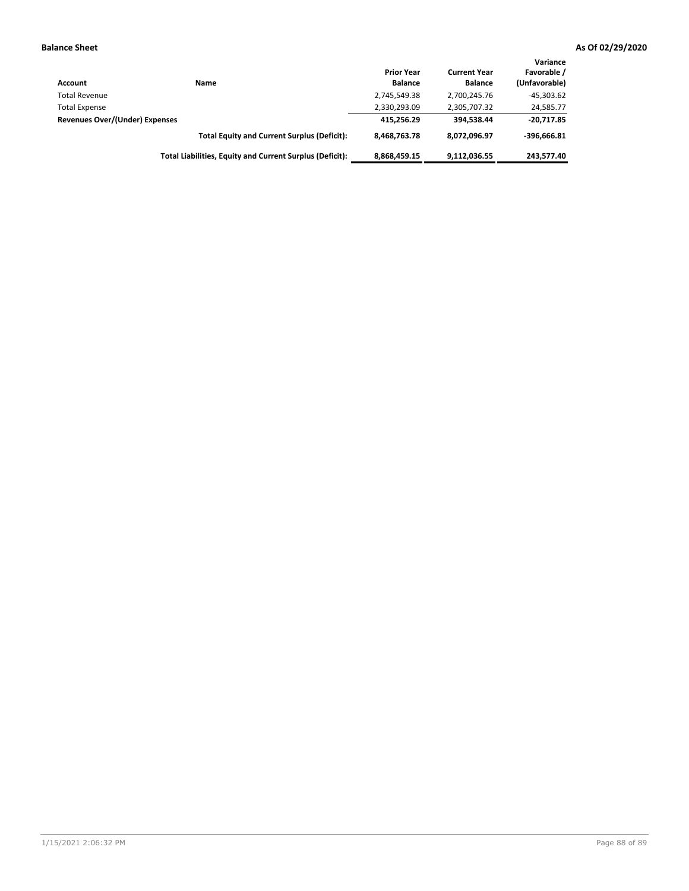| Account                        | Name                                                     | <b>Prior Year</b><br><b>Balance</b> | <b>Current Year</b><br><b>Balance</b> | Variance<br>Favorable /<br>(Unfavorable) |
|--------------------------------|----------------------------------------------------------|-------------------------------------|---------------------------------------|------------------------------------------|
| <b>Total Revenue</b>           |                                                          | 2,745,549.38                        | 2,700,245.76                          | $-45,303.62$                             |
| <b>Total Expense</b>           |                                                          | 2,330,293.09                        | 2,305,707.32                          | 24,585.77                                |
| Revenues Over/(Under) Expenses |                                                          | 415.256.29                          | 394.538.44                            | $-20.717.85$                             |
|                                | <b>Total Equity and Current Surplus (Deficit):</b>       | 8.468.763.78                        | 8,072,096.97                          | $-396.666.81$                            |
|                                | Total Liabilities, Equity and Current Surplus (Deficit): | 8,868,459.15                        | 9.112.036.55                          | 243.577.40                               |